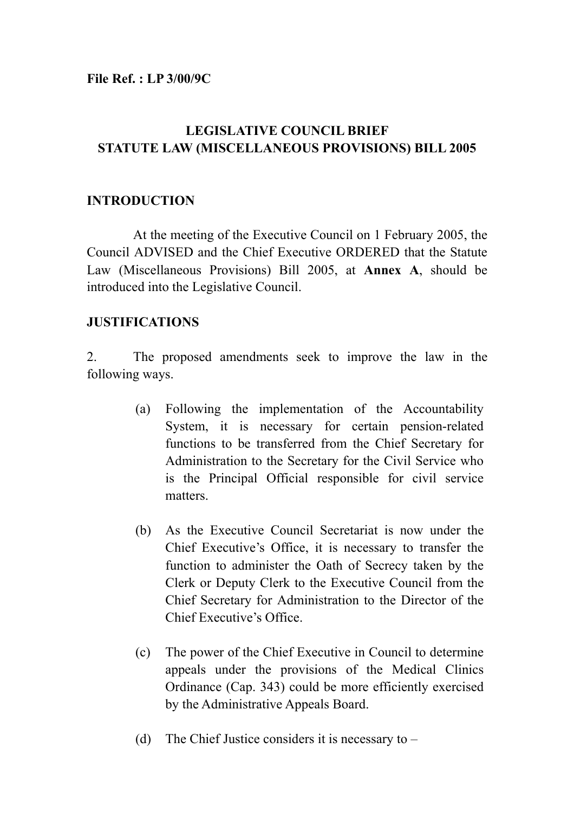**File Ref. : LP 3/00/9C** 

# **LEGISLATIVE COUNCIL BRIEF STATUTE LAW (MISCELLANEOUS PROVISIONS) BILL 2005**

## **INTRODUCTION**

 At the meeting of the Executive Council on 1 February 2005, the Council ADVISED and the Chief Executive ORDERED that the Statute Law (Miscellaneous Provisions) Bill 2005, at **Annex A**, should be introduced into the Legislative Council.

### **JUSTIFICATIONS**

2. The proposed amendments seek to improve the law in the following ways.

- (a) Following the implementation of the Accountability System, it is necessary for certain pension-related functions to be transferred from the Chief Secretary for Administration to the Secretary for the Civil Service who is the Principal Official responsible for civil service matters.
- (b) As the Executive Council Secretariat is now under the Chief Executive's Office, it is necessary to transfer the function to administer the Oath of Secrecy taken by the Clerk or Deputy Clerk to the Executive Council from the Chief Secretary for Administration to the Director of the Chief Executive's Office.
- (c) The power of the Chief Executive in Council to determine appeals under the provisions of the Medical Clinics Ordinance (Cap. 343) could be more efficiently exercised by the Administrative Appeals Board.
- (d) The Chief Justice considers it is necessary to  $-$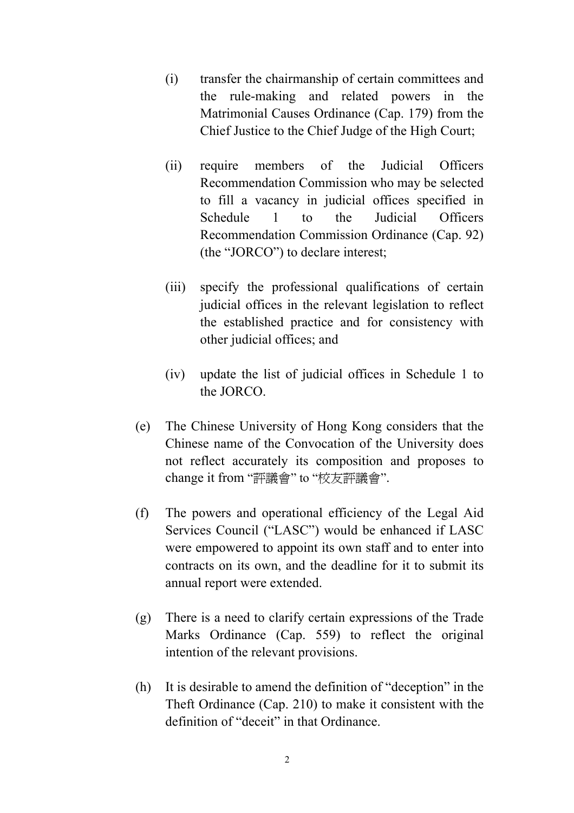- (i) transfer the chairmanship of certain committees and the rule-making and related powers in the Matrimonial Causes Ordinance (Cap. 179) from the Chief Justice to the Chief Judge of the High Court;
- (ii) require members of the Judicial Officers Recommendation Commission who may be selected to fill a vacancy in judicial offices specified in Schedule 1 to the Judicial Officers Recommendation Commission Ordinance (Cap. 92) (the "JORCO") to declare interest;
- (iii) specify the professional qualifications of certain judicial offices in the relevant legislation to reflect the established practice and for consistency with other judicial offices; and
- (iv) update the list of judicial offices in Schedule 1 to the JORCO.
- (e) The Chinese University of Hong Kong considers that the Chinese name of the Convocation of the University does not reflect accurately its composition and proposes to change it from "評議會" to "校友評議會".
- (f) The powers and operational efficiency of the Legal Aid Services Council ("LASC") would be enhanced if LASC were empowered to appoint its own staff and to enter into contracts on its own, and the deadline for it to submit its annual report were extended.
- (g) There is a need to clarify certain expressions of the Trade Marks Ordinance (Cap. 559) to reflect the original intention of the relevant provisions.
- (h) It is desirable to amend the definition of "deception" in the Theft Ordinance (Cap. 210) to make it consistent with the definition of "deceit" in that Ordinance.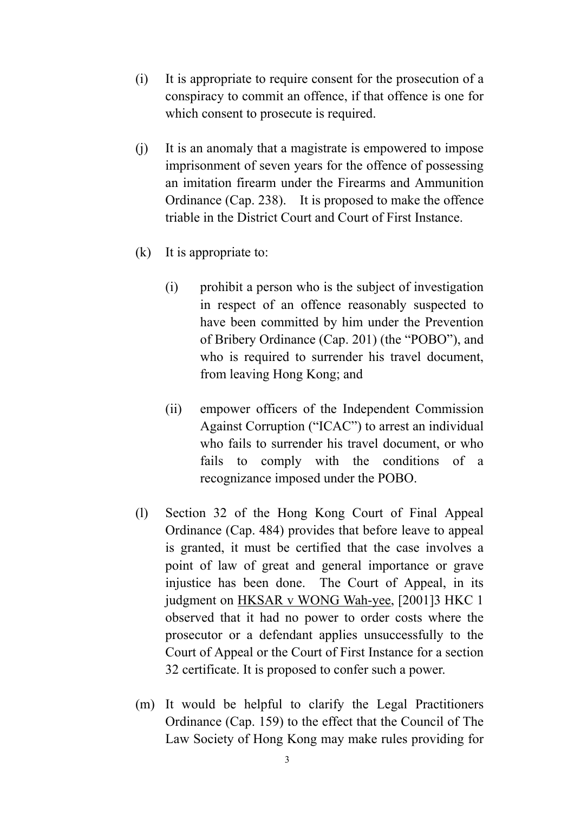- (i) It is appropriate to require consent for the prosecution of a conspiracy to commit an offence, if that offence is one for which consent to prosecute is required.
- (j) It is an anomaly that a magistrate is empowered to impose imprisonment of seven years for the offence of possessing an imitation firearm under the Firearms and Ammunition Ordinance (Cap. 238). It is proposed to make the offence triable in the District Court and Court of First Instance.
- (k) It is appropriate to:
	- (i) prohibit a person who is the subject of investigation in respect of an offence reasonably suspected to have been committed by him under the Prevention of Bribery Ordinance (Cap. 201) (the "POBO"), and who is required to surrender his travel document, from leaving Hong Kong; and
	- (ii) empower officers of the Independent Commission Against Corruption ("ICAC") to arrest an individual who fails to surrender his travel document, or who fails to comply with the conditions of a recognizance imposed under the POBO.
- (l) Section 32 of the Hong Kong Court of Final Appeal Ordinance (Cap. 484) provides that before leave to appeal is granted, it must be certified that the case involves a point of law of great and general importance or grave injustice has been done. The Court of Appeal, in its judgment on HKSAR v WONG Wah-yee, [2001]3 HKC 1 observed that it had no power to order costs where the prosecutor or a defendant applies unsuccessfully to the Court of Appeal or the Court of First Instance for a section 32 certificate. It is proposed to confer such a power.
- (m) It would be helpful to clarify the Legal Practitioners Ordinance (Cap. 159) to the effect that the Council of The Law Society of Hong Kong may make rules providing for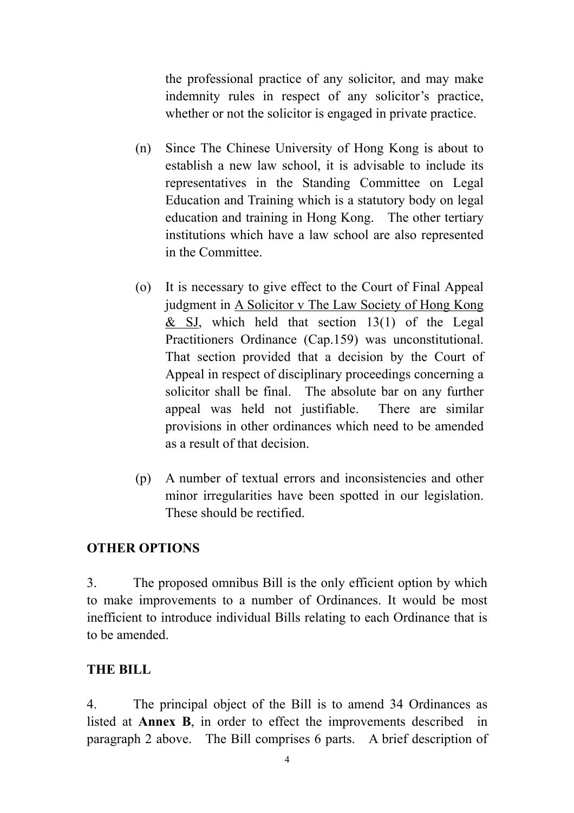the professional practice of any solicitor, and may make indemnity rules in respect of any solicitor's practice, whether or not the solicitor is engaged in private practice.

- (n) Since The Chinese University of Hong Kong is about to establish a new law school, it is advisable to include its representatives in the Standing Committee on Legal Education and Training which is a statutory body on legal education and training in Hong Kong. The other tertiary institutions which have a law school are also represented in the Committee.
- (o) It is necessary to give effect to the Court of Final Appeal judgment in A Solicitor v The Law Society of Hong Kong  $&$  SJ, which held that section 13(1) of the Legal Practitioners Ordinance (Cap.159) was unconstitutional. That section provided that a decision by the Court of Appeal in respect of disciplinary proceedings concerning a solicitor shall be final. The absolute bar on any further appeal was held not justifiable. There are similar provisions in other ordinances which need to be amended as a result of that decision.
- (p) A number of textual errors and inconsistencies and other minor irregularities have been spotted in our legislation. These should be rectified.

### **OTHER OPTIONS**

3. The proposed omnibus Bill is the only efficient option by which to make improvements to a number of Ordinances. It would be most inefficient to introduce individual Bills relating to each Ordinance that is to be amended.

### **THE BILL**

4. The principal object of the Bill is to amend 34 Ordinances as listed at **Annex B**, in order to effect the improvements described in paragraph 2 above. The Bill comprises 6 parts. A brief description of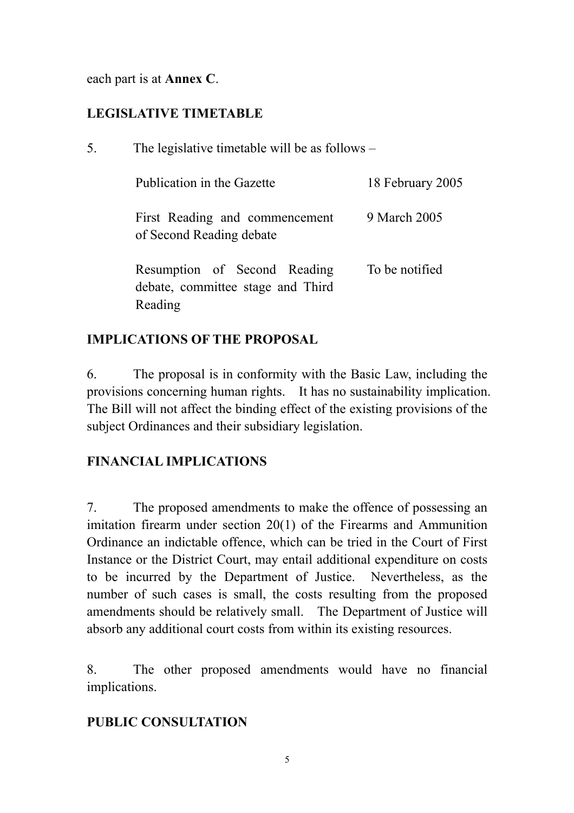each part is at **Annex C**.

# **LEGISLATIVE TIMETABLE**

5. The legislative timetable will be as follows –

| Publication in the Gazette                                                   | 18 February 2005 |
|------------------------------------------------------------------------------|------------------|
| First Reading and commencement<br>of Second Reading debate                   | 9 March 2005     |
| Resumption of Second Reading<br>debate, committee stage and Third<br>Reading | To be notified   |

# **IMPLICATIONS OF THE PROPOSAL**

6. The proposal is in conformity with the Basic Law, including the provisions concerning human rights. It has no sustainability implication. The Bill will not affect the binding effect of the existing provisions of the subject Ordinances and their subsidiary legislation.

# **FINANCIAL IMPLICATIONS**

7. The proposed amendments to make the offence of possessing an imitation firearm under section 20(1) of the Firearms and Ammunition Ordinance an indictable offence, which can be tried in the Court of First Instance or the District Court, may entail additional expenditure on costs to be incurred by the Department of Justice. Nevertheless, as the number of such cases is small, the costs resulting from the proposed amendments should be relatively small. The Department of Justice will absorb any additional court costs from within its existing resources.

8. The other proposed amendments would have no financial implications.

# **PUBLIC CONSULTATION**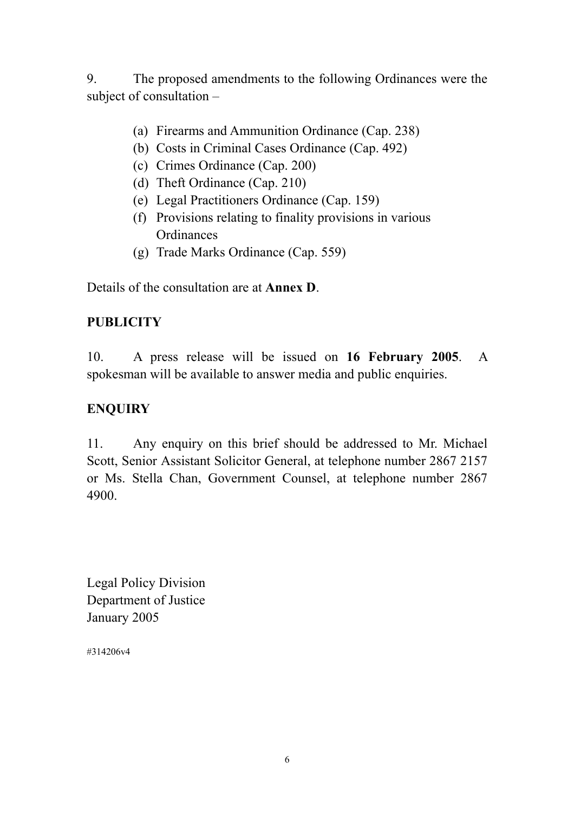9. The proposed amendments to the following Ordinances were the subject of consultation –

- (a) Firearms and Ammunition Ordinance (Cap. 238)
- (b) Costs in Criminal Cases Ordinance (Cap. 492)
- (c) Crimes Ordinance (Cap. 200)
- (d) Theft Ordinance (Cap. 210)
- (e) Legal Practitioners Ordinance (Cap. 159)
- (f) Provisions relating to finality provisions in various **Ordinances**
- (g) Trade Marks Ordinance (Cap. 559)

Details of the consultation are at **Annex D**.

# **PUBLICITY**

10. A press release will be issued on **16 February 2005**. A spokesman will be available to answer media and public enquiries.

# **ENQUIRY**

11. Any enquiry on this brief should be addressed to Mr. Michael Scott, Senior Assistant Solicitor General, at telephone number 2867 2157 or Ms. Stella Chan, Government Counsel, at telephone number 2867 4900.

Legal Policy Division Department of Justice January 2005

#314206v4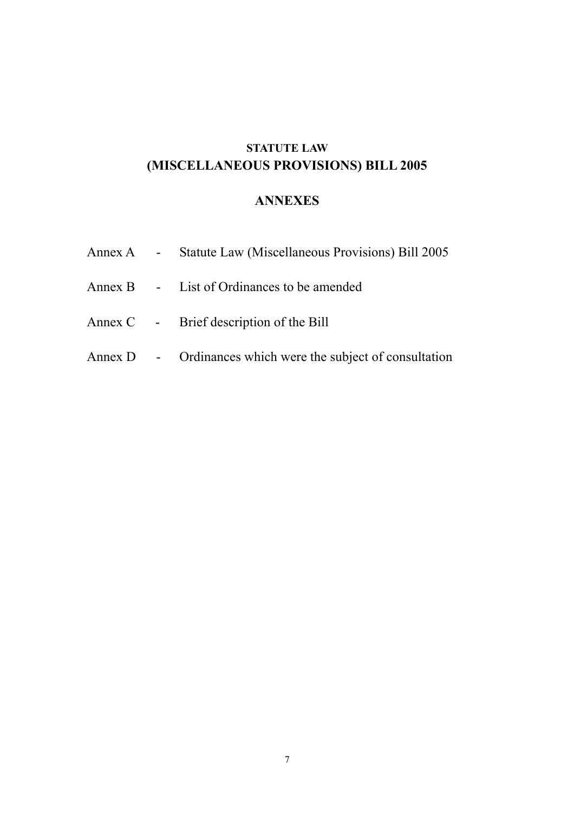# **STATUTE LAW (MISCELLANEOUS PROVISIONS) BILL 2005**

# **ANNEXES**

|  | Annex A - Statute Law (Miscellaneous Provisions) Bill 2005  |
|--|-------------------------------------------------------------|
|  | Annex B - List of Ordinances to be amended                  |
|  | Annex C - Brief description of the Bill                     |
|  | Annex D - Ordinances which were the subject of consultation |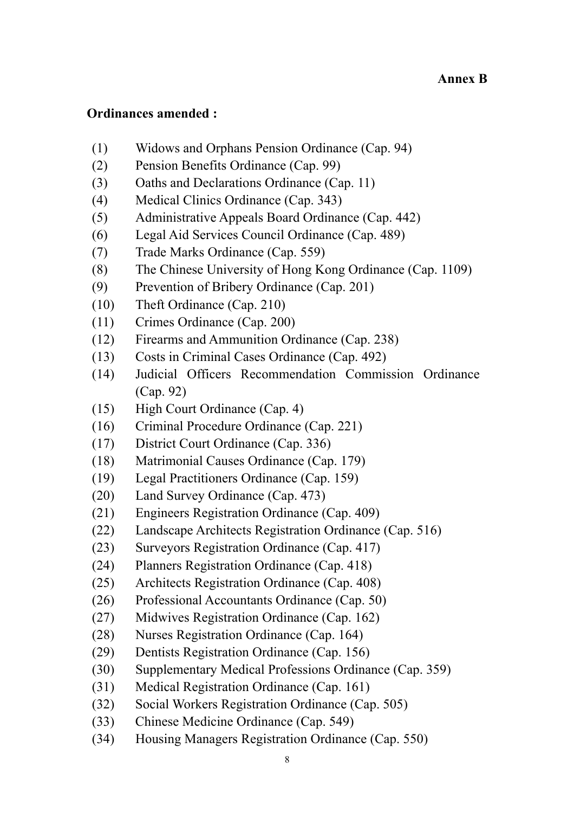## **Ordinances amended :**

- (1) Widows and Orphans Pension Ordinance (Cap. 94)
- (2) Pension Benefits Ordinance (Cap. 99)
- (3) Oaths and Declarations Ordinance (Cap. 11)
- (4) Medical Clinics Ordinance (Cap. 343)
- (5) Administrative Appeals Board Ordinance (Cap. 442)
- (6) Legal Aid Services Council Ordinance (Cap. 489)
- (7) Trade Marks Ordinance (Cap. 559)
- (8) The Chinese University of Hong Kong Ordinance (Cap. 1109)
- (9) Prevention of Bribery Ordinance (Cap. 201)
- (10) Theft Ordinance (Cap. 210)
- (11) Crimes Ordinance (Cap. 200)
- (12) Firearms and Ammunition Ordinance (Cap. 238)
- (13) Costs in Criminal Cases Ordinance (Cap. 492)
- (14) Judicial Officers Recommendation Commission Ordinance (Cap. 92)
- (15) High Court Ordinance (Cap. 4)
- (16) Criminal Procedure Ordinance (Cap. 221)
- (17) District Court Ordinance (Cap. 336)
- (18) Matrimonial Causes Ordinance (Cap. 179)
- (19) Legal Practitioners Ordinance (Cap. 159)
- (20) Land Survey Ordinance (Cap. 473)
- (21) Engineers Registration Ordinance (Cap. 409)
- (22) Landscape Architects Registration Ordinance (Cap. 516)
- (23) Surveyors Registration Ordinance (Cap. 417)
- (24) Planners Registration Ordinance (Cap. 418)
- (25) Architects Registration Ordinance (Cap. 408)
- (26) Professional Accountants Ordinance (Cap. 50)
- (27) Midwives Registration Ordinance (Cap. 162)
- (28) Nurses Registration Ordinance (Cap. 164)
- (29) Dentists Registration Ordinance (Cap. 156)
- (30) Supplementary Medical Professions Ordinance (Cap. 359)
- (31) Medical Registration Ordinance (Cap. 161)
- (32) Social Workers Registration Ordinance (Cap. 505)
- (33) Chinese Medicine Ordinance (Cap. 549)
- (34) Housing Managers Registration Ordinance (Cap. 550)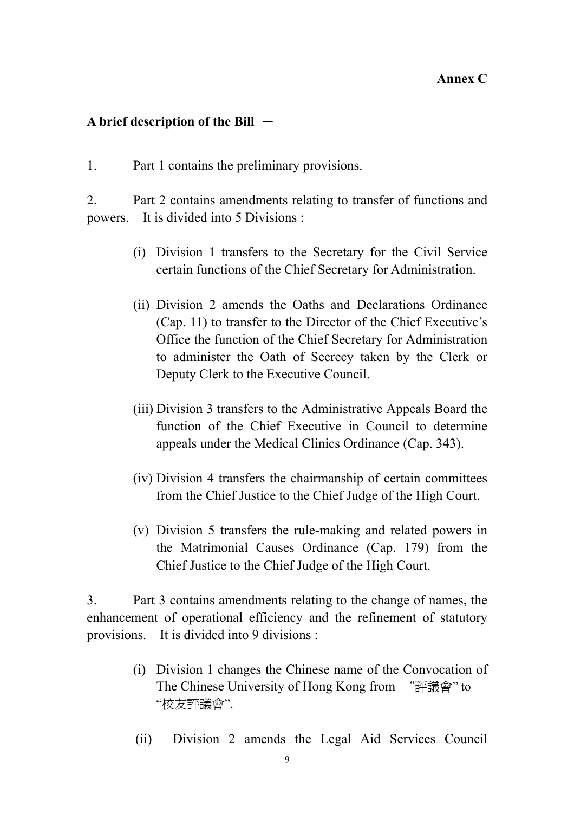### **Annex C**

## A brief description of the Bill  $-$

1. Part 1 contains the preliminary provisions.

2. Part 2 contains amendments relating to transfer of functions and powers. It is divided into 5 Divisions :

- (i) Division 1 transfers to the Secretary for the Civil Service certain functions of the Chief Secretary for Administration.
- (ii) Division 2 amends the Oaths and Declarations Ordinance (Cap. 11) to transfer to the Director of the Chief Executive's Office the function of the Chief Secretary for Administration to administer the Oath of Secrecy taken by the Clerk or Deputy Clerk to the Executive Council.
- (iii) Division 3 transfers to the Administrative Appeals Board the function of the Chief Executive in Council to determine appeals under the Medical Clinics Ordinance (Cap. 343).
- (iv) Division 4 transfers the chairmanship of certain committees from the Chief Justice to the Chief Judge of the High Court.
- (v) Division 5 transfers the rule-making and related powers in the Matrimonial Causes Ordinance (Cap. 179) from the Chief Justice to the Chief Judge of the High Court.

3. Part 3 contains amendments relating to the change of names, the enhancement of operational efficiency and the refinement of statutory provisions. It is divided into 9 divisions :

- (i) Division 1 changes the Chinese name of the Convocation of The Chinese University of Hong Kong from "評議會" to "校友評議會".
- (ii) Division 2 amends the Legal Aid Services Council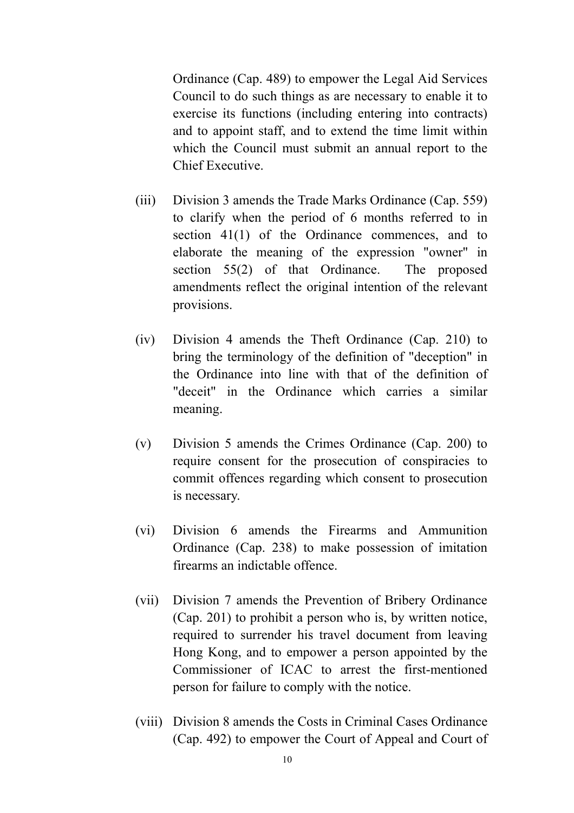Ordinance (Cap. 489) to empower the Legal Aid Services Council to do such things as are necessary to enable it to exercise its functions (including entering into contracts) and to appoint staff, and to extend the time limit within which the Council must submit an annual report to the Chief Executive.

- (iii) Division 3 amends the Trade Marks Ordinance (Cap. 559) to clarify when the period of 6 months referred to in section 41(1) of the Ordinance commences, and to elaborate the meaning of the expression "owner" in section 55(2) of that Ordinance. The proposed amendments reflect the original intention of the relevant provisions.
- (iv) Division 4 amends the Theft Ordinance (Cap. 210) to bring the terminology of the definition of "deception" in the Ordinance into line with that of the definition of "deceit" in the Ordinance which carries a similar meaning.
- (v) Division 5 amends the Crimes Ordinance (Cap. 200) to require consent for the prosecution of conspiracies to commit offences regarding which consent to prosecution is necessary.
- (vi) Division 6 amends the Firearms and Ammunition Ordinance (Cap. 238) to make possession of imitation firearms an indictable offence.
- (vii) Division 7 amends the Prevention of Bribery Ordinance (Cap. 201) to prohibit a person who is, by written notice, required to surrender his travel document from leaving Hong Kong, and to empower a person appointed by the Commissioner of ICAC to arrest the first-mentioned person for failure to comply with the notice.
- (viii) Division 8 amends the Costs in Criminal Cases Ordinance (Cap. 492) to empower the Court of Appeal and Court of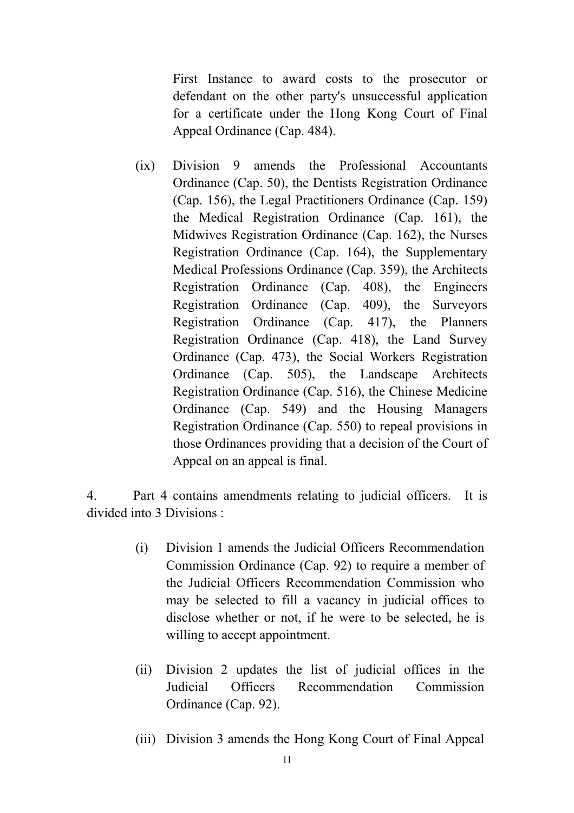First Instance to award costs to the prosecutor or defendant on the other party's unsuccessful application for a certificate under the Hong Kong Court of Final Appeal Ordinance (Cap. 484).

(ix) Division 9 amends the Professional Accountants Ordinance (Cap. 50), the Dentists Registration Ordinance (Cap. 156), the Legal Practitioners Ordinance (Cap. 159) the Medical Registration Ordinance (Cap. 161), the Midwives Registration Ordinance (Cap. 162), the Nurses Registration Ordinance (Cap. 164), the Supplementary Medical Professions Ordinance (Cap. 359), the Architects Registration Ordinance (Cap. 408), the Engineers Registration Ordinance (Cap. 409), the Surveyors Registration Ordinance (Cap. 417), the Planners Registration Ordinance (Cap. 418), the Land Survey Ordinance (Cap. 473), the Social Workers Registration Ordinance (Cap. 505), the Landscape Architects Registration Ordinance (Cap. 516), the Chinese Medicine Ordinance (Cap. 549) and the Housing Managers Registration Ordinance (Cap. 550) to repeal provisions in those Ordinances providing that a decision of the Court of Appeal on an appeal is final.

4. Part 4 contains amendments relating to judicial officers. It is divided into 3 Divisions :

- (i) Division 1 amends the Judicial Officers Recommendation Commission Ordinance (Cap. 92) to require a member of the Judicial Officers Recommendation Commission who may be selected to fill a vacancy in judicial offices to disclose whether or not, if he were to be selected, he is willing to accept appointment.
- (ii) Division 2 updates the list of judicial offices in the Judicial Officers Recommendation Commission Ordinance (Cap. 92).
- (iii) Division 3 amends the Hong Kong Court of Final Appeal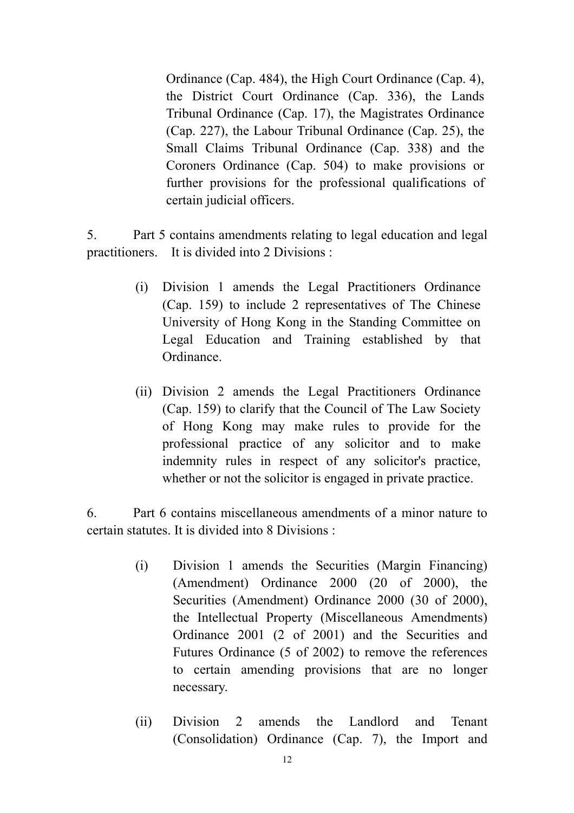Ordinance (Cap. 484), the High Court Ordinance (Cap. 4), the District Court Ordinance (Cap. 336), the Lands Tribunal Ordinance (Cap. 17), the Magistrates Ordinance (Cap. 227), the Labour Tribunal Ordinance (Cap. 25), the Small Claims Tribunal Ordinance (Cap. 338) and the Coroners Ordinance (Cap. 504) to make provisions or further provisions for the professional qualifications of certain judicial officers.

5. Part 5 contains amendments relating to legal education and legal practitioners. It is divided into 2 Divisions :

- (i) Division 1 amends the Legal Practitioners Ordinance (Cap. 159) to include 2 representatives of The Chinese University of Hong Kong in the Standing Committee on Legal Education and Training established by that Ordinance.
- (ii) Division 2 amends the Legal Practitioners Ordinance (Cap. 159) to clarify that the Council of The Law Society of Hong Kong may make rules to provide for the professional practice of any solicitor and to make indemnity rules in respect of any solicitor's practice, whether or not the solicitor is engaged in private practice.

6. Part 6 contains miscellaneous amendments of a minor nature to certain statutes. It is divided into 8 Divisions :

- (i) Division 1 amends the Securities (Margin Financing) (Amendment) Ordinance 2000 (20 of 2000), the Securities (Amendment) Ordinance 2000 (30 of 2000), the Intellectual Property (Miscellaneous Amendments) Ordinance 2001 (2 of 2001) and the Securities and Futures Ordinance (5 of 2002) to remove the references to certain amending provisions that are no longer necessary.
- (ii) Division 2 amends the Landlord and Tenant (Consolidation) Ordinance (Cap. 7), the Import and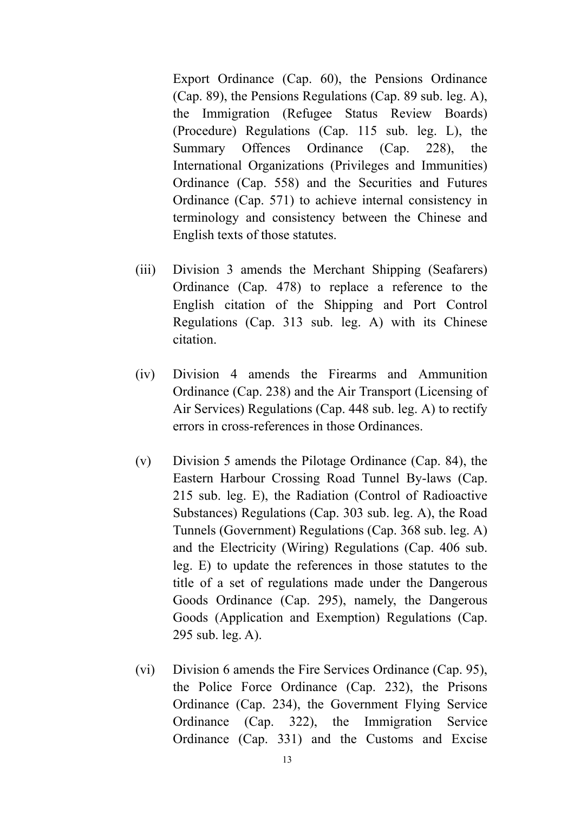Export Ordinance (Cap. 60), the Pensions Ordinance (Cap. 89), the Pensions Regulations (Cap. 89 sub. leg. A), the Immigration (Refugee Status Review Boards) (Procedure) Regulations (Cap. 115 sub. leg. L), the Summary Offences Ordinance (Cap. 228), the International Organizations (Privileges and Immunities) Ordinance (Cap. 558) and the Securities and Futures Ordinance (Cap. 571) to achieve internal consistency in terminology and consistency between the Chinese and English texts of those statutes.

- (iii) Division 3 amends the Merchant Shipping (Seafarers) Ordinance (Cap. 478) to replace a reference to the English citation of the Shipping and Port Control Regulations (Cap. 313 sub. leg. A) with its Chinese citation.
- (iv) Division 4 amends the Firearms and Ammunition Ordinance (Cap. 238) and the Air Transport (Licensing of Air Services) Regulations (Cap. 448 sub. leg. A) to rectify errors in cross-references in those Ordinances.
- (v) Division 5 amends the Pilotage Ordinance (Cap. 84), the Eastern Harbour Crossing Road Tunnel By-laws (Cap. 215 sub. leg. E), the Radiation (Control of Radioactive Substances) Regulations (Cap. 303 sub. leg. A), the Road Tunnels (Government) Regulations (Cap. 368 sub. leg. A) and the Electricity (Wiring) Regulations (Cap. 406 sub. leg. E) to update the references in those statutes to the title of a set of regulations made under the Dangerous Goods Ordinance (Cap. 295), namely, the Dangerous Goods (Application and Exemption) Regulations (Cap. 295 sub. leg. A).
- (vi) Division 6 amends the Fire Services Ordinance (Cap. 95), the Police Force Ordinance (Cap. 232), the Prisons Ordinance (Cap. 234), the Government Flying Service Ordinance (Cap. 322), the Immigration Service Ordinance (Cap. 331) and the Customs and Excise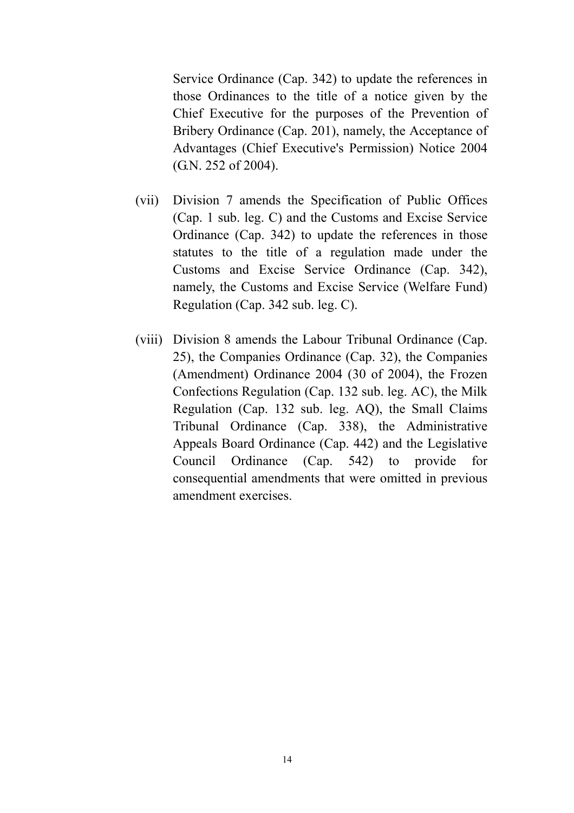Service Ordinance (Cap. 342) to update the references in those Ordinances to the title of a notice given by the Chief Executive for the purposes of the Prevention of Bribery Ordinance (Cap. 201), namely, the Acceptance of Advantages (Chief Executive's Permission) Notice 2004 (G.N. 252 of 2004).

- (vii) Division 7 amends the Specification of Public Offices (Cap. 1 sub. leg. C) and the Customs and Excise Service Ordinance (Cap. 342) to update the references in those statutes to the title of a regulation made under the Customs and Excise Service Ordinance (Cap. 342), namely, the Customs and Excise Service (Welfare Fund) Regulation (Cap. 342 sub. leg. C).
- (viii) Division 8 amends the Labour Tribunal Ordinance (Cap. 25), the Companies Ordinance (Cap. 32), the Companies (Amendment) Ordinance 2004 (30 of 2004), the Frozen Confections Regulation (Cap. 132 sub. leg. AC), the Milk Regulation (Cap. 132 sub. leg. AQ), the Small Claims Tribunal Ordinance (Cap. 338), the Administrative Appeals Board Ordinance (Cap. 442) and the Legislative Council Ordinance (Cap. 542) to provide for consequential amendments that were omitted in previous amendment exercises.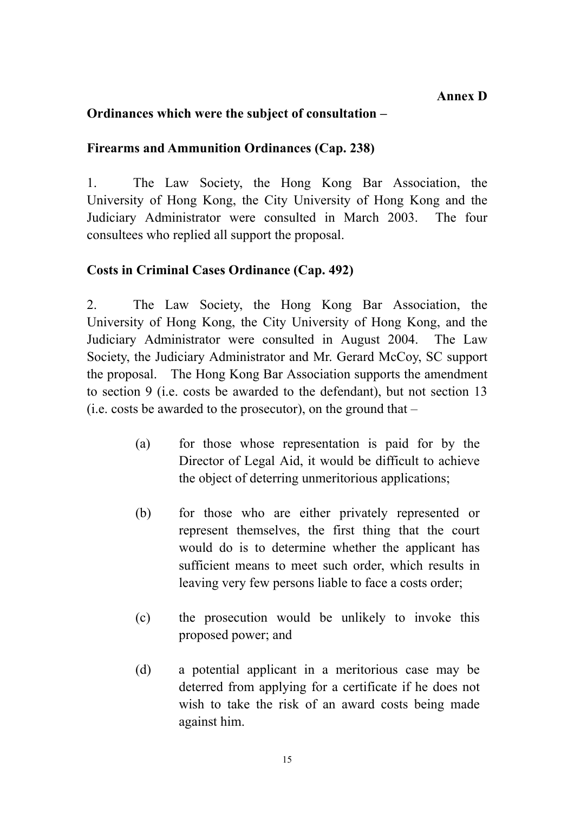# **Ordinances which were the subject of consultation –**

# **Firearms and Ammunition Ordinances (Cap. 238)**

1. The Law Society, the Hong Kong Bar Association, the University of Hong Kong, the City University of Hong Kong and the Judiciary Administrator were consulted in March 2003. The four consultees who replied all support the proposal.

# **Costs in Criminal Cases Ordinance (Cap. 492)**

2. The Law Society, the Hong Kong Bar Association, the University of Hong Kong, the City University of Hong Kong, and the Judiciary Administrator were consulted in August 2004. The Law Society, the Judiciary Administrator and Mr. Gerard McCoy, SC support the proposal. The Hong Kong Bar Association supports the amendment to section 9 (i.e. costs be awarded to the defendant), but not section 13 (i.e. costs be awarded to the prosecutor), on the ground that –

- (a) for those whose representation is paid for by the Director of Legal Aid, it would be difficult to achieve the object of deterring unmeritorious applications;
- (b) for those who are either privately represented or represent themselves, the first thing that the court would do is to determine whether the applicant has sufficient means to meet such order, which results in leaving very few persons liable to face a costs order;
- (c) the prosecution would be unlikely to invoke this proposed power; and
- (d) a potential applicant in a meritorious case may be deterred from applying for a certificate if he does not wish to take the risk of an award costs being made against him.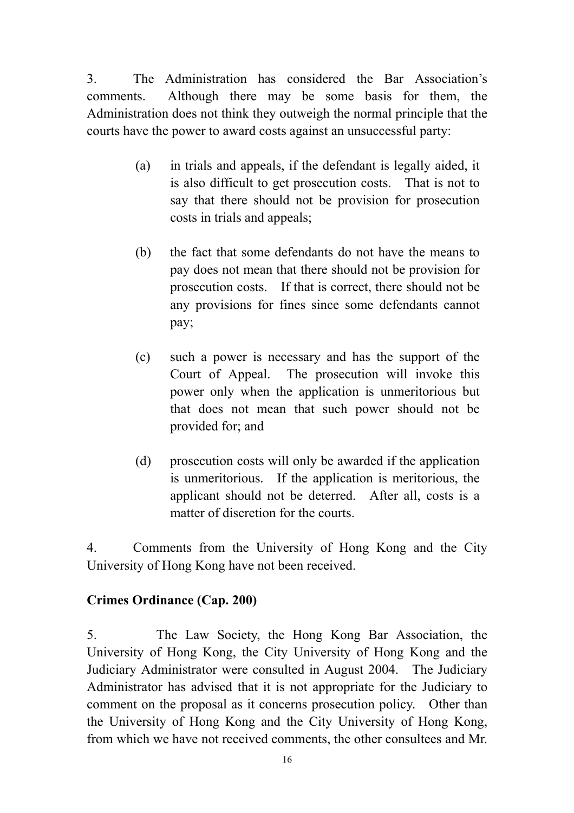3. The Administration has considered the Bar Association's comments. Although there may be some basis for them, the Administration does not think they outweigh the normal principle that the courts have the power to award costs against an unsuccessful party:

- (a) in trials and appeals, if the defendant is legally aided, it is also difficult to get prosecution costs. That is not to say that there should not be provision for prosecution costs in trials and appeals;
- (b) the fact that some defendants do not have the means to pay does not mean that there should not be provision for prosecution costs. If that is correct, there should not be any provisions for fines since some defendants cannot pay;
- (c) such a power is necessary and has the support of the Court of Appeal. The prosecution will invoke this power only when the application is unmeritorious but that does not mean that such power should not be provided for; and
- (d) prosecution costs will only be awarded if the application is unmeritorious. If the application is meritorious, the applicant should not be deterred. After all, costs is a matter of discretion for the courts.

4. Comments from the University of Hong Kong and the City University of Hong Kong have not been received.

# **Crimes Ordinance (Cap. 200)**

5. The Law Society, the Hong Kong Bar Association, the University of Hong Kong, the City University of Hong Kong and the Judiciary Administrator were consulted in August 2004. The Judiciary Administrator has advised that it is not appropriate for the Judiciary to comment on the proposal as it concerns prosecution policy. Other than the University of Hong Kong and the City University of Hong Kong, from which we have not received comments, the other consultees and Mr.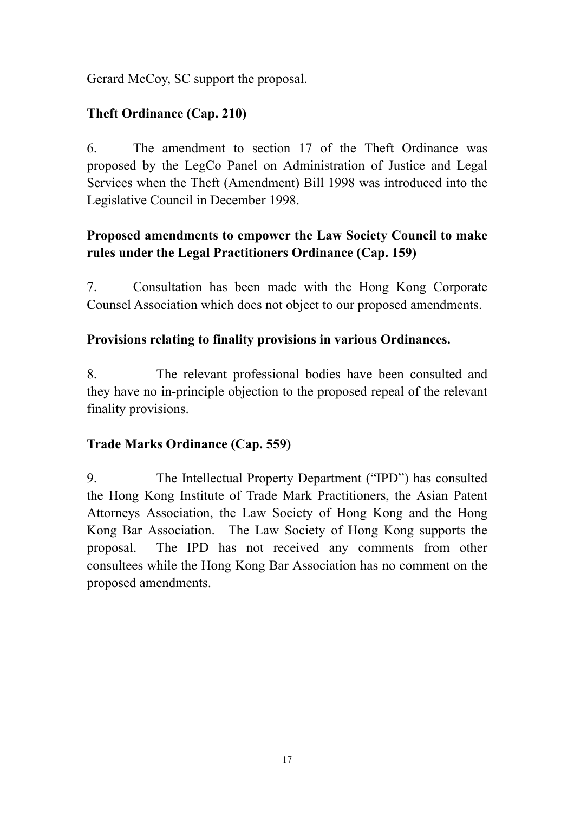Gerard McCoy, SC support the proposal.

# **Theft Ordinance (Cap. 210)**

6. The amendment to section 17 of the Theft Ordinance was proposed by the LegCo Panel on Administration of Justice and Legal Services when the Theft (Amendment) Bill 1998 was introduced into the Legislative Council in December 1998.

# **Proposed amendments to empower the Law Society Council to make rules under the Legal Practitioners Ordinance (Cap. 159)**

7. Consultation has been made with the Hong Kong Corporate Counsel Association which does not object to our proposed amendments.

# **Provisions relating to finality provisions in various Ordinances.**

8. The relevant professional bodies have been consulted and they have no in-principle objection to the proposed repeal of the relevant finality provisions.

# **Trade Marks Ordinance (Cap. 559)**

9. The Intellectual Property Department ("IPD") has consulted the Hong Kong Institute of Trade Mark Practitioners, the Asian Patent Attorneys Association, the Law Society of Hong Kong and the Hong Kong Bar Association. The Law Society of Hong Kong supports the proposal. The IPD has not received any comments from other consultees while the Hong Kong Bar Association has no comment on the proposed amendments.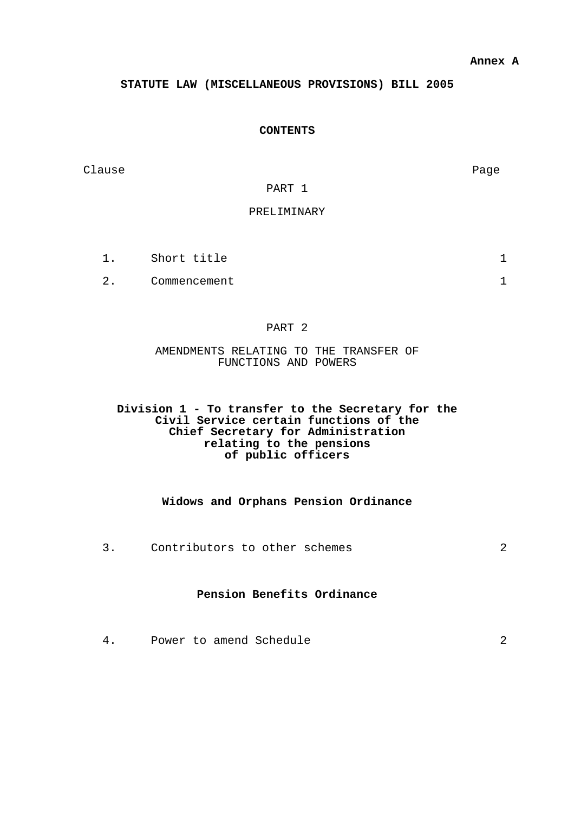#### **STATUTE LAW (MISCELLANEOUS PROVISIONS) BILL 2005**

#### **CONTENTS**

Clause **Page** 

#### PART 1

#### PRELIMINARY

- 1. Short title 1
- 2. Commencement 1

#### PART 2

AMENDMENTS RELATING TO THE TRANSFER OF FUNCTIONS AND POWERS

#### **Division 1 - To transfer to the Secretary for the Civil Service certain functions of the Chief Secretary for Administration relating to the pensions of public officers**

#### **Widows and Orphans Pension Ordinance**

3. Contributors to other schemes 2

#### **Pension Benefits Ordinance**

4. Power to amend Schedule 2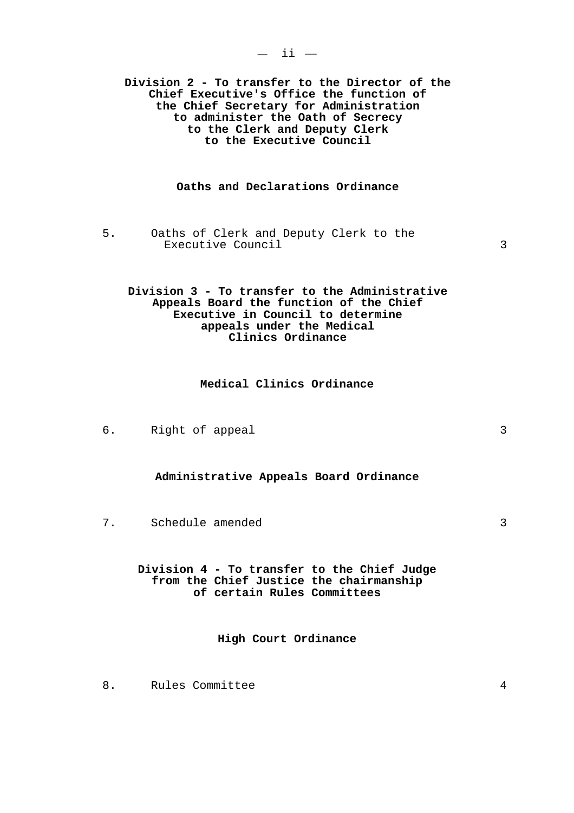**Division 2 - To transfer to the Director of the Chief Executive's Office the function of the Chief Secretary for Administration to administer the Oath of Secrecy to the Clerk and Deputy Clerk to the Executive Council** 

#### **Oaths and Declarations Ordinance**

5. Oaths of Clerk and Deputy Clerk to the Executive Council 3

#### **Division 3 - To transfer to the Administrative Appeals Board the function of the Chief Executive in Council to determine appeals under the Medical Clinics Ordinance**

#### **Medical Clinics Ordinance**

6. Right of appeal 3

#### **Administrative Appeals Board Ordinance**

7. Schedule amended 3

**Division 4 - To transfer to the Chief Judge from the Chief Justice the chairmanship of certain Rules Committees** 

**High Court Ordinance** 

8. Rules Committee 4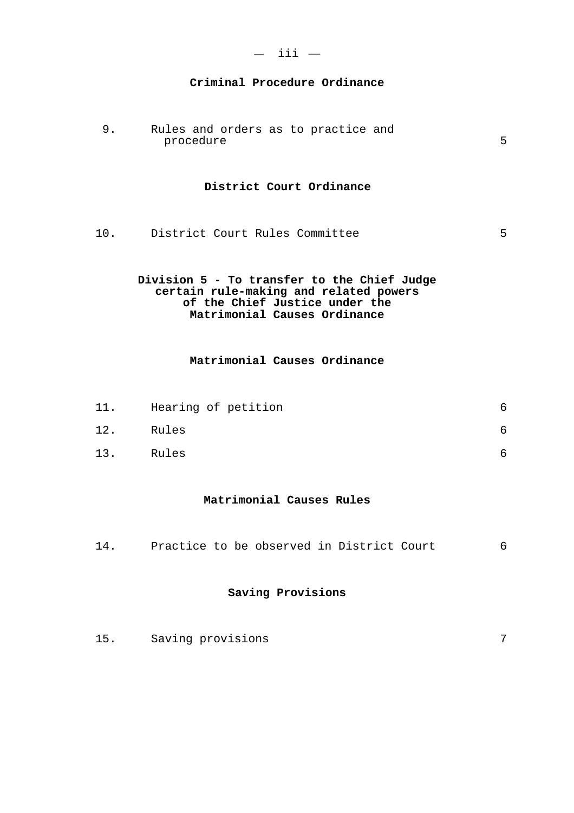| - 33<br>- 3 |  |
|-------------|--|
|             |  |

#### **Criminal Procedure Ordinance**

9. Rules and orders as to practice and procedure 5

#### **District Court Ordinance**

10. District Court Rules Committee 5

#### **Division 5 - To transfer to the Chief Judge certain rule-making and related powers of the Chief Justice under the Matrimonial Causes Ordinance**

#### **Matrimonial Causes Ordinance**

| 11. | Hearing of petition |  |
|-----|---------------------|--|
| 12. | Rules               |  |
| 13. | Rules               |  |

#### **Matrimonial Causes Rules**

14. Practice to be observed in District Court 6

#### **Saving Provisions**

15. Saving provisions 7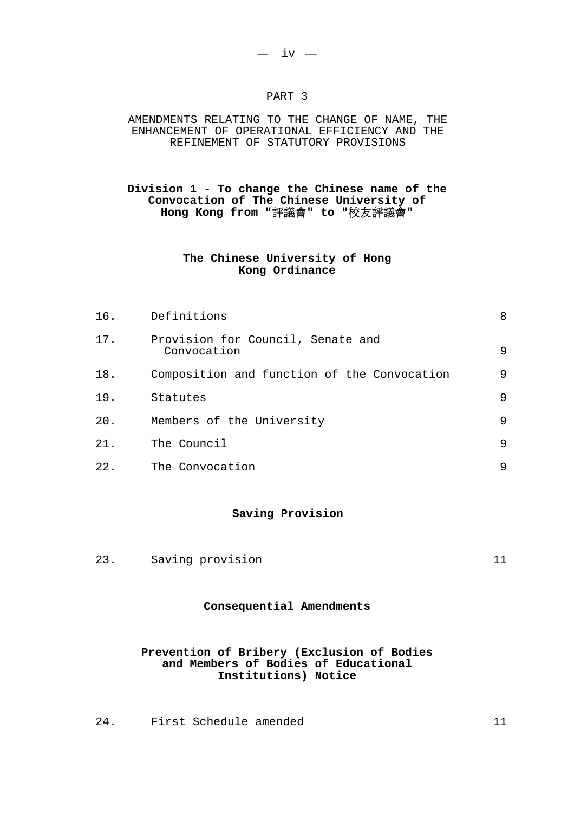#### PART 3

#### AMENDMENTS RELATING TO THE CHANGE OF NAME, THE ENHANCEMENT OF OPERATIONAL EFFICIENCY AND THE REFINEMENT OF STATUTORY PROVISIONS

#### **Division 1 - To change the Chinese name of the Convocation of The Chinese University of Hong Kong from "**評議會**" to "**校友評議會**"**

#### **The Chinese University of Hong Kong Ordinance**

| 16. | Definitions                                      | 8 |
|-----|--------------------------------------------------|---|
| 17. | Provision for Council, Senate and<br>Convocation | 9 |
| 18. | Composition and function of the Convocation      | 9 |
| 19. | Statutes                                         | 9 |
| 20. | Members of the University                        | 9 |
| 21. | The Council                                      | 9 |
| 22. | The Convocation                                  | 9 |

#### **Saving Provision**

23. Saving provision 11

### **Consequential Amendments**

#### **Prevention of Bribery (Exclusion of Bodies and Members of Bodies of Educational Institutions) Notice**

24. First Schedule amended 11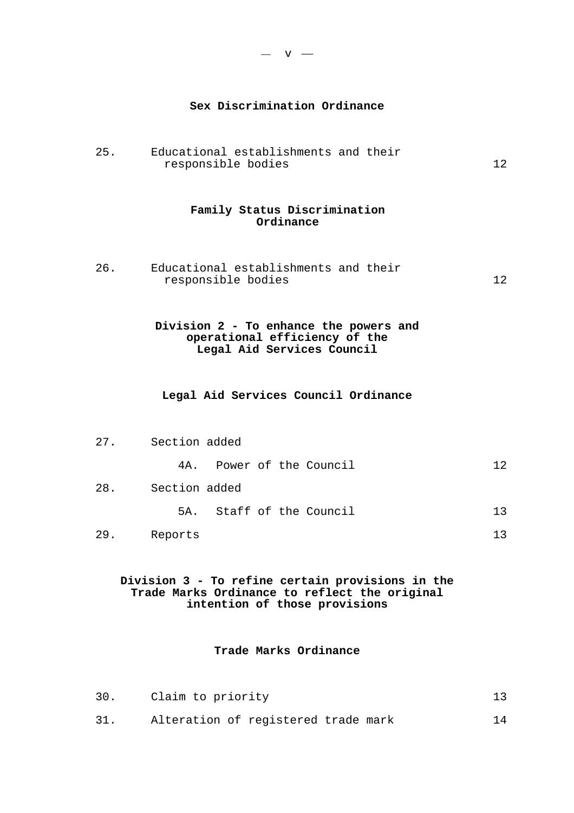#### **Sex Discrimination Ordinance**

25. Educational establishments and their responsible bodies 12

#### **Family Status Discrimination Ordinance**

26. Educational establishments and their responsible bodies 12

#### **Division 2 - To enhance the powers and operational efficiency of the Legal Aid Services Council**

#### **Legal Aid Services Council Ordinance**

| 27. | Section added |  |                          |  |    |
|-----|---------------|--|--------------------------|--|----|
|     | 4A.           |  | Power of the Council     |  | 12 |
| 28. | Section added |  |                          |  |    |
|     |               |  | 5A. Staff of the Council |  | 13 |
| 29. | Reports       |  |                          |  | 13 |

#### **Division 3 - To refine certain provisions in the Trade Marks Ordinance to reflect the original intention of those provisions**

#### **Trade Marks Ordinance**

| 30. | Claim to priority                   |  |
|-----|-------------------------------------|--|
| 31. | Alteration of registered trade mark |  |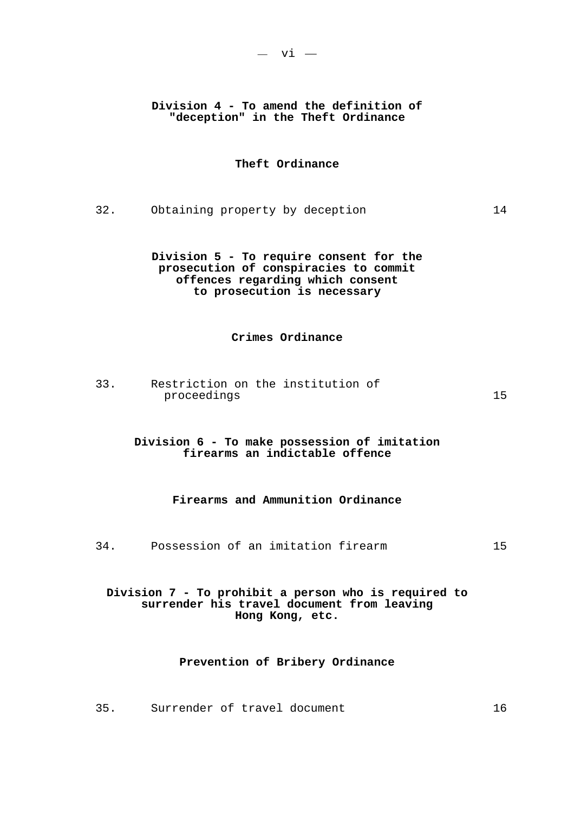#### **Division 4 - To amend the definition of "deception" in the Theft Ordinance**

#### **Theft Ordinance**

32. Obtaining property by deception 14

**Division 5 - To require consent for the prosecution of conspiracies to commit offences regarding which consent to prosecution is necessary** 

#### **Crimes Ordinance**

33. Restriction on the institution of proceedings 15

#### **Division 6 - To make possession of imitation firearms an indictable offence**

#### **Firearms and Ammunition Ordinance**

34. Possession of an imitation firearm 15

#### **Division 7 - To prohibit a person who is required to surrender his travel document from leaving Hong Kong, etc.**

#### **Prevention of Bribery Ordinance**

35. Surrender of travel document 16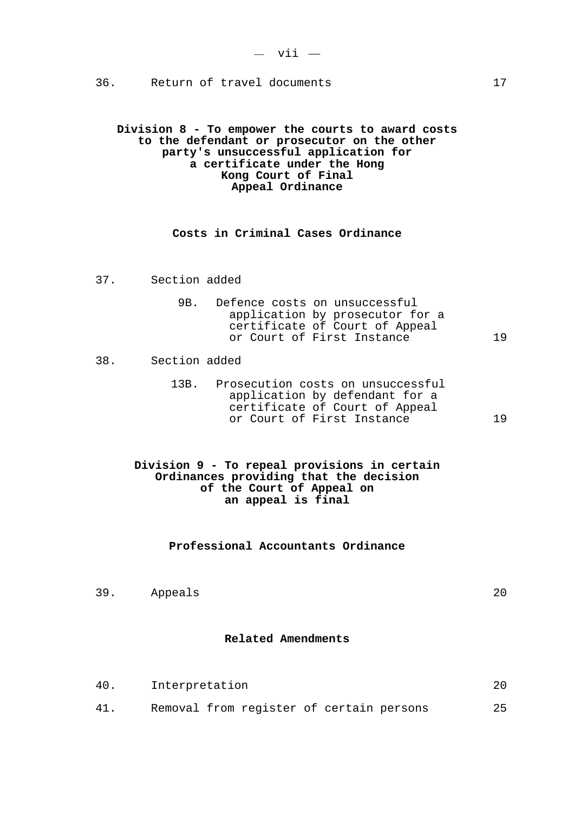36. Return of travel documents 17

**Division 8 - To empower the courts to award costs to the defendant or prosecutor on the other party's unsuccessful application for a certificate under the Hong Kong Court of Final Appeal Ordinance** 

#### **Costs in Criminal Cases Ordinance**

- 37. Section added
	- 9B. Defence costs on unsuccessful application by prosecutor for a certificate of Court of Appeal or Court of First Instance 19

#### 38. Section added

 13B. Prosecution costs on unsuccessful application by defendant for a certificate of Court of Appeal or Court of First Instance 19

#### **Division 9 - To repeal provisions in certain Ordinances providing that the decision of the Court of Appeal on an appeal is final**

#### **Professional Accountants Ordinance**

39. Appeals 20

#### **Related Amendments**

40. Interpretation 20 41. Removal from register of certain persons 25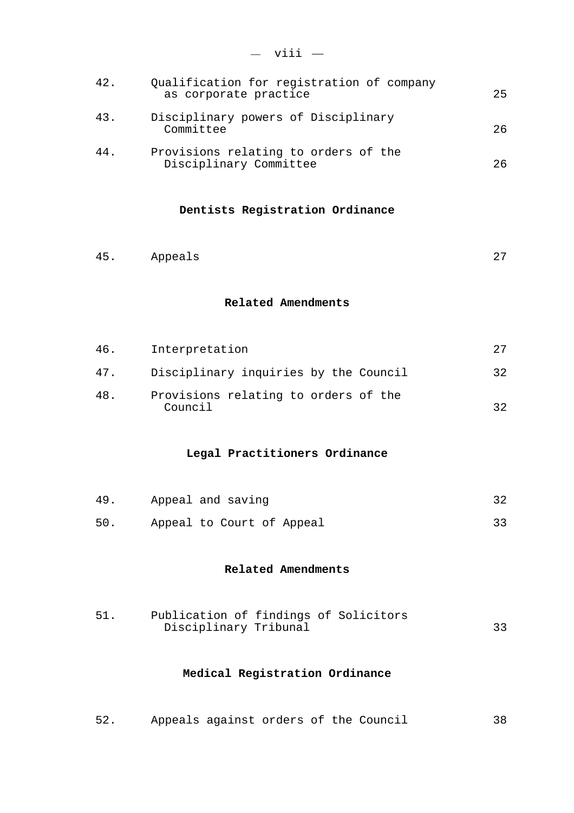| 42. | Qualification for registration of company<br>as corporate practice | 25 |
|-----|--------------------------------------------------------------------|----|
| 43. | Disciplinary powers of Disciplinary<br>Committee                   | 26 |
| 44. | Provisions relating to orders of the<br>Disciplinary Committee     | 26 |

#### **Dentists Registration Ordinance**

45. Appeals 27

#### **Related Amendments**

| 46. | Interpretation                                  |     |
|-----|-------------------------------------------------|-----|
| 47. | Disciplinary inquiries by the Council           | -32 |
| 48. | Provisions relating to orders of the<br>Council | つつ  |

#### **Legal Practitioners Ordinance**

| 49. | Appeal and saving         |  |
|-----|---------------------------|--|
| 50. | Appeal to Court of Appeal |  |

#### **Related Amendments**

| 51. | Publication of findings of Solicitors |  |  |  |
|-----|---------------------------------------|--|--|--|
|     | Disciplinary Tribunal                 |  |  |  |

### **Medical Registration Ordinance**

52. Appeals against orders of the Council 38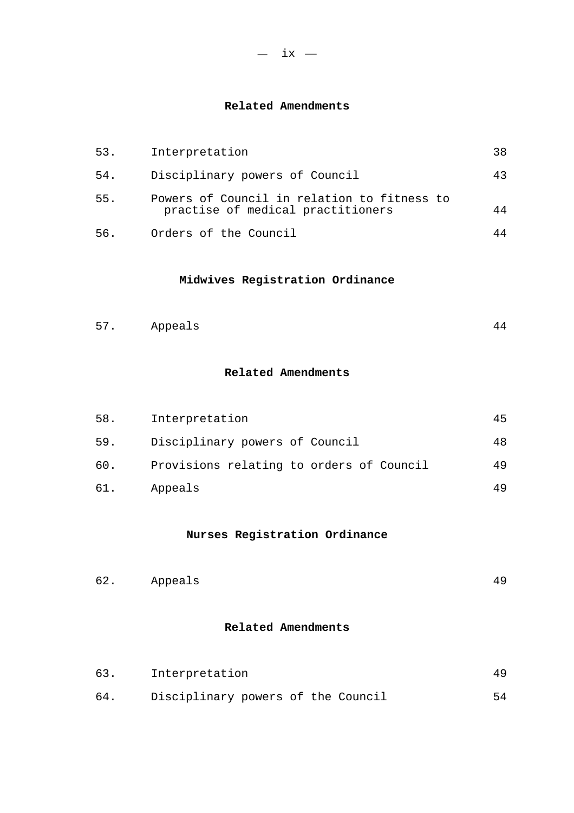#### **Related Amendments**

| 53. | Interpretation                                                                   | 38 |
|-----|----------------------------------------------------------------------------------|----|
| 54. | Disciplinary powers of Council                                                   | 43 |
| 55. | Powers of Council in relation to fitness to<br>practise of medical practitioners |    |
| 56. | Orders of the Council                                                            |    |

#### **Midwives Registration Ordinance**

| 57 | Appeals |  |  |
|----|---------|--|--|
|----|---------|--|--|

#### **Related Amendments**

| 58. | Interpretation                           |    |
|-----|------------------------------------------|----|
| 59. | Disciplinary powers of Council           | 48 |
| 60. | Provisions relating to orders of Council | 49 |
| 61. | Appeals                                  |    |

### **Nurses Registration Ordinance**

| 62.     | 40 |
|---------|----|
| Appeals | -- |

#### **Related Amendments**

| 63. | Interpretation                     |    |  |  |  |  |
|-----|------------------------------------|----|--|--|--|--|
| 64. | Disciplinary powers of the Council | 54 |  |  |  |  |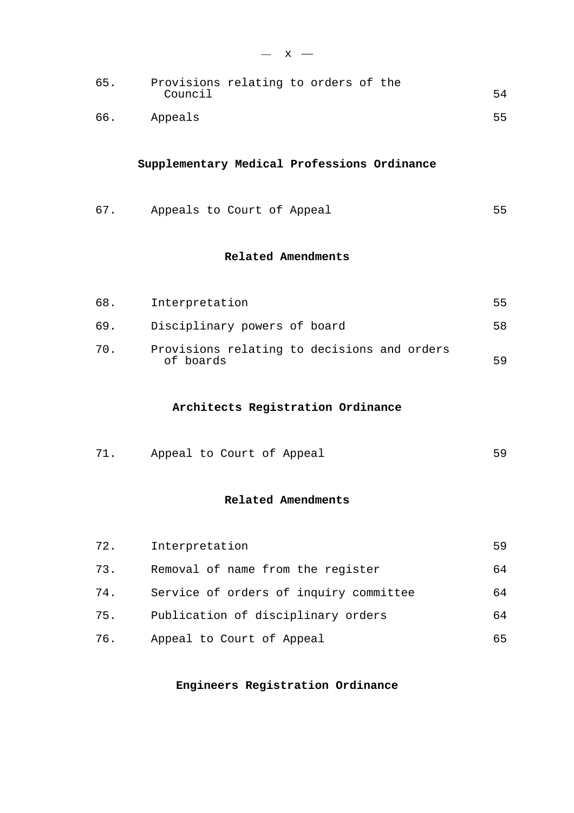| 65. | Provisions relating to orders of the<br>Council | 54 |
|-----|-------------------------------------------------|----|
| 66. | Appeals                                         | 55 |
|     | Supplementary Medical Professions Ordinance     |    |
| 67. | Appeals to Court of Appeal                      | 55 |
|     | Related Amendments                              |    |
| 68. | Interpretation                                  | 55 |

 $- x -$ 

69. Disciplinary powers of board 58 70. Provisions relating to decisions and orders of boards 59

#### **Architects Registration Ordinance**

71. Appeal to Court of Appeal 69

#### **Related Amendments**

| 72. | Interpretation                         | 59 |
|-----|----------------------------------------|----|
| 73. | Removal of name from the register      | 64 |
| 74. | Service of orders of inquiry committee | 64 |
| 75. | Publication of disciplinary orders     | 64 |
| 76. | Appeal to Court of Appeal              | 65 |

**Engineers Registration Ordinance**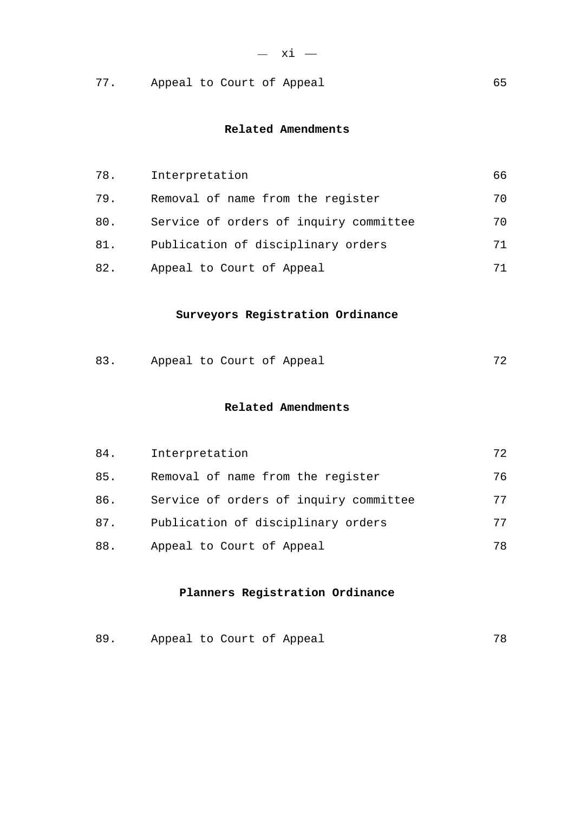|  |  |  |  |  | Appeal to Court of Appeal |  |
|--|--|--|--|--|---------------------------|--|
|--|--|--|--|--|---------------------------|--|

#### **Related Amendments**

| 78. | Interpretation                         | 66 |
|-----|----------------------------------------|----|
| 79. | Removal of name from the register      | 70 |
| 80. | Service of orders of inquiry committee | 70 |
| 81. | Publication of disciplinary orders     | 71 |
| 82. | Appeal to Court of Appeal              | 71 |

### **Surveyors Registration Ordinance**

| 83. | Appeal to Court of Appeal |  |  |  |  |  |
|-----|---------------------------|--|--|--|--|--|
|-----|---------------------------|--|--|--|--|--|

### **Related Amendments**

| 84. | Interpretation                         | 72 |
|-----|----------------------------------------|----|
| 85. | Removal of name from the register      | 76 |
| 86. | Service of orders of inquiry committee | 77 |
| 87. | Publication of disciplinary orders     | 77 |
| 88. | Appeal to Court of Appeal              | 78 |

### **Planners Registration Ordinance**

| 89. | Appeal to Court of Appeal |  |  |  |  |  |
|-----|---------------------------|--|--|--|--|--|
|-----|---------------------------|--|--|--|--|--|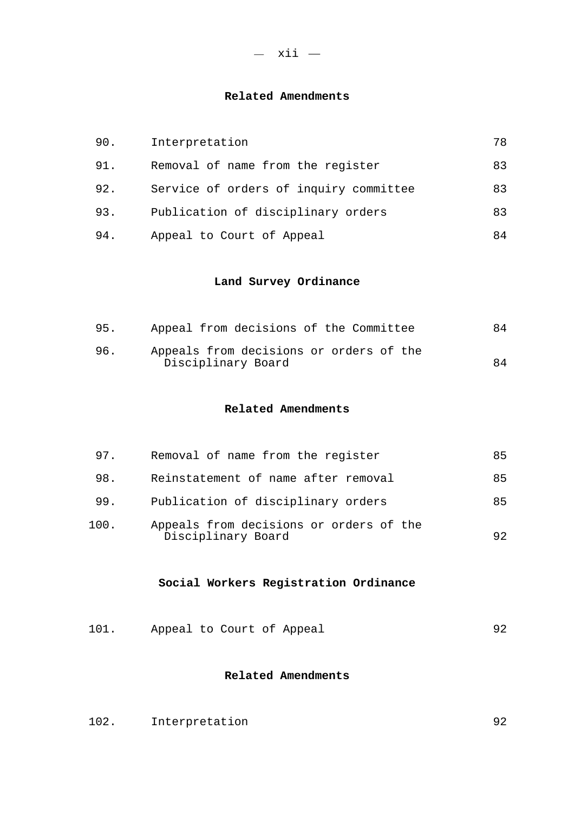#### **Related Amendments**

| 90. | Interpretation                         | 78 |
|-----|----------------------------------------|----|
| 91. | Removal of name from the register      | 83 |
| 92. | Service of orders of inquiry committee | 83 |
| 93. | Publication of disciplinary orders     | 83 |
| 94. | Appeal to Court of Appeal              | 84 |

### **Land Survey Ordinance**

| 95. | Appeal from decisions of the Committee                        | 84 |
|-----|---------------------------------------------------------------|----|
| 96. | Appeals from decisions or orders of the<br>Disciplinary Board | 84 |

#### **Related Amendments**

| 97.  | Removal of name from the register                             | 85 |
|------|---------------------------------------------------------------|----|
| 98.  | Reinstatement of name after removal                           | 85 |
| 99.  | Publication of disciplinary orders                            | 85 |
| 100. | Appeals from decisions or orders of the<br>Disciplinary Board | 92 |

### **Social Workers Registration Ordinance**

101. Appeal to Court of Appeal 92

#### **Related Amendments**

| 102.<br>Interpretation |  |
|------------------------|--|
|------------------------|--|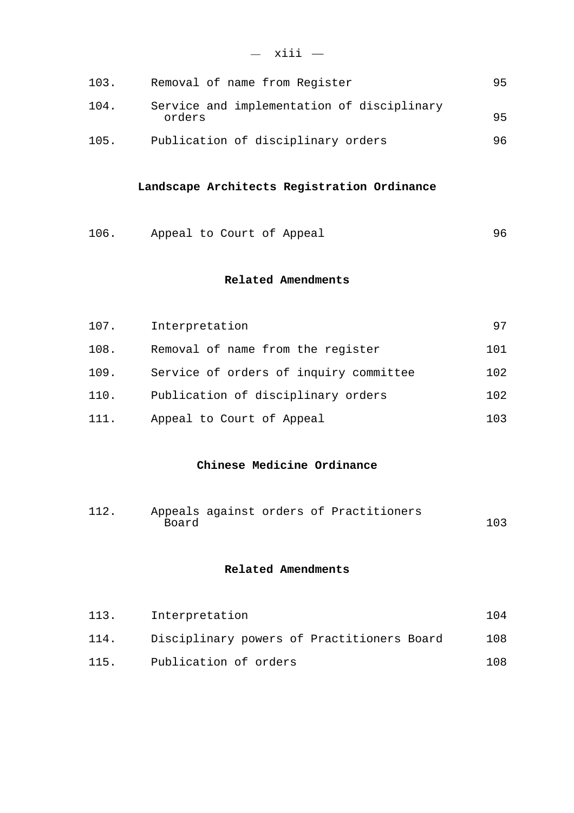| 103. | Removal of name from Register                        | 95 |
|------|------------------------------------------------------|----|
| 104. | Service and implementation of disciplinary<br>orders | 95 |
| 105. | Publication of disciplinary orders                   | 96 |

#### **Landscape Architects Registration Ordinance**

106. Appeal to Court of Appeal 106. 96

#### **Related Amendments**

| 107. | Interpretation                         | 97  |
|------|----------------------------------------|-----|
| 108. | Removal of name from the register      | 101 |
| 109. | Service of orders of inquiry committee | 102 |
| 110. | Publication of disciplinary orders     | 102 |
| 111. | Appeal to Court of Appeal              | 103 |

#### **Chinese Medicine Ordinance**

112. Appeals against orders of Practitioners Board 103

#### **Related Amendments**

| 113. | Interpretation                             | 1 Q 4 |
|------|--------------------------------------------|-------|
| 114. | Disciplinary powers of Practitioners Board | 108   |
| 115. | Publication of orders                      | 108   |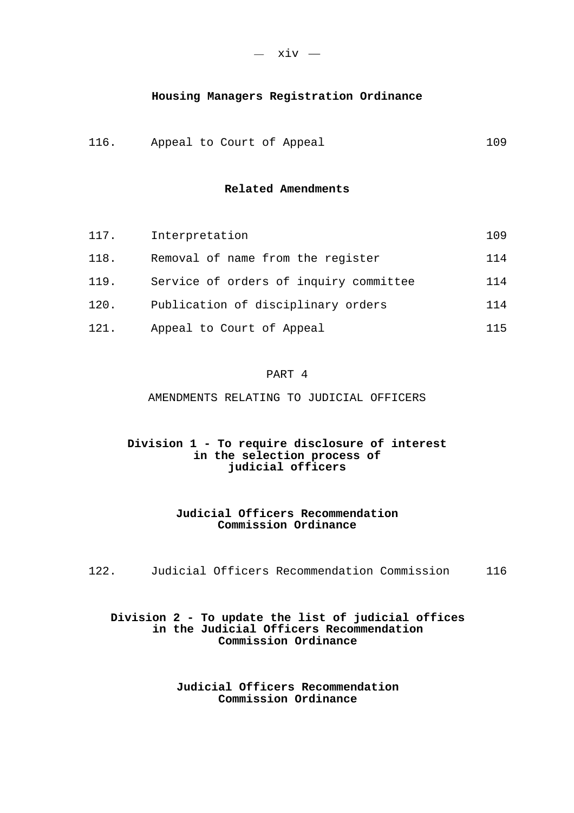#### **Housing Managers Registration Ordinance**

116. Appeal to Court of Appeal 109

#### **Related Amendments**

| 117. | Interpretation                         | 109 |
|------|----------------------------------------|-----|
| 118. | Removal of name from the register      | 114 |
| 119. | Service of orders of inquiry committee | 114 |
| 120. | Publication of disciplinary orders     | 114 |
| 121. | Appeal to Court of Appeal              | 115 |

#### PART 4

AMENDMENTS RELATING TO JUDICIAL OFFICERS

#### **Division 1 - To require disclosure of interest in the selection process of judicial officers**

#### **Judicial Officers Recommendation Commission Ordinance**

122. Judicial Officers Recommendation Commission 116

#### **Division 2 - To update the list of judicial offices in the Judicial Officers Recommendation Commission Ordinance**

**Judicial Officers Recommendation Commission Ordinance**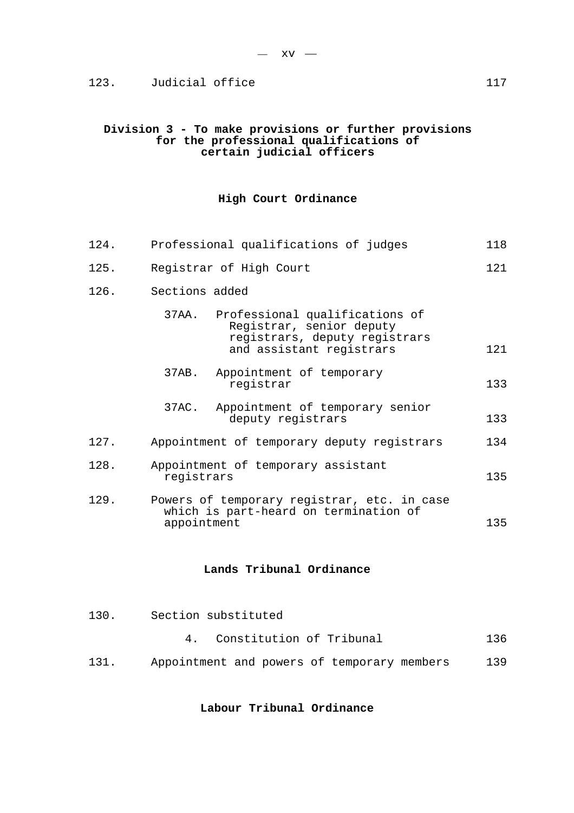#### 123. Judicial office 123. 117

#### **Division 3 - To make provisions or further provisions for the professional qualifications of certain judicial officers**

#### **High Court Ordinance**

| 124. | Professional qualifications of judges                                                                                            | 118 |
|------|----------------------------------------------------------------------------------------------------------------------------------|-----|
| 125. | Registrar of High Court                                                                                                          | 121 |
| 126. | Sections added                                                                                                                   |     |
|      | 37AA.<br>Professional qualifications of<br>Registrar, senior deputy<br>registrars, deputy registrars<br>and assistant registrars | 121 |
|      | 37AB.<br>Appointment of temporary<br>registrar                                                                                   | 133 |
|      | 37AC.<br>Appointment of temporary senior<br>deputy registrars                                                                    | 133 |
| 127. | Appointment of temporary deputy registrars                                                                                       | 134 |
| 128. | Appointment of temporary assistant<br>registrars                                                                                 | 135 |
| 129. | Powers of temporary registrar, etc. in case<br>which is part-heard on termination of<br>appointment                              | 135 |

#### **Lands Tribunal Ordinance**

- 130. Section substituted
	- 4. Constitution of Tribunal 136
- 131. Appointment and powers of temporary members 139

#### **Labour Tribunal Ordinance**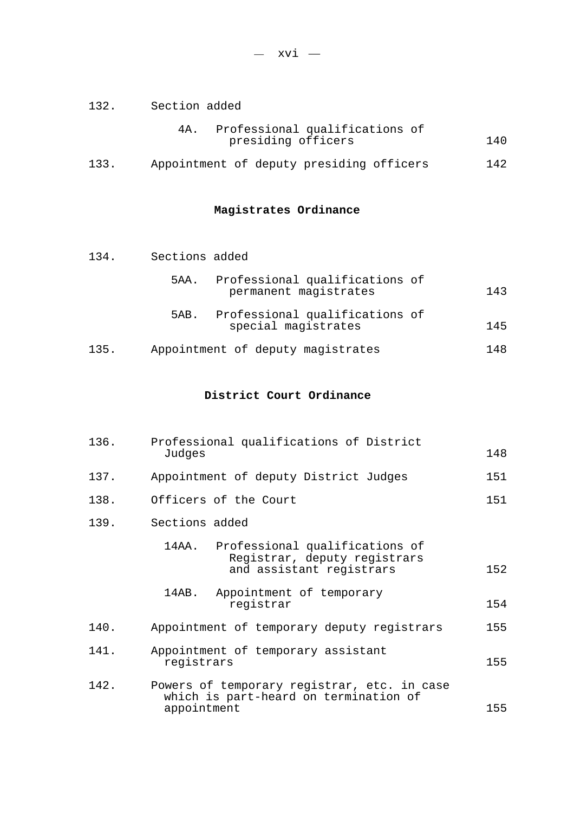132. Section added

|                    | Professional qualifications of |     |
|--------------------|--------------------------------|-----|
| presiding officers |                                | 140 |

133. Appointment of deputy presiding officers 142

### **Magistrates Ordinance**

134. Sections added

|      | 5AA. | Professional qualifications of<br>permanent magistrates | 143 |  |
|------|------|---------------------------------------------------------|-----|--|
|      | 5AB. | Professional qualifications of<br>special magistrates   | 145 |  |
| 135. |      | Appointment of deputy magistrates                       | 148 |  |

# **District Court Ordinance**

| 136. | Professional qualifications of District<br>Judges                                                   | 148 |
|------|-----------------------------------------------------------------------------------------------------|-----|
| 137. | Appointment of deputy District Judges                                                               | 151 |
| 138. | Officers of the Court                                                                               | 151 |
| 139. | Sections added                                                                                      |     |
|      | Professional qualifications of<br>14AA.<br>Registrar, deputy registrars<br>and assistant registrars | 152 |
|      | Appointment of temporary<br>14AB.<br>registrar                                                      | 154 |
| 140. | Appointment of temporary deputy registrars                                                          | 155 |
| 141. | Appointment of temporary assistant<br>registrars                                                    | 155 |
| 142. | Powers of temporary registrar, etc. in case<br>which is part-heard on termination of<br>appointment | 155 |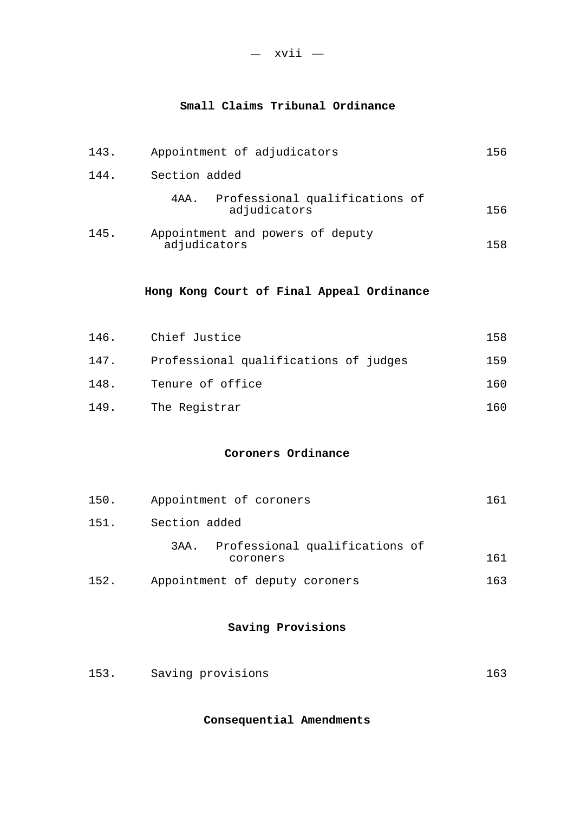### **Small Claims Tribunal Ordinance**

| 143. | Appointment of adjudicators                               | 156 |
|------|-----------------------------------------------------------|-----|
| 144. | Section added                                             |     |
|      | Professional qualifications of<br>4 A A .<br>adjudicators | 156 |
| 145. | Appointment and powers of deputy<br>adjudicators          | 158 |
|      | Hong Kong Court of Final Appeal Ordinance                 |     |
| 146. | Chief Justice                                             | 158 |
| 147. | Professional qualifications of judges                     | 159 |
| 148. | Tenure of office                                          | 160 |
| 149. | The Registrar                                             | 160 |
|      | Coroners Ordinance                                        |     |
| 150. | Appointment of coroners                                   | 161 |
| 151. | Section added                                             |     |
|      | Professional qualifications of<br>3AA.<br>coroners        | 161 |
| 152. | Appointment of deputy coroners                            | 163 |
|      | Saving Provisions                                         |     |

| 153. | Saving provisions |  |
|------|-------------------|--|
|      |                   |  |

**Consequential Amendments**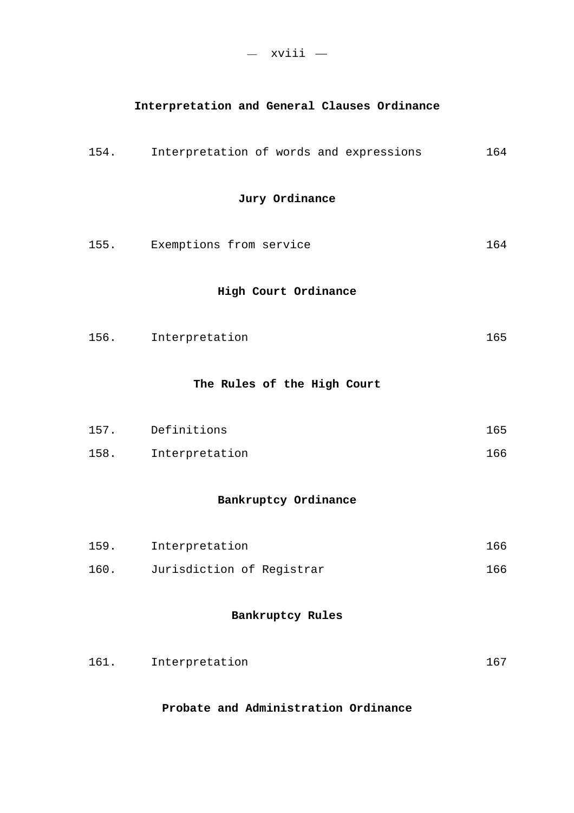### **Interpretation and General Clauses Ordinance**

|      | 154. Interpretation of words and expressions | 164 |
|------|----------------------------------------------|-----|
|      | Jury Ordinance                               |     |
|      | 155. Exemptions from service                 | 164 |
|      | High Court Ordinance                         |     |
|      | 156. Interpretation                          | 165 |
|      | The Rules of the High Court                  |     |
|      | 157. Definitions                             | 165 |
|      | 158. Interpretation                          | 166 |
|      | Bankruptcy Ordinance                         |     |
| 159. | Interpretation                               | 166 |
| 160. | Jurisdiction of Registrar                    | 166 |
|      | Bankruptcy Rules                             |     |
| 161. | Interpretation                               | 167 |

### **Probate and Administration Ordinance**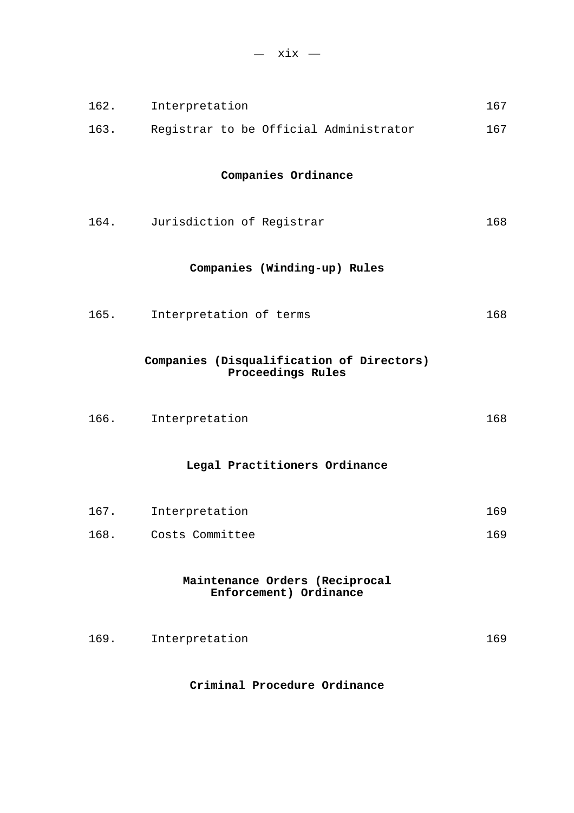| 162.                                                     | Interpretation                                                 | 167 |  |  |
|----------------------------------------------------------|----------------------------------------------------------------|-----|--|--|
| 163.                                                     | Registrar to be Official Administrator                         | 167 |  |  |
| Companies Ordinance                                      |                                                                |     |  |  |
| 164.                                                     | Jurisdiction of Registrar                                      | 168 |  |  |
|                                                          | Companies (Winding-up) Rules                                   |     |  |  |
| 165.                                                     | Interpretation of terms                                        | 168 |  |  |
|                                                          | Companies (Disqualification of Directors)<br>Proceedings Rules |     |  |  |
| 166.                                                     | Interpretation                                                 | 168 |  |  |
|                                                          | Legal Practitioners Ordinance                                  |     |  |  |
| 167.                                                     | Interpretation                                                 | 169 |  |  |
| 168.                                                     | Costs Committee                                                | 169 |  |  |
| Maintenance Orders (Reciprocal<br>Enforcement) Ordinance |                                                                |     |  |  |
| 169.                                                     | Interpretation                                                 | 169 |  |  |

### **Criminal Procedure Ordinance**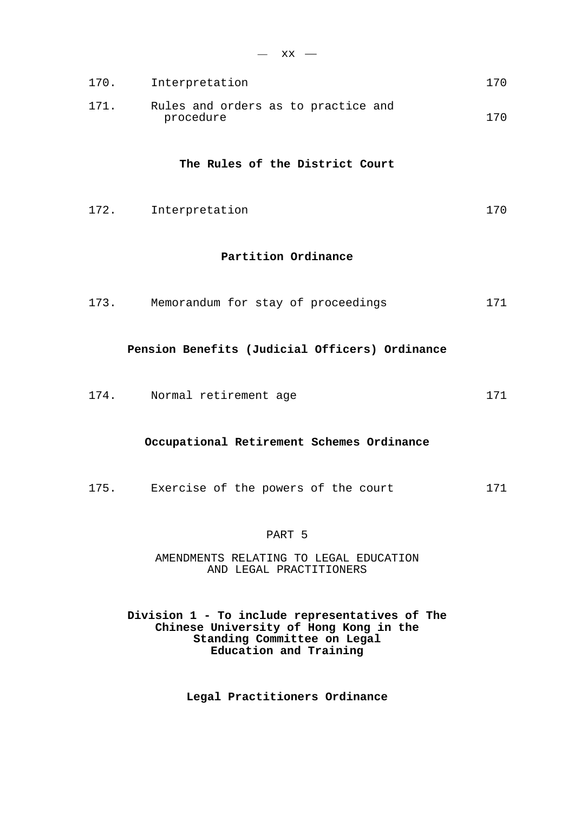|      | $-$ xx $-$                                       |     |
|------|--------------------------------------------------|-----|
|      | 170. Interpretation                              | 170 |
| 171. | Rules and orders as to practice and<br>procedure | 170 |
|      | The Rules of the District Court                  |     |
|      | 172. Interpretation                              | 170 |
|      | Partition Ordinance                              |     |
|      | 173. Memorandum for stay of proceedings          | 171 |
|      | Pension Benefits (Judicial Officers) Ordinance   |     |
|      | 174. Normal retirement age                       | 171 |
|      | Occupational Retirement Schemes Ordinance        |     |
|      | 175. Exercise of the powers of the court         | 171 |
|      |                                                  |     |

# PART 5

AMENDMENTS RELATING TO LEGAL EDUCATION AND LEGAL PRACTITIONERS

**Division 1 - To include representatives of The Chinese University of Hong Kong in the Standing Committee on Legal Education and Training** 

**Legal Practitioners Ordinance**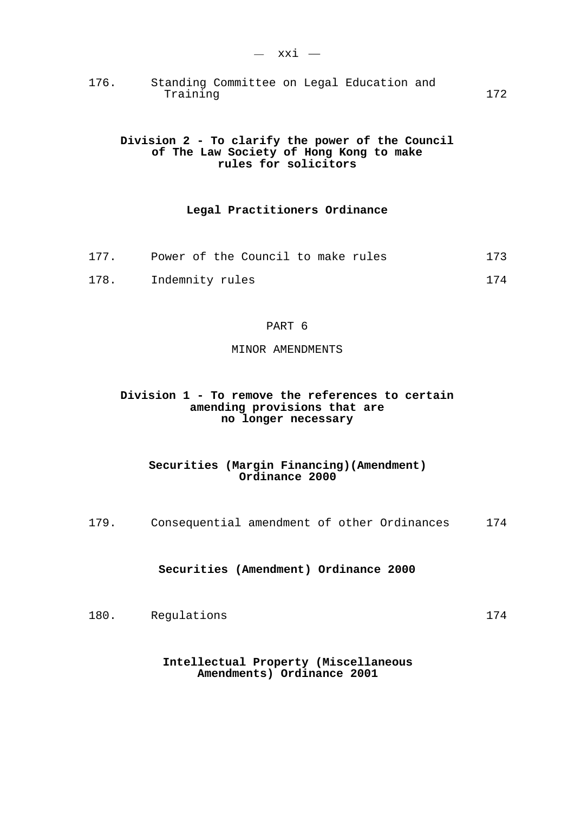176. Standing Committee on Legal Education and Training 172

## **Division 2 - To clarify the power of the Council of The Law Society of Hong Kong to make rules for solicitors**

## **Legal Practitioners Ordinance**

| 177. |                 | Power of the Council to make rules |  |  | 173 |
|------|-----------------|------------------------------------|--|--|-----|
| 178. | Indemnity rules |                                    |  |  | 174 |

### PART 6

#### MINOR AMENDMENTS

## **Division 1 - To remove the references to certain amending provisions that are no longer necessary**

## **Securities (Margin Financing)(Amendment) Ordinance 2000**

179. Consequential amendment of other Ordinances 174

### **Securities (Amendment) Ordinance 2000**

180. Regulations 174

### **Intellectual Property (Miscellaneous Amendments) Ordinance 2001**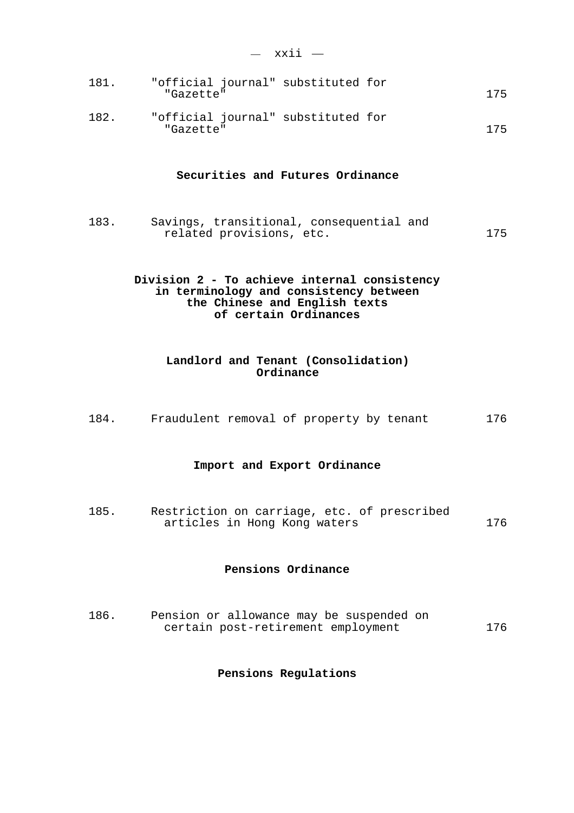| ________ |  |
|----------|--|
|          |  |

| 181. | "official journal" substituted for<br>"Gazette" |  | 175 |
|------|-------------------------------------------------|--|-----|
| 182. | "official journal" substituted for              |  |     |

"Gazette" 175

#### **Securities and Futures Ordinance**

183. Savings, transitional, consequential and related provisions, etc. 175

## **Division 2 - To achieve internal consistency in terminology and consistency between the Chinese and English texts of certain Ordinances**

## **Landlord and Tenant (Consolidation) Ordinance**

184. Fraudulent removal of property by tenant 176

#### **Import and Export Ordinance**

185. Restriction on carriage, etc. of prescribed articles in Hong Kong waters 176

## **Pensions Ordinance**

186. Pension or allowance may be suspended on certain post-retirement employment 176

#### **Pensions Regulations**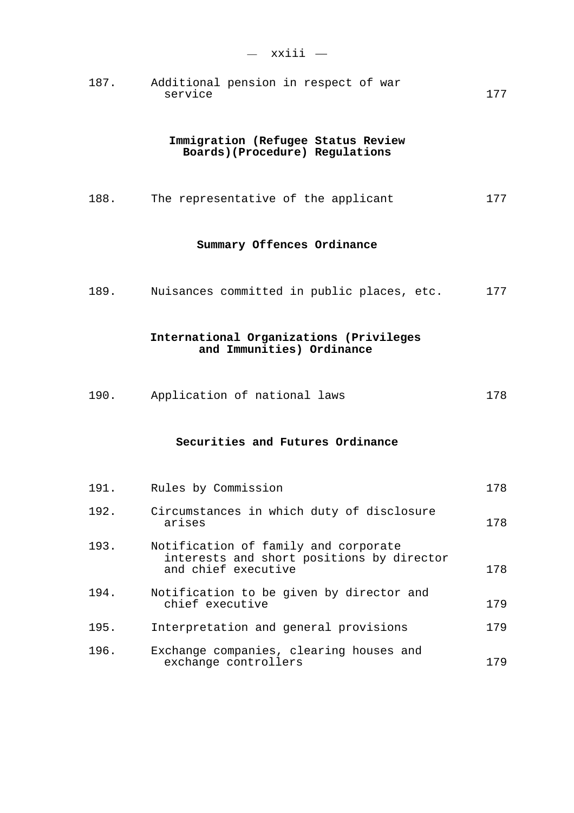187. Additional pension in respect of war service 177

## **Immigration (Refugee Status Review Boards)(Procedure) Regulations**

188. The representative of the applicant 177

## **Summary Offences Ordinance**

189. Nuisances committed in public places, etc. 177

## **International Organizations (Privileges and Immunities) Ordinance**

190. Application of national laws 178

#### **Securities and Futures Ordinance**

| 191. | Rules by Commission                                                                                      | 178 |
|------|----------------------------------------------------------------------------------------------------------|-----|
| 192. | Circumstances in which duty of disclosure<br>arises                                                      | 178 |
| 193. | Notification of family and corporate<br>interests and short positions by director<br>and chief executive | 178 |
| 194. | Notification to be given by director and<br>chief executive                                              | 179 |
| 195. | Interpretation and general provisions                                                                    | 179 |
| 196. | Exchange companies, clearing houses and<br>exchange controllers                                          | 179 |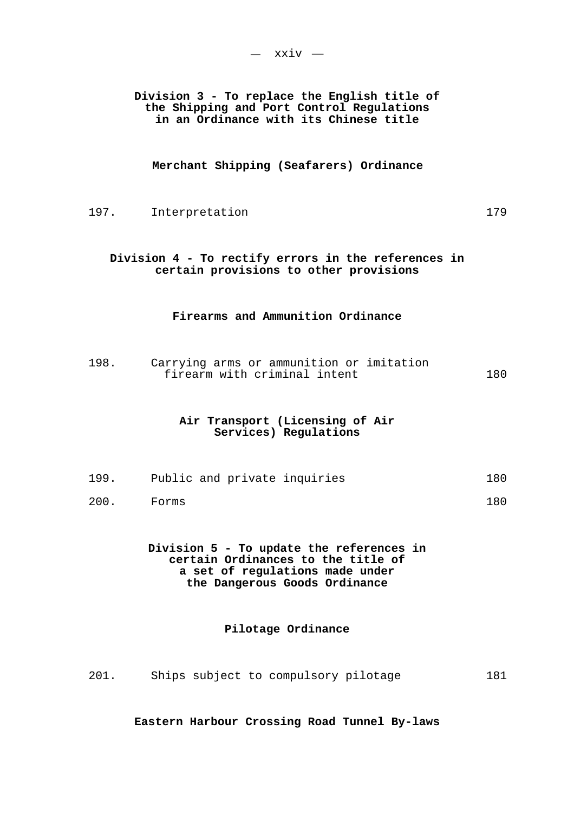**Division 3 - To replace the English title of the Shipping and Port Control Regulations in an Ordinance with its Chinese title** 

**Merchant Shipping (Seafarers) Ordinance** 

197. Interpretation 197. 179

# **Division 4 - To rectify errors in the references in certain provisions to other provisions**

## **Firearms and Ammunition Ordinance**

198. Carrying arms or ammunition or imitation firearm with criminal intent 180

## **Air Transport (Licensing of Air Services) Regulations**

- 199. Public and private inquiries 180
- 200. Forms 180

**Division 5 - To update the references in certain Ordinances to the title of a set of regulations made under the Dangerous Goods Ordinance** 

## **Pilotage Ordinance**

201. Ships subject to compulsory pilotage 181

**Eastern Harbour Crossing Road Tunnel By-laws**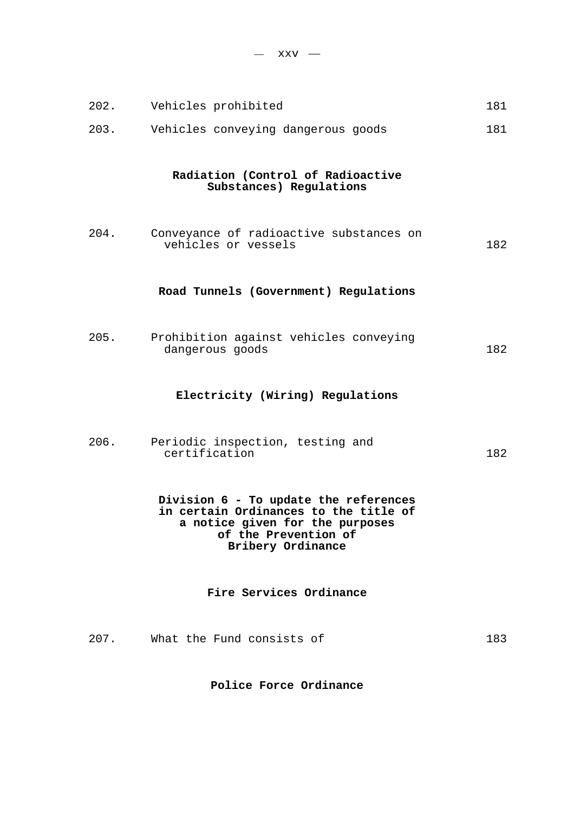$-$  xxv  $-$ 

| 202. | Vehicles prohibited                                                                                                                                            | 181 |
|------|----------------------------------------------------------------------------------------------------------------------------------------------------------------|-----|
| 203. | Vehicles conveying dangerous goods                                                                                                                             | 181 |
|      | Radiation (Control of Radioactive<br>Substances) Regulations                                                                                                   |     |
| 204. | Conveyance of radioactive substances on<br>vehicles or vessels                                                                                                 | 182 |
|      | Road Tunnels (Government) Regulations                                                                                                                          |     |
| 205. | Prohibition against vehicles conveying<br>dangerous goods                                                                                                      | 182 |
|      | Electricity (Wiring) Regulations                                                                                                                               |     |
| 206. | Periodic inspection, testing and<br>certification                                                                                                              | 182 |
|      | Division 6 - To update the references<br>in certain Ordinances to the title of<br>a notice given for the purposes<br>of the Prevention of<br>Bribery Ordinance |     |
|      | Fire Services Ordinance                                                                                                                                        |     |
| 207. | What the Fund consists of                                                                                                                                      | 183 |

**Police Force Ordinance**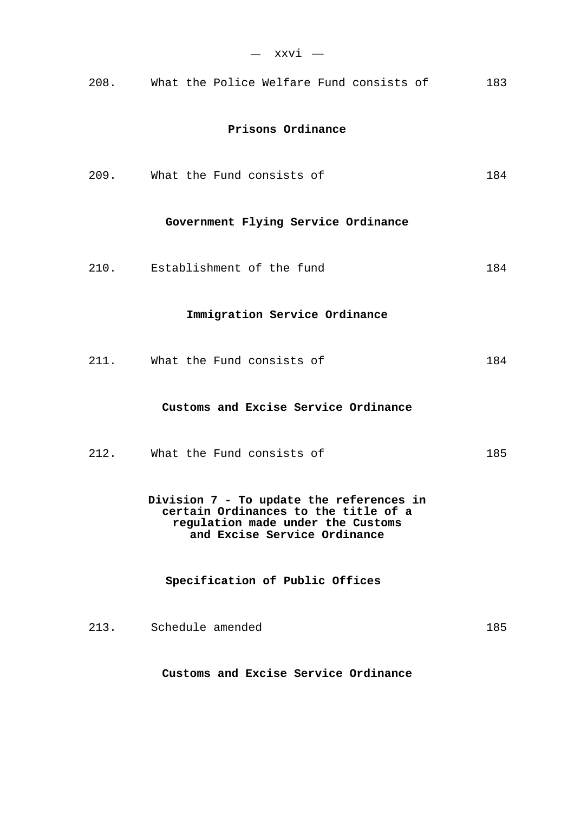| — ххvi —                                                                                                                                              |     |
|-------------------------------------------------------------------------------------------------------------------------------------------------------|-----|
| 208. What the Police Welfare Fund consists of                                                                                                         | 183 |
| Prisons Ordinance                                                                                                                                     |     |
| 209. What the Fund consists of                                                                                                                        | 184 |
| Government Flying Service Ordinance                                                                                                                   |     |
| 210. Establishment of the fund                                                                                                                        | 184 |
| Immigration Service Ordinance                                                                                                                         |     |
| 211. What the Fund consists of                                                                                                                        | 184 |
| Customs and Excise Service Ordinance                                                                                                                  |     |
| 212. What the Fund consists of                                                                                                                        | 185 |
| Division 7 - To update the references in<br>certain Ordinances to the title of a<br>regulation made under the Customs<br>and Excise Service Ordinance |     |
| Specification of Public Offices                                                                                                                       |     |
| 213. Schedule amended                                                                                                                                 | 185 |

**Customs and Excise Service Ordinance**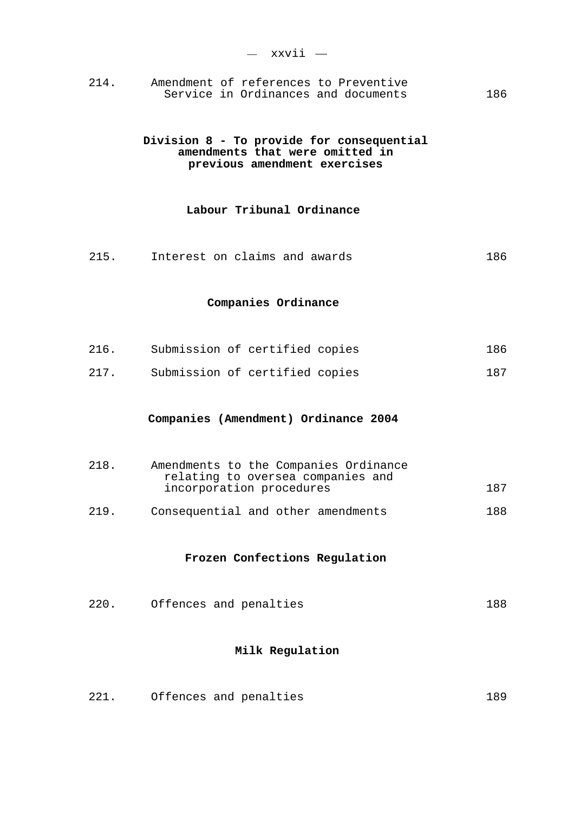214. Amendment of references to Preventive Service in Ordinances and documents 186

## **Division 8 - To provide for consequential amendments that were omitted in previous amendment exercises**

# **Labour Tribunal Ordinance**

215. Interest on claims and awards 186

### **Companies Ordinance**

| 216. | Submission of certified copies |  | 186 |
|------|--------------------------------|--|-----|
| 217. | Submission of certified copies |  | 187 |

#### **Companies (Amendment) Ordinance 2004**

| 218. | Amendments to the Companies Ordinance<br>relating to oversea companies and |     |
|------|----------------------------------------------------------------------------|-----|
|      | incorporation procedures                                                   | 187 |
| 219. | Consequential and other amendments                                         | 188 |

#### **Frozen Confections Regulation**

220. Offences and penalties 188

## **Milk Regulation**

221. Offences and penalties 189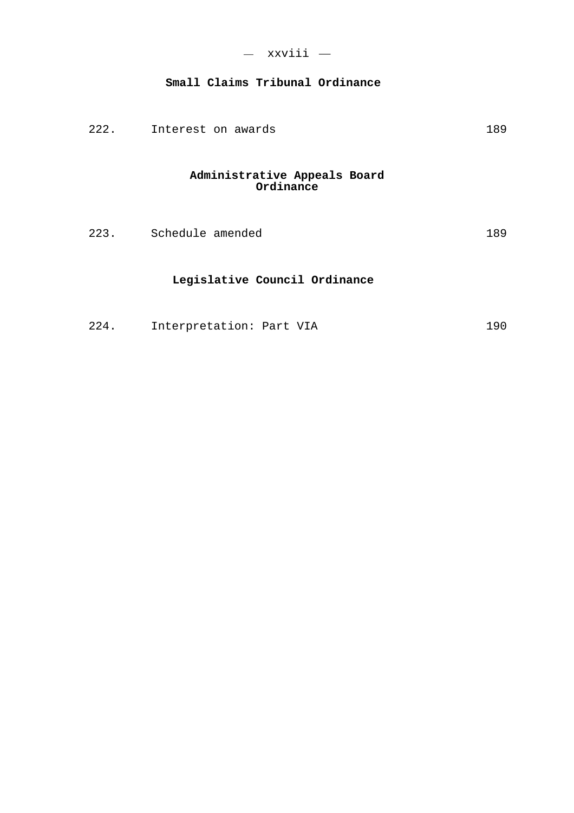# **Small Claims Tribunal Ordinance**

| 222. |  | Interest on awards | 189 |  |
|------|--|--------------------|-----|--|
|------|--|--------------------|-----|--|

# **Administrative Appeals Board Ordinance**

| 223.<br>Schedule amended |  |
|--------------------------|--|
|--------------------------|--|

# **Legislative Council Ordinance**

| 224.<br>Interpretation: Part VIA |  | 190. |
|----------------------------------|--|------|
|----------------------------------|--|------|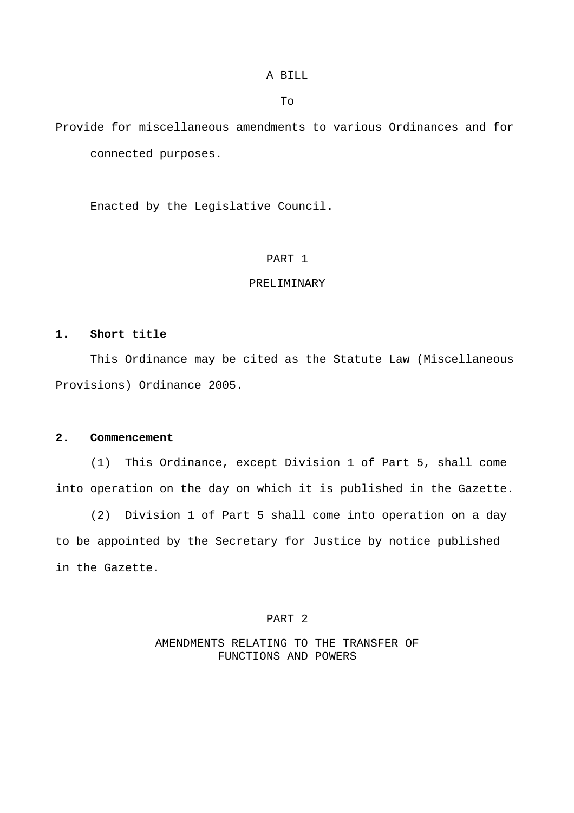A BILL

To

Provide for miscellaneous amendments to various Ordinances and for connected purposes.

Enacted by the Legislative Council.

## PART 1

### PRELIMINARY

# **1. Short title**

 This Ordinance may be cited as the Statute Law (Miscellaneous Provisions) Ordinance 2005.

## **2. Commencement**

 (1) This Ordinance, except Division 1 of Part 5, shall come into operation on the day on which it is published in the Gazette.

 (2) Division 1 of Part 5 shall come into operation on a day to be appointed by the Secretary for Justice by notice published in the Gazette.

# PART 2

# AMENDMENTS RELATING TO THE TRANSFER OF FUNCTIONS AND POWERS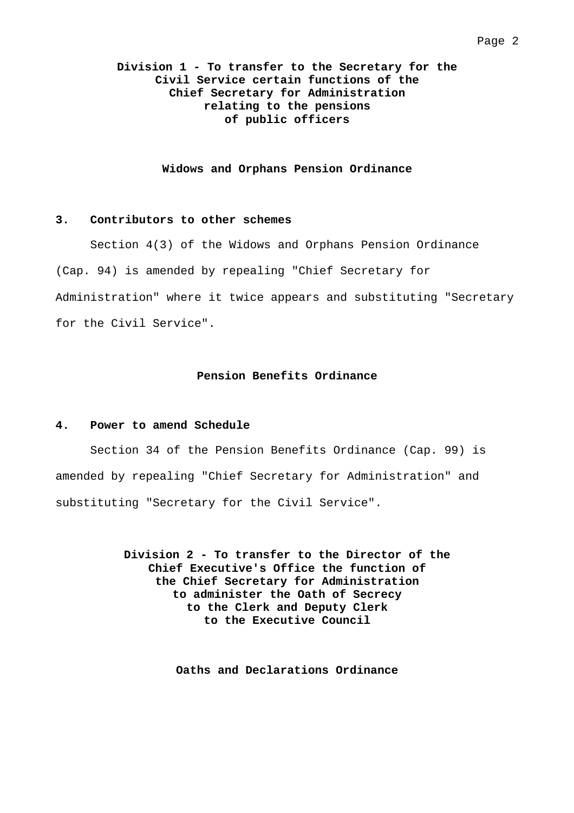# **Division 1 - To transfer to the Secretary for the Civil Service certain functions of the Chief Secretary for Administration relating to the pensions of public officers**

#### **Widows and Orphans Pension Ordinance**

## **3. Contributors to other schemes**

 Section 4(3) of the Widows and Orphans Pension Ordinance (Cap. 94) is amended by repealing "Chief Secretary for Administration" where it twice appears and substituting "Secretary for the Civil Service".

# **Pension Benefits Ordinance**

#### **4. Power to amend Schedule**

 Section 34 of the Pension Benefits Ordinance (Cap. 99) is amended by repealing "Chief Secretary for Administration" and substituting "Secretary for the Civil Service".

> **Division 2 - To transfer to the Director of the Chief Executive's Office the function of the Chief Secretary for Administration to administer the Oath of Secrecy to the Clerk and Deputy Clerk to the Executive Council**

> > **Oaths and Declarations Ordinance**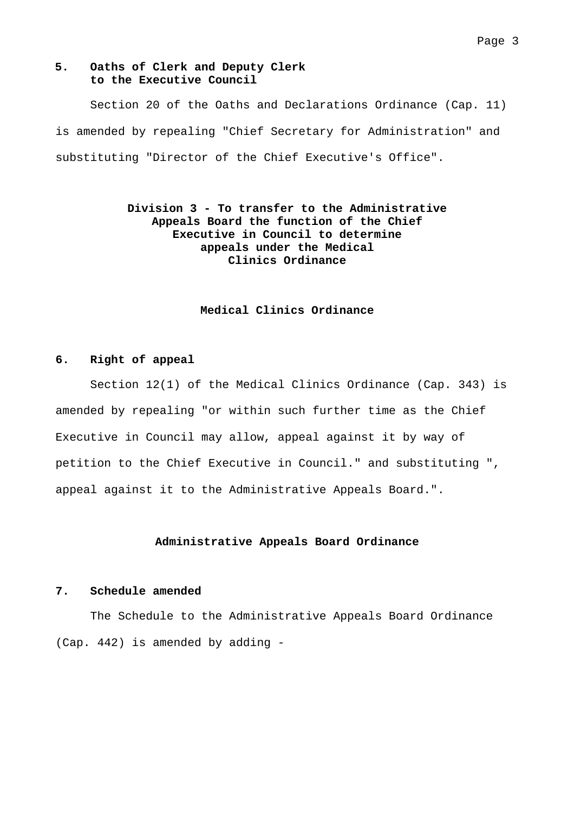#### Page 3

## **5. Oaths of Clerk and Deputy Clerk to the Executive Council**

 Section 20 of the Oaths and Declarations Ordinance (Cap. 11) is amended by repealing "Chief Secretary for Administration" and substituting "Director of the Chief Executive's Office".

# **Division 3 - To transfer to the Administrative Appeals Board the function of the Chief Executive in Council to determine appeals under the Medical Clinics Ordinance**

## **Medical Clinics Ordinance**

#### **6. Right of appeal**

 Section 12(1) of the Medical Clinics Ordinance (Cap. 343) is amended by repealing "or within such further time as the Chief Executive in Council may allow, appeal against it by way of petition to the Chief Executive in Council." and substituting ", appeal against it to the Administrative Appeals Board.".

### **Administrative Appeals Board Ordinance**

## **7. Schedule amended**

 The Schedule to the Administrative Appeals Board Ordinance (Cap. 442) is amended by adding -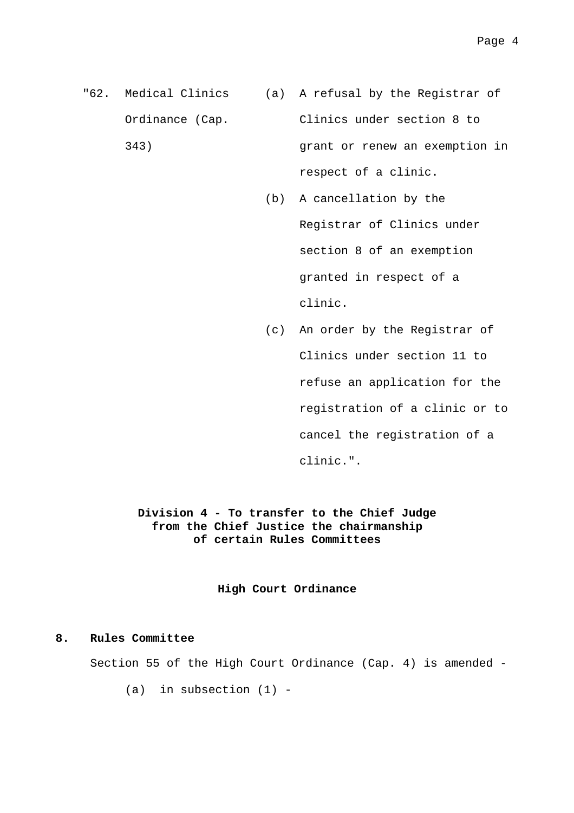- "62. Medical Clinics (a) A refusal by the Registrar of Ordinance (Cap. 343) Clinics under section 8 to grant or renew an exemption in respect of a clinic.
	- (b) A cancellation by the Registrar of Clinics under section 8 of an exemption granted in respect of a clinic.
	- (c) An order by the Registrar of Clinics under section 11 to refuse an application for the registration of a clinic or to cancel the registration of a clinic.".

**Division 4 - To transfer to the Chief Judge from the Chief Justice the chairmanship of certain Rules Committees** 

**High Court Ordinance** 

## **8. Rules Committee**

Section 55 of the High Court Ordinance (Cap. 4) is amended -

 $(a)$  in subsection  $(1)$  -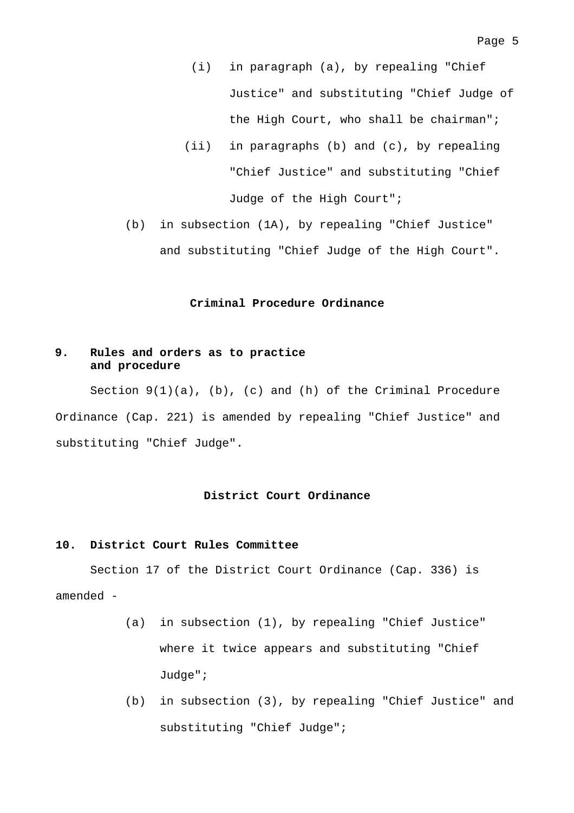- (i) in paragraph (a), by repealing "Chief Justice" and substituting "Chief Judge of the High Court, who shall be chairman";
- (ii) in paragraphs (b) and (c), by repealing "Chief Justice" and substituting "Chief Judge of the High Court";
- (b) in subsection (1A), by repealing "Chief Justice" and substituting "Chief Judge of the High Court".

#### **Criminal Procedure Ordinance**

## **9. Rules and orders as to practice and procedure**

Section  $9(1)(a)$ , (b), (c) and (h) of the Criminal Procedure Ordinance (Cap. 221) is amended by repealing "Chief Justice" and substituting "Chief Judge".

#### **District Court Ordinance**

#### **10. District Court Rules Committee**

 Section 17 of the District Court Ordinance (Cap. 336) is amended -

- (a) in subsection (1), by repealing "Chief Justice" where it twice appears and substituting "Chief Judge";
- (b) in subsection (3), by repealing "Chief Justice" and substituting "Chief Judge";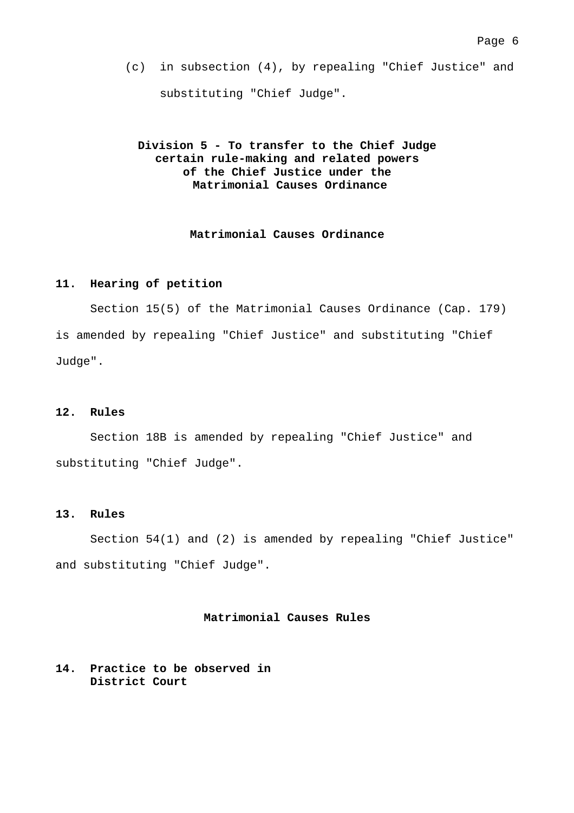(c) in subsection (4), by repealing "Chief Justice" and substituting "Chief Judge".

# **Division 5 - To transfer to the Chief Judge certain rule-making and related powers of the Chief Justice under the Matrimonial Causes Ordinance**

## **Matrimonial Causes Ordinance**

#### **11. Hearing of petition**

 Section 15(5) of the Matrimonial Causes Ordinance (Cap. 179) is amended by repealing "Chief Justice" and substituting "Chief Judge".

### **12. Rules**

 Section 18B is amended by repealing "Chief Justice" and substituting "Chief Judge".

## **13. Rules**

 Section 54(1) and (2) is amended by repealing "Chief Justice" and substituting "Chief Judge".

#### **Matrimonial Causes Rules**

# **14. Practice to be observed in District Court**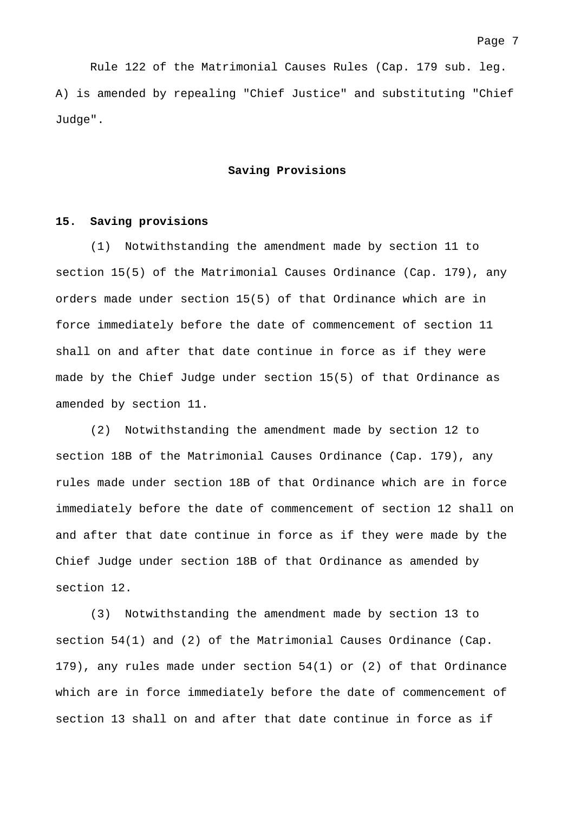Rule 122 of the Matrimonial Causes Rules (Cap. 179 sub. leg. A) is amended by repealing "Chief Justice" and substituting "Chief Judge".

#### **Saving Provisions**

### **15. Saving provisions**

(1) Notwithstanding the amendment made by section 11 to section 15(5) of the Matrimonial Causes Ordinance (Cap. 179), any orders made under section 15(5) of that Ordinance which are in force immediately before the date of commencement of section 11 shall on and after that date continue in force as if they were made by the Chief Judge under section 15(5) of that Ordinance as amended by section 11.

(2) Notwithstanding the amendment made by section 12 to section 18B of the Matrimonial Causes Ordinance (Cap. 179), any rules made under section 18B of that Ordinance which are in force immediately before the date of commencement of section 12 shall on and after that date continue in force as if they were made by the Chief Judge under section 18B of that Ordinance as amended by section 12.

(3) Notwithstanding the amendment made by section 13 to section 54(1) and (2) of the Matrimonial Causes Ordinance (Cap. 179), any rules made under section 54(1) or (2) of that Ordinance which are in force immediately before the date of commencement of section 13 shall on and after that date continue in force as if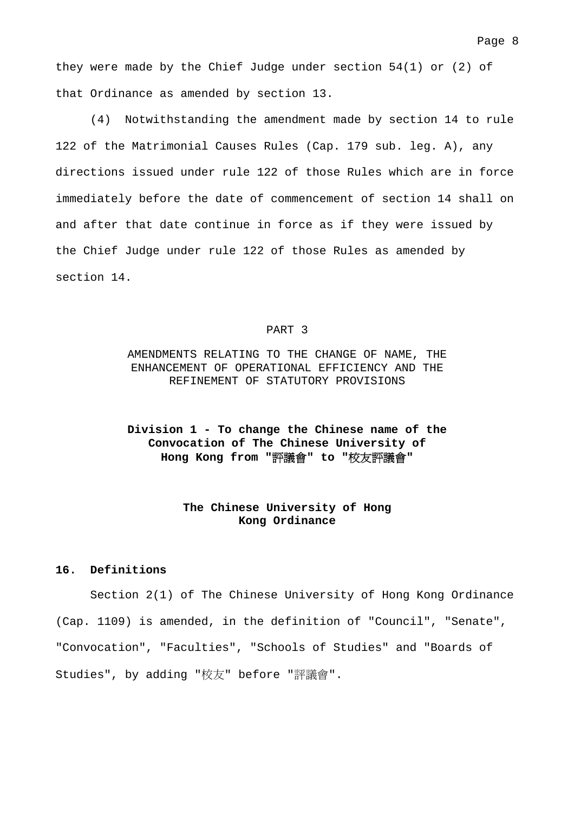they were made by the Chief Judge under section 54(1) or (2) of that Ordinance as amended by section 13.

(4) Notwithstanding the amendment made by section 14 to rule 122 of the Matrimonial Causes Rules (Cap. 179 sub. leg. A), any directions issued under rule 122 of those Rules which are in force immediately before the date of commencement of section 14 shall on and after that date continue in force as if they were issued by the Chief Judge under rule 122 of those Rules as amended by section 14.

#### PART 3

# AMENDMENTS RELATING TO THE CHANGE OF NAME, THE ENHANCEMENT OF OPERATIONAL EFFICIENCY AND THE REFINEMENT OF STATUTORY PROVISIONS

# **Division 1 - To change the Chinese name of the Convocation of The Chinese University of Hong Kong from "**評議會**" to "**校友評議會**"**

## **The Chinese University of Hong Kong Ordinance**

### **16. Definitions**

 Section 2(1) of The Chinese University of Hong Kong Ordinance (Cap. 1109) is amended, in the definition of "Council", "Senate", "Convocation", "Faculties", "Schools of Studies" and "Boards of Studies", by adding "校友" before "評議會".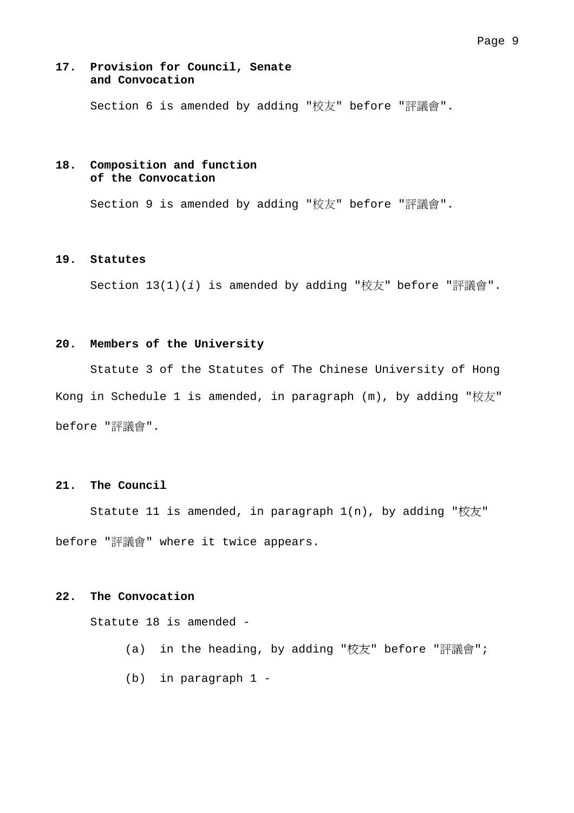### Page 9

### **17. Provision for Council, Senate and Convocation**

Section 6 is amended by adding "校友" before "評議會".

# **18. Composition and function of the Convocation**

Section 9 is amended by adding "校友" before "評議會".

## **19. Statutes**

Section 13(1)(*i*) is amended by adding "校友" before "評議會".

## **20. Members of the University**

 Statute 3 of the Statutes of The Chinese University of Hong Kong in Schedule 1 is amended, in paragraph (m), by adding "校友" before "評議會".

## **21. The Council**

Statute 11 is amended, in paragraph  $1(n)$ , by adding "校友" before "評議會" where it twice appears.

## **22. The Convocation**

Statute 18 is amended -

- (a) in the heading, by adding "校友" before "評議會";
- (b) in paragraph 1 -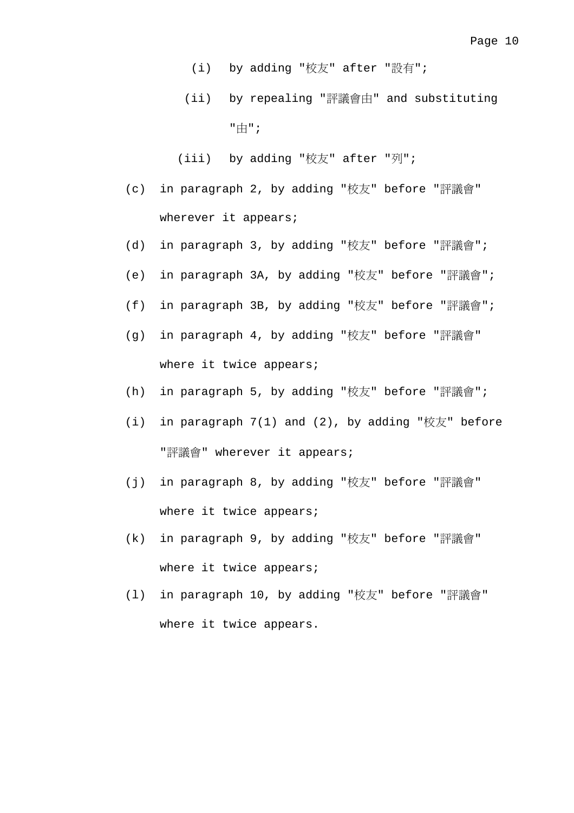- (i) by adding "校友" after "設有";
- (ii) by repealing "評議會由" and substituting "由";

(iii) by adding "校友" after "列";

- (c) in paragraph 2, by adding "校友" before "評議會" wherever it appears;
- (d) in paragraph 3, by adding "校友" before "評議會";
- (e) in paragraph 3A, by adding "校友" before "評議會";
- (f) in paragraph 3B, by adding "校友" before "評議會";
- (g) in paragraph 4, by adding "校友" before "評議會" where it twice appears;
- (h) in paragraph 5, by adding "校友" before "評議會";
- (i) in paragraph  $7(1)$  and  $(2)$ , by adding "校友" before "評議會" wherever it appears;
- (j) in paragraph 8, by adding "校友" before "評議會" where it twice appears;
- (k) in paragraph 9, by adding "校友" before "評議會" where it twice appears;
- (l) in paragraph 10, by adding "校友" before "評議會" where it twice appears.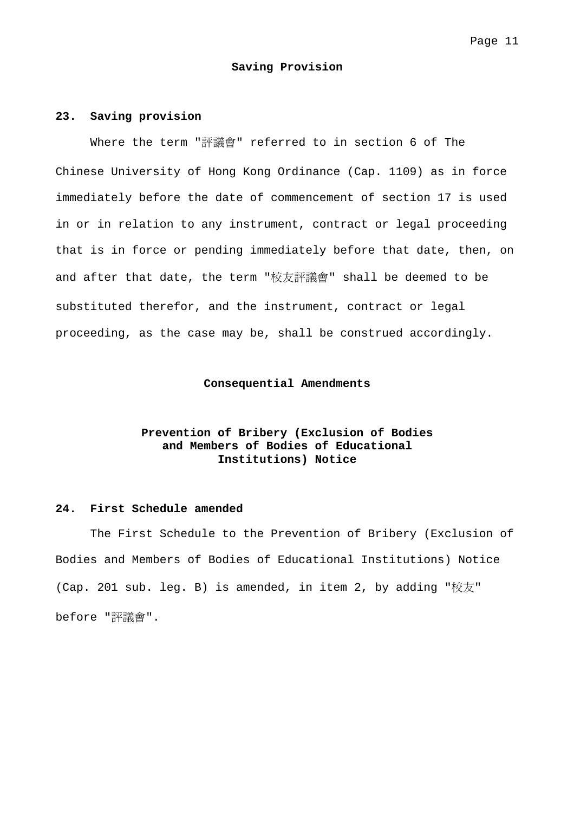#### **Saving Provision**

#### **23. Saving provision**

 Where the term "評議會" referred to in section 6 of The Chinese University of Hong Kong Ordinance (Cap. 1109) as in force immediately before the date of commencement of section 17 is used in or in relation to any instrument, contract or legal proceeding that is in force or pending immediately before that date, then, on and after that date, the term "校友評議會" shall be deemed to be substituted therefor, and the instrument, contract or legal proceeding, as the case may be, shall be construed accordingly.

### **Consequential Amendments**

# **Prevention of Bribery (Exclusion of Bodies and Members of Bodies of Educational Institutions) Notice**

### **24. First Schedule amended**

 The First Schedule to the Prevention of Bribery (Exclusion of Bodies and Members of Bodies of Educational Institutions) Notice (Cap. 201 sub. leg. B) is amended, in item 2, by adding "校友" before "評議會".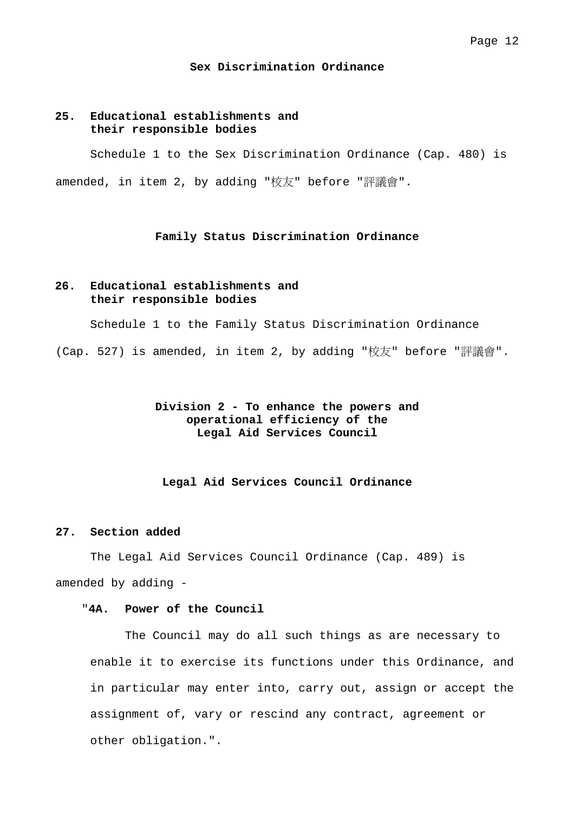#### **Sex Discrimination Ordinance**

## **25. Educational establishments and their responsible bodies**

 Schedule 1 to the Sex Discrimination Ordinance (Cap. 480) is amended, in item 2, by adding "校友" before "評議會".

## **Family Status Discrimination Ordinance**

## **26. Educational establishments and their responsible bodies**

Schedule 1 to the Family Status Discrimination Ordinance

(Cap. 527) is amended, in item 2, by adding "校友" before "評議會".

# **Division 2 - To enhance the powers and operational efficiency of the Legal Aid Services Council**

#### **Legal Aid Services Council Ordinance**

## **27. Section added**

 The Legal Aid Services Council Ordinance (Cap. 489) is amended by adding -

# "**4A. Power of the Council**

 The Council may do all such things as are necessary to enable it to exercise its functions under this Ordinance, and in particular may enter into, carry out, assign or accept the assignment of, vary or rescind any contract, agreement or other obligation.".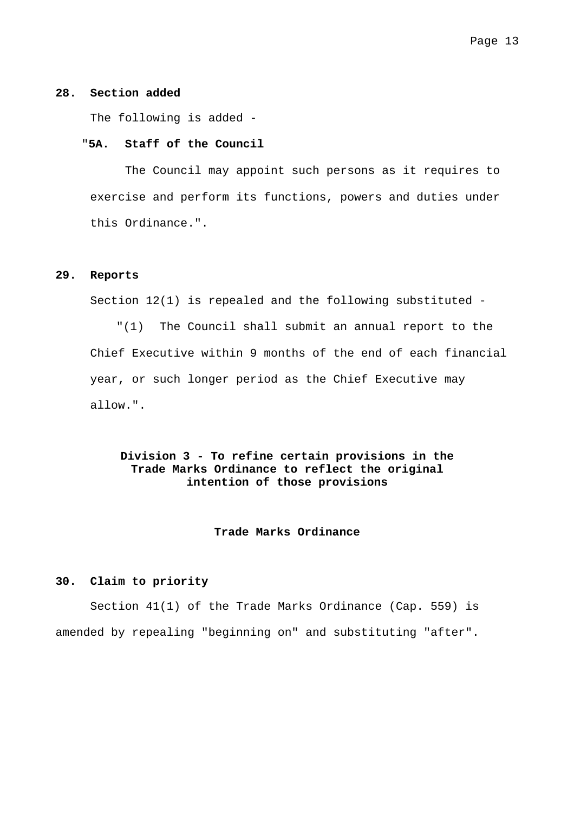### **28. Section added**

The following is added -

#### "**5A. Staff of the Council**

 The Council may appoint such persons as it requires to exercise and perform its functions, powers and duties under this Ordinance.".

#### **29. Reports**

Section 12(1) is repealed and the following substituted -

"(1) The Council shall submit an annual report to the Chief Executive within 9 months of the end of each financial year, or such longer period as the Chief Executive may allow.".

# **Division 3 - To refine certain provisions in the Trade Marks Ordinance to reflect the original intention of those provisions**

#### **Trade Marks Ordinance**

# **30. Claim to priority**

 Section 41(1) of the Trade Marks Ordinance (Cap. 559) is amended by repealing "beginning on" and substituting "after".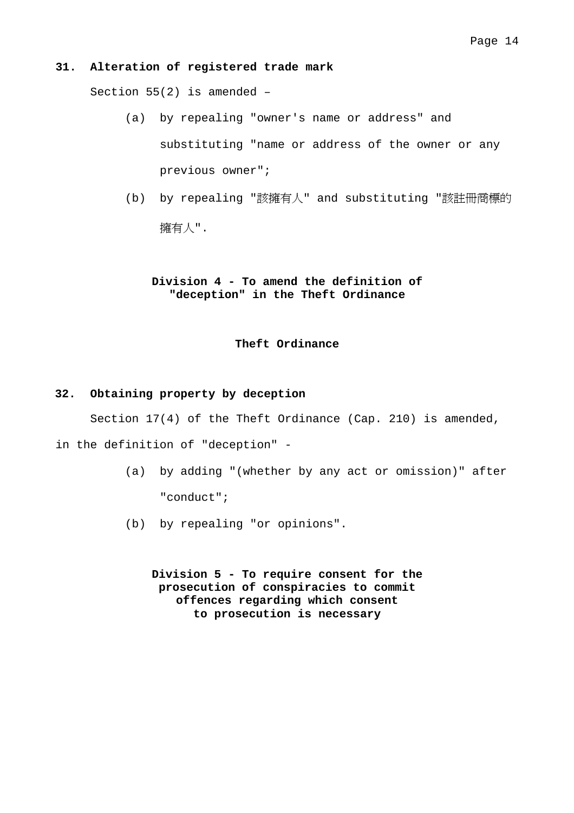### **31. Alteration of registered trade mark**

Section 55(2) is amended –

- (a) by repealing "owner's name or address" and substituting "name or address of the owner or any previous owner";
- (b) by repealing "該擁有人" and substituting "該註冊商標的 擁有人".

# **Division 4 - To amend the definition of "deception" in the Theft Ordinance**

## **Theft Ordinance**

#### **32. Obtaining property by deception**

Section 17(4) of the Theft Ordinance (Cap. 210) is amended,

in the definition of "deception" -

- (a) by adding "(whether by any act or omission)" after "conduct";
- (b) by repealing "or opinions".

**Division 5 - To require consent for the prosecution of conspiracies to commit offences regarding which consent to prosecution is necessary**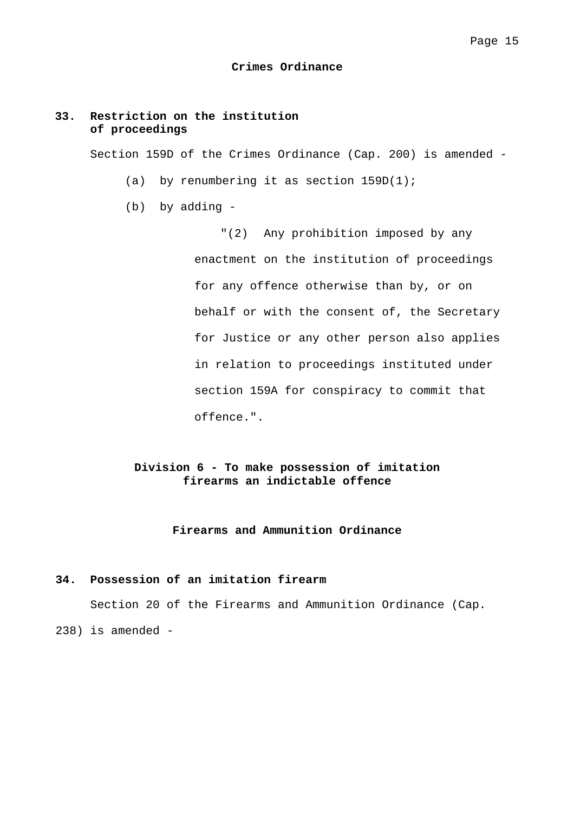#### **Crimes Ordinance**

## **33. Restriction on the institution of proceedings**

Section 159D of the Crimes Ordinance (Cap. 200) is amended -

- (a) by renumbering it as section  $159D(1)$ ;
- (b) by adding -

"(2) Any prohibition imposed by any enactment on the institution of proceedings for any offence otherwise than by, or on behalf or with the consent of, the Secretary for Justice or any other person also applies in relation to proceedings instituted under section 159A for conspiracy to commit that offence.".

# **Division 6 - To make possession of imitation firearms an indictable offence**

### **Firearms and Ammunition Ordinance**

## **34. Possession of an imitation firearm**

Section 20 of the Firearms and Ammunition Ordinance (Cap.

238) is amended -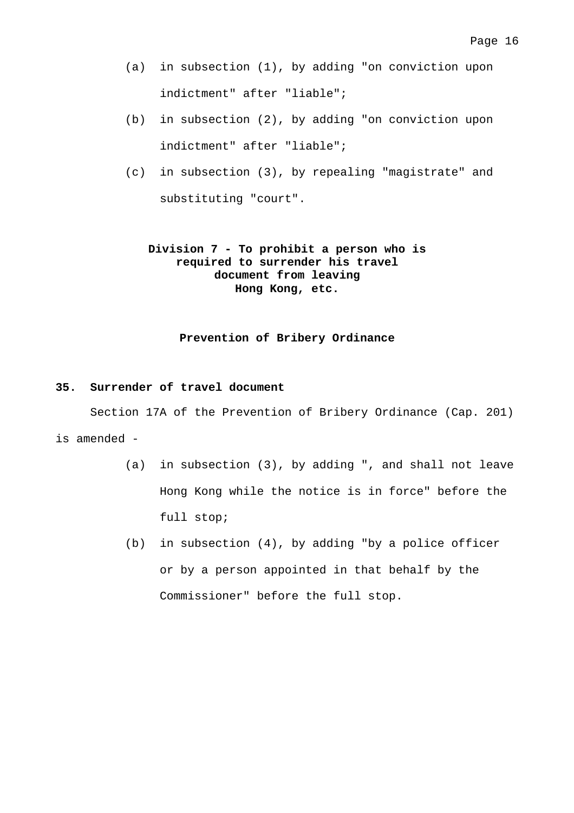- (a) in subsection (1), by adding "on conviction upon indictment" after "liable";
- (b) in subsection (2), by adding "on conviction upon indictment" after "liable";
- (c) in subsection (3), by repealing "magistrate" and substituting "court".

# **Division 7 - To prohibit a person who is required to surrender his travel document from leaving Hong Kong, etc.**

### **Prevention of Bribery Ordinance**

## **35. Surrender of travel document**

Section 17A of the Prevention of Bribery Ordinance (Cap. 201)

## is amended -

- (a) in subsection (3), by adding ", and shall not leave Hong Kong while the notice is in force" before the full stop;
- (b) in subsection (4), by adding "by a police officer or by a person appointed in that behalf by the Commissioner" before the full stop.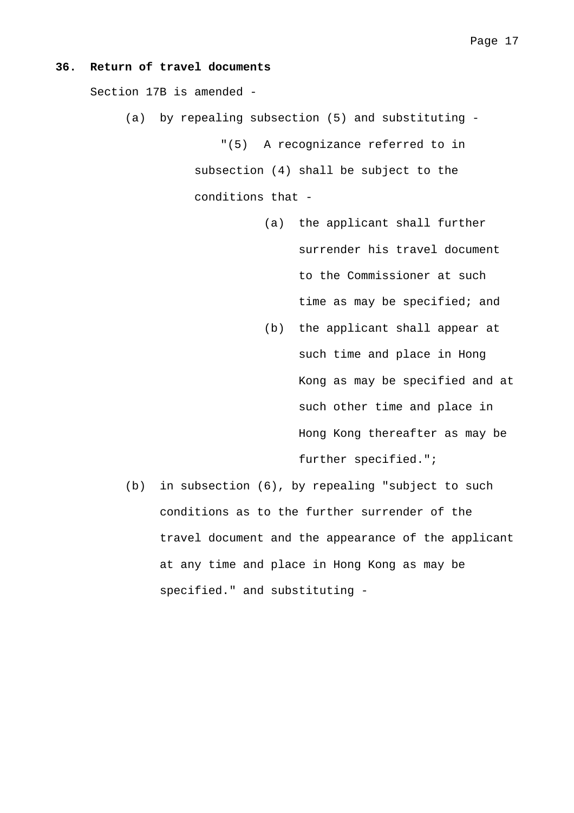#### **36. Return of travel documents**

Section 17B is amended -

(a) by repealing subsection (5) and substituting -

"(5) A recognizance referred to in subsection (4) shall be subject to the conditions that -

- (a) the applicant shall further surrender his travel document to the Commissioner at such time as may be specified; and
- (b) the applicant shall appear at such time and place in Hong Kong as may be specified and at such other time and place in Hong Kong thereafter as may be further specified.";
- (b) in subsection (6), by repealing "subject to such conditions as to the further surrender of the travel document and the appearance of the applicant at any time and place in Hong Kong as may be specified." and substituting -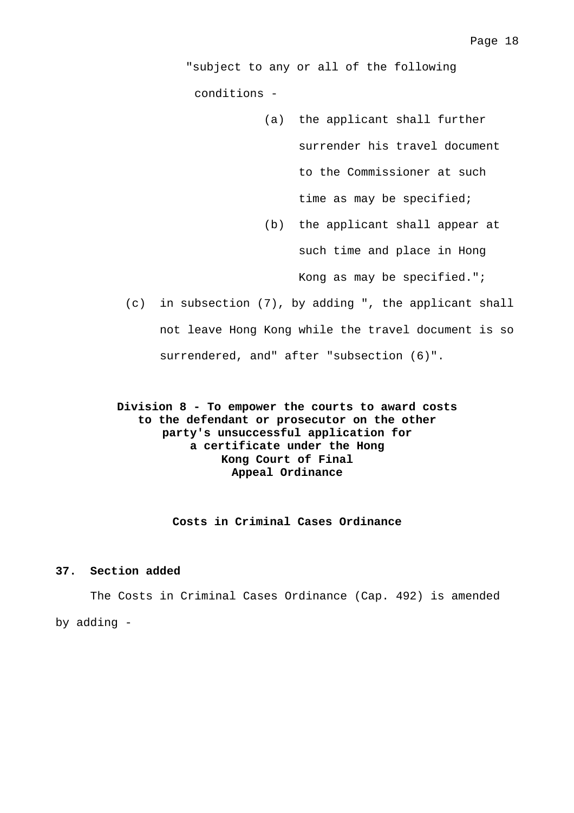"subject to any or all of the following conditions -

- (a) the applicant shall further surrender his travel document to the Commissioner at such time as may be specified;
- (b) the applicant shall appear at such time and place in Hong Kong as may be specified.";
- (c) in subsection (7), by adding ", the applicant shall not leave Hong Kong while the travel document is so surrendered, and" after "subsection (6)".

**Division 8 - To empower the courts to award costs to the defendant or prosecutor on the other party's unsuccessful application for a certificate under the Hong Kong Court of Final Appeal Ordinance** 

**Costs in Criminal Cases Ordinance** 

### **37. Section added**

 The Costs in Criminal Cases Ordinance (Cap. 492) is amended by adding -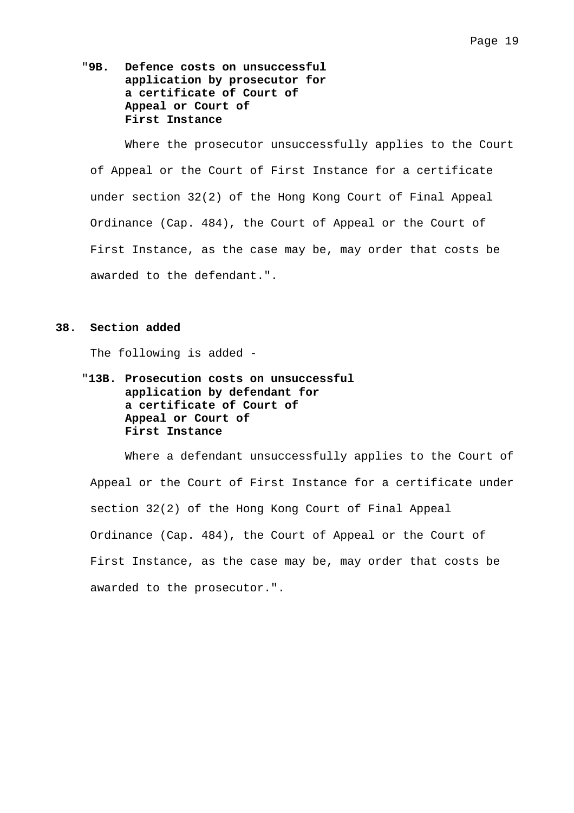"**9B. Defence costs on unsuccessful application by prosecutor for a certificate of Court of Appeal or Court of First Instance** 

 Where the prosecutor unsuccessfully applies to the Court of Appeal or the Court of First Instance for a certificate under section 32(2) of the Hong Kong Court of Final Appeal Ordinance (Cap. 484), the Court of Appeal or the Court of First Instance, as the case may be, may order that costs be awarded to the defendant.".

#### **38. Section added**

The following is added -

# "**13B. Prosecution costs on unsuccessful application by defendant for a certificate of Court of Appeal or Court of First Instance**

 Where a defendant unsuccessfully applies to the Court of Appeal or the Court of First Instance for a certificate under section 32(2) of the Hong Kong Court of Final Appeal Ordinance (Cap. 484), the Court of Appeal or the Court of First Instance, as the case may be, may order that costs be awarded to the prosecutor.".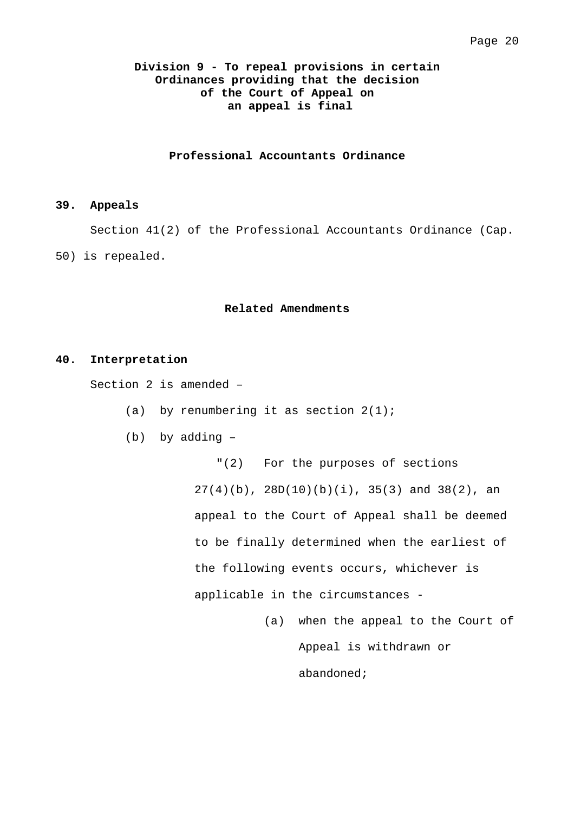# **Division 9 - To repeal provisions in certain Ordinances providing that the decision of the Court of Appeal on an appeal is final**

### **Professional Accountants Ordinance**

### **39. Appeals**

Section 41(2) of the Professional Accountants Ordinance (Cap.

50) is repealed.

#### **Related Amendments**

#### **40. Interpretation**

Section 2 is amended –

(a) by renumbering it as section  $2(1)$ ;

(b) by adding –

"(2) For the purposes of sections  $27(4)(b)$ ,  $28D(10)(b)(i)$ ,  $35(3)$  and  $38(2)$ , an appeal to the Court of Appeal shall be deemed to be finally determined when the earliest of the following events occurs, whichever is applicable in the circumstances -

> (a) when the appeal to the Court of Appeal is withdrawn or abandoned;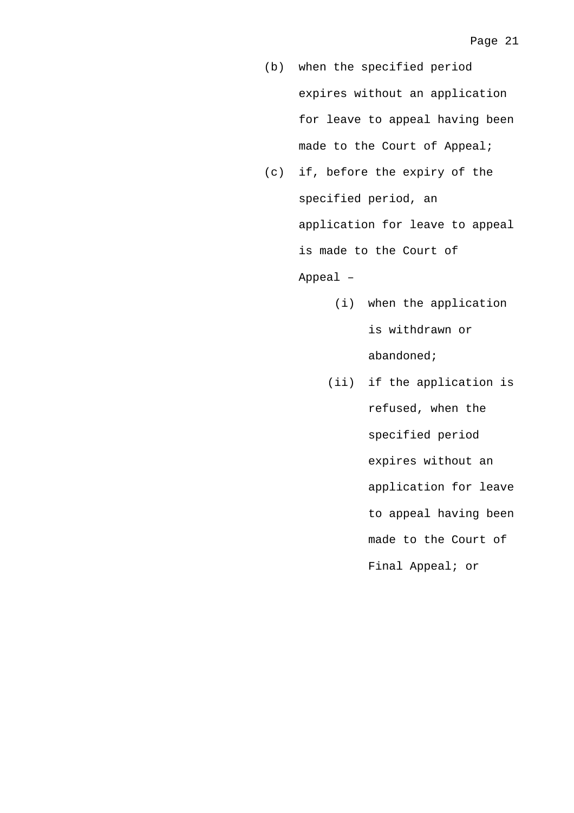- (b) when the specified period expires without an application for leave to appeal having been made to the Court of Appeal;
- (c) if, before the expiry of the specified period, an application for leave to appeal is made to the Court of Appeal –
	- (i) when the application is withdrawn or abandoned;
	- (ii) if the application is refused, when the specified period expires without an application for leave to appeal having been made to the Court of Final Appeal; or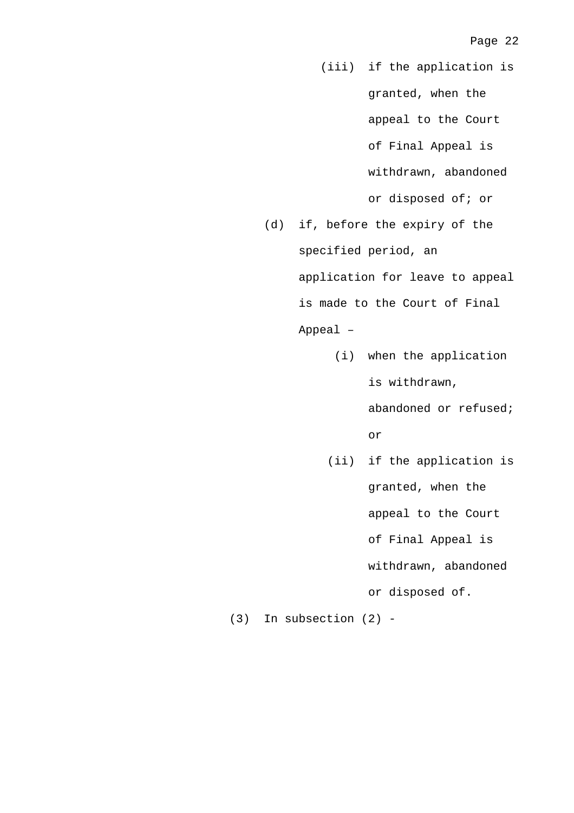- (iii) if the application is granted, when the appeal to the Court of Final Appeal is withdrawn, abandoned or disposed of; or
- (d) if, before the expiry of the specified period, an application for leave to appeal is made to the Court of Final Appeal –
	- (i) when the application is withdrawn,

abandoned or refused; or

 (ii) if the application is granted, when the appeal to the Court of Final Appeal is withdrawn, abandoned or disposed of.

(3) In subsection (2) -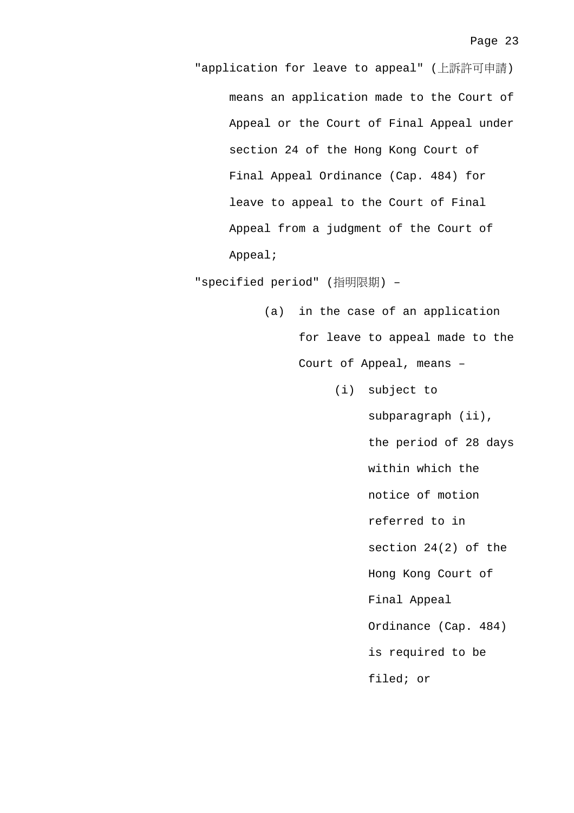"application for leave to appeal" (上訴許可申請) means an application made to the Court of Appeal or the Court of Final Appeal under section 24 of the Hong Kong Court of Final Appeal Ordinance (Cap. 484) for leave to appeal to the Court of Final Appeal from a judgment of the Court of Appeal;

"specified period" (指明限期) –

- (a) in the case of an application for leave to appeal made to the Court of Appeal, means –
	- (i) subject to

subparagraph (ii), the period of 28 days within which the notice of motion referred to in section 24(2) of the Hong Kong Court of Final Appeal Ordinance (Cap. 484) is required to be filed; or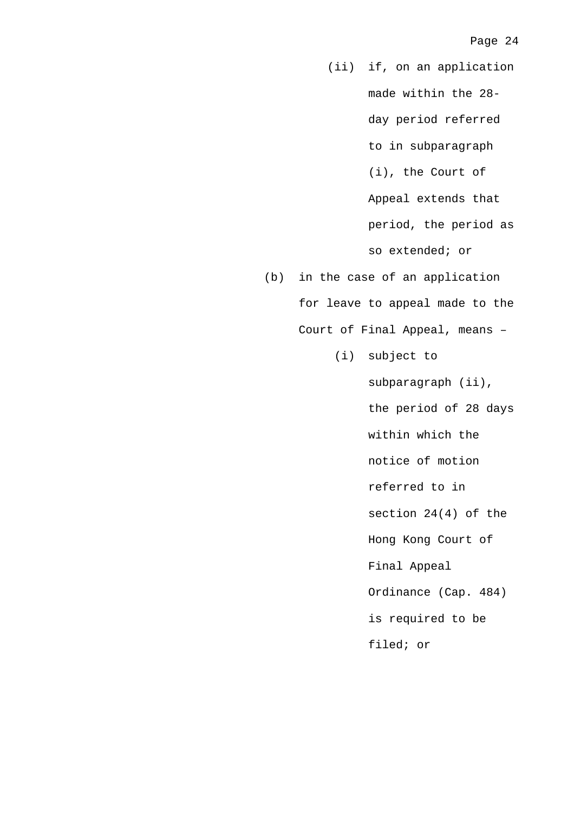(ii) if, on an application made within the 28 day period referred to in subparagraph (i), the Court of Appeal extends that period, the period as so extended; or

- (b) in the case of an application for leave to appeal made to the Court of Final Appeal, means –
	- (i) subject to

subparagraph (ii), the period of 28 days within which the notice of motion referred to in section 24(4) of the Hong Kong Court of Final Appeal Ordinance (Cap. 484) is required to be filed; or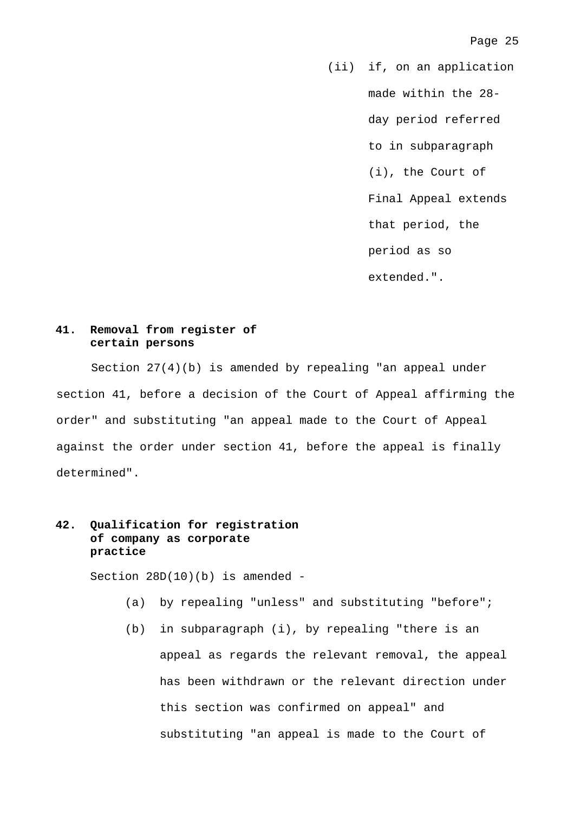(ii) if, on an application made within the 28 day period referred to in subparagraph (i), the Court of Final Appeal extends that period, the period as so extended.".

# **41. Removal from register of certain persons**

Section 27(4)(b) is amended by repealing "an appeal under section 41, before a decision of the Court of Appeal affirming the order" and substituting "an appeal made to the Court of Appeal against the order under section 41, before the appeal is finally determined".

# **42. Qualification for registration of company as corporate practice**

Section 28D(10)(b) is amended -

- (a) by repealing "unless" and substituting "before";
- (b) in subparagraph (i), by repealing "there is an appeal as regards the relevant removal, the appeal has been withdrawn or the relevant direction under this section was confirmed on appeal" and substituting "an appeal is made to the Court of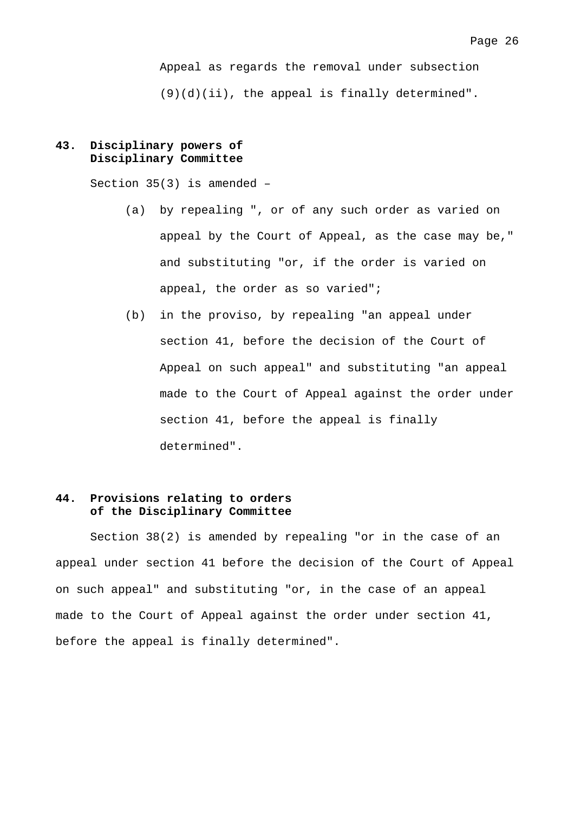Appeal as regards the removal under subsection (9)(d)(ii), the appeal is finally determined".

# **43. Disciplinary powers of Disciplinary Committee**

Section 35(3) is amended –

- (a) by repealing ", or of any such order as varied on appeal by the Court of Appeal, as the case may be," and substituting "or, if the order is varied on appeal, the order as so varied";
- (b) in the proviso, by repealing "an appeal under section 41, before the decision of the Court of Appeal on such appeal" and substituting "an appeal made to the Court of Appeal against the order under section 41, before the appeal is finally determined".

## **44. Provisions relating to orders of the Disciplinary Committee**

 Section 38(2) is amended by repealing "or in the case of an appeal under section 41 before the decision of the Court of Appeal on such appeal" and substituting "or, in the case of an appeal made to the Court of Appeal against the order under section 41, before the appeal is finally determined".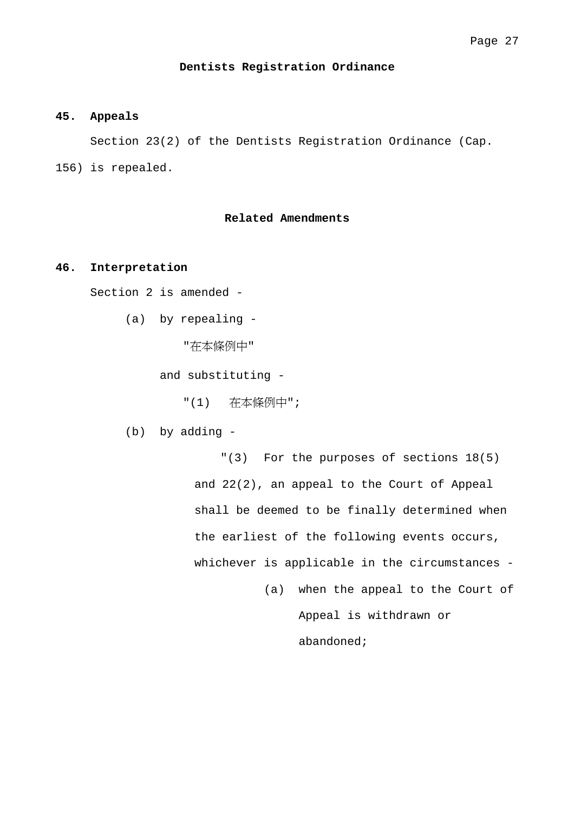### **Dentists Registration Ordinance**

## **45. Appeals**

 Section 23(2) of the Dentists Registration Ordinance (Cap. 156) is repealed.

## **Related Amendments**

#### **46. Interpretation**

Section 2 is amended -

(a) by repealing -

"在本條例中"

and substituting -

"(1) 在本條例中";

(b) by adding -

"(3) For the purposes of sections 18(5) and 22(2), an appeal to the Court of Appeal shall be deemed to be finally determined when the earliest of the following events occurs, whichever is applicable in the circumstances -

> (a) when the appeal to the Court of Appeal is withdrawn or abandoned;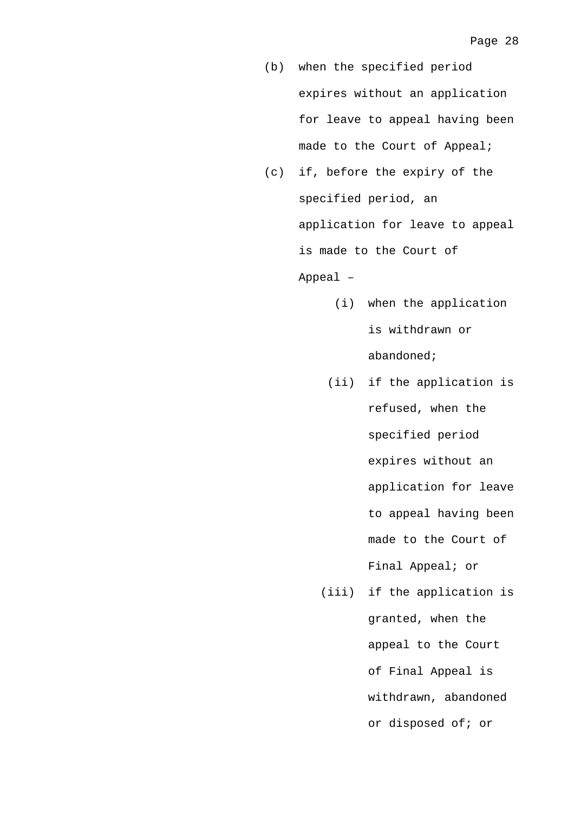- (b) when the specified period expires without an application for leave to appeal having been made to the Court of Appeal;
- (c) if, before the expiry of the specified period, an application for leave to appeal is made to the Court of Appeal –
	- (i) when the application is withdrawn or abandoned;
	- (ii) if the application is refused, when the specified period expires without an application for leave to appeal having been made to the Court of Final Appeal; or
	- (iii) if the application is granted, when the appeal to the Court of Final Appeal is withdrawn, abandoned or disposed of; or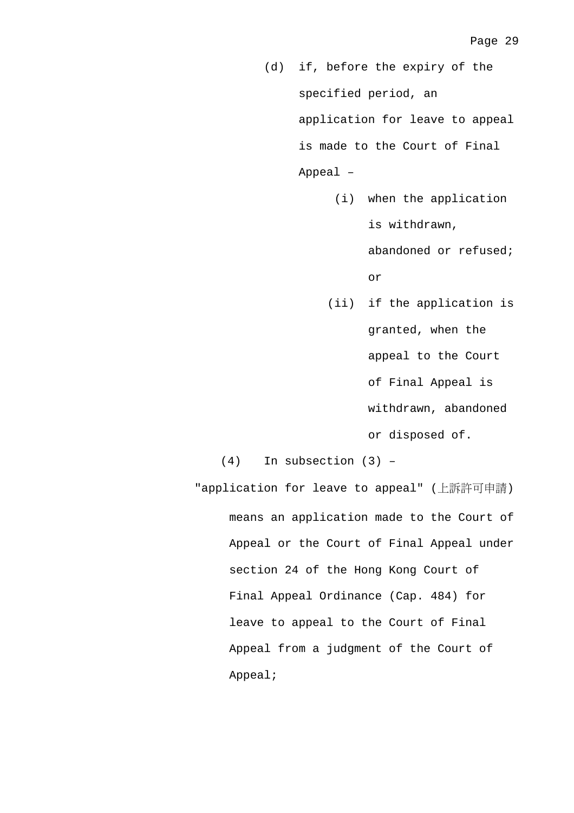- (d) if, before the expiry of the specified period, an application for leave to appeal is made to the Court of Final Appeal –
	- (i) when the application is withdrawn,

abandoned or refused; or

 (ii) if the application is granted, when the appeal to the Court of Final Appeal is withdrawn, abandoned or disposed of.

(4) In subsection (3) –

"application for leave to appeal" (上訴許可申請) means an application made to the Court of Appeal or the Court of Final Appeal under section 24 of the Hong Kong Court of Final Appeal Ordinance (Cap. 484) for leave to appeal to the Court of Final Appeal from a judgment of the Court of Appeal;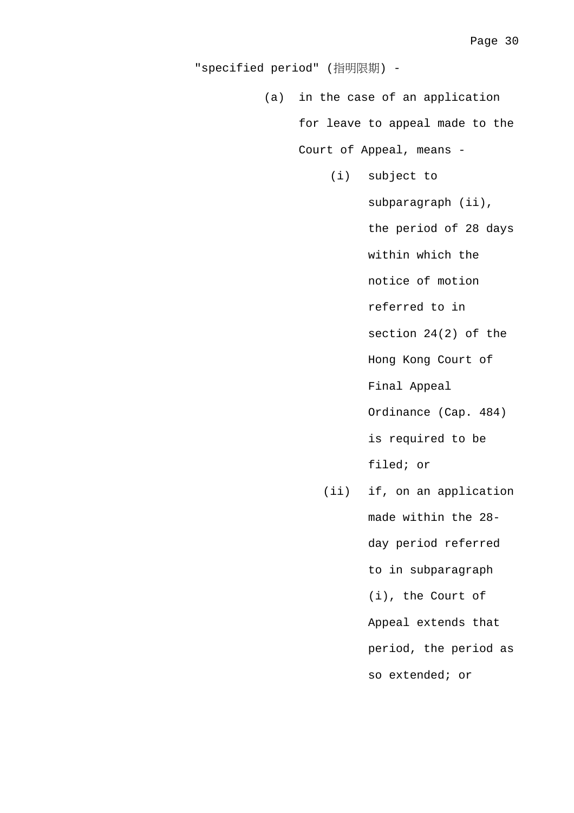"specified period" (指明限期) -

 (a) in the case of an application for leave to appeal made to the

(i) subject to

Court of Appeal, means -

subparagraph (ii),

the period of 28 days

within which the

notice of motion

referred to in

section 24(2) of the

Hong Kong Court of

Final Appeal

Ordinance (Cap. 484)

is required to be

filed; or

 (ii) if, on an application made within the 28 day period referred to in subparagraph (i), the Court of Appeal extends that period, the period as so extended; or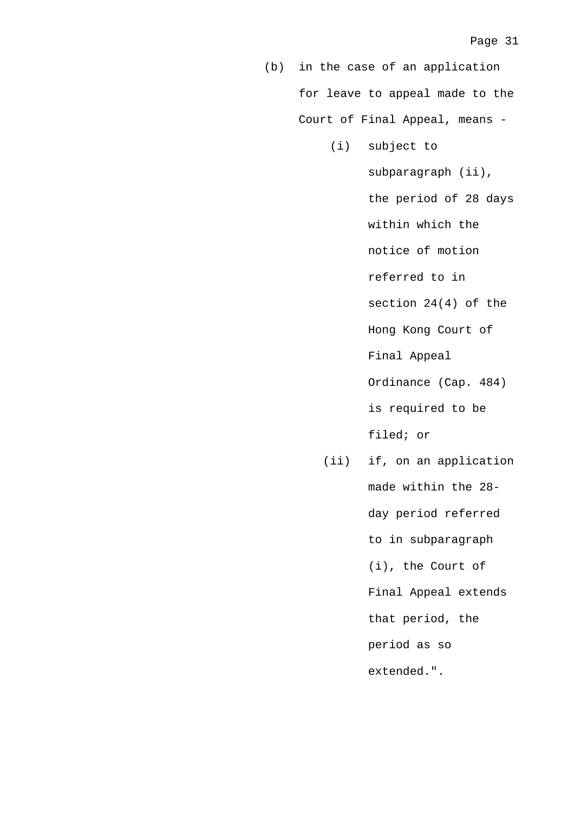(b) in the case of an application for leave to appeal made to the Court of Final Appeal, means -

- (i) subject to subparagraph (ii), the period of 28 days within which the notice of motion referred to in section 24(4) of the Hong Kong Court of Final Appeal Ordinance (Cap. 484) is required to be filed; or
- (ii) if, on an application made within the 28 day period referred to in subparagraph (i), the Court of Final Appeal extends that period, the period as so extended.".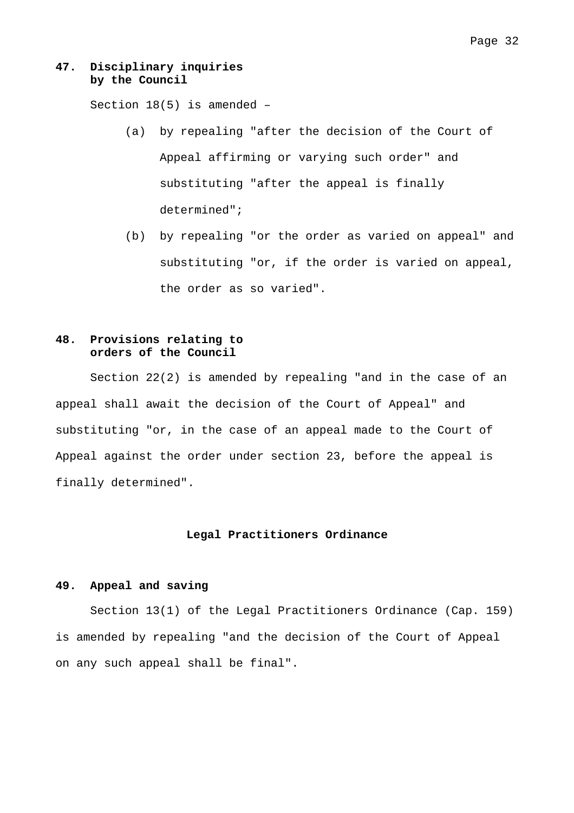## **47. Disciplinary inquiries by the Council**

Section 18(5) is amended –

- (a) by repealing "after the decision of the Court of Appeal affirming or varying such order" and substituting "after the appeal is finally determined";
- (b) by repealing "or the order as varied on appeal" and substituting "or, if the order is varied on appeal, the order as so varied".

# **48. Provisions relating to orders of the Council**

 Section 22(2) is amended by repealing "and in the case of an appeal shall await the decision of the Court of Appeal" and substituting "or, in the case of an appeal made to the Court of Appeal against the order under section 23, before the appeal is finally determined".

## **Legal Practitioners Ordinance**

## **49. Appeal and saving**

 Section 13(1) of the Legal Practitioners Ordinance (Cap. 159) is amended by repealing "and the decision of the Court of Appeal on any such appeal shall be final".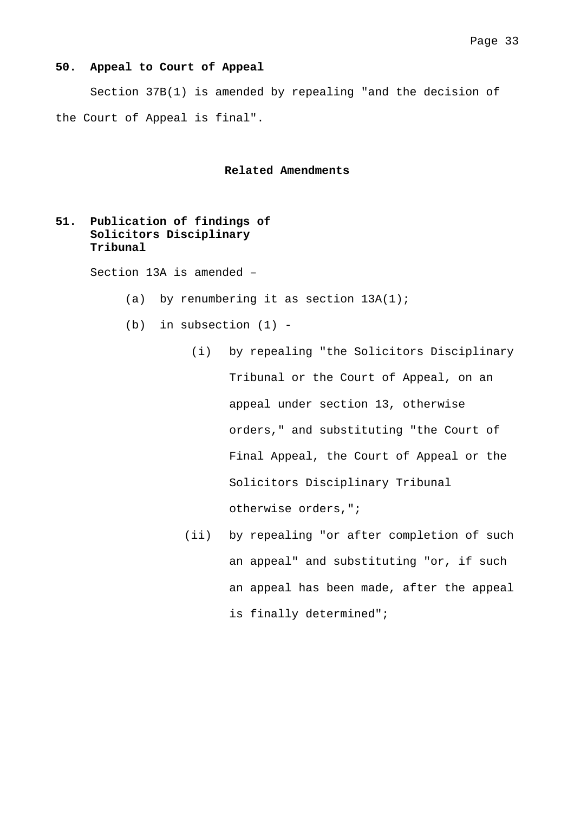#### **50. Appeal to Court of Appeal**

 Section 37B(1) is amended by repealing "and the decision of the Court of Appeal is final".

**Related Amendments** 

# **51. Publication of findings of Solicitors Disciplinary Tribunal**

Section 13A is amended –

- (a) by renumbering it as section  $13A(1)$ ;
- (b) in subsection (1)
	- (i) by repealing "the Solicitors Disciplinary Tribunal or the Court of Appeal, on an appeal under section 13, otherwise orders," and substituting "the Court of Final Appeal, the Court of Appeal or the Solicitors Disciplinary Tribunal otherwise orders,";
	- (ii) by repealing "or after completion of such an appeal" and substituting "or, if such an appeal has been made, after the appeal is finally determined";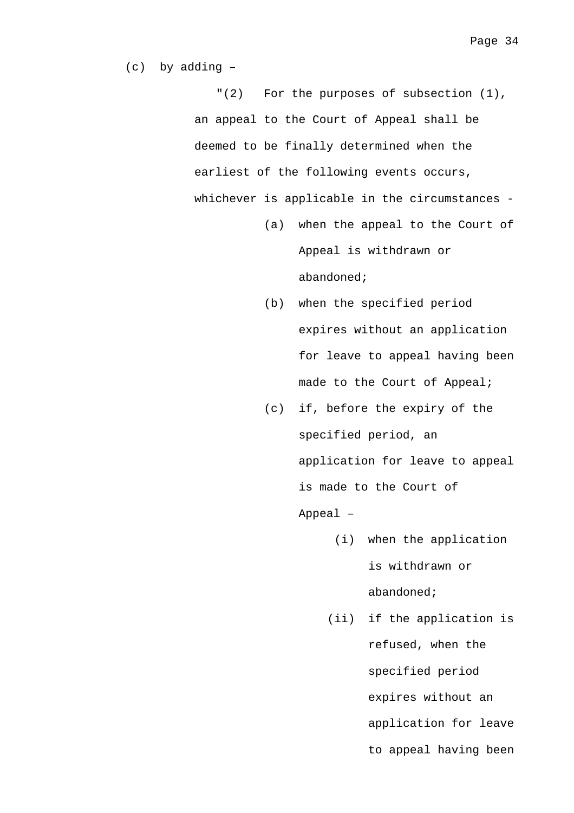(c) by adding –

"(2) For the purposes of subsection (1), an appeal to the Court of Appeal shall be deemed to be finally determined when the earliest of the following events occurs, whichever is applicable in the circumstances -

- (a) when the appeal to the Court of Appeal is withdrawn or abandoned;
- (b) when the specified period expires without an application for leave to appeal having been made to the Court of Appeal;
- (c) if, before the expiry of the specified period, an application for leave to appeal is made to the Court of Appeal –
	- (i) when the application is withdrawn or abandoned;
	- (ii) if the application is refused, when the specified period expires without an application for leave to appeal having been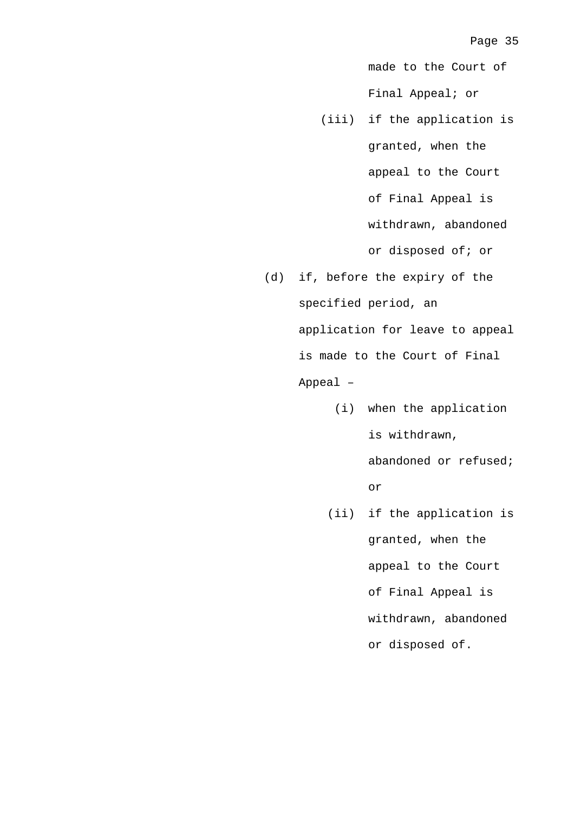made to the Court of Final Appeal; or

- (iii) if the application is granted, when the appeal to the Court of Final Appeal is withdrawn, abandoned or disposed of; or
- (d) if, before the expiry of the specified period, an application for leave to appeal is made to the Court of Final Appeal –
	- (i) when the application is withdrawn, abandoned or refused; or
	- (ii) if the application is granted, when the appeal to the Court of Final Appeal is withdrawn, abandoned or disposed of.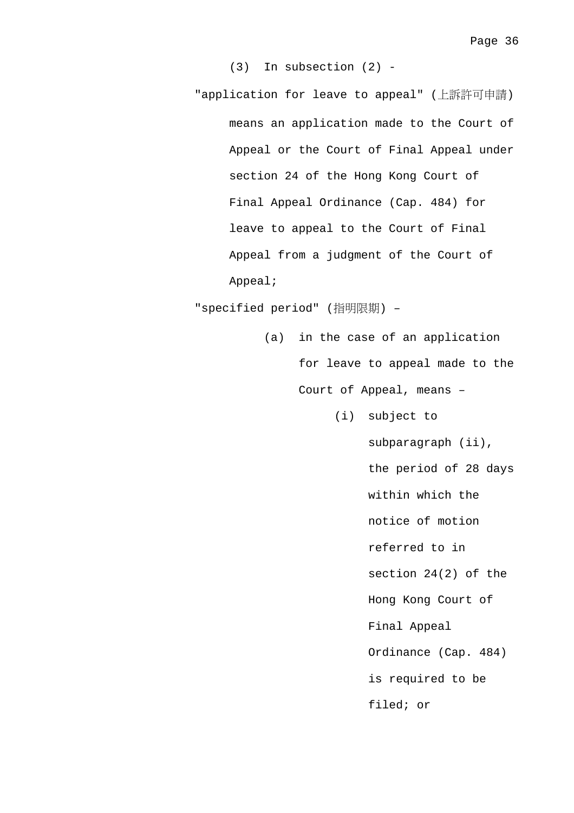(3) In subsection (2) -

"application for leave to appeal" (上訴許可申請) means an application made to the Court of Appeal or the Court of Final Appeal under section 24 of the Hong Kong Court of Final Appeal Ordinance (Cap. 484) for leave to appeal to the Court of Final Appeal from a judgment of the Court of Appeal;

"specified period" (指明限期) –

- (a) in the case of an application for leave to appeal made to the Court of Appeal, means –
	- (i) subject to

subparagraph (ii), the period of 28 days within which the notice of motion referred to in section 24(2) of the Hong Kong Court of Final Appeal Ordinance (Cap. 484) is required to be filed; or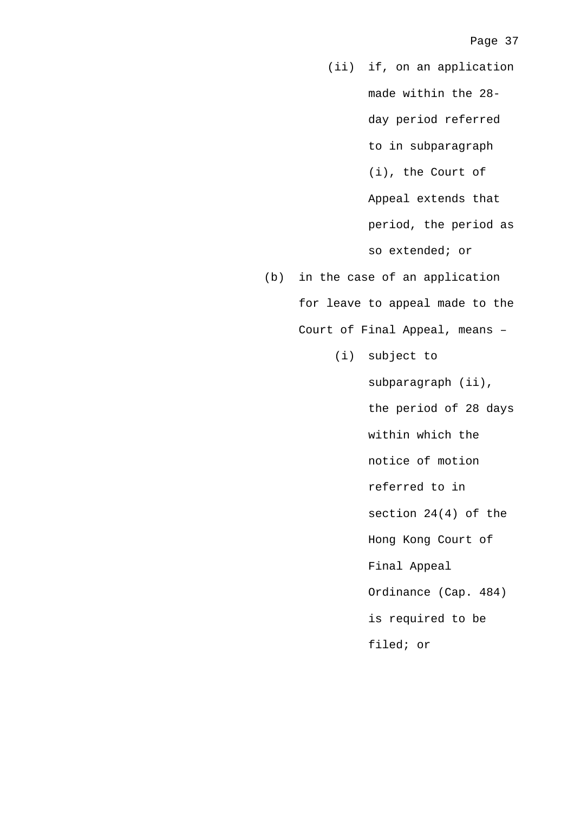(ii) if, on an application made within the 28 day period referred to in subparagraph (i), the Court of Appeal extends that period, the period as so extended; or

- (b) in the case of an application for leave to appeal made to the Court of Final Appeal, means –
	- (i) subject to

subparagraph (ii), the period of 28 days within which the notice of motion referred to in section 24(4) of the Hong Kong Court of Final Appeal Ordinance (Cap. 484) is required to be filed; or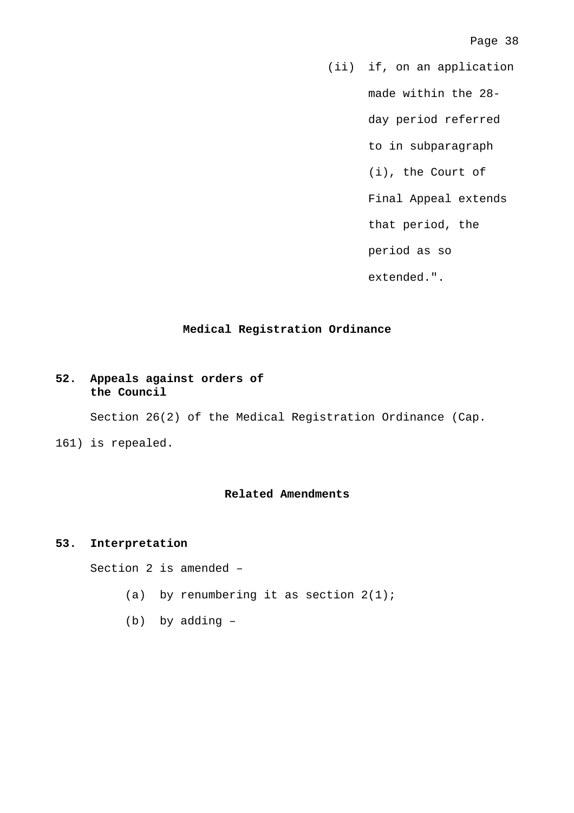(ii) if, on an application

made within the 28-

day period referred

to in subparagraph

(i), the Court of

Final Appeal extends

that period, the

period as so

extended.".

## **Medical Registration Ordinance**

# **52. Appeals against orders of the Council**

Section 26(2) of the Medical Registration Ordinance (Cap.

161) is repealed.

## **Related Amendments**

## **53. Interpretation**

Section 2 is amended –

- (a) by renumbering it as section  $2(1)$ ;
- (b) by adding –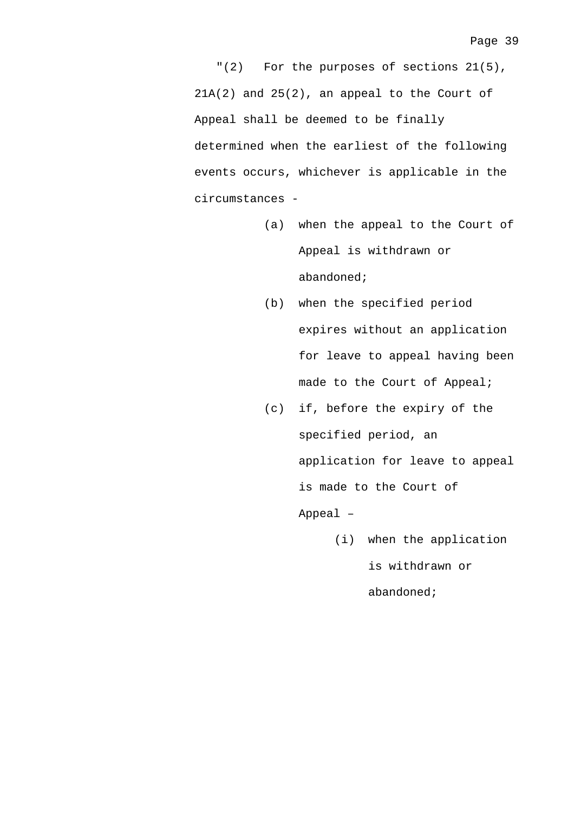"(2) For the purposes of sections 21(5), 21A(2) and 25(2), an appeal to the Court of Appeal shall be deemed to be finally determined when the earliest of the following events occurs, whichever is applicable in the circumstances -

- (a) when the appeal to the Court of Appeal is withdrawn or abandoned;
- (b) when the specified period expires without an application for leave to appeal having been made to the Court of Appeal;
- (c) if, before the expiry of the specified period, an application for leave to appeal is made to the Court of Appeal –
	- (i) when the application is withdrawn or abandoned;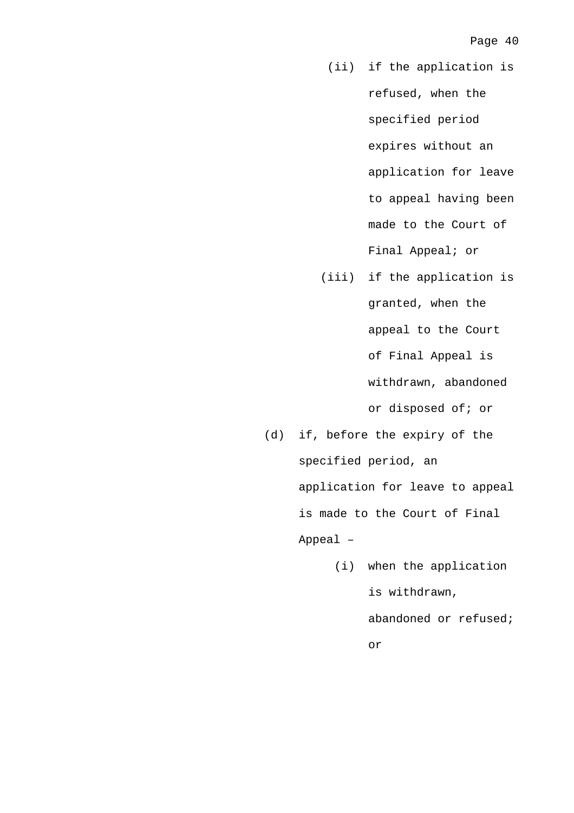- (ii) if the application is refused, when the specified period expires without an application for leave to appeal having been made to the Court of Final Appeal; or
- (iii) if the application is granted, when the appeal to the Court of Final Appeal is withdrawn, abandoned or disposed of; or
- (d) if, before the expiry of the specified period, an application for leave to appeal is made to the Court of Final Appeal –
	- (i) when the application is withdrawn, abandoned or refused; or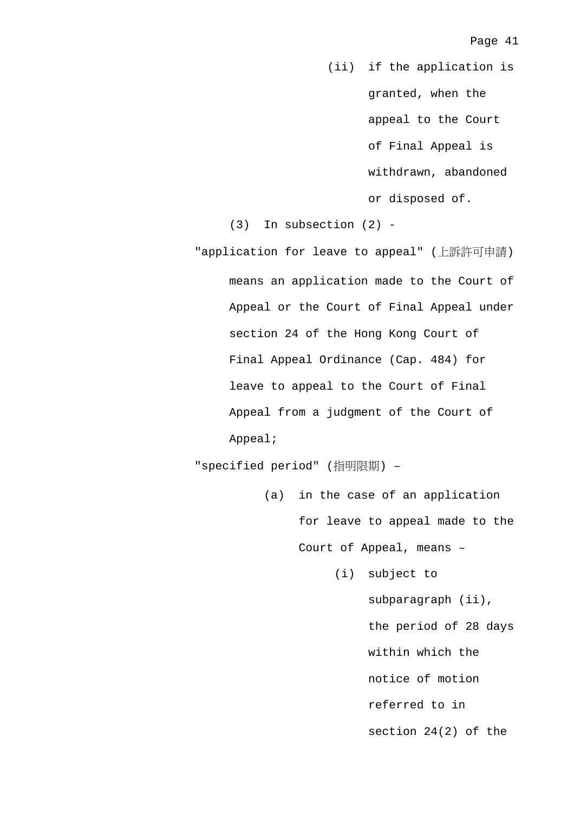(ii) if the application is granted, when the appeal to the Court of Final Appeal is withdrawn, abandoned or disposed of.

(3) In subsection (2) -

"application for leave to appeal" (上訴許可申請) means an application made to the Court of Appeal or the Court of Final Appeal under section 24 of the Hong Kong Court of Final Appeal Ordinance (Cap. 484) for leave to appeal to the Court of Final Appeal from a judgment of the Court of Appeal;

"specified period" (指明限期) –

- (a) in the case of an application for leave to appeal made to the Court of Appeal, means –
	- (i) subject to subparagraph (ii), the period of 28 days within which the notice of motion referred to in section 24(2) of the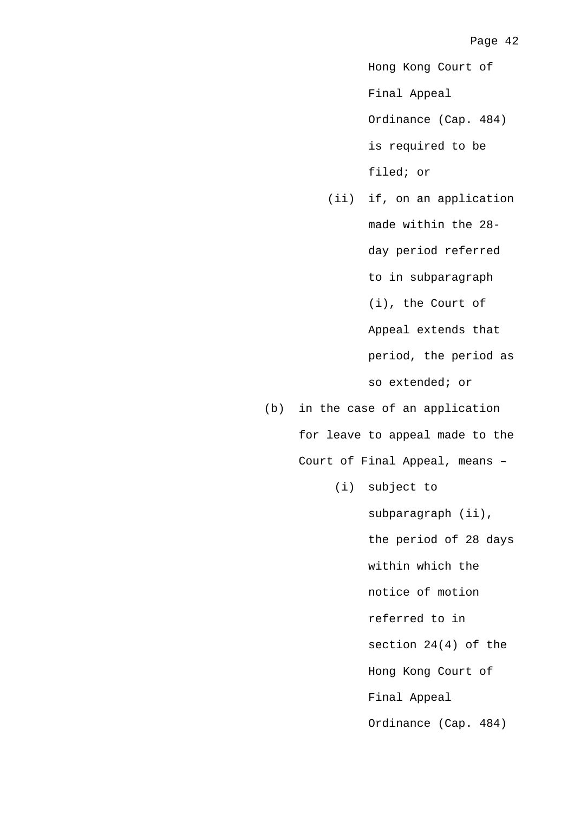Hong Kong Court of

Final Appeal

Ordinance (Cap. 484) is required to be filed; or

 (ii) if, on an application made within the 28 day period referred to in subparagraph (i), the Court of Appeal extends that period, the period as so extended; or

(b) in the case of an application for leave to appeal made to the Court of Final Appeal, means –

(i) subject to

subparagraph (ii), the period of 28 days within which the notice of motion referred to in section 24(4) of the Hong Kong Court of Final Appeal Ordinance (Cap. 484)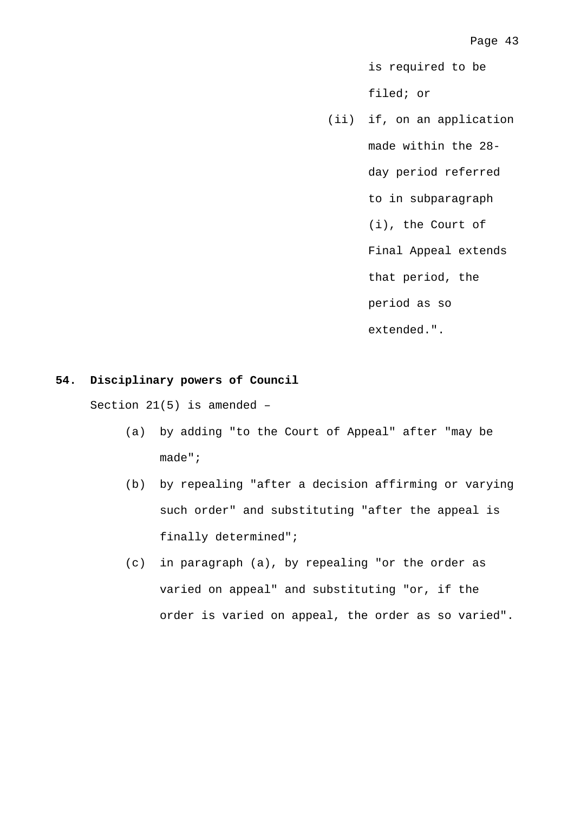is required to be filed; or

 (ii) if, on an application made within the 28 day period referred to in subparagraph (i), the Court of Final Appeal extends that period, the period as so extended.".

### **54. Disciplinary powers of Council**

Section 21(5) is amended –

- (a) by adding "to the Court of Appeal" after "may be made";
- (b) by repealing "after a decision affirming or varying such order" and substituting "after the appeal is finally determined";
- (c) in paragraph (a), by repealing "or the order as varied on appeal" and substituting "or, if the order is varied on appeal, the order as so varied".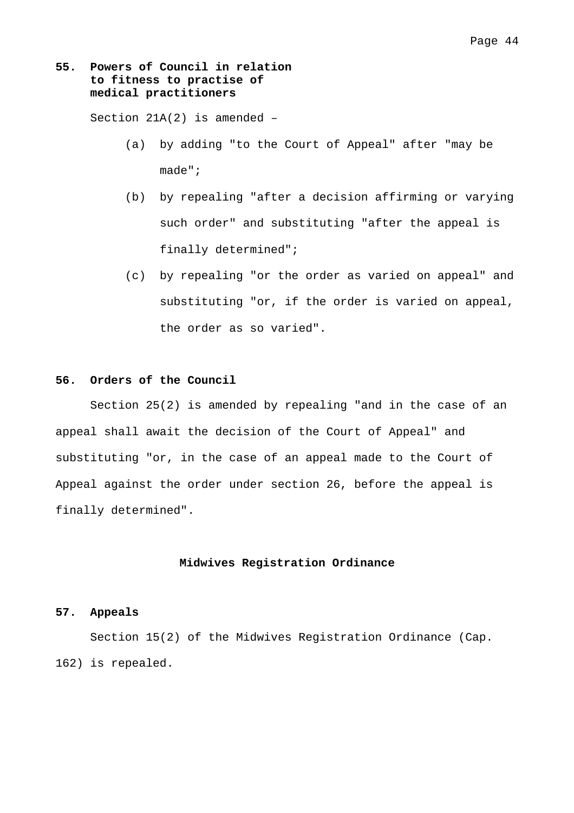## **55. Powers of Council in relation to fitness to practise of medical practitioners**

Section 21A(2) is amended –

- (a) by adding "to the Court of Appeal" after "may be made";
- (b) by repealing "after a decision affirming or varying such order" and substituting "after the appeal is finally determined";
- (c) by repealing "or the order as varied on appeal" and substituting "or, if the order is varied on appeal, the order as so varied".

## **56. Orders of the Council**

 Section 25(2) is amended by repealing "and in the case of an appeal shall await the decision of the Court of Appeal" and substituting "or, in the case of an appeal made to the Court of Appeal against the order under section 26, before the appeal is finally determined".

#### **Midwives Registration Ordinance**

#### **57. Appeals**

 Section 15(2) of the Midwives Registration Ordinance (Cap. 162) is repealed.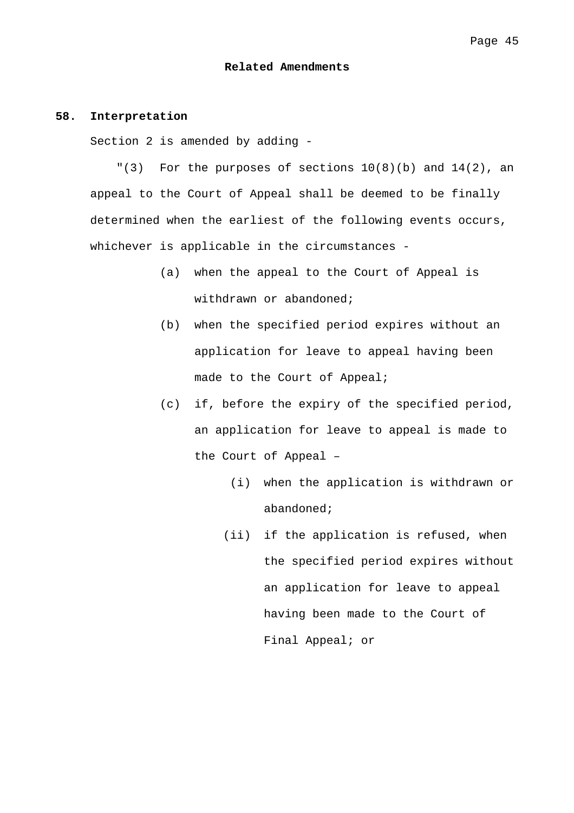#### **Related Amendments**

#### **58. Interpretation**

Section 2 is amended by adding -

 $"(3)$  For the purposes of sections  $10(8)(b)$  and  $14(2)$ , an appeal to the Court of Appeal shall be deemed to be finally determined when the earliest of the following events occurs, whichever is applicable in the circumstances -

- (a) when the appeal to the Court of Appeal is withdrawn or abandoned;
- (b) when the specified period expires without an application for leave to appeal having been made to the Court of Appeal;
- (c) if, before the expiry of the specified period, an application for leave to appeal is made to the Court of Appeal –
	- (i) when the application is withdrawn or abandoned;
	- (ii) if the application is refused, when the specified period expires without an application for leave to appeal having been made to the Court of Final Appeal; or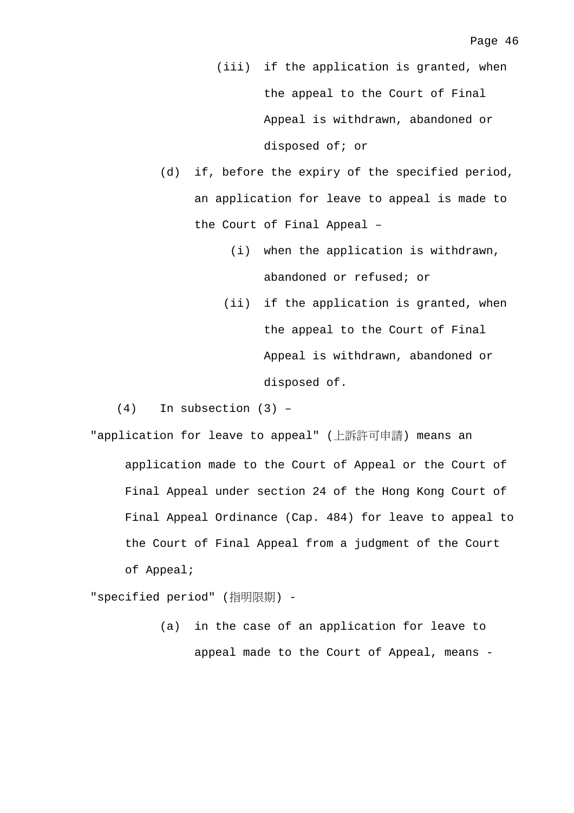(iii) if the application is granted, when the appeal to the Court of Final Appeal is withdrawn, abandoned or disposed of; or

- (d) if, before the expiry of the specified period, an application for leave to appeal is made to the Court of Final Appeal –
	- (i) when the application is withdrawn, abandoned or refused; or
	- (ii) if the application is granted, when the appeal to the Court of Final Appeal is withdrawn, abandoned or disposed of.

(4) In subsection (3) –

"application for leave to appeal" (上訴許可申請) means an application made to the Court of Appeal or the Court of Final Appeal under section 24 of the Hong Kong Court of Final Appeal Ordinance (Cap. 484) for leave to appeal to the Court of Final Appeal from a judgment of the Court of Appeal;

"specified period" (指明限期) -

 (a) in the case of an application for leave to appeal made to the Court of Appeal, means -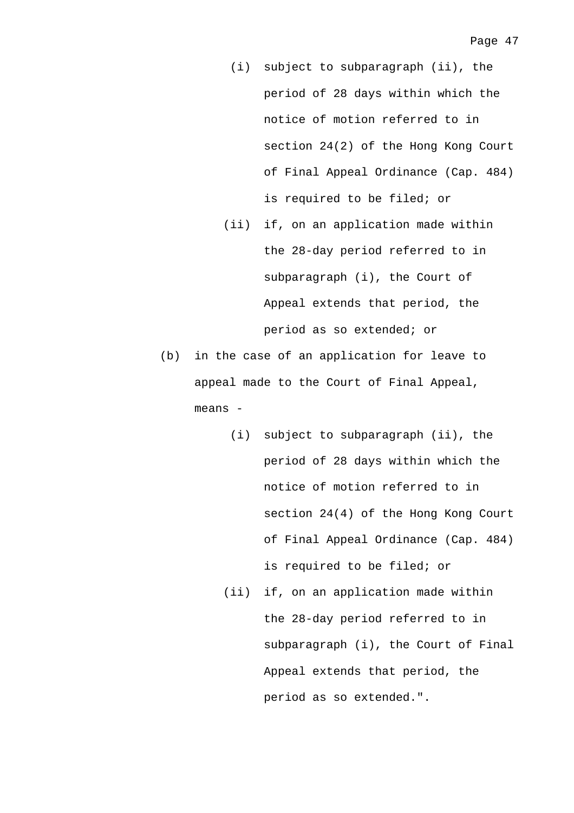- (i) subject to subparagraph (ii), the period of 28 days within which the notice of motion referred to in section 24(2) of the Hong Kong Court of Final Appeal Ordinance (Cap. 484) is required to be filed; or
- (ii) if, on an application made within the 28-day period referred to in subparagraph (i), the Court of Appeal extends that period, the period as so extended; or
- (b) in the case of an application for leave to appeal made to the Court of Final Appeal, means -
	- (i) subject to subparagraph (ii), the period of 28 days within which the notice of motion referred to in section 24(4) of the Hong Kong Court of Final Appeal Ordinance (Cap. 484) is required to be filed; or
	- (ii) if, on an application made within the 28-day period referred to in subparagraph (i), the Court of Final Appeal extends that period, the period as so extended.".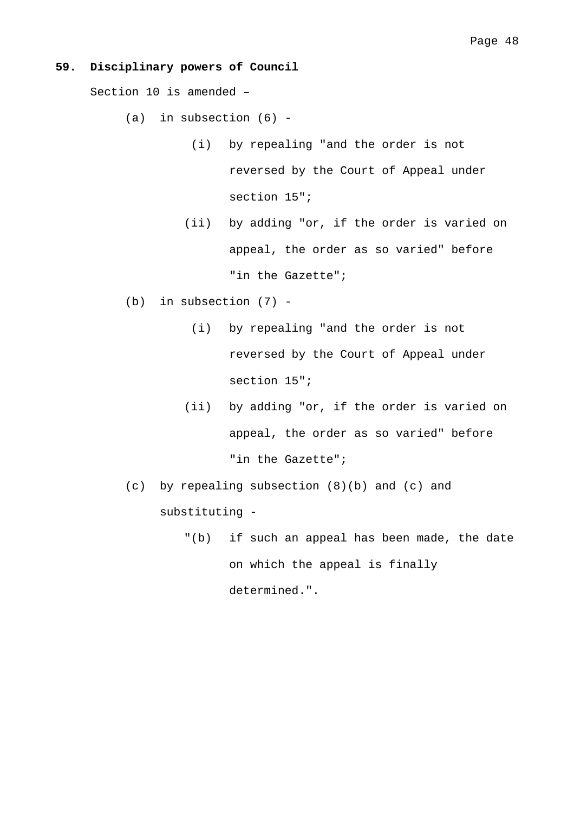## **59. Disciplinary powers of Council**

Section 10 is amended –

 $(a)$  in subsection  $(6)$  -

- (i) by repealing "and the order is not reversed by the Court of Appeal under section 15";
- (ii) by adding "or, if the order is varied on appeal, the order as so varied" before "in the Gazette";
- (b) in subsection (7)
	- (i) by repealing "and the order is not reversed by the Court of Appeal under section 15";
	- (ii) by adding "or, if the order is varied on appeal, the order as so varied" before "in the Gazette";
- (c) by repealing subsection (8)(b) and (c) and substituting -
	- "(b) if such an appeal has been made, the date on which the appeal is finally determined.".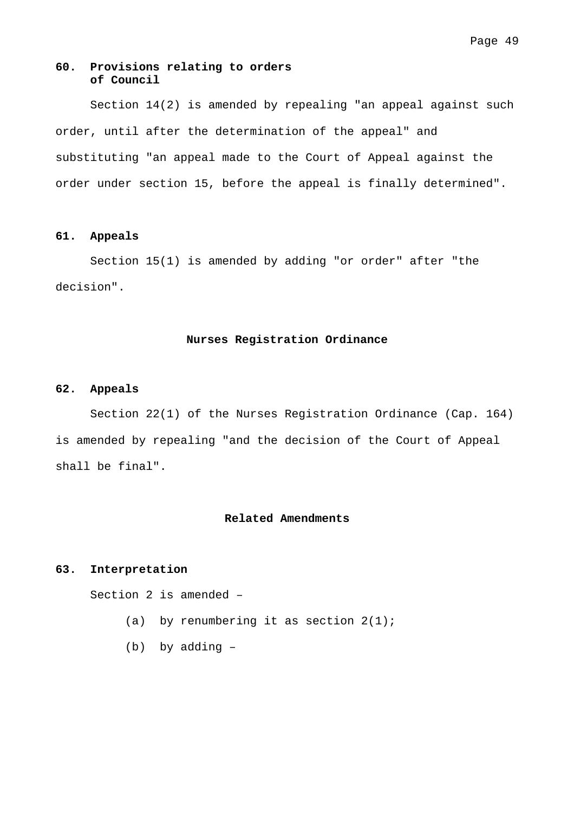## Page 49

## **60. Provisions relating to orders of Council**

 Section 14(2) is amended by repealing "an appeal against such order, until after the determination of the appeal" and substituting "an appeal made to the Court of Appeal against the order under section 15, before the appeal is finally determined".

#### **61. Appeals**

 Section 15(1) is amended by adding "or order" after "the decision".

## **Nurses Registration Ordinance**

## **62. Appeals**

 Section 22(1) of the Nurses Registration Ordinance (Cap. 164) is amended by repealing "and the decision of the Court of Appeal shall be final".

## **Related Amendments**

## **63. Interpretation**

Section 2 is amended –

- (a) by renumbering it as section  $2(1)$ ;
- (b) by adding –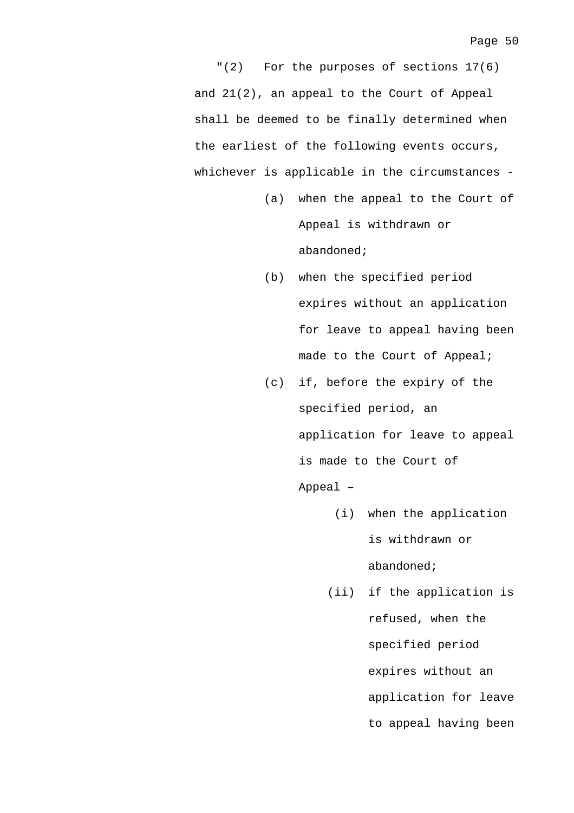"(2) For the purposes of sections 17(6) and 21(2), an appeal to the Court of Appeal shall be deemed to be finally determined when the earliest of the following events occurs, whichever is applicable in the circumstances -

- (a) when the appeal to the Court of Appeal is withdrawn or abandoned;
- (b) when the specified period expires without an application for leave to appeal having been made to the Court of Appeal;
- (c) if, before the expiry of the specified period, an application for leave to appeal is made to the Court of Appeal –
	- (i) when the application is withdrawn or abandoned;
	- (ii) if the application is refused, when the specified period expires without an application for leave to appeal having been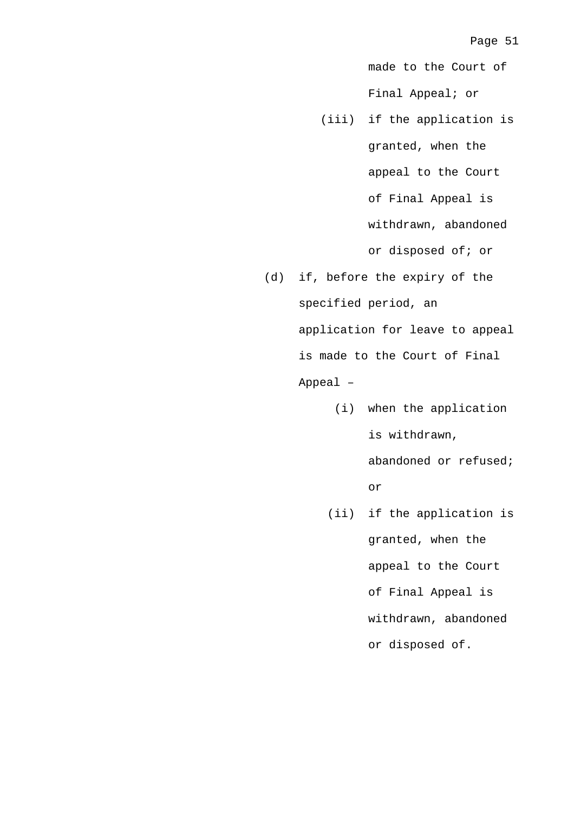made to the Court of Final Appeal; or

- (iii) if the application is granted, when the appeal to the Court of Final Appeal is withdrawn, abandoned or disposed of; or
- (d) if, before the expiry of the specified period, an application for leave to appeal is made to the Court of Final Appeal –
	- (i) when the application is withdrawn, abandoned or refused; or
	- (ii) if the application is granted, when the appeal to the Court of Final Appeal is withdrawn, abandoned or disposed of.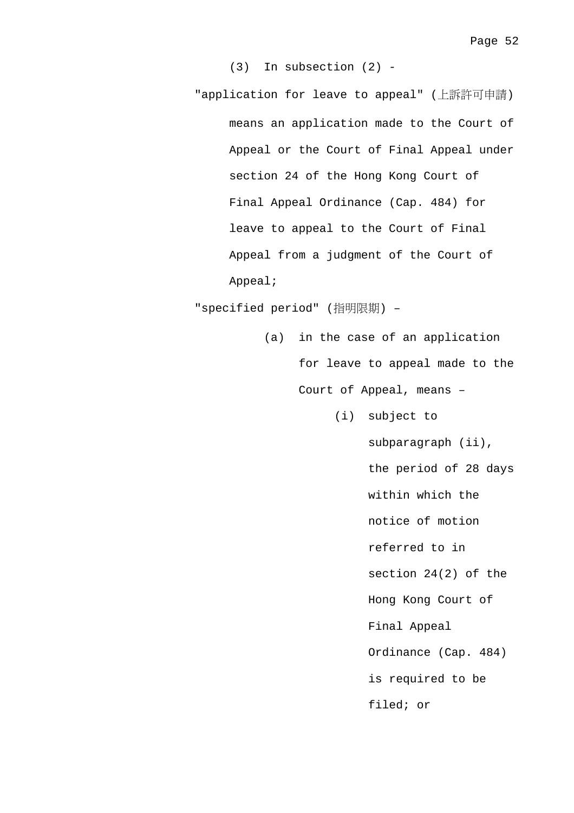(3) In subsection (2) -

"application for leave to appeal" (上訴許可申請) means an application made to the Court of Appeal or the Court of Final Appeal under section 24 of the Hong Kong Court of Final Appeal Ordinance (Cap. 484) for leave to appeal to the Court of Final Appeal from a judgment of the Court of Appeal;

"specified period" (指明限期) –

- (a) in the case of an application for leave to appeal made to the Court of Appeal, means –
	- (i) subject to

subparagraph (ii), the period of 28 days within which the notice of motion referred to in section 24(2) of the Hong Kong Court of Final Appeal Ordinance (Cap. 484) is required to be filed; or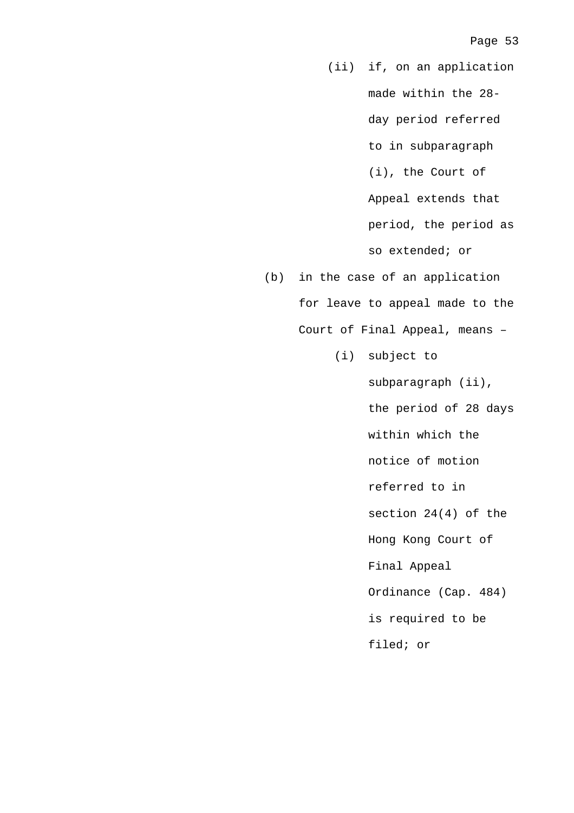(ii) if, on an application made within the 28 day period referred to in subparagraph (i), the Court of Appeal extends that period, the period as so extended; or

- (b) in the case of an application for leave to appeal made to the Court of Final Appeal, means –
	- (i) subject to

subparagraph (ii), the period of 28 days within which the notice of motion referred to in section 24(4) of the Hong Kong Court of Final Appeal Ordinance (Cap. 484) is required to be filed; or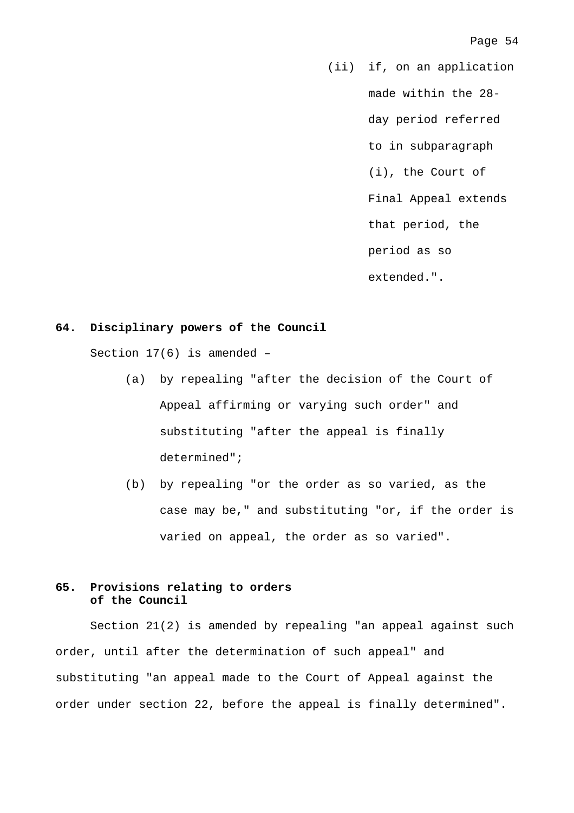(ii) if, on an application made within the 28 day period referred to in subparagraph (i), the Court of Final Appeal extends that period, the period as so extended.".

### **64. Disciplinary powers of the Council**

Section 17(6) is amended –

- (a) by repealing "after the decision of the Court of Appeal affirming or varying such order" and substituting "after the appeal is finally determined";
- (b) by repealing "or the order as so varied, as the case may be," and substituting "or, if the order is varied on appeal, the order as so varied".

## **65. Provisions relating to orders of the Council**

 Section 21(2) is amended by repealing "an appeal against such order, until after the determination of such appeal" and substituting "an appeal made to the Court of Appeal against the order under section 22, before the appeal is finally determined".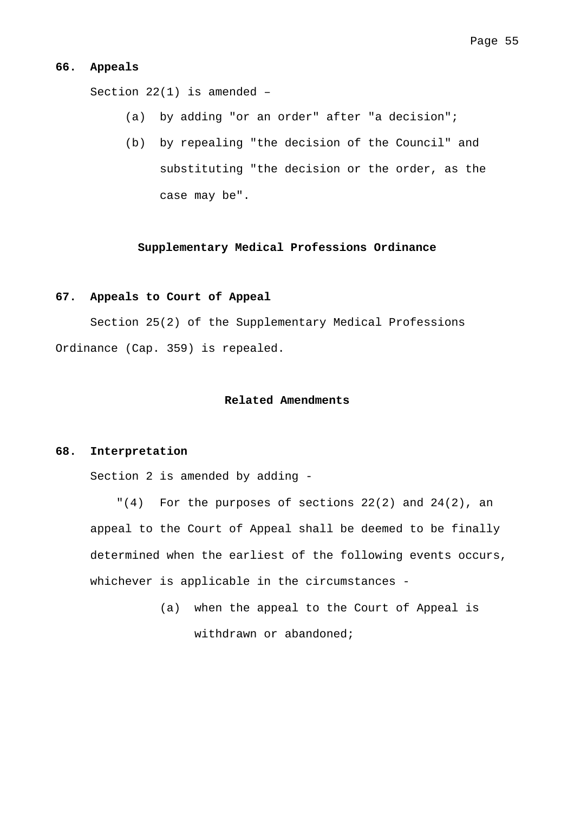#### **66. Appeals**

Section 22(1) is amended –

- (a) by adding "or an order" after "a decision";
- (b) by repealing "the decision of the Council" and substituting "the decision or the order, as the case may be".

# **Supplementary Medical Professions Ordinance**

### **67. Appeals to Court of Appeal**

 Section 25(2) of the Supplementary Medical Professions Ordinance (Cap. 359) is repealed.

## **Related Amendments**

## **68. Interpretation**

Section 2 is amended by adding -

 $(4)$  For the purposes of sections 22(2) and 24(2), an appeal to the Court of Appeal shall be deemed to be finally determined when the earliest of the following events occurs, whichever is applicable in the circumstances -

> (a) when the appeal to the Court of Appeal is withdrawn or abandoned;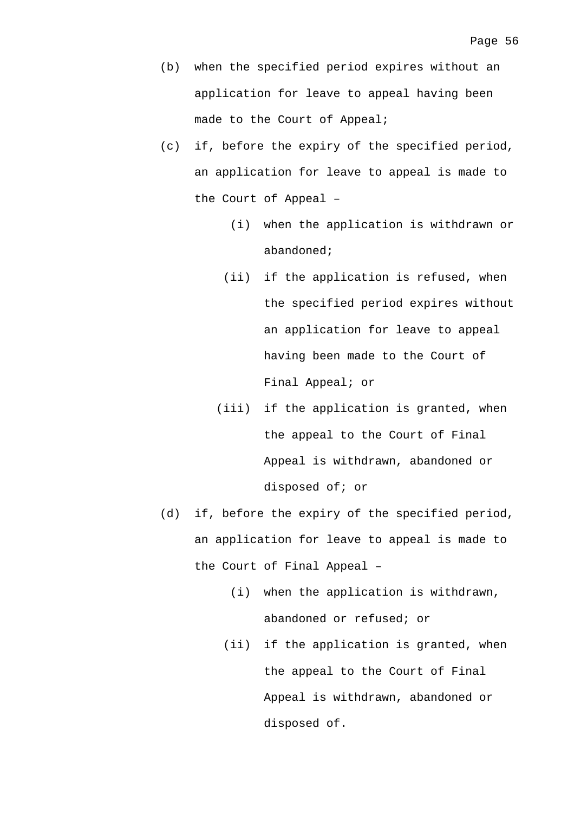- (b) when the specified period expires without an application for leave to appeal having been made to the Court of Appeal;
- (c) if, before the expiry of the specified period, an application for leave to appeal is made to the Court of Appeal –
	- (i) when the application is withdrawn or abandoned;
	- (ii) if the application is refused, when the specified period expires without an application for leave to appeal having been made to the Court of Final Appeal; or
	- (iii) if the application is granted, when the appeal to the Court of Final Appeal is withdrawn, abandoned or disposed of; or
- (d) if, before the expiry of the specified period, an application for leave to appeal is made to the Court of Final Appeal –
	- (i) when the application is withdrawn, abandoned or refused; or
	- (ii) if the application is granted, when the appeal to the Court of Final Appeal is withdrawn, abandoned or disposed of.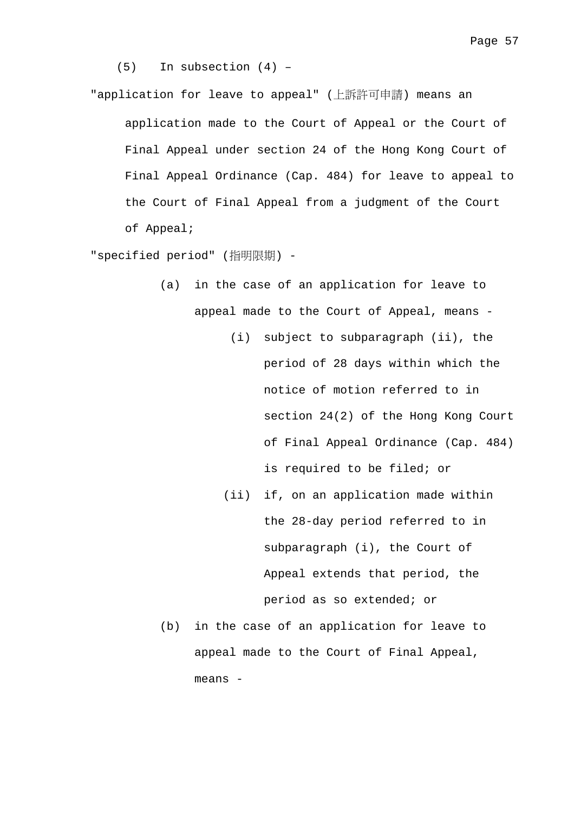(5) In subsection (4) –

"application for leave to appeal" (上訴許可申請) means an

application made to the Court of Appeal or the Court of Final Appeal under section 24 of the Hong Kong Court of Final Appeal Ordinance (Cap. 484) for leave to appeal to the Court of Final Appeal from a judgment of the Court of Appeal;

"specified period" (指明限期) -

- (a) in the case of an application for leave to appeal made to the Court of Appeal, means -
	- (i) subject to subparagraph (ii), the period of 28 days within which the notice of motion referred to in section 24(2) of the Hong Kong Court of Final Appeal Ordinance (Cap. 484) is required to be filed; or
	- (ii) if, on an application made within the 28-day period referred to in subparagraph (i), the Court of Appeal extends that period, the period as so extended; or
- (b) in the case of an application for leave to appeal made to the Court of Final Appeal, means -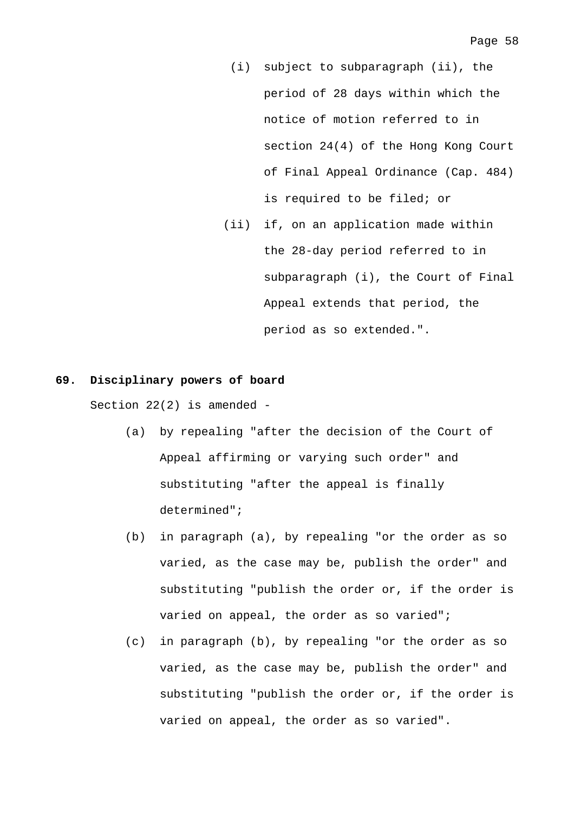- (i) subject to subparagraph (ii), the period of 28 days within which the notice of motion referred to in section 24(4) of the Hong Kong Court of Final Appeal Ordinance (Cap. 484) is required to be filed; or
- (ii) if, on an application made within the 28-day period referred to in subparagraph (i), the Court of Final Appeal extends that period, the period as so extended.".

## **69. Disciplinary powers of board**

Section  $22(2)$  is amended -

- (a) by repealing "after the decision of the Court of Appeal affirming or varying such order" and substituting "after the appeal is finally determined";
- (b) in paragraph (a), by repealing "or the order as so varied, as the case may be, publish the order" and substituting "publish the order or, if the order is varied on appeal, the order as so varied";
- (c) in paragraph (b), by repealing "or the order as so varied, as the case may be, publish the order" and substituting "publish the order or, if the order is varied on appeal, the order as so varied".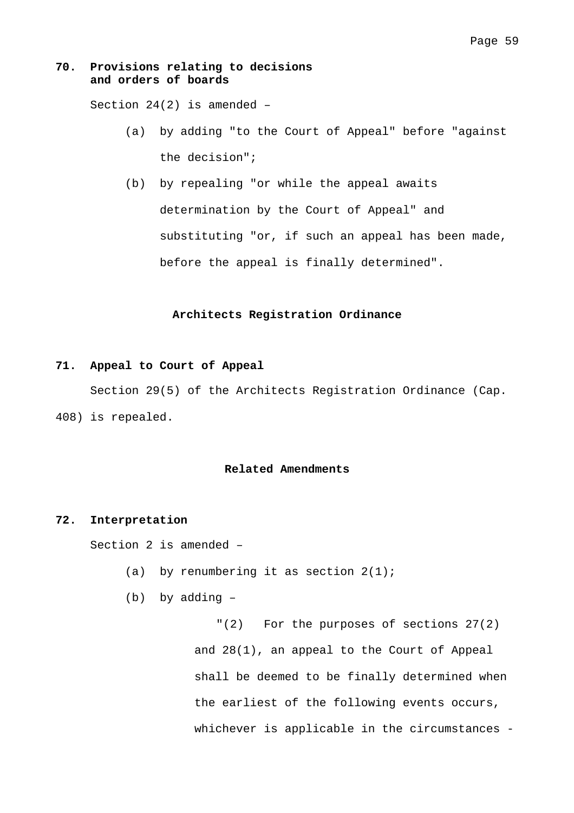## **70. Provisions relating to decisions and orders of boards**

Section 24(2) is amended –

- (a) by adding "to the Court of Appeal" before "against the decision";
- (b) by repealing "or while the appeal awaits determination by the Court of Appeal" and substituting "or, if such an appeal has been made, before the appeal is finally determined".

## **Architects Registration Ordinance**

## **71. Appeal to Court of Appeal**

 Section 29(5) of the Architects Registration Ordinance (Cap. 408) is repealed.

## **Related Amendments**

#### **72. Interpretation**

Section 2 is amended –

- (a) by renumbering it as section  $2(1)$ ;
- (b) by adding –

"(2) For the purposes of sections 27(2) and 28(1), an appeal to the Court of Appeal shall be deemed to be finally determined when the earliest of the following events occurs, whichever is applicable in the circumstances -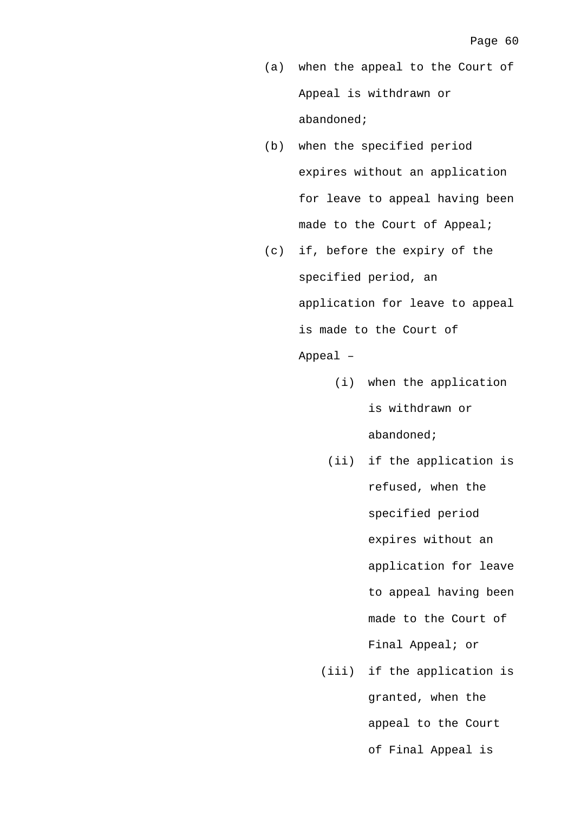- (a) when the appeal to the Court of Appeal is withdrawn or abandoned;
- (b) when the specified period expires without an application for leave to appeal having been made to the Court of Appeal;
- (c) if, before the expiry of the specified period, an application for leave to appeal is made to the Court of Appeal –
	- (i) when the application is withdrawn or abandoned;
	- (ii) if the application is refused, when the specified period expires without an application for leave to appeal having been made to the Court of Final Appeal; or
	- (iii) if the application is granted, when the appeal to the Court of Final Appeal is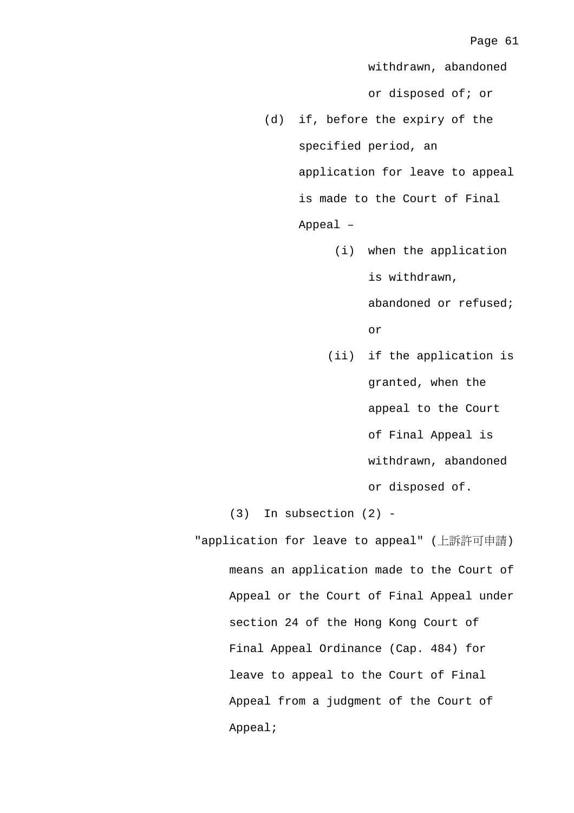withdrawn, abandoned or disposed of; or (d) if, before the expiry of the specified period, an application for leave to appeal is made to the Court of Final Appeal – (i) when the application is withdrawn, abandoned or refused; or (ii) if the application is granted, when the appeal to the Court of Final Appeal is withdrawn, abandoned or disposed of. (3) In subsection (2) - "application for leave to appeal" (上訴許可申請)

means an application made to the Court of Appeal or the Court of Final Appeal under section 24 of the Hong Kong Court of Final Appeal Ordinance (Cap. 484) for leave to appeal to the Court of Final Appeal from a judgment of the Court of Appeal;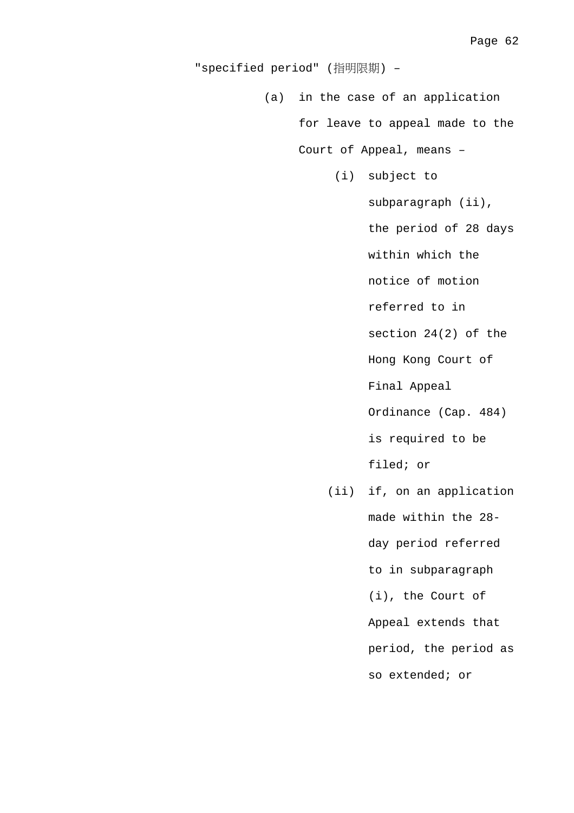"specified period" (指明限期) –

(a) in the case of an application

for leave to appeal made to the

Court of Appeal, means –

(i) subject to

subparagraph (ii),

the period of 28 days

within which the

notice of motion

referred to in

section 24(2) of the

Hong Kong Court of

Final Appeal

Ordinance (Cap. 484)

is required to be

filed; or

 (ii) if, on an application made within the 28 day period referred to in subparagraph (i), the Court of Appeal extends that period, the period as so extended; or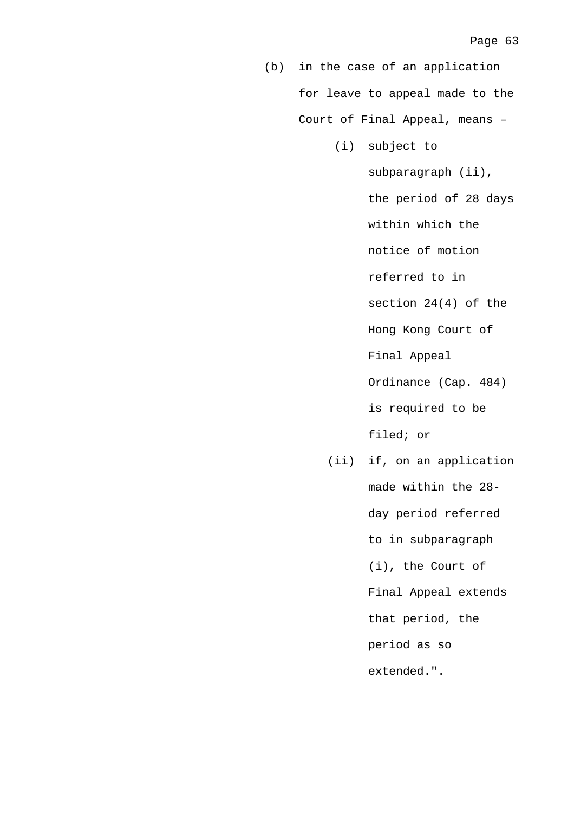(b) in the case of an application for leave to appeal made to the Court of Final Appeal, means –

(i) subject to

subparagraph (ii), the period of 28 days within which the notice of motion referred to in section 24(4) of the Hong Kong Court of Final Appeal Ordinance (Cap. 484) is required to be filed; or (ii) if, on an application

made within the 28 day period referred to in subparagraph (i), the Court of Final Appeal extends that period, the period as so extended.".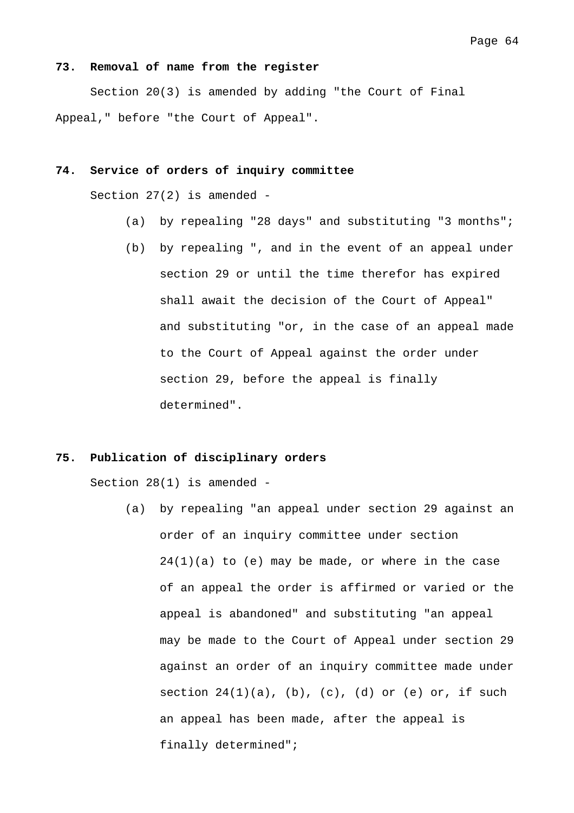#### **73. Removal of name from the register**

 Section 20(3) is amended by adding "the Court of Final Appeal," before "the Court of Appeal".

## **74. Service of orders of inquiry committee**

Section 27(2) is amended -

- (a) by repealing "28 days" and substituting "3 months";
- (b) by repealing ", and in the event of an appeal under section 29 or until the time therefor has expired shall await the decision of the Court of Appeal" and substituting "or, in the case of an appeal made to the Court of Appeal against the order under section 29, before the appeal is finally determined".

#### **75. Publication of disciplinary orders**

Section 28(1) is amended -

(a) by repealing "an appeal under section 29 against an order of an inquiry committee under section  $24(1)(a)$  to (e) may be made, or where in the case of an appeal the order is affirmed or varied or the appeal is abandoned" and substituting "an appeal may be made to the Court of Appeal under section 29 against an order of an inquiry committee made under section  $24(1)(a)$ , (b), (c), (d) or (e) or, if such an appeal has been made, after the appeal is finally determined";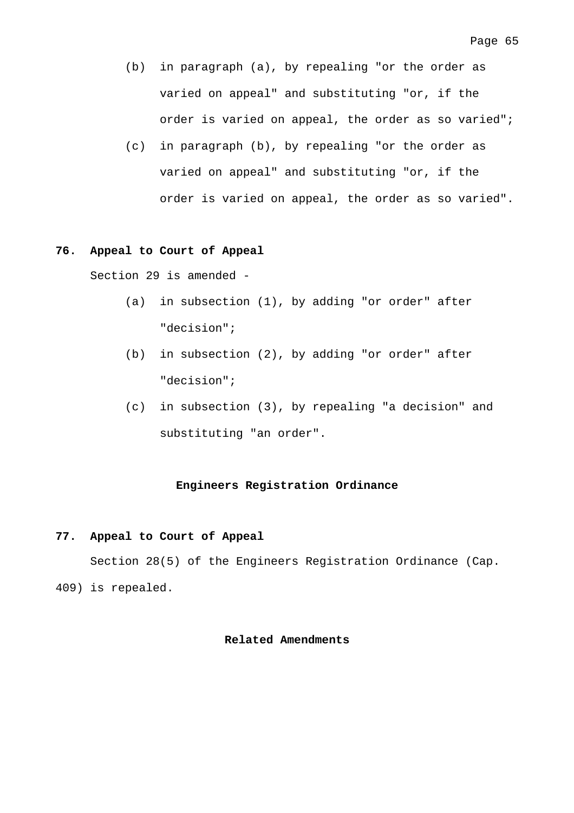- (b) in paragraph (a), by repealing "or the order as varied on appeal" and substituting "or, if the order is varied on appeal, the order as so varied";
- (c) in paragraph (b), by repealing "or the order as varied on appeal" and substituting "or, if the order is varied on appeal, the order as so varied".

# **76. Appeal to Court of Appeal**

Section 29 is amended -

- (a) in subsection (1), by adding "or order" after "decision";
- (b) in subsection (2), by adding "or order" after "decision";
- (c) in subsection (3), by repealing "a decision" and substituting "an order".

# **Engineers Registration Ordinance**

# **77. Appeal to Court of Appeal**

 Section 28(5) of the Engineers Registration Ordinance (Cap. 409) is repealed.

## **Related Amendments**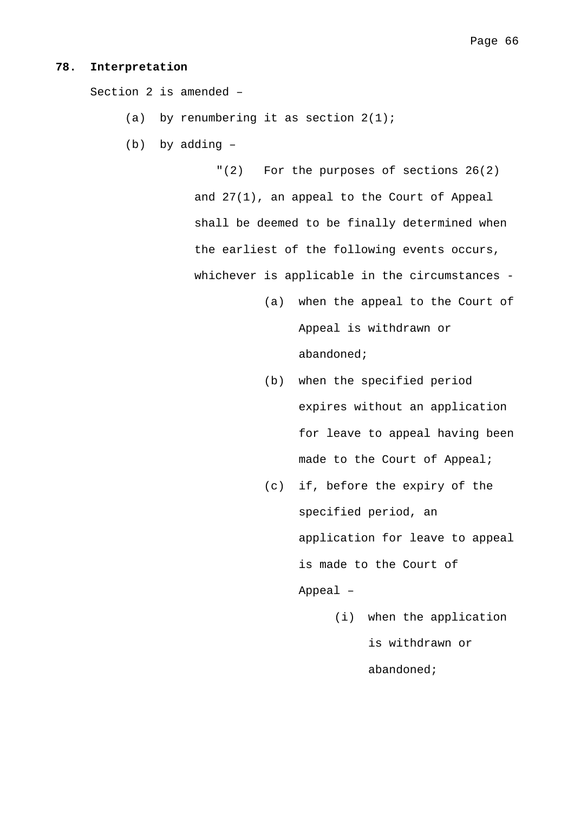#### **78. Interpretation**

Section 2 is amended –

- (a) by renumbering it as section  $2(1)$ ;
- (b) by adding –

"(2) For the purposes of sections 26(2) and 27(1), an appeal to the Court of Appeal shall be deemed to be finally determined when the earliest of the following events occurs, whichever is applicable in the circumstances -

- (a) when the appeal to the Court of Appeal is withdrawn or abandoned;
- (b) when the specified period expires without an application for leave to appeal having been made to the Court of Appeal;
- (c) if, before the expiry of the specified period, an application for leave to appeal is made to the Court of Appeal –
	- (i) when the application is withdrawn or abandoned;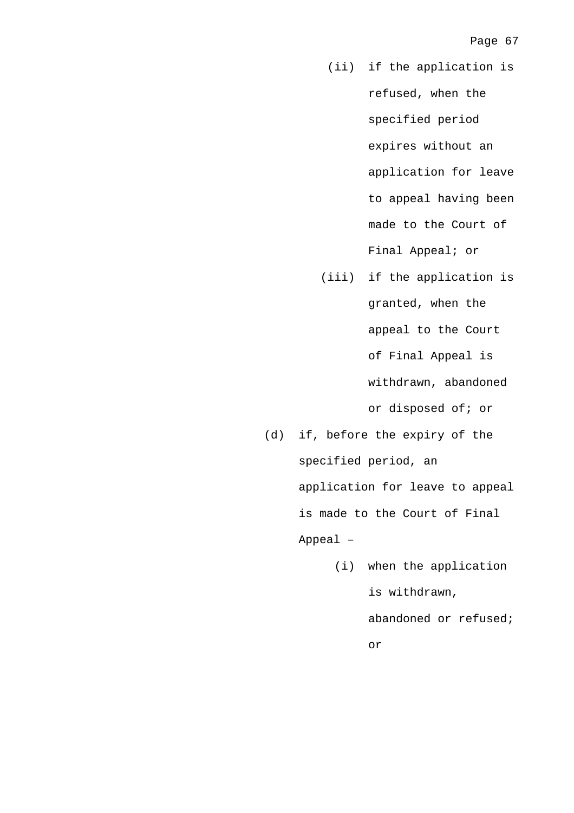- (ii) if the application is refused, when the specified period expires without an application for leave to appeal having been made to the Court of Final Appeal; or
- (iii) if the application is granted, when the appeal to the Court of Final Appeal is withdrawn, abandoned or disposed of; or
- (d) if, before the expiry of the specified period, an application for leave to appeal is made to the Court of Final Appeal –
	- (i) when the application is withdrawn, abandoned or refused; or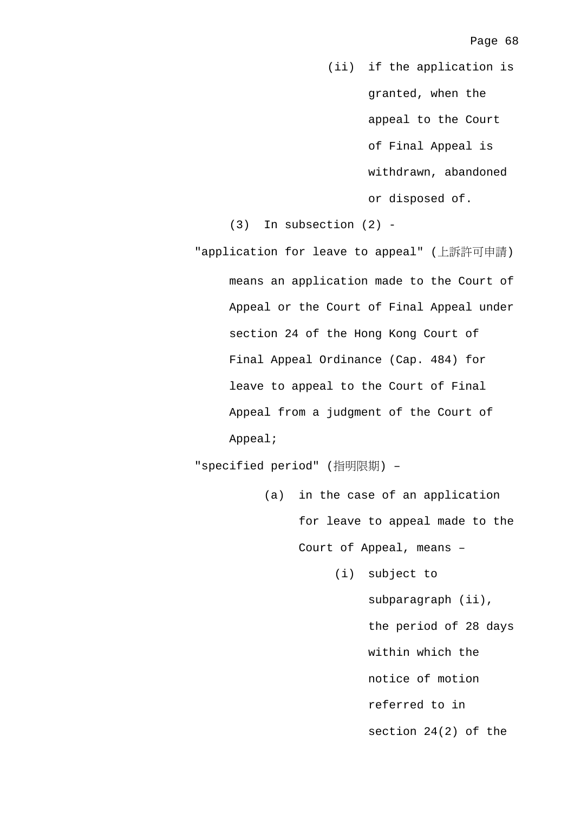(ii) if the application is granted, when the appeal to the Court of Final Appeal is withdrawn, abandoned or disposed of.

(3) In subsection (2) -

"application for leave to appeal" (上訴許可申請) means an application made to the Court of Appeal or the Court of Final Appeal under section 24 of the Hong Kong Court of Final Appeal Ordinance (Cap. 484) for leave to appeal to the Court of Final Appeal from a judgment of the Court of Appeal;

"specified period" (指明限期) –

- (a) in the case of an application for leave to appeal made to the Court of Appeal, means –
	- (i) subject to subparagraph (ii), the period of 28 days within which the notice of motion referred to in section 24(2) of the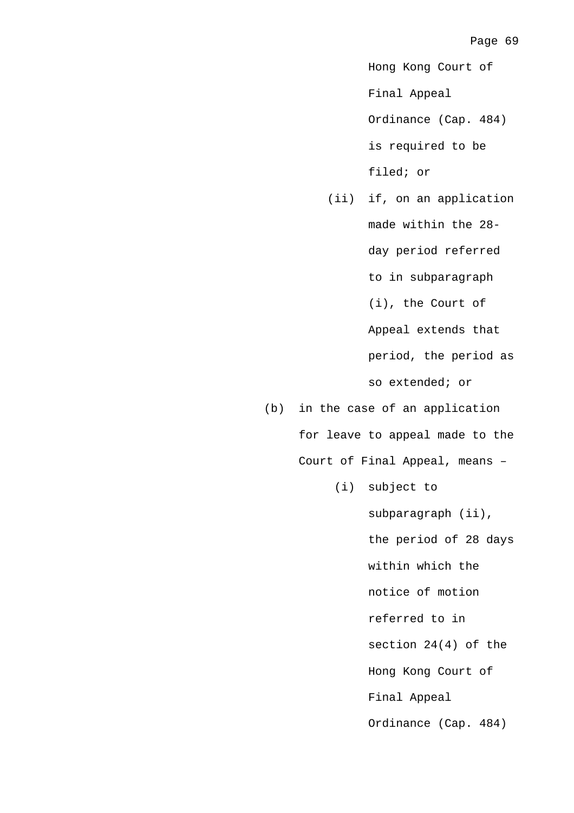Hong Kong Court of

Final Appeal

Ordinance (Cap. 484) is required to be filed; or

 (ii) if, on an application made within the 28 day period referred to in subparagraph (i), the Court of Appeal extends that period, the period as so extended; or

(b) in the case of an application for leave to appeal made to the Court of Final Appeal, means –

(i) subject to

subparagraph (ii), the period of 28 days within which the notice of motion referred to in section 24(4) of the Hong Kong Court of Final Appeal Ordinance (Cap. 484)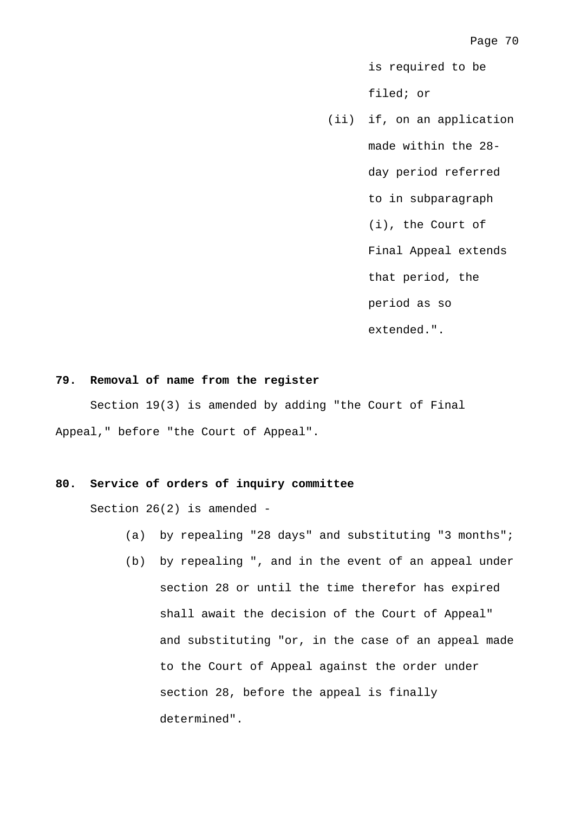is required to be filed; or

 (ii) if, on an application made within the 28 day period referred to in subparagraph (i), the Court of Final Appeal extends that period, the period as so extended.".

### **79. Removal of name from the register**

 Section 19(3) is amended by adding "the Court of Final Appeal," before "the Court of Appeal".

# **80. Service of orders of inquiry committee**

Section 26(2) is amended -

- (a) by repealing "28 days" and substituting "3 months";
- (b) by repealing ", and in the event of an appeal under section 28 or until the time therefor has expired shall await the decision of the Court of Appeal" and substituting "or, in the case of an appeal made to the Court of Appeal against the order under section 28, before the appeal is finally determined".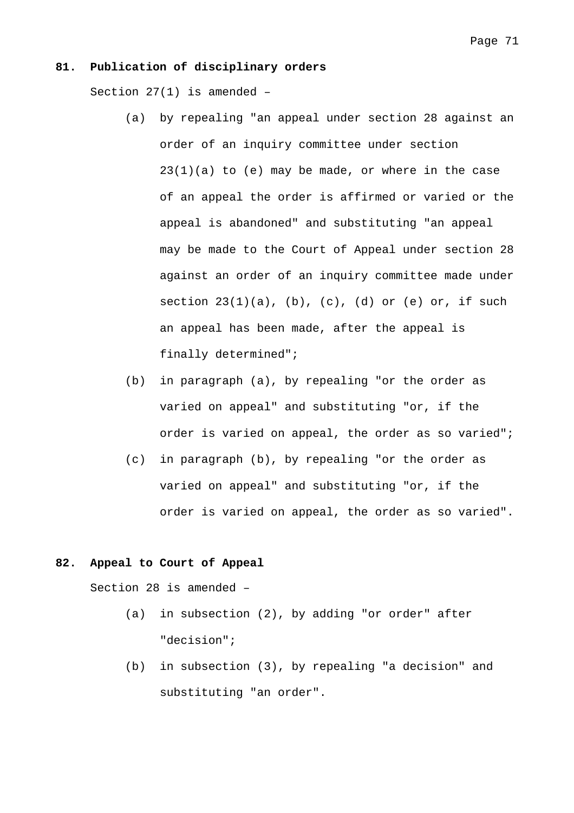### **81. Publication of disciplinary orders**

Section 27(1) is amended –

- (a) by repealing "an appeal under section 28 against an order of an inquiry committee under section  $23(1)(a)$  to (e) may be made, or where in the case of an appeal the order is affirmed or varied or the appeal is abandoned" and substituting "an appeal may be made to the Court of Appeal under section 28 against an order of an inquiry committee made under section  $23(1)(a)$ ,  $(b)$ ,  $(c)$ ,  $(d)$  or  $(e)$  or, if such an appeal has been made, after the appeal is finally determined";
- (b) in paragraph (a), by repealing "or the order as varied on appeal" and substituting "or, if the order is varied on appeal, the order as so varied";
- (c) in paragraph (b), by repealing "or the order as varied on appeal" and substituting "or, if the order is varied on appeal, the order as so varied".

### **82. Appeal to Court of Appeal**

Section 28 is amended –

- (a) in subsection (2), by adding "or order" after "decision";
- (b) in subsection (3), by repealing "a decision" and substituting "an order".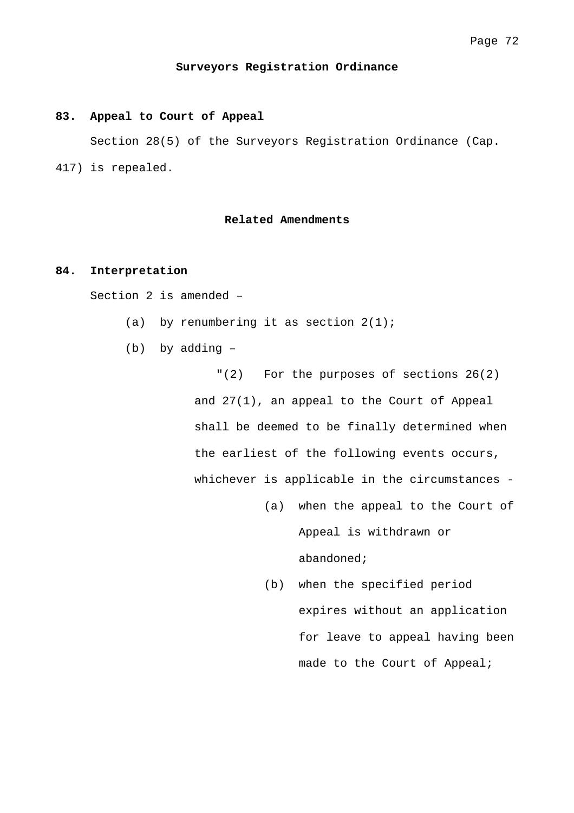#### **Surveyors Registration Ordinance**

#### **83. Appeal to Court of Appeal**

 Section 28(5) of the Surveyors Registration Ordinance (Cap. 417) is repealed.

# **Related Amendments**

### **84. Interpretation**

Section 2 is amended –

- (a) by renumbering it as section  $2(1)$ ;
- (b) by adding –

"(2) For the purposes of sections 26(2) and 27(1), an appeal to the Court of Appeal shall be deemed to be finally determined when the earliest of the following events occurs, whichever is applicable in the circumstances -

- (a) when the appeal to the Court of Appeal is withdrawn or abandoned;
- (b) when the specified period expires without an application for leave to appeal having been made to the Court of Appeal;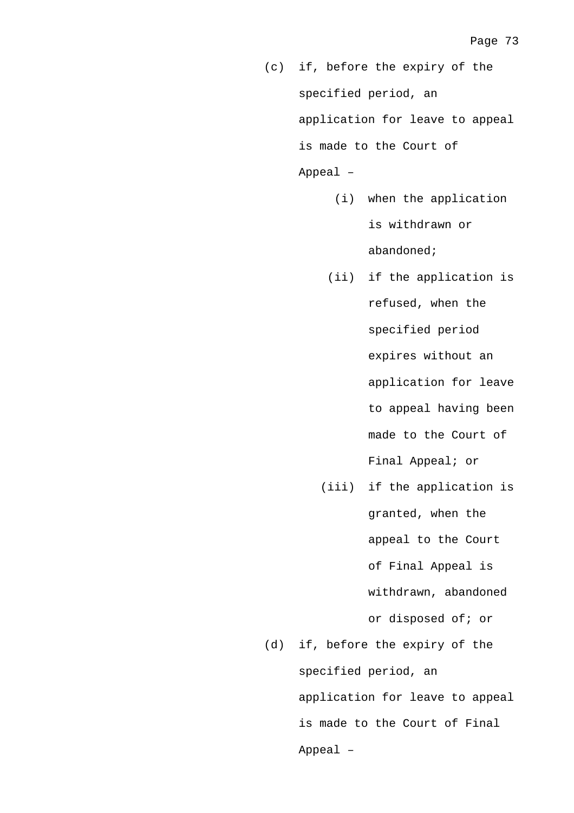- (c) if, before the expiry of the specified period, an application for leave to appeal is made to the Court of Appeal –
	- (i) when the application is withdrawn or abandoned;
	- (ii) if the application is refused, when the specified period expires without an application for leave to appeal having been made to the Court of Final Appeal; or
- (iii) if the application is granted, when the appeal to the Court of Final Appeal is withdrawn, abandoned or disposed of; or (d) if, before the expiry of the
	- specified period, an application for leave to appeal is made to the Court of Final Appeal –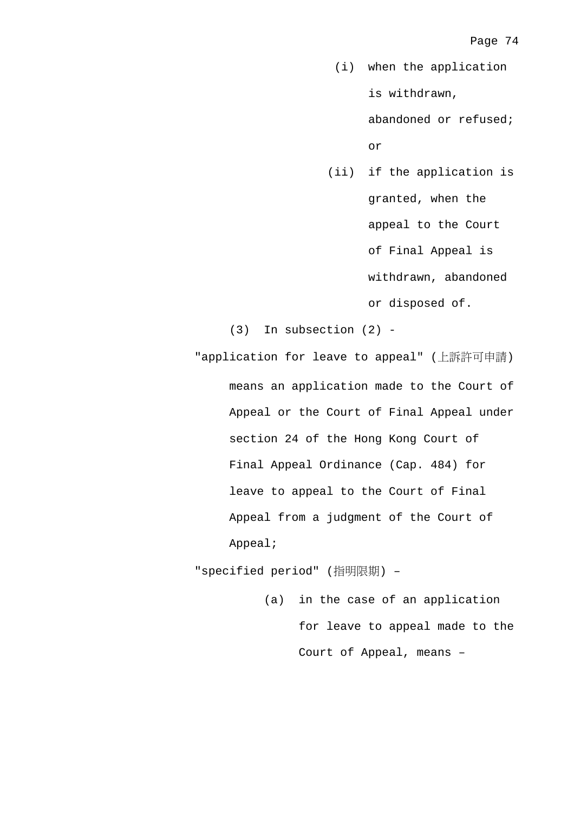(i) when the application is withdrawn,

> abandoned or refused; or

 (ii) if the application is granted, when the appeal to the Court of Final Appeal is withdrawn, abandoned or disposed of.

(3) In subsection (2) -

"application for leave to appeal" (上訴許可申請) means an application made to the Court of Appeal or the Court of Final Appeal under section 24 of the Hong Kong Court of Final Appeal Ordinance (Cap. 484) for leave to appeal to the Court of Final Appeal from a judgment of the Court of Appeal;

"specified period" (指明限期) –

(a) in the case of an application for leave to appeal made to the Court of Appeal, means –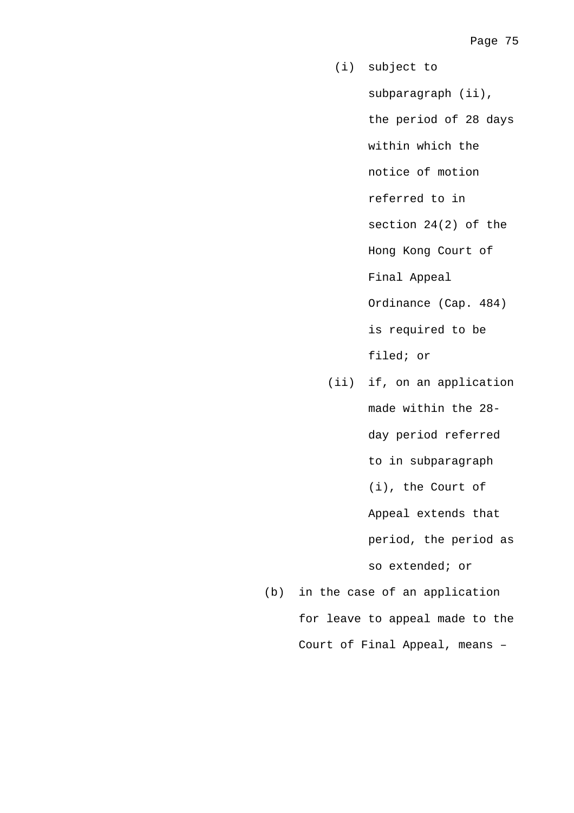- (i) subject to subparagraph (ii), the period of 28 days within which the notice of motion referred to in section 24(2) of the Hong Kong Court of Final Appeal Ordinance (Cap. 484) is required to be filed; or
- (ii) if, on an application made within the 28 day period referred to in subparagraph (i), the Court of Appeal extends that period, the period as so extended; or
- (b) in the case of an application for leave to appeal made to the Court of Final Appeal, means –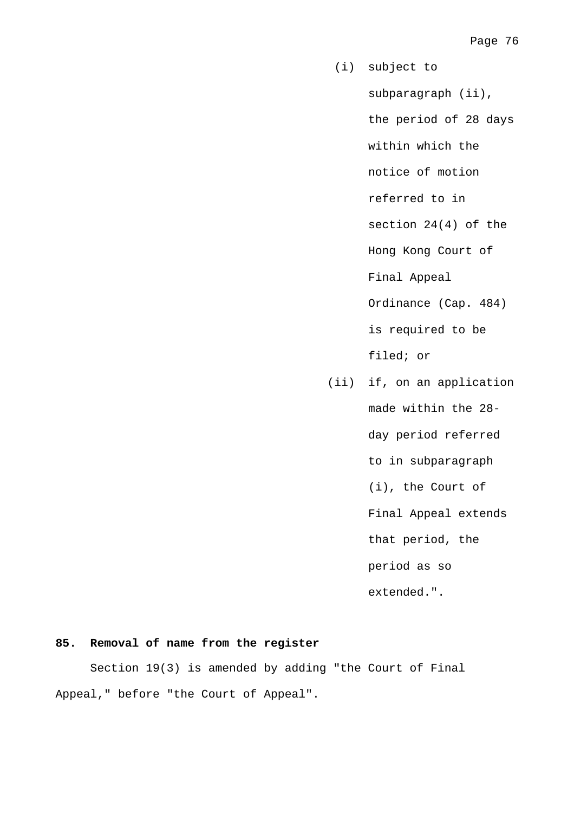- (i) subject to subparagraph (ii), the period of 28 days within which the notice of motion referred to in section 24(4) of the Hong Kong Court of Final Appeal Ordinance (Cap. 484) is required to be filed; or (ii) if, on an application
	- made within the 28-

day period referred

to in subparagraph

(i), the Court of

Final Appeal extends

that period, the

period as so

extended.".

# **85. Removal of name from the register**

 Section 19(3) is amended by adding "the Court of Final Appeal," before "the Court of Appeal".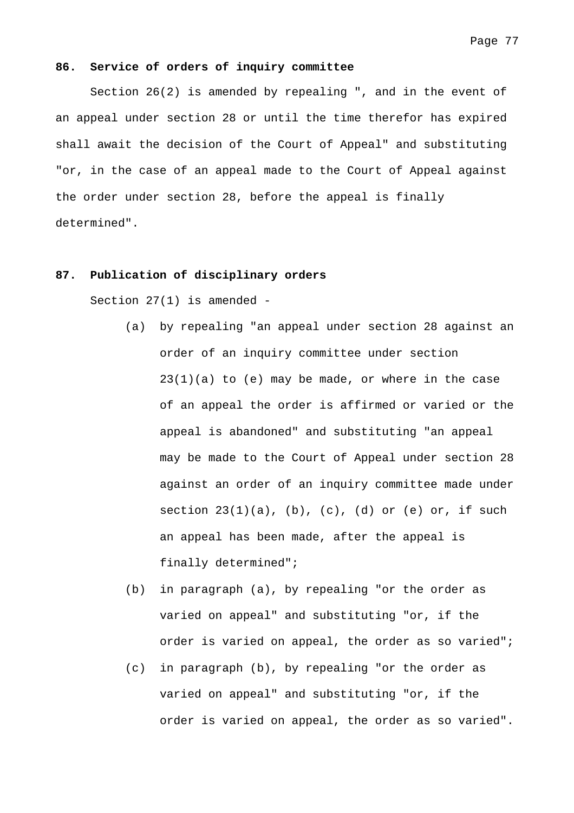#### **86. Service of orders of inquiry committee**

 Section 26(2) is amended by repealing ", and in the event of an appeal under section 28 or until the time therefor has expired shall await the decision of the Court of Appeal" and substituting "or, in the case of an appeal made to the Court of Appeal against the order under section 28, before the appeal is finally determined".

## **87. Publication of disciplinary orders**

Section 27(1) is amended -

- (a) by repealing "an appeal under section 28 against an order of an inquiry committee under section  $23(1)(a)$  to (e) may be made, or where in the case of an appeal the order is affirmed or varied or the appeal is abandoned" and substituting "an appeal may be made to the Court of Appeal under section 28 against an order of an inquiry committee made under section  $23(1)(a)$ ,  $(b)$ ,  $(c)$ ,  $(d)$  or  $(e)$  or, if such an appeal has been made, after the appeal is finally determined";
- (b) in paragraph (a), by repealing "or the order as varied on appeal" and substituting "or, if the order is varied on appeal, the order as so varied";
- (c) in paragraph (b), by repealing "or the order as varied on appeal" and substituting "or, if the order is varied on appeal, the order as so varied".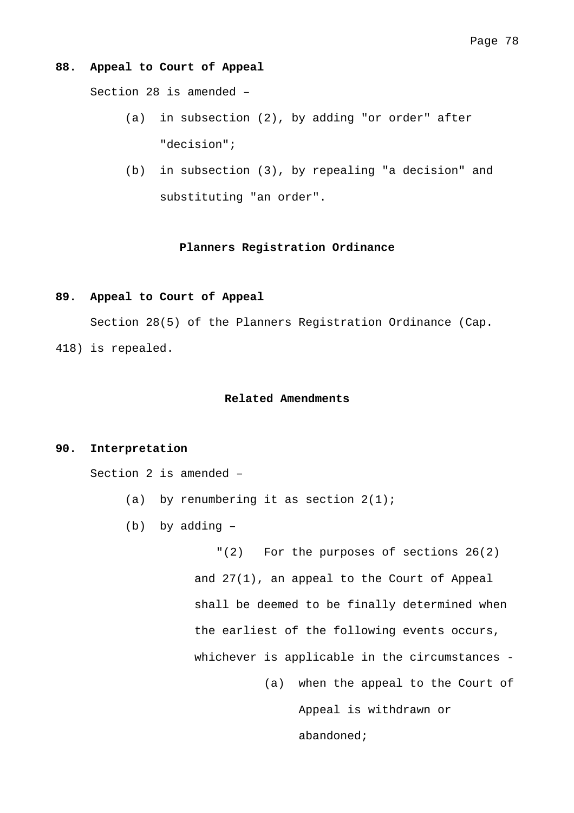#### **88. Appeal to Court of Appeal**

Section 28 is amended –

- (a) in subsection (2), by adding "or order" after "decision";
- (b) in subsection (3), by repealing "a decision" and substituting "an order".

# **Planners Registration Ordinance**

## **89. Appeal to Court of Appeal**

 Section 28(5) of the Planners Registration Ordinance (Cap. 418) is repealed.

## **Related Amendments**

## **90. Interpretation**

Section 2 is amended –

- (a) by renumbering it as section  $2(1)$ ;
- (b) by adding –

"(2) For the purposes of sections 26(2) and 27(1), an appeal to the Court of Appeal shall be deemed to be finally determined when the earliest of the following events occurs, whichever is applicable in the circumstances -

> (a) when the appeal to the Court of Appeal is withdrawn or abandoned;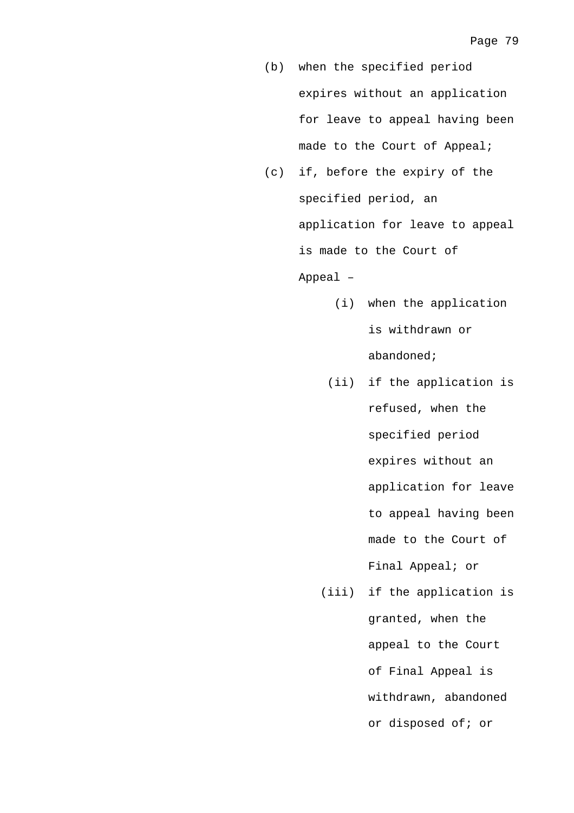- (b) when the specified period expires without an application for leave to appeal having been made to the Court of Appeal;
- (c) if, before the expiry of the specified period, an application for leave to appeal is made to the Court of Appeal –
	- (i) when the application is withdrawn or abandoned;
	- (ii) if the application is refused, when the specified period expires without an application for leave to appeal having been made to the Court of Final Appeal; or
	- (iii) if the application is granted, when the appeal to the Court of Final Appeal is withdrawn, abandoned or disposed of; or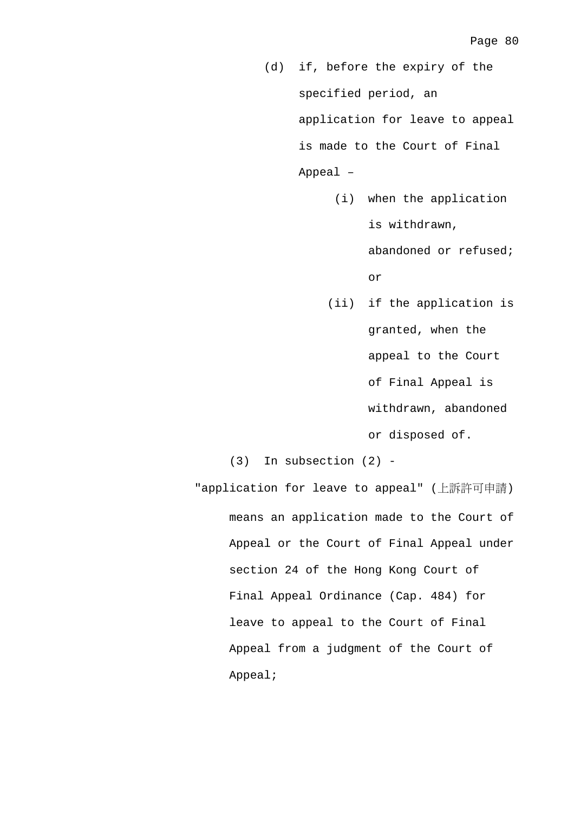- (d) if, before the expiry of the specified period, an application for leave to appeal is made to the Court of Final Appeal –
	- (i) when the application is withdrawn,

abandoned or refused; or

 (ii) if the application is granted, when the appeal to the Court of Final Appeal is withdrawn, abandoned or disposed of.

(3) In subsection (2) -

"application for leave to appeal" (上訴許可申請) means an application made to the Court of Appeal or the Court of Final Appeal under section 24 of the Hong Kong Court of Final Appeal Ordinance (Cap. 484) for leave to appeal to the Court of Final Appeal from a judgment of the Court of Appeal;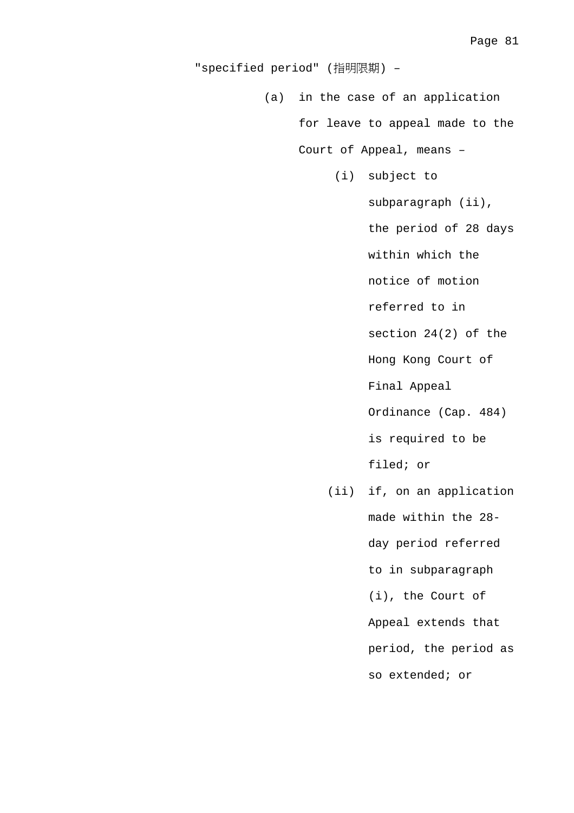"specified period" (指明限期) –

(a) in the case of an application

for leave to appeal made to the

Court of Appeal, means –

(i) subject to

subparagraph (ii),

the period of 28 days

within which the

notice of motion

referred to in

section 24(2) of the

Hong Kong Court of

Final Appeal

Ordinance (Cap. 484)

is required to be

filed; or

 (ii) if, on an application made within the 28 day period referred to in subparagraph (i), the Court of Appeal extends that period, the period as so extended; or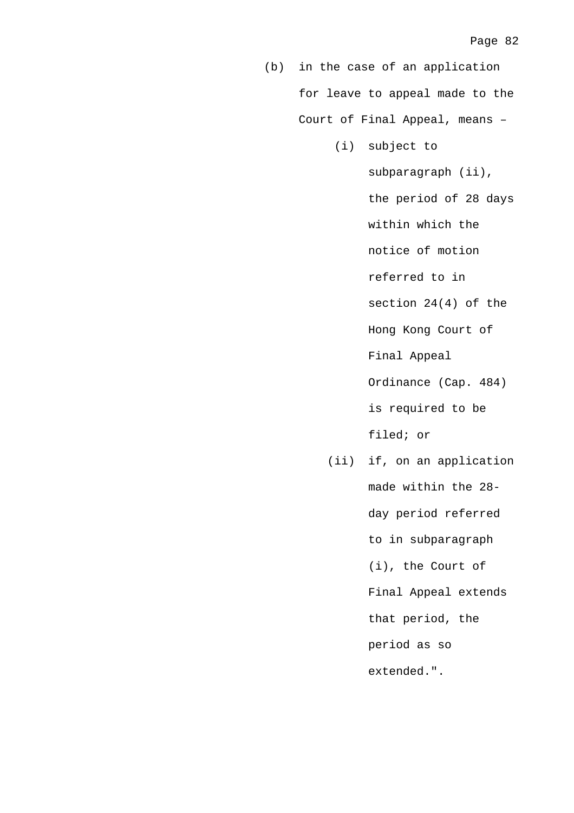(b) in the case of an application for leave to appeal made to the Court of Final Appeal, means –

(i) subject to

subparagraph (ii), the period of 28 days within which the notice of motion referred to in section 24(4) of the Hong Kong Court of Final Appeal Ordinance (Cap. 484) is required to be filed; or

 (ii) if, on an application made within the 28 day period referred to in subparagraph (i), the Court of Final Appeal extends that period, the period as so extended.".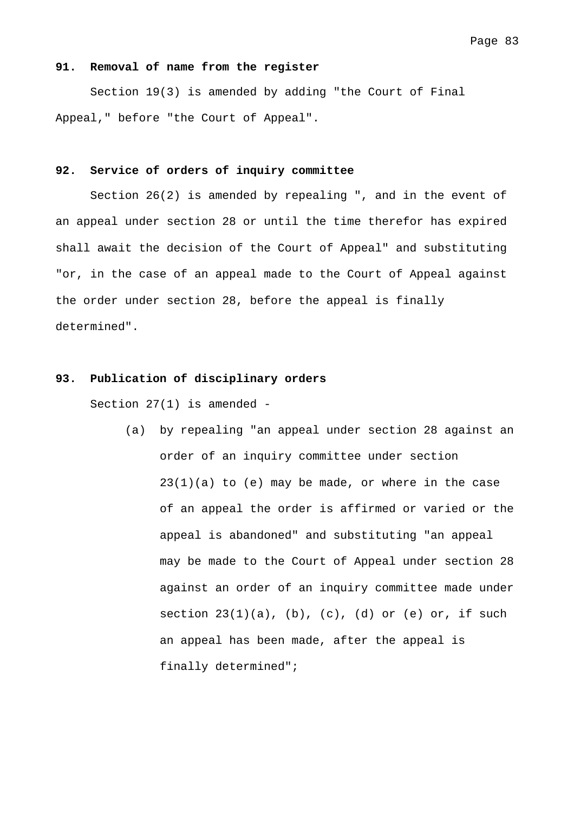#### **91. Removal of name from the register**

 Section 19(3) is amended by adding "the Court of Final Appeal," before "the Court of Appeal".

### **92. Service of orders of inquiry committee**

 Section 26(2) is amended by repealing ", and in the event of an appeal under section 28 or until the time therefor has expired shall await the decision of the Court of Appeal" and substituting "or, in the case of an appeal made to the Court of Appeal against the order under section 28, before the appeal is finally determined".

# **93. Publication of disciplinary orders**

Section 27(1) is amended -

(a) by repealing "an appeal under section 28 against an order of an inquiry committee under section  $23(1)(a)$  to (e) may be made, or where in the case of an appeal the order is affirmed or varied or the appeal is abandoned" and substituting "an appeal may be made to the Court of Appeal under section 28 against an order of an inquiry committee made under section  $23(1)(a)$ ,  $(b)$ ,  $(c)$ ,  $(d)$  or  $(e)$  or, if such an appeal has been made, after the appeal is finally determined";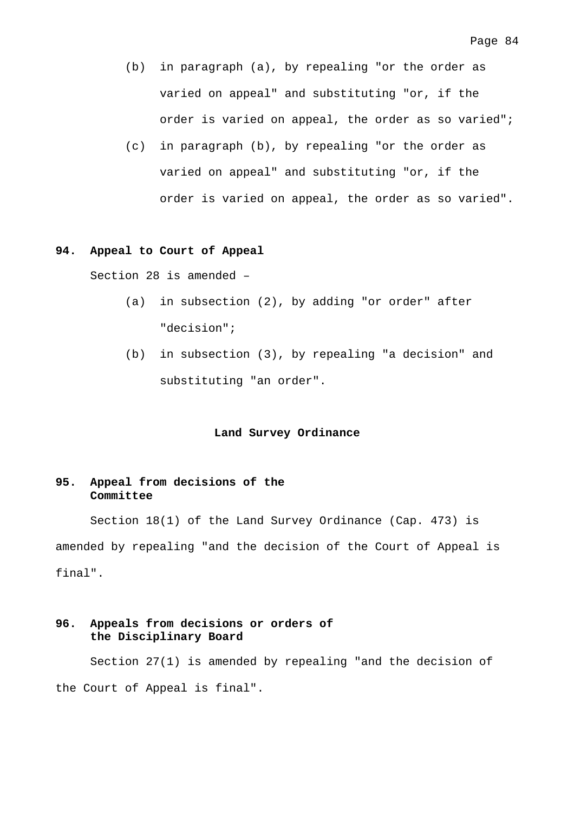- (b) in paragraph (a), by repealing "or the order as varied on appeal" and substituting "or, if the order is varied on appeal, the order as so varied";
- (c) in paragraph (b), by repealing "or the order as varied on appeal" and substituting "or, if the order is varied on appeal, the order as so varied".

## **94. Appeal to Court of Appeal**

Section 28 is amended –

- (a) in subsection (2), by adding "or order" after "decision";
- (b) in subsection (3), by repealing "a decision" and substituting "an order".

#### **Land Survey Ordinance**

# **95. Appeal from decisions of the Committee**

 Section 18(1) of the Land Survey Ordinance (Cap. 473) is amended by repealing "and the decision of the Court of Appeal is final".

# **96. Appeals from decisions or orders of the Disciplinary Board**

 Section 27(1) is amended by repealing "and the decision of the Court of Appeal is final".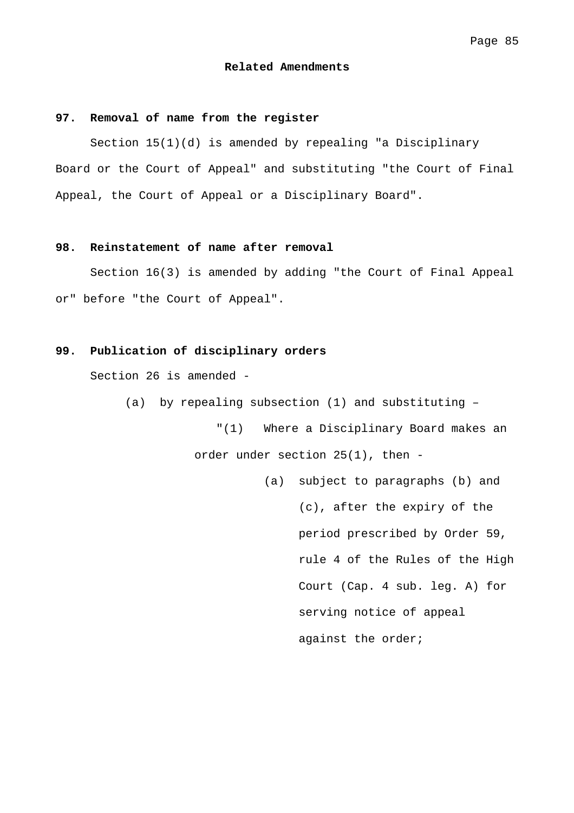#### **Related Amendments**

### **97. Removal of name from the register**

 Section 15(1)(d) is amended by repealing "a Disciplinary Board or the Court of Appeal" and substituting "the Court of Final Appeal, the Court of Appeal or a Disciplinary Board".

## **98. Reinstatement of name after removal**

 Section 16(3) is amended by adding "the Court of Final Appeal or" before "the Court of Appeal".

# **99. Publication of disciplinary orders**

Section 26 is amended -

(a) by repealing subsection (1) and substituting –

"(1) Where a Disciplinary Board makes an order under section 25(1), then -

> (a) subject to paragraphs (b) and (c), after the expiry of the period prescribed by Order 59, rule 4 of the Rules of the High Court (Cap. 4 sub. leg. A) for serving notice of appeal against the order;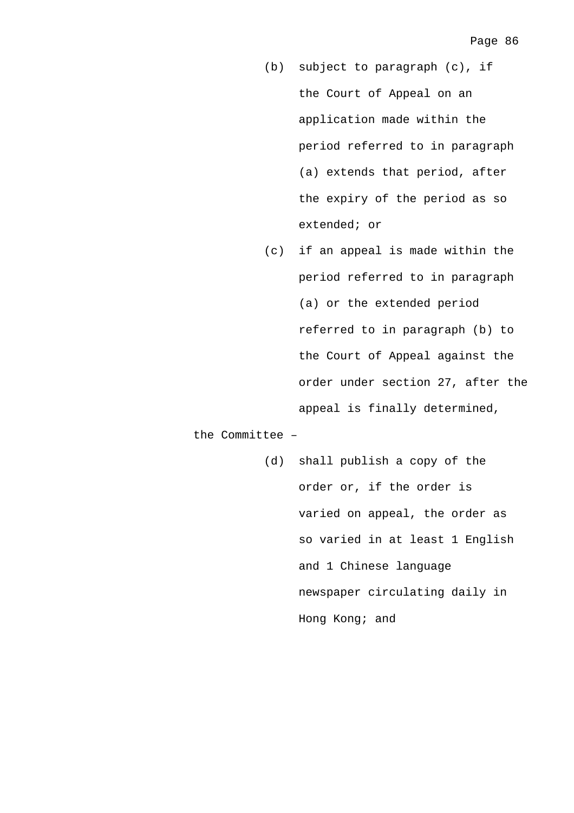- (b) subject to paragraph (c), if the Court of Appeal on an application made within the period referred to in paragraph (a) extends that period, after the expiry of the period as so extended; or
- (c) if an appeal is made within the period referred to in paragraph (a) or the extended period referred to in paragraph (b) to the Court of Appeal against the order under section 27, after the appeal is finally determined,

the Committee –

(d) shall publish a copy of the order or, if the order is varied on appeal, the order as so varied in at least 1 English and 1 Chinese language newspaper circulating daily in Hong Kong; and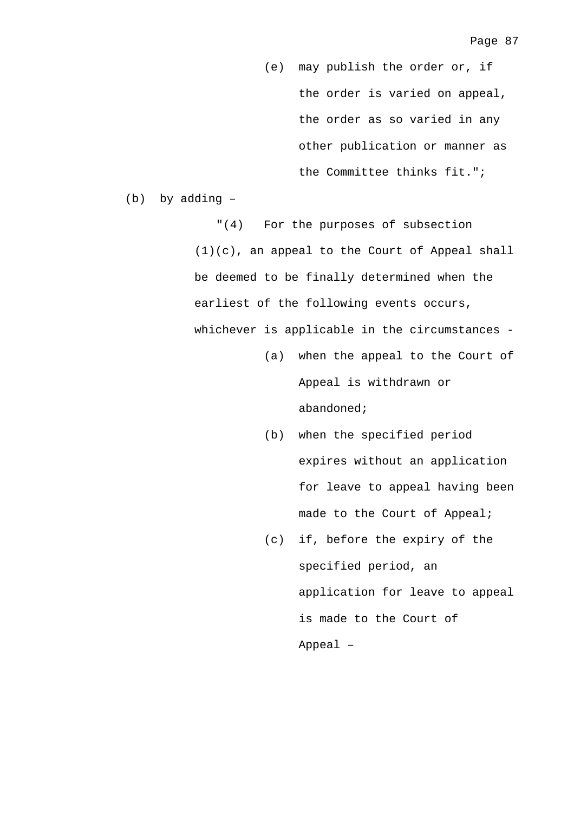(e) may publish the order or, if the order is varied on appeal, the order as so varied in any other publication or manner as the Committee thinks fit.";

(b) by adding –

"(4) For the purposes of subsection  $(1)(c)$ , an appeal to the Court of Appeal shall be deemed to be finally determined when the earliest of the following events occurs, whichever is applicable in the circumstances -

- (a) when the appeal to the Court of Appeal is withdrawn or abandoned;
- (b) when the specified period expires without an application for leave to appeal having been made to the Court of Appeal;
- (c) if, before the expiry of the specified period, an application for leave to appeal is made to the Court of Appeal –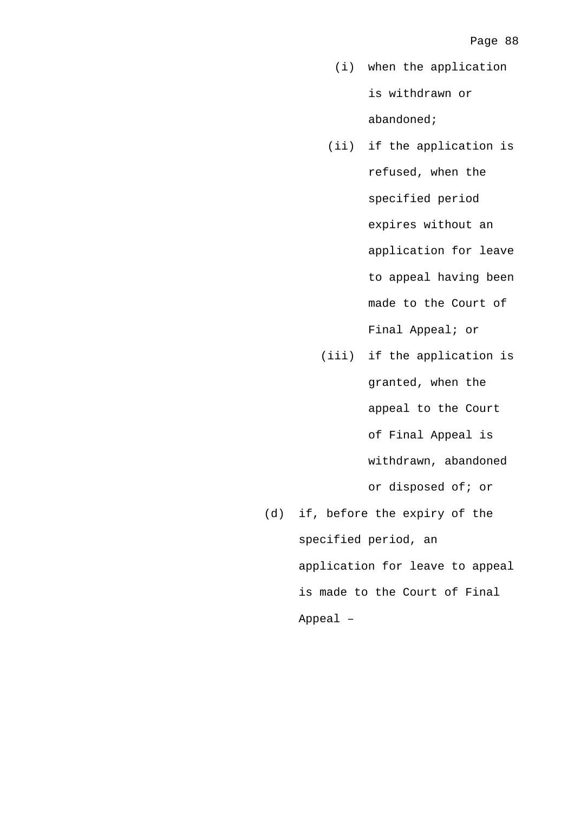- (i) when the application is withdrawn or abandoned;
- (ii) if the application is refused, when the specified period expires without an application for leave to appeal having been made to the Court of Final Appeal; or
- (iii) if the application is granted, when the appeal to the Court of Final Appeal is withdrawn, abandoned or disposed of; or (d) if, before the expiry of the
	- specified period, an application for leave to appeal is made to the Court of Final Appeal –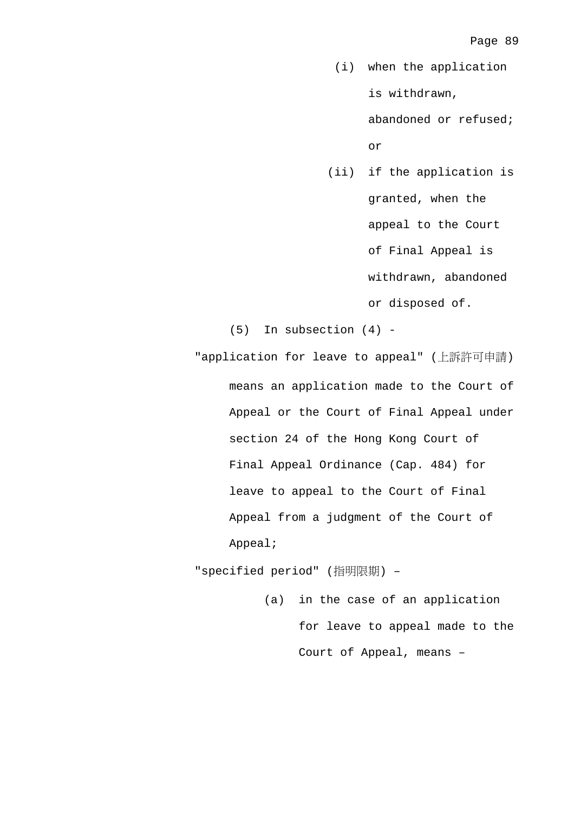(i) when the application is withdrawn,

> abandoned or refused; or

 (ii) if the application is granted, when the appeal to the Court of Final Appeal is withdrawn, abandoned or disposed of.

(5) In subsection (4) -

"application for leave to appeal" (上訴許可申請) means an application made to the Court of Appeal or the Court of Final Appeal under section 24 of the Hong Kong Court of Final Appeal Ordinance (Cap. 484) for leave to appeal to the Court of Final Appeal from a judgment of the Court of Appeal;

"specified period" (指明限期) –

(a) in the case of an application for leave to appeal made to the Court of Appeal, means –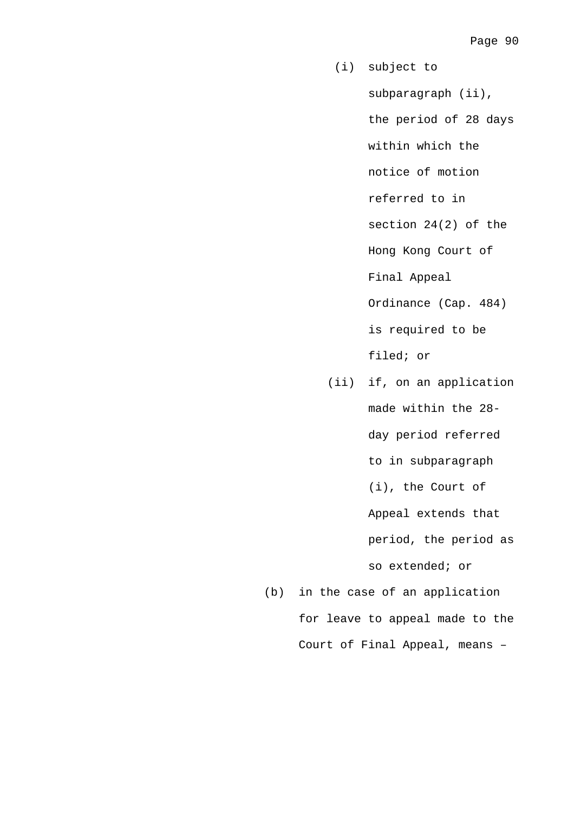- (i) subject to subparagraph (ii), the period of 28 days within which the notice of motion referred to in section 24(2) of the Hong Kong Court of Final Appeal Ordinance (Cap. 484) is required to be filed; or
- (ii) if, on an application made within the 28 day period referred to in subparagraph (i), the Court of Appeal extends that period, the period as so extended; or
- (b) in the case of an application for leave to appeal made to the Court of Final Appeal, means –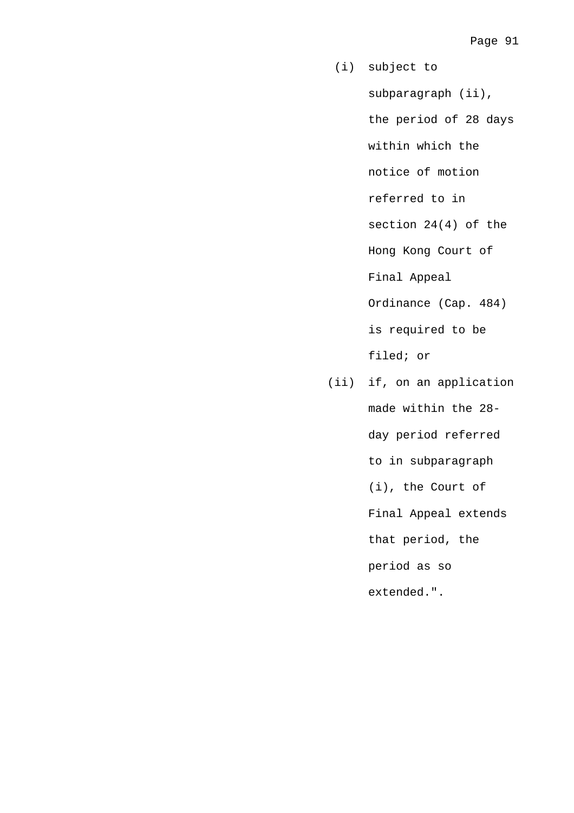- (i) subject to subparagraph (ii), the period of 28 days within which the notice of motion referred to in section 24(4) of the Hong Kong Court of Final Appeal Ordinance (Cap. 484) is required to be filed; or
- (ii) if, on an application made within the 28 day period referred to in subparagraph (i), the Court of Final Appeal extends that period, the period as so extended.".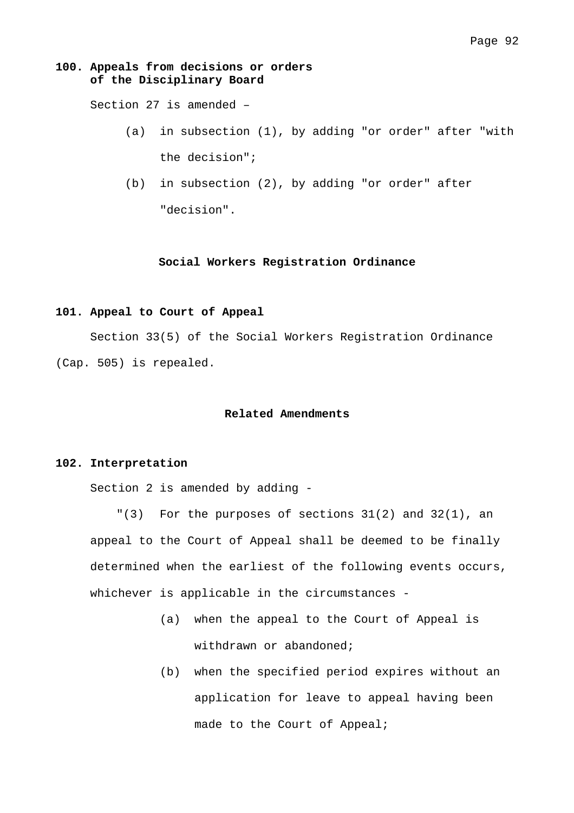## **100. Appeals from decisions or orders of the Disciplinary Board**

Section 27 is amended –

- (a) in subsection (1), by adding "or order" after "with the decision";
- (b) in subsection (2), by adding "or order" after "decision".

#### **Social Workers Registration Ordinance**

# **101. Appeal to Court of Appeal**

 Section 33(5) of the Social Workers Registration Ordinance (Cap. 505) is repealed.

## **Related Amendments**

#### **102. Interpretation**

Section 2 is amended by adding -

"(3) For the purposes of sections 31(2) and 32(1), an appeal to the Court of Appeal shall be deemed to be finally determined when the earliest of the following events occurs, whichever is applicable in the circumstances -

- (a) when the appeal to the Court of Appeal is withdrawn or abandoned;
- (b) when the specified period expires without an application for leave to appeal having been made to the Court of Appeal;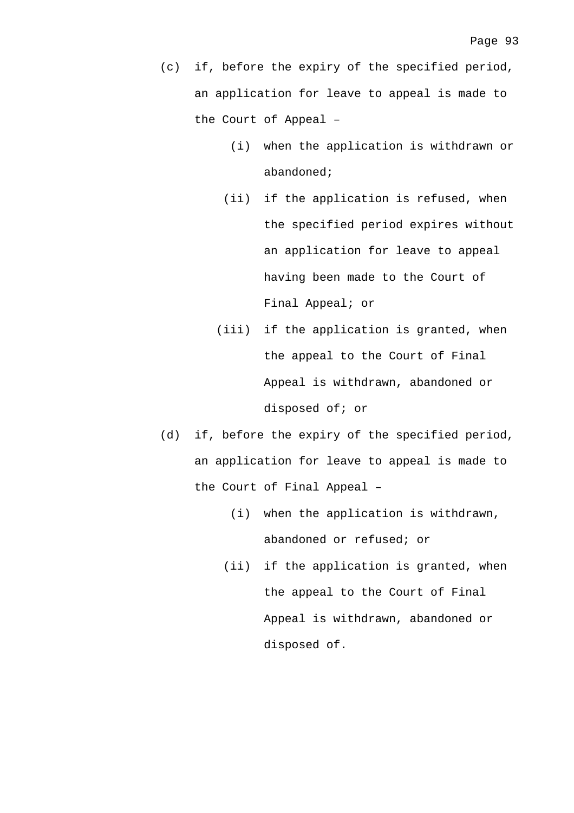- (c) if, before the expiry of the specified period, an application for leave to appeal is made to the Court of Appeal –
	- (i) when the application is withdrawn or abandoned;
	- (ii) if the application is refused, when the specified period expires without an application for leave to appeal having been made to the Court of Final Appeal; or
	- (iii) if the application is granted, when the appeal to the Court of Final Appeal is withdrawn, abandoned or disposed of; or
- (d) if, before the expiry of the specified period, an application for leave to appeal is made to the Court of Final Appeal –
	- (i) when the application is withdrawn, abandoned or refused; or
	- (ii) if the application is granted, when the appeal to the Court of Final Appeal is withdrawn, abandoned or disposed of.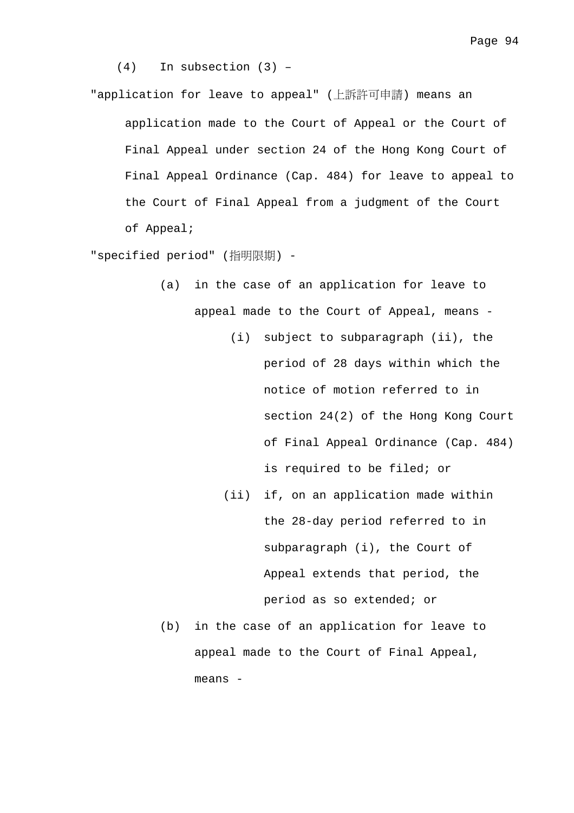(4) In subsection (3) –

"application for leave to appeal" (上訴許可申請) means an

application made to the Court of Appeal or the Court of Final Appeal under section 24 of the Hong Kong Court of Final Appeal Ordinance (Cap. 484) for leave to appeal to the Court of Final Appeal from a judgment of the Court of Appeal;

"specified period" (指明限期) -

- (a) in the case of an application for leave to appeal made to the Court of Appeal, means -
	- (i) subject to subparagraph (ii), the period of 28 days within which the notice of motion referred to in section 24(2) of the Hong Kong Court of Final Appeal Ordinance (Cap. 484) is required to be filed; or
	- (ii) if, on an application made within the 28-day period referred to in subparagraph (i), the Court of Appeal extends that period, the period as so extended; or
- (b) in the case of an application for leave to appeal made to the Court of Final Appeal, means -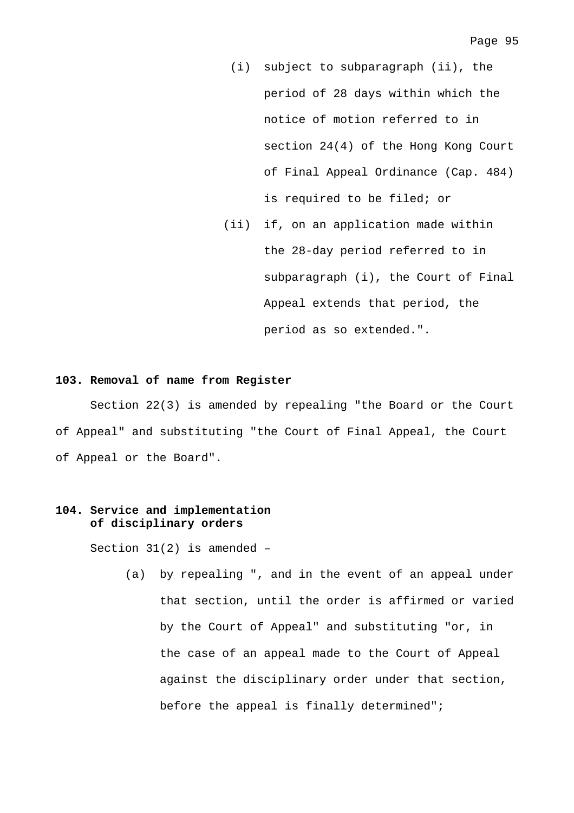- (i) subject to subparagraph (ii), the period of 28 days within which the notice of motion referred to in section 24(4) of the Hong Kong Court of Final Appeal Ordinance (Cap. 484) is required to be filed; or
- (ii) if, on an application made within the 28-day period referred to in subparagraph (i), the Court of Final Appeal extends that period, the period as so extended.".

## **103. Removal of name from Register**

 Section 22(3) is amended by repealing "the Board or the Court of Appeal" and substituting "the Court of Final Appeal, the Court of Appeal or the Board".

# **104. Service and implementation of disciplinary orders**

Section 31(2) is amended –

(a) by repealing ", and in the event of an appeal under that section, until the order is affirmed or varied by the Court of Appeal" and substituting "or, in the case of an appeal made to the Court of Appeal against the disciplinary order under that section, before the appeal is finally determined";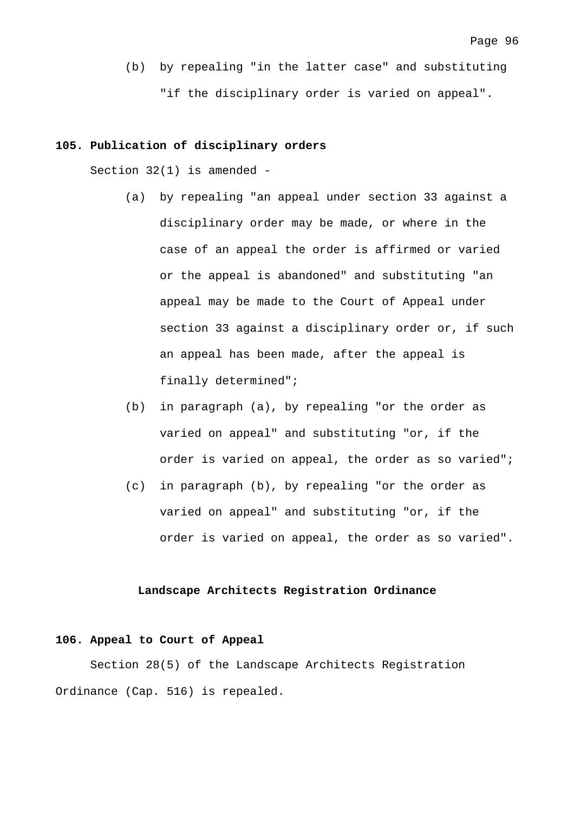(b) by repealing "in the latter case" and substituting

"if the disciplinary order is varied on appeal".

## **105. Publication of disciplinary orders**

Section 32(1) is amended -

- (a) by repealing "an appeal under section 33 against a disciplinary order may be made, or where in the case of an appeal the order is affirmed or varied or the appeal is abandoned" and substituting "an appeal may be made to the Court of Appeal under section 33 against a disciplinary order or, if such an appeal has been made, after the appeal is finally determined";
- (b) in paragraph (a), by repealing "or the order as varied on appeal" and substituting "or, if the order is varied on appeal, the order as so varied";
- (c) in paragraph (b), by repealing "or the order as varied on appeal" and substituting "or, if the order is varied on appeal, the order as so varied".

## **Landscape Architects Registration Ordinance**

# **106. Appeal to Court of Appeal**

 Section 28(5) of the Landscape Architects Registration Ordinance (Cap. 516) is repealed.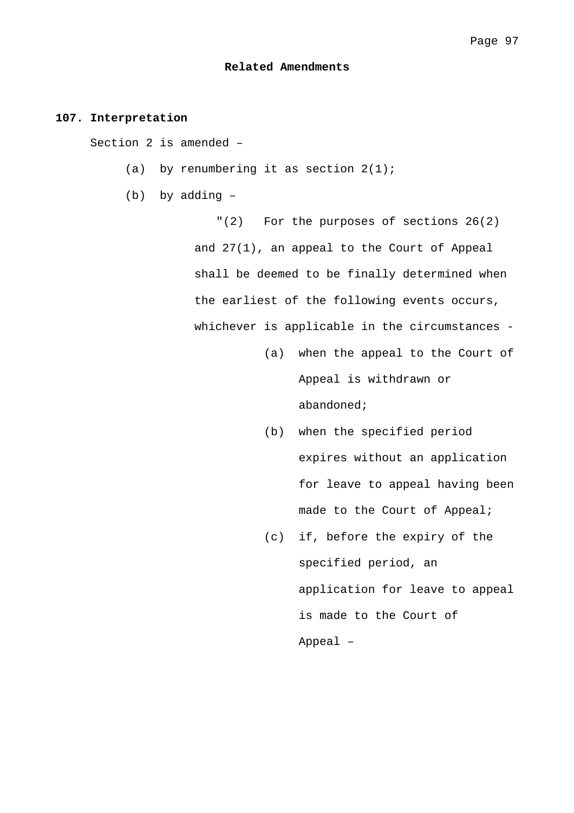#### **Related Amendments**

# **107. Interpretation**

Section 2 is amended –

- (a) by renumbering it as section  $2(1)$ ;
- (b) by adding –

"(2) For the purposes of sections 26(2) and 27(1), an appeal to the Court of Appeal shall be deemed to be finally determined when the earliest of the following events occurs, whichever is applicable in the circumstances -

- (a) when the appeal to the Court of Appeal is withdrawn or abandoned;
- (b) when the specified period expires without an application for leave to appeal having been made to the Court of Appeal;
- (c) if, before the expiry of the specified period, an application for leave to appeal is made to the Court of Appeal –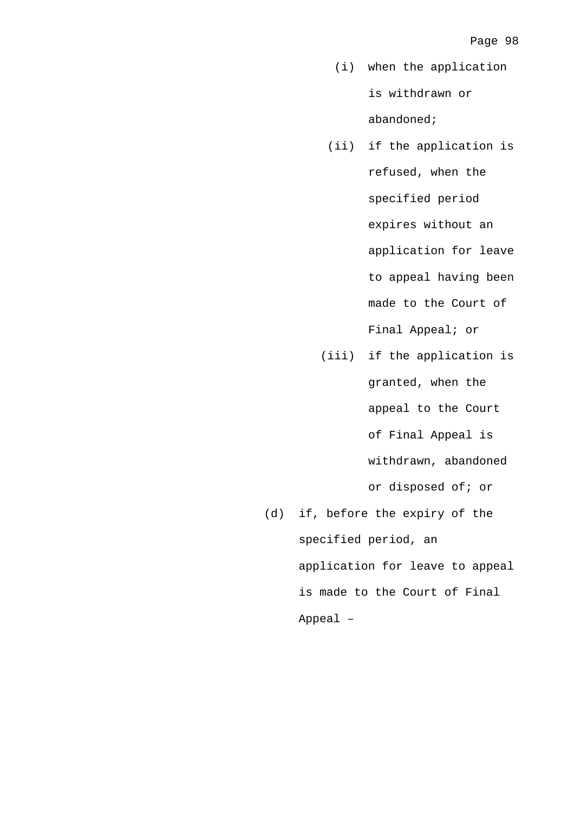- (i) when the application is withdrawn or abandoned;
- (ii) if the application is refused, when the specified period expires without an application for leave to appeal having been made to the Court of Final Appeal; or
- (iii) if the application is granted, when the appeal to the Court of Final Appeal is withdrawn, abandoned or disposed of; or (d) if, before the expiry of the
	- specified period, an application for leave to appeal is made to the Court of Final Appeal –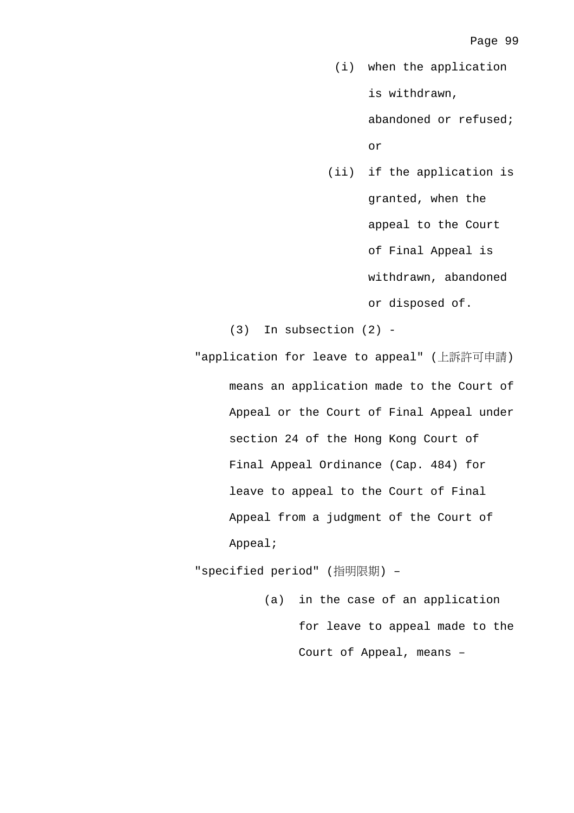(i) when the application is withdrawn,

> abandoned or refused; or

 (ii) if the application is granted, when the appeal to the Court of Final Appeal is withdrawn, abandoned or disposed of.

(3) In subsection (2) -

"application for leave to appeal" (上訴許可申請) means an application made to the Court of Appeal or the Court of Final Appeal under section 24 of the Hong Kong Court of Final Appeal Ordinance (Cap. 484) for leave to appeal to the Court of Final Appeal from a judgment of the Court of Appeal;

"specified period" (指明限期) –

(a) in the case of an application for leave to appeal made to the Court of Appeal, means –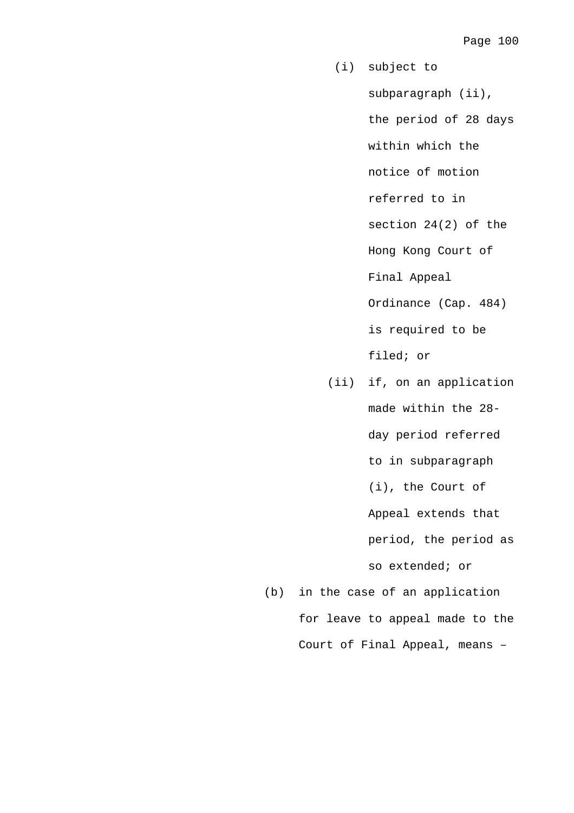- (i) subject to subparagraph (ii), the period of 28 days within which the notice of motion referred to in section 24(2) of the Hong Kong Court of Final Appeal Ordinance (Cap. 484) is required to be filed; or
- (ii) if, on an application made within the 28 day period referred to in subparagraph (i), the Court of Appeal extends that period, the period as so extended; or

(b) in the case of an application for leave to appeal made to the Court of Final Appeal, means –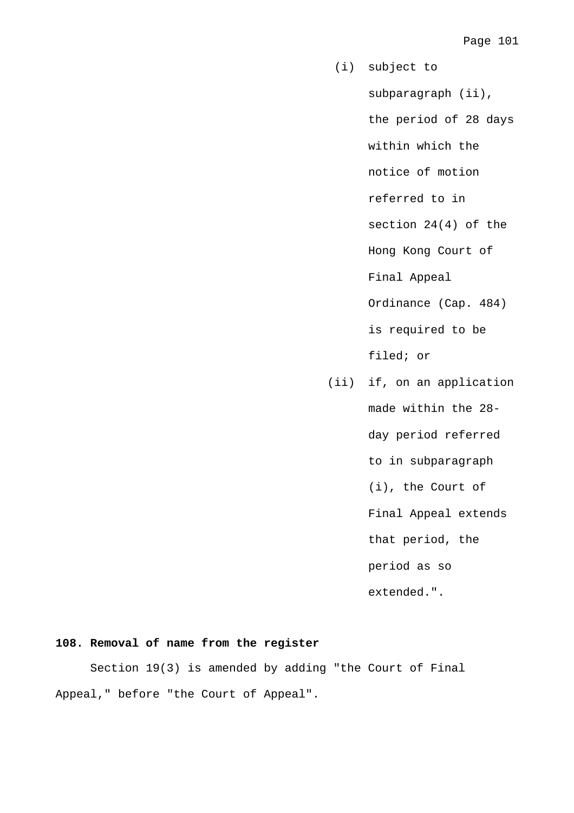- (i) subject to subparagraph (ii), the period of 28 days within which the notice of motion referred to in section 24(4) of the Hong Kong Court of Final Appeal Ordinance (Cap. 484) is required to be filed; or (ii) if, on an application
	- made within the 28 day period referred
		- to in subparagraph
		- (i), the Court of
		- Final Appeal extends
		- that period, the
		- period as so
		- extended.".

## **108. Removal of name from the register**

 Section 19(3) is amended by adding "the Court of Final Appeal," before "the Court of Appeal".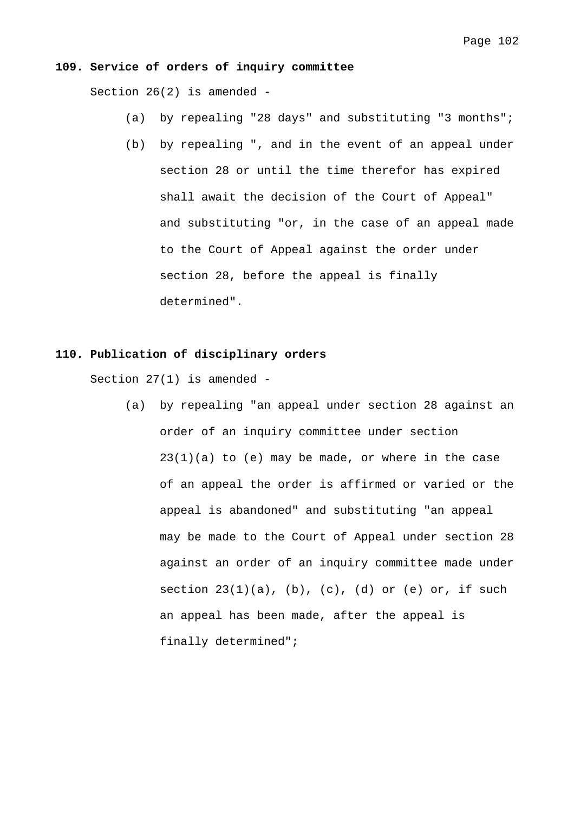## **109. Service of orders of inquiry committee**

Section 26(2) is amended -

- (a) by repealing "28 days" and substituting "3 months";
- (b) by repealing ", and in the event of an appeal under section 28 or until the time therefor has expired shall await the decision of the Court of Appeal" and substituting "or, in the case of an appeal made to the Court of Appeal against the order under section 28, before the appeal is finally determined".

## **110. Publication of disciplinary orders**

Section 27(1) is amended -

(a) by repealing "an appeal under section 28 against an order of an inquiry committee under section  $23(1)(a)$  to (e) may be made, or where in the case of an appeal the order is affirmed or varied or the appeal is abandoned" and substituting "an appeal may be made to the Court of Appeal under section 28 against an order of an inquiry committee made under section  $23(1)(a)$ , (b), (c), (d) or (e) or, if such an appeal has been made, after the appeal is finally determined";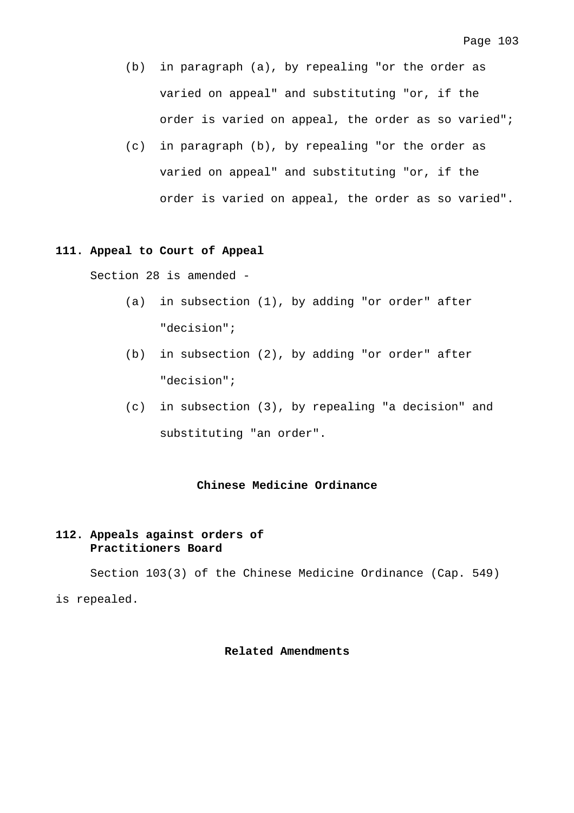- (b) in paragraph (a), by repealing "or the order as varied on appeal" and substituting "or, if the order is varied on appeal, the order as so varied";
- (c) in paragraph (b), by repealing "or the order as varied on appeal" and substituting "or, if the order is varied on appeal, the order as so varied".

### **111. Appeal to Court of Appeal**

Section 28 is amended -

- (a) in subsection (1), by adding "or order" after "decision";
- (b) in subsection (2), by adding "or order" after "decision";
- (c) in subsection (3), by repealing "a decision" and substituting "an order".

### **Chinese Medicine Ordinance**

## **112. Appeals against orders of Practitioners Board**

 Section 103(3) of the Chinese Medicine Ordinance (Cap. 549) is repealed.

## **Related Amendments**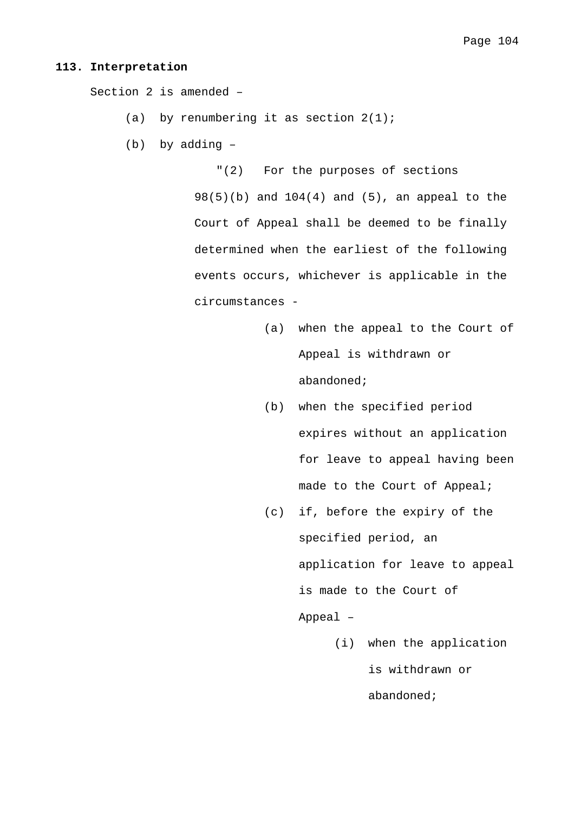#### **113. Interpretation**

Section 2 is amended –

- (a) by renumbering it as section  $2(1)$ ;
- (b) by adding –

"(2) For the purposes of sections 98(5)(b) and 104(4) and (5), an appeal to the Court of Appeal shall be deemed to be finally determined when the earliest of the following events occurs, whichever is applicable in the circumstances -

- (a) when the appeal to the Court of Appeal is withdrawn or abandoned;
- (b) when the specified period expires without an application for leave to appeal having been made to the Court of Appeal;
- (c) if, before the expiry of the specified period, an application for leave to appeal is made to the Court of Appeal –
	- (i) when the application is withdrawn or abandoned;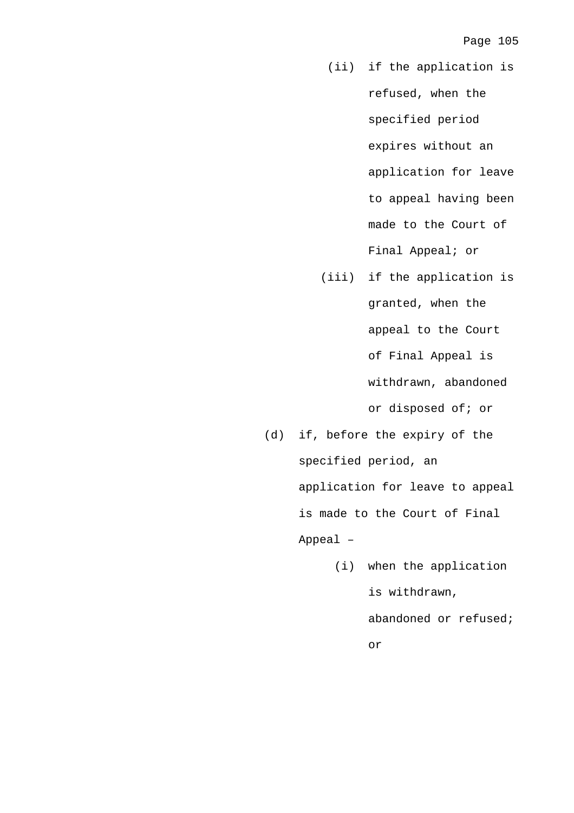- (ii) if the application is refused, when the specified period expires without an application for leave to appeal having been made to the Court of Final Appeal; or
- (iii) if the application is granted, when the appeal to the Court of Final Appeal is withdrawn, abandoned or disposed of; or
- (d) if, before the expiry of the specified period, an application for leave to appeal is made to the Court of Final Appeal –
	- (i) when the application is withdrawn, abandoned or refused; or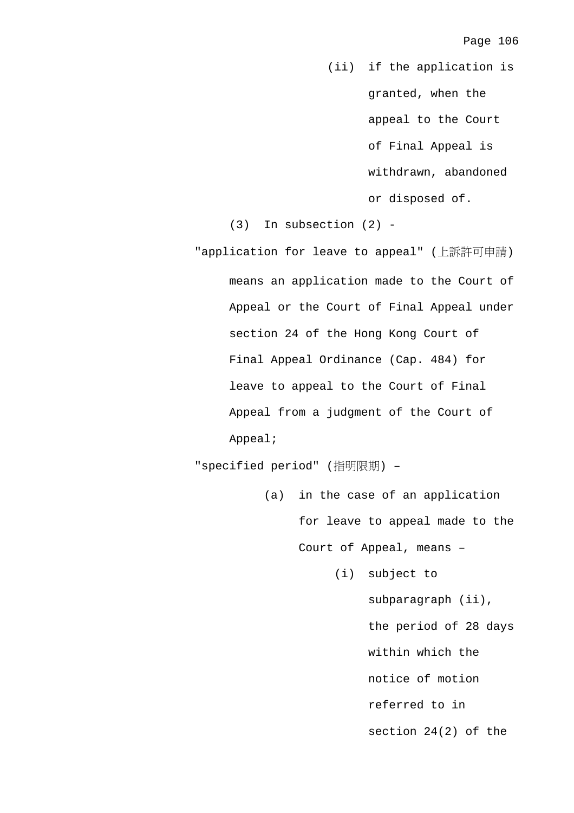(ii) if the application is granted, when the appeal to the Court of Final Appeal is withdrawn, abandoned or disposed of.

(3) In subsection (2) -

"application for leave to appeal" (上訴許可申請) means an application made to the Court of Appeal or the Court of Final Appeal under section 24 of the Hong Kong Court of Final Appeal Ordinance (Cap. 484) for leave to appeal to the Court of Final Appeal from a judgment of the Court of Appeal;

"specified period" (指明限期) –

- (a) in the case of an application for leave to appeal made to the Court of Appeal, means –
	- (i) subject to subparagraph (ii), the period of 28 days within which the notice of motion referred to in section 24(2) of the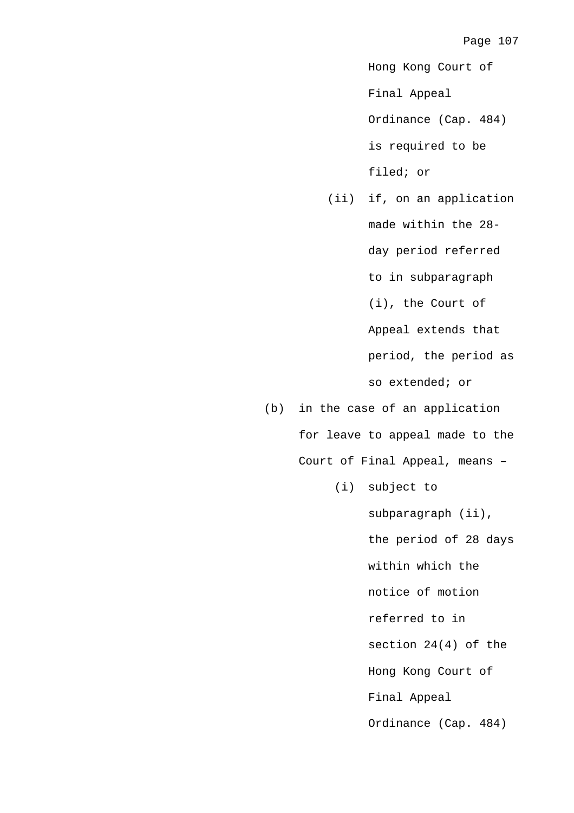Hong Kong Court of

Final Appeal

Ordinance (Cap. 484) is required to be

filed; or

 (ii) if, on an application made within the 28 day period referred to in subparagraph (i), the Court of Appeal extends that period, the period as so extended; or

(b) in the case of an application for leave to appeal made to the Court of Final Appeal, means –

(i) subject to

subparagraph (ii), the period of 28 days within which the notice of motion referred to in section 24(4) of the Hong Kong Court of Final Appeal Ordinance (Cap. 484)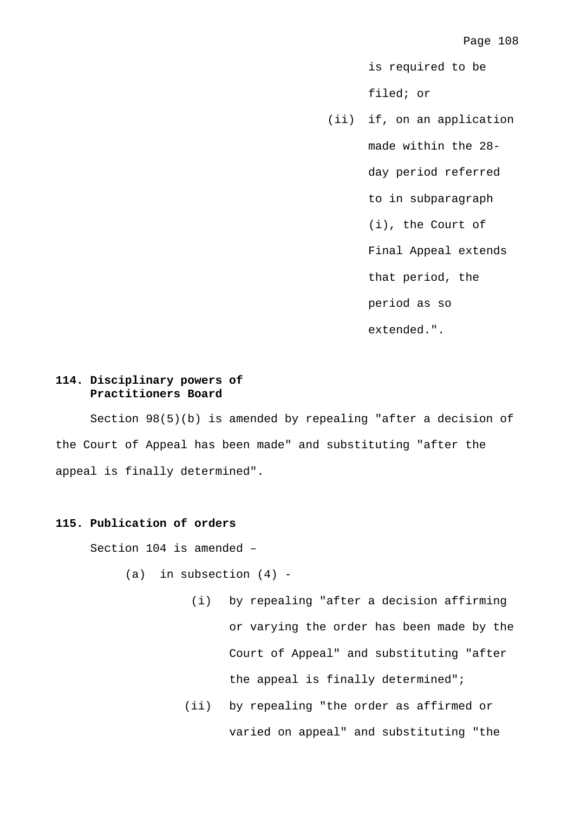is required to be

filed; or

 (ii) if, on an application made within the 28 day period referred to in subparagraph (i), the Court of Final Appeal extends that period, the period as so extended.".

# **114. Disciplinary powers of Practitioners Board**

 Section 98(5)(b) is amended by repealing "after a decision of the Court of Appeal has been made" and substituting "after the appeal is finally determined".

# **115. Publication of orders**

Section 104 is amended –

- (a) in subsection  $(4)$  -
	- (i) by repealing "after a decision affirming or varying the order has been made by the Court of Appeal" and substituting "after the appeal is finally determined";
	- (ii) by repealing "the order as affirmed or varied on appeal" and substituting "the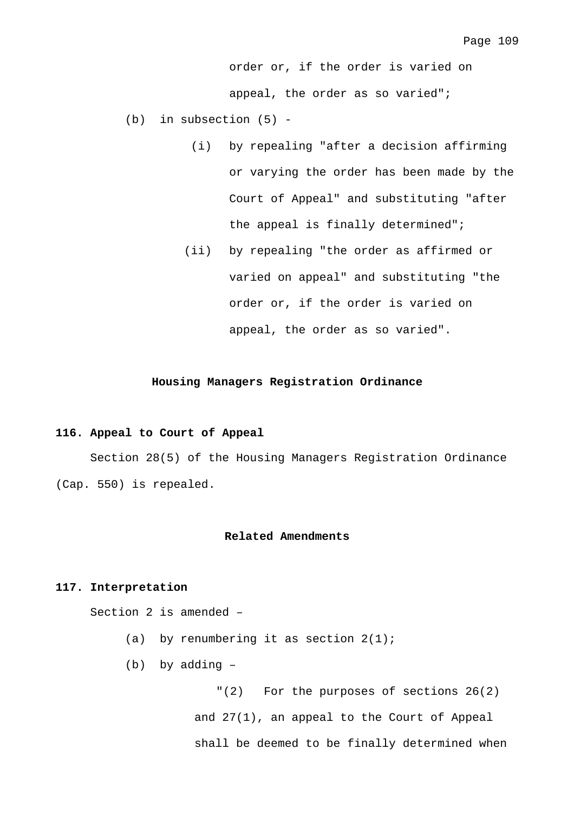order or, if the order is varied on appeal, the order as so varied";

- (b) in subsection (5)
	- (i) by repealing "after a decision affirming or varying the order has been made by the Court of Appeal" and substituting "after the appeal is finally determined";
	- (ii) by repealing "the order as affirmed or varied on appeal" and substituting "the order or, if the order is varied on appeal, the order as so varied".

### **Housing Managers Registration Ordinance**

#### **116. Appeal to Court of Appeal**

 Section 28(5) of the Housing Managers Registration Ordinance (Cap. 550) is repealed.

#### **Related Amendments**

## **117. Interpretation**

Section 2 is amended –

- (a) by renumbering it as section  $2(1)$ ;
- (b) by adding –

"(2) For the purposes of sections 26(2) and 27(1), an appeal to the Court of Appeal shall be deemed to be finally determined when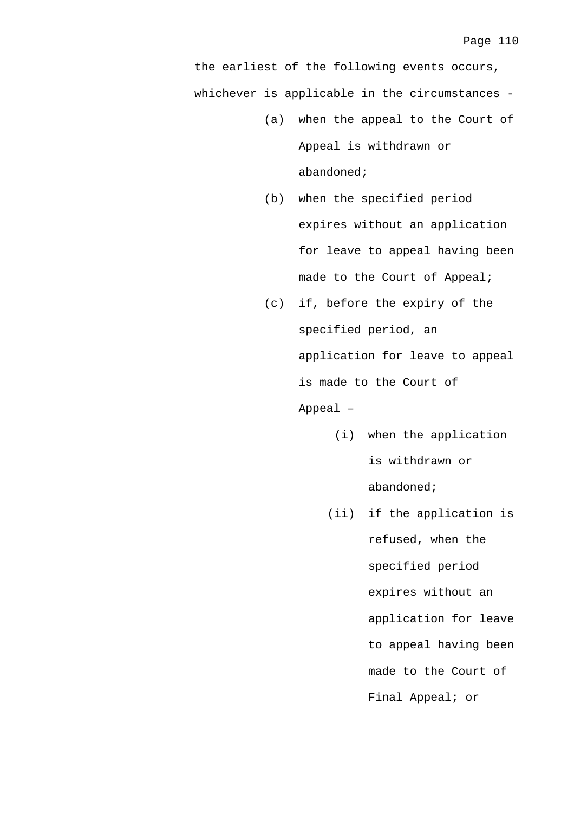the earliest of the following events occurs, whichever is applicable in the circumstances -

- (a) when the appeal to the Court of Appeal is withdrawn or abandoned;
- (b) when the specified period expires without an application for leave to appeal having been made to the Court of Appeal;
- (c) if, before the expiry of the specified period, an application for leave to appeal is made to the Court of Appeal –
	- (i) when the application is withdrawn or abandoned;
	- (ii) if the application is refused, when the specified period expires without an application for leave to appeal having been made to the Court of Final Appeal; or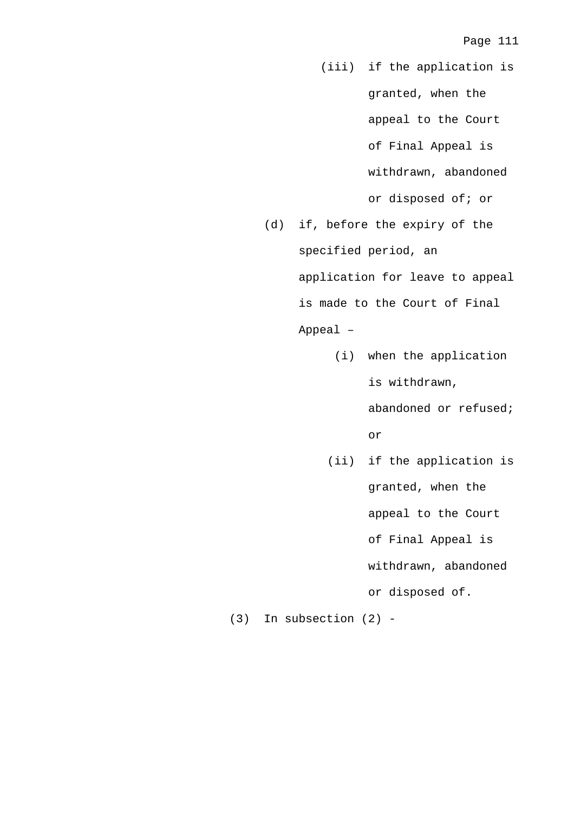- (iii) if the application is granted, when the appeal to the Court of Final Appeal is withdrawn, abandoned or disposed of; or
- (d) if, before the expiry of the specified period, an application for leave to appeal is made to the Court of Final Appeal –
	- (i) when the application is withdrawn,

abandoned or refused; or

 (ii) if the application is granted, when the appeal to the Court of Final Appeal is withdrawn, abandoned or disposed of.

(3) In subsection (2) -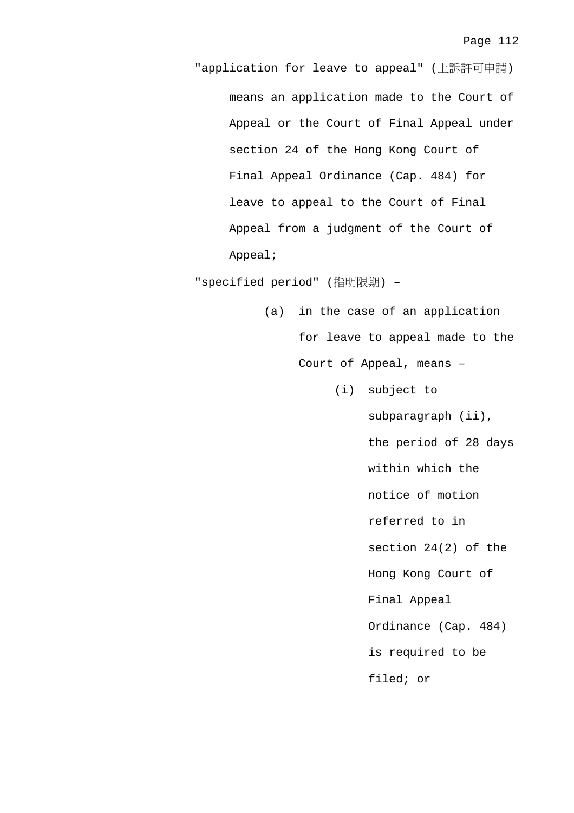"application for leave to appeal" (上訴許可申請) means an application made to the Court of Appeal or the Court of Final Appeal under section 24 of the Hong Kong Court of Final Appeal Ordinance (Cap. 484) for leave to appeal to the Court of Final Appeal from a judgment of the Court of Appeal;

"specified period" (指明限期) –

- (a) in the case of an application for leave to appeal made to the Court of Appeal, means –
	- (i) subject to

subparagraph (ii), the period of 28 days within which the notice of motion referred to in section 24(2) of the Hong Kong Court of Final Appeal Ordinance (Cap. 484) is required to be filed; or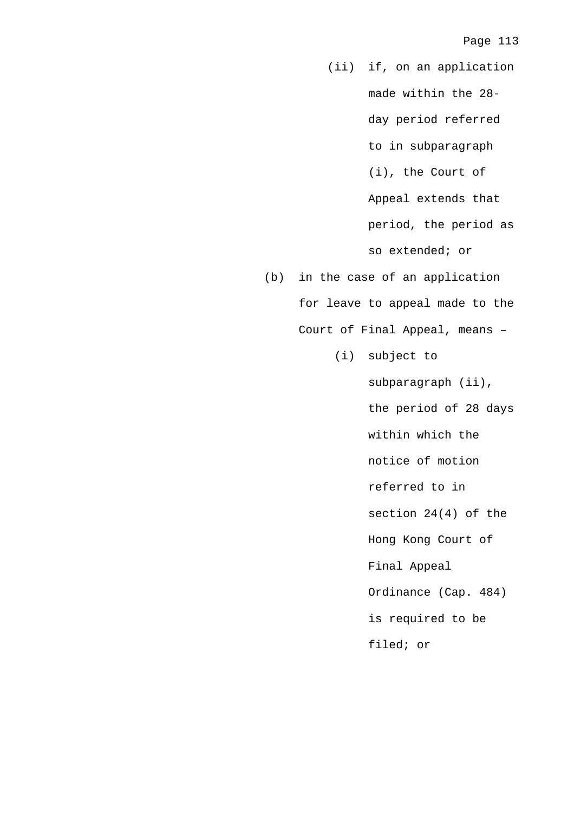(ii) if, on an application made within the 28 day period referred to in subparagraph (i), the Court of Appeal extends that period, the period as so extended; or

- (b) in the case of an application for leave to appeal made to the Court of Final Appeal, means –
	- (i) subject to

subparagraph (ii), the period of 28 days within which the notice of motion referred to in section 24(4) of the Hong Kong Court of Final Appeal Ordinance (Cap. 484) is required to be filed; or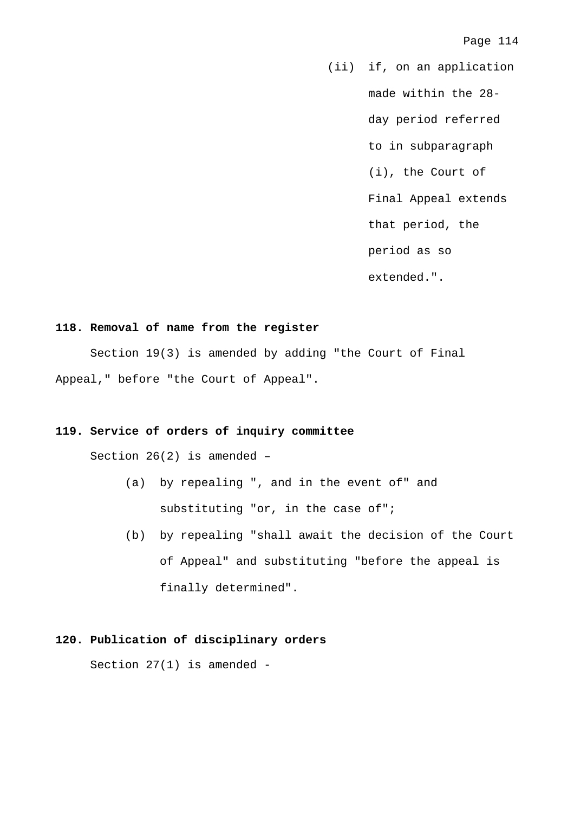(ii) if, on an application made within the 28 day period referred to in subparagraph (i), the Court of Final Appeal extends that period, the period as so extended.".

### **118. Removal of name from the register**

 Section 19(3) is amended by adding "the Court of Final Appeal," before "the Court of Appeal".

## **119. Service of orders of inquiry committee**

Section 26(2) is amended –

- (a) by repealing ", and in the event of" and substituting "or, in the case of";
- (b) by repealing "shall await the decision of the Court of Appeal" and substituting "before the appeal is finally determined".

# **120. Publication of disciplinary orders**

Section 27(1) is amended -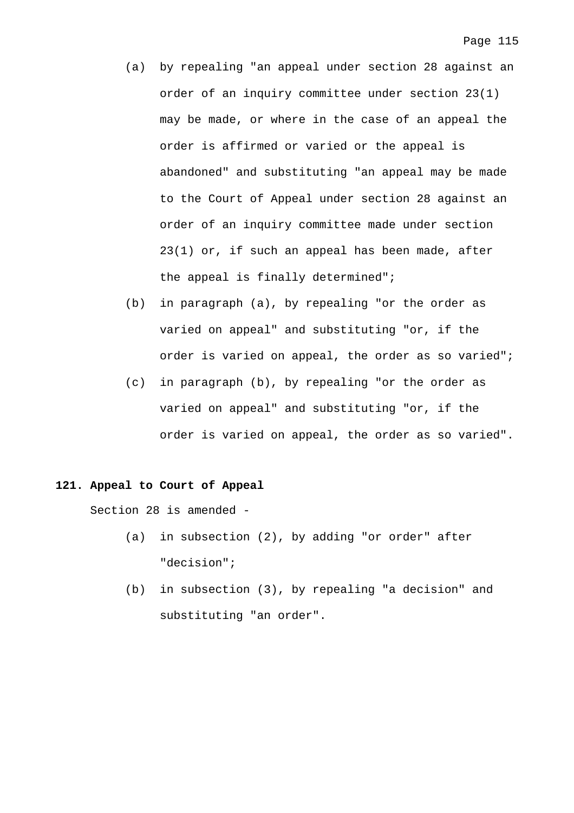- (a) by repealing "an appeal under section 28 against an order of an inquiry committee under section 23(1) may be made, or where in the case of an appeal the order is affirmed or varied or the appeal is abandoned" and substituting "an appeal may be made to the Court of Appeal under section 28 against an order of an inquiry committee made under section 23(1) or, if such an appeal has been made, after the appeal is finally determined";
- (b) in paragraph (a), by repealing "or the order as varied on appeal" and substituting "or, if the order is varied on appeal, the order as so varied";
- (c) in paragraph (b), by repealing "or the order as varied on appeal" and substituting "or, if the order is varied on appeal, the order as so varied".

### **121. Appeal to Court of Appeal**

Section 28 is amended -

- (a) in subsection (2), by adding "or order" after "decision";
- (b) in subsection (3), by repealing "a decision" and substituting "an order".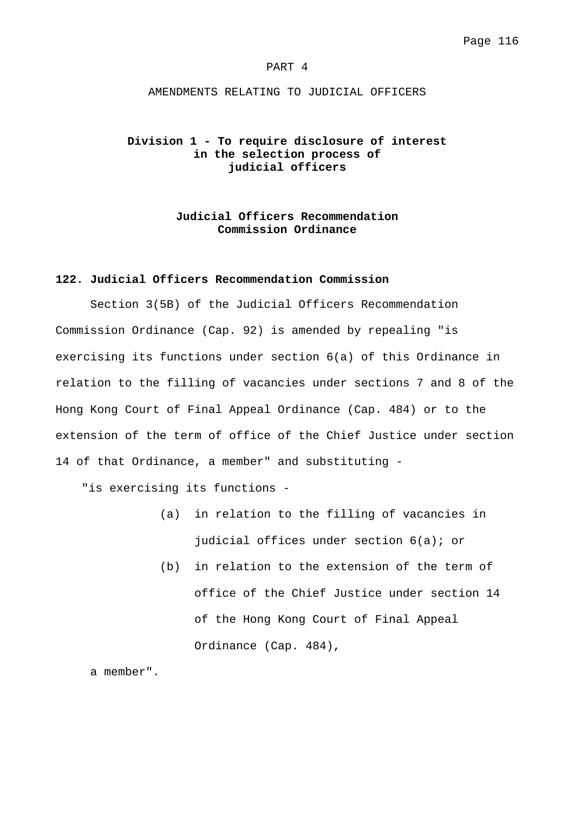#### PART 4

#### AMENDMENTS RELATING TO JUDICIAL OFFICERS

## **Division 1 - To require disclosure of interest in the selection process of judicial officers**

## **Judicial Officers Recommendation Commission Ordinance**

### **122. Judicial Officers Recommendation Commission**

 Section 3(5B) of the Judicial Officers Recommendation Commission Ordinance (Cap. 92) is amended by repealing "is exercising its functions under section 6(a) of this Ordinance in relation to the filling of vacancies under sections 7 and 8 of the Hong Kong Court of Final Appeal Ordinance (Cap. 484) or to the extension of the term of office of the Chief Justice under section 14 of that Ordinance, a member" and substituting -

"is exercising its functions -

- (a) in relation to the filling of vacancies in judicial offices under section 6(a); or
- (b) in relation to the extension of the term of office of the Chief Justice under section 14 of the Hong Kong Court of Final Appeal Ordinance (Cap. 484),

a member".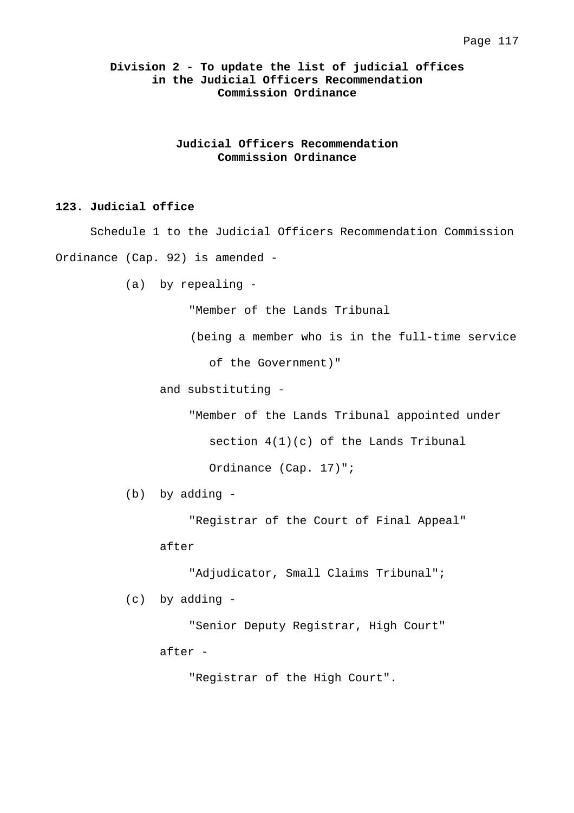## **Division 2 - To update the list of judicial offices in the Judicial Officers Recommendation Commission Ordinance**

**Judicial Officers Recommendation Commission Ordinance** 

## **123. Judicial office**

 Schedule 1 to the Judicial Officers Recommendation Commission Ordinance (Cap. 92) is amended -

(a) by repealing -

"Member of the Lands Tribunal

(being a member who is in the full-time service

of the Government)"

and substituting -

"Member of the Lands Tribunal appointed under

section  $4(1)(c)$  of the Lands Tribunal

Ordinance (Cap. 17)";

(b) by adding -

"Registrar of the Court of Final Appeal"

after

"Adjudicator, Small Claims Tribunal";

(c) by adding -

 "Senior Deputy Registrar, High Court" after -

"Registrar of the High Court".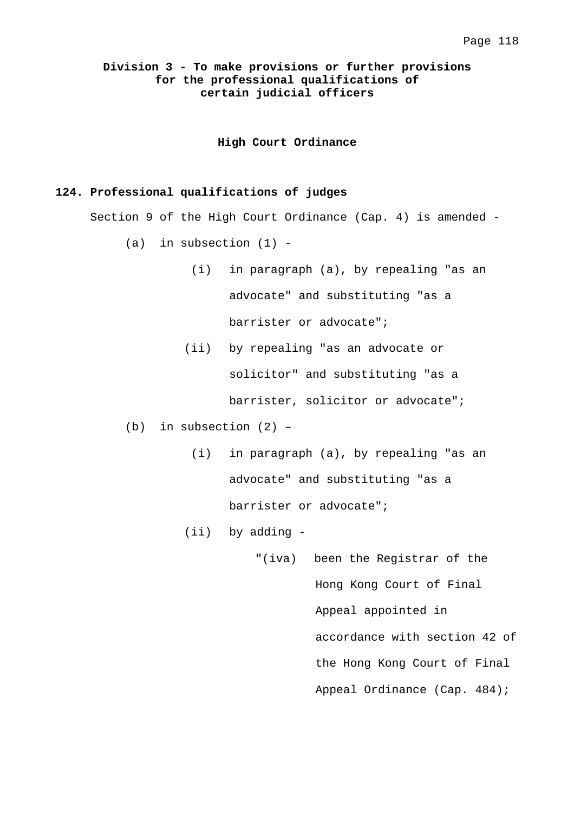## **Division 3 - To make provisions or further provisions for the professional qualifications of certain judicial officers**

**High Court Ordinance** 

## **124. Professional qualifications of judges**

Section 9 of the High Court Ordinance (Cap. 4) is amended -

- $(a)$  in subsection  $(1)$  -
	- (i) in paragraph (a), by repealing "as an advocate" and substituting "as a barrister or advocate";
	- (ii) by repealing "as an advocate or solicitor" and substituting "as a barrister, solicitor or advocate";
- (b) in subsection (2)
	- (i) in paragraph (a), by repealing "as an advocate" and substituting "as a barrister or advocate";
	- (ii) by adding
		- "(iva) been the Registrar of the Hong Kong Court of Final Appeal appointed in accordance with section 42 of the Hong Kong Court of Final Appeal Ordinance (Cap. 484);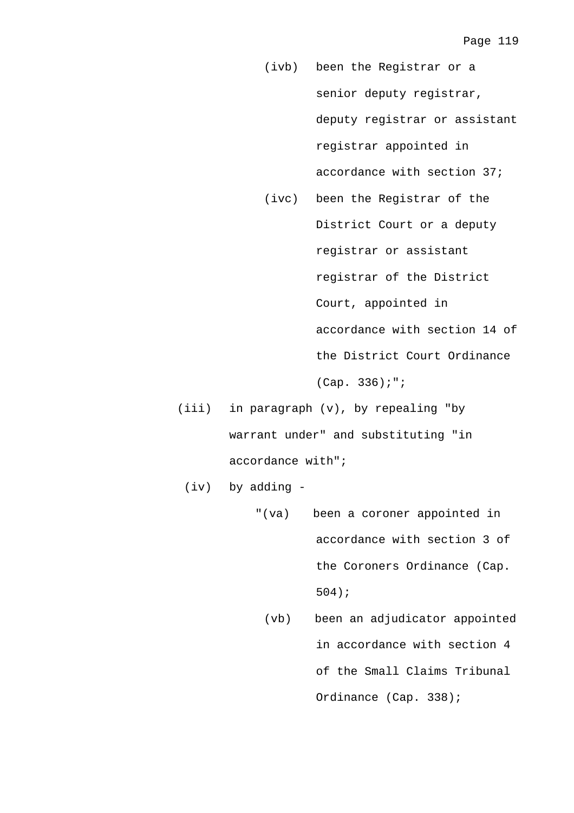- (ivb) been the Registrar or a senior deputy registrar, deputy registrar or assistant registrar appointed in accordance with section 37;
- (ivc) been the Registrar of the District Court or a deputy registrar or assistant registrar of the District Court, appointed in accordance with section 14 of the District Court Ordinance (Cap. 336);";
- (iii) in paragraph (v), by repealing "by warrant under" and substituting "in accordance with";
	- (iv) by adding
		- "(va) been a coroner appointed in accordance with section 3 of the Coroners Ordinance (Cap. 504);
			- (vb) been an adjudicator appointed in accordance with section 4 of the Small Claims Tribunal Ordinance (Cap. 338);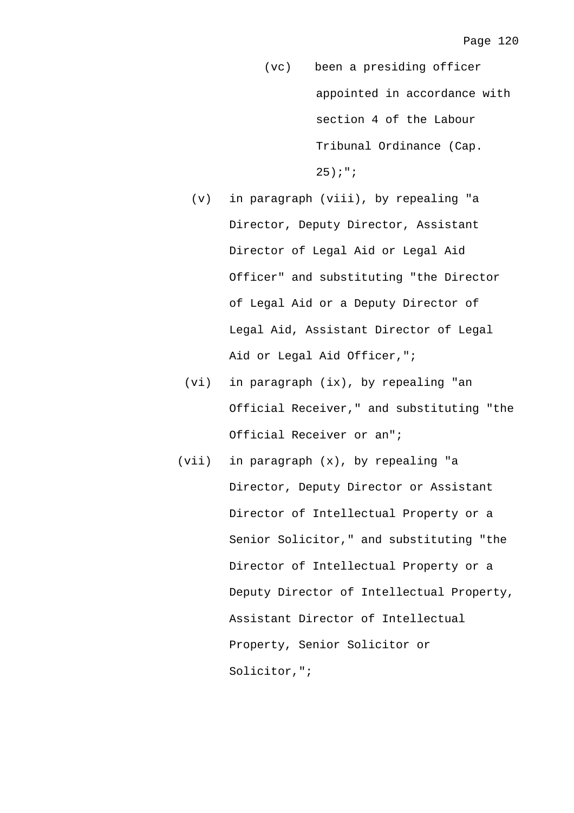- (vc) been a presiding officer appointed in accordance with section 4 of the Labour Tribunal Ordinance (Cap. 25);";
- (v) in paragraph (viii), by repealing "a Director, Deputy Director, Assistant Director of Legal Aid or Legal Aid Officer" and substituting "the Director of Legal Aid or a Deputy Director of Legal Aid, Assistant Director of Legal Aid or Legal Aid Officer,";
- (vi) in paragraph (ix), by repealing "an Official Receiver," and substituting "the Official Receiver or an";
- (vii) in paragraph (x), by repealing "a Director, Deputy Director or Assistant Director of Intellectual Property or a Senior Solicitor," and substituting "the Director of Intellectual Property or a Deputy Director of Intellectual Property, Assistant Director of Intellectual Property, Senior Solicitor or Solicitor,";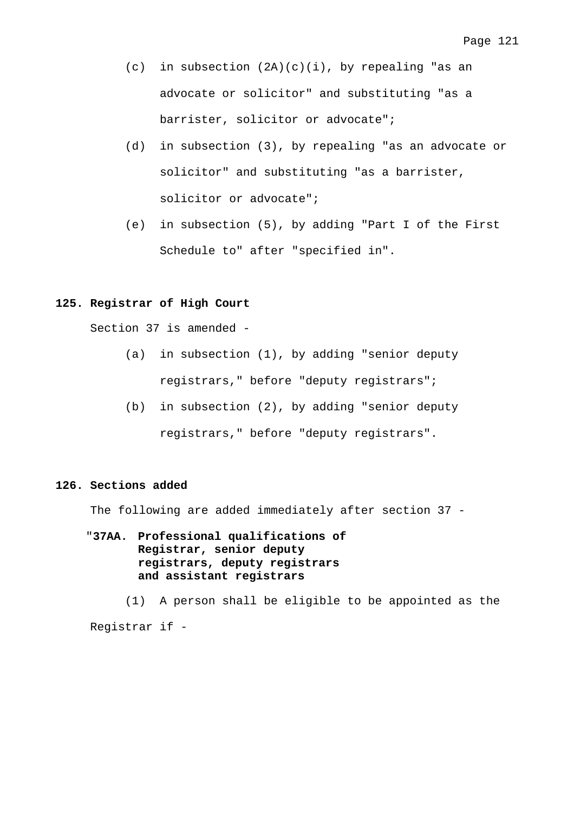- (c) in subsection  $(2A)(c)(i)$ , by repealing "as an advocate or solicitor" and substituting "as a barrister, solicitor or advocate";
- (d) in subsection (3), by repealing "as an advocate or solicitor" and substituting "as a barrister, solicitor or advocate";
- (e) in subsection (5), by adding "Part I of the First Schedule to" after "specified in".

## **125. Registrar of High Court**

Section 37 is amended -

- (a) in subsection (1), by adding "senior deputy registrars," before "deputy registrars";
- (b) in subsection (2), by adding "senior deputy registrars," before "deputy registrars".

### **126. Sections added**

The following are added immediately after section 37 -

# "**37AA. Professional qualifications of Registrar, senior deputy registrars, deputy registrars and assistant registrars**

 (1) A person shall be eligible to be appointed as the Registrar if -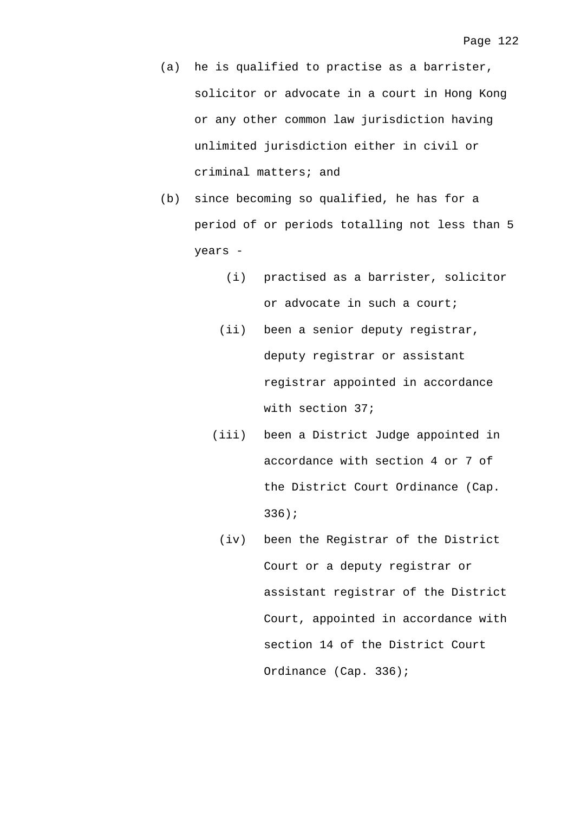- (a) he is qualified to practise as a barrister, solicitor or advocate in a court in Hong Kong or any other common law jurisdiction having unlimited jurisdiction either in civil or criminal matters; and
- (b) since becoming so qualified, he has for a period of or periods totalling not less than 5 years -
	- (i) practised as a barrister, solicitor or advocate in such a court;
	- (ii) been a senior deputy registrar, deputy registrar or assistant registrar appointed in accordance with section 37;
	- (iii) been a District Judge appointed in accordance with section 4 or 7 of the District Court Ordinance (Cap. 336);
	- (iv) been the Registrar of the District Court or a deputy registrar or assistant registrar of the District Court, appointed in accordance with section 14 of the District Court Ordinance (Cap. 336);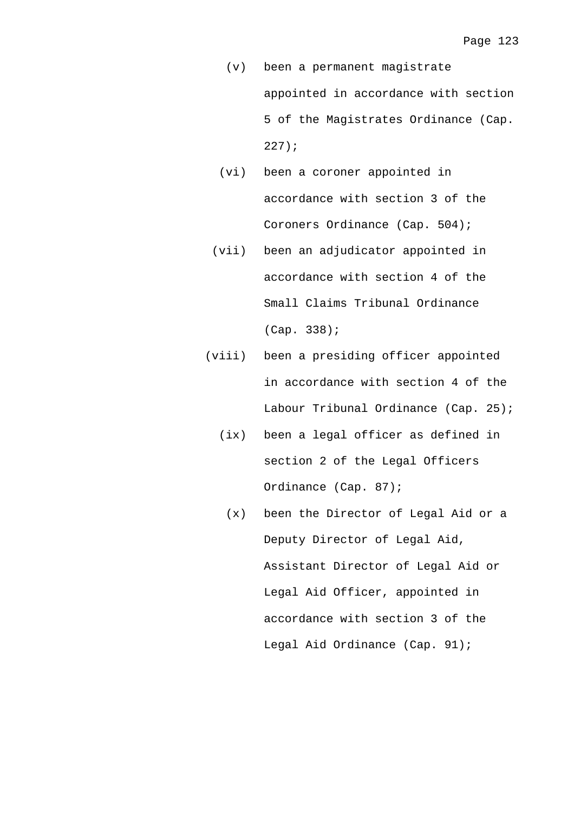- (v) been a permanent magistrate appointed in accordance with section 5 of the Magistrates Ordinance (Cap. 227);
- (vi) been a coroner appointed in accordance with section 3 of the Coroners Ordinance (Cap. 504);
- (vii) been an adjudicator appointed in accordance with section 4 of the Small Claims Tribunal Ordinance (Cap. 338);
- (viii) been a presiding officer appointed in accordance with section 4 of the Labour Tribunal Ordinance (Cap. 25);
	- (ix) been a legal officer as defined in section 2 of the Legal Officers Ordinance (Cap. 87);
		- (x) been the Director of Legal Aid or a Deputy Director of Legal Aid, Assistant Director of Legal Aid or Legal Aid Officer, appointed in accordance with section 3 of the Legal Aid Ordinance (Cap. 91);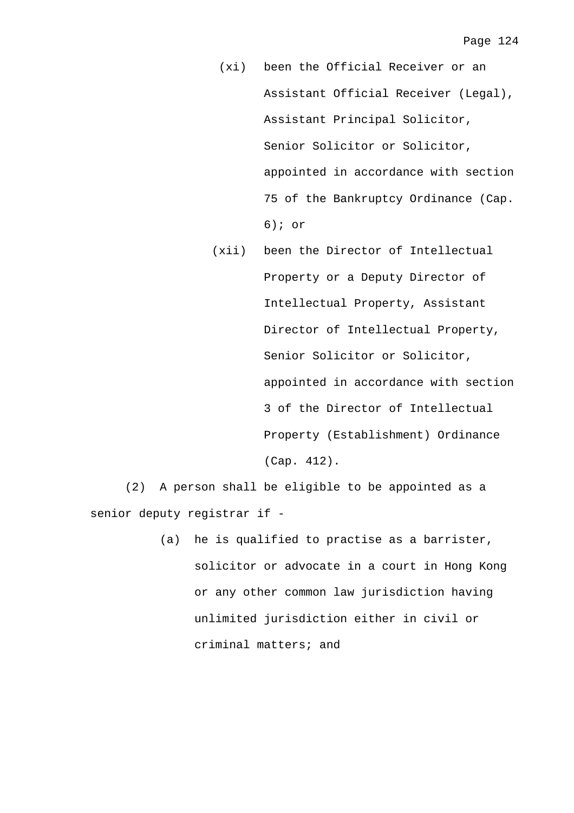- (xi) been the Official Receiver or an Assistant Official Receiver (Legal), Assistant Principal Solicitor, Senior Solicitor or Solicitor, appointed in accordance with section 75 of the Bankruptcy Ordinance (Cap. 6); or
- (xii) been the Director of Intellectual Property or a Deputy Director of Intellectual Property, Assistant Director of Intellectual Property, Senior Solicitor or Solicitor, appointed in accordance with section 3 of the Director of Intellectual Property (Establishment) Ordinance (Cap. 412).

 (2) A person shall be eligible to be appointed as a senior deputy registrar if -

> (a) he is qualified to practise as a barrister, solicitor or advocate in a court in Hong Kong or any other common law jurisdiction having unlimited jurisdiction either in civil or criminal matters; and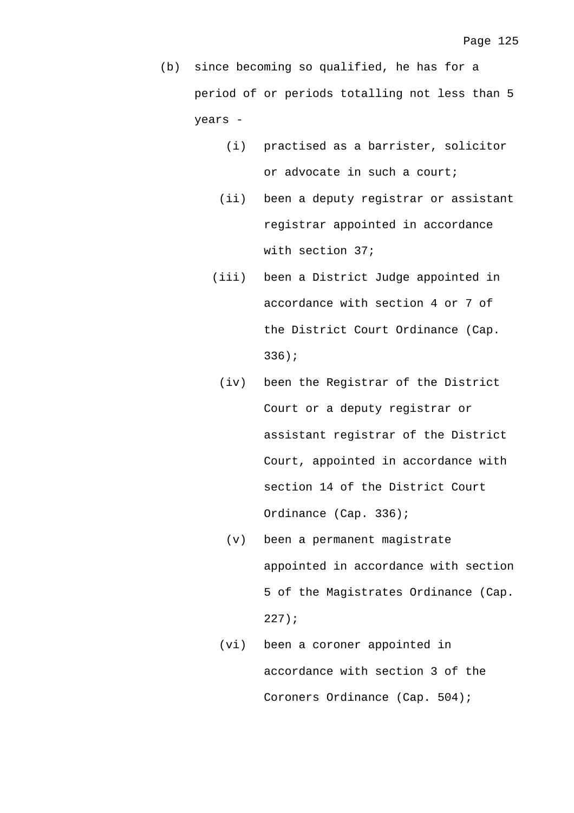- (b) since becoming so qualified, he has for a period of or periods totalling not less than 5 years -
	- (i) practised as a barrister, solicitor or advocate in such a court;
	- (ii) been a deputy registrar or assistant registrar appointed in accordance with section 37;
	- (iii) been a District Judge appointed in accordance with section 4 or 7 of the District Court Ordinance (Cap. 336);
		- (iv) been the Registrar of the District Court or a deputy registrar or assistant registrar of the District Court, appointed in accordance with section 14 of the District Court Ordinance (Cap. 336);
			- (v) been a permanent magistrate appointed in accordance with section 5 of the Magistrates Ordinance (Cap. 227);
	- (vi) been a coroner appointed in accordance with section 3 of the Coroners Ordinance (Cap. 504);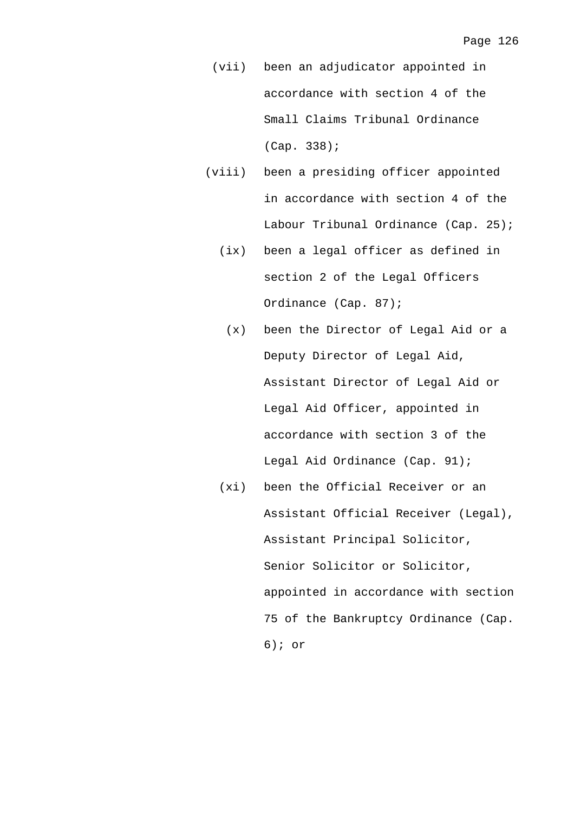- (vii) been an adjudicator appointed in accordance with section 4 of the Small Claims Tribunal Ordinance (Cap. 338);
- (viii) been a presiding officer appointed in accordance with section 4 of the Labour Tribunal Ordinance (Cap. 25);
	- (ix) been a legal officer as defined in section 2 of the Legal Officers Ordinance (Cap. 87);
		- (x) been the Director of Legal Aid or a Deputy Director of Legal Aid, Assistant Director of Legal Aid or Legal Aid Officer, appointed in accordance with section 3 of the Legal Aid Ordinance (Cap. 91);
	- (xi) been the Official Receiver or an Assistant Official Receiver (Legal), Assistant Principal Solicitor, Senior Solicitor or Solicitor, appointed in accordance with section 75 of the Bankruptcy Ordinance (Cap. 6); or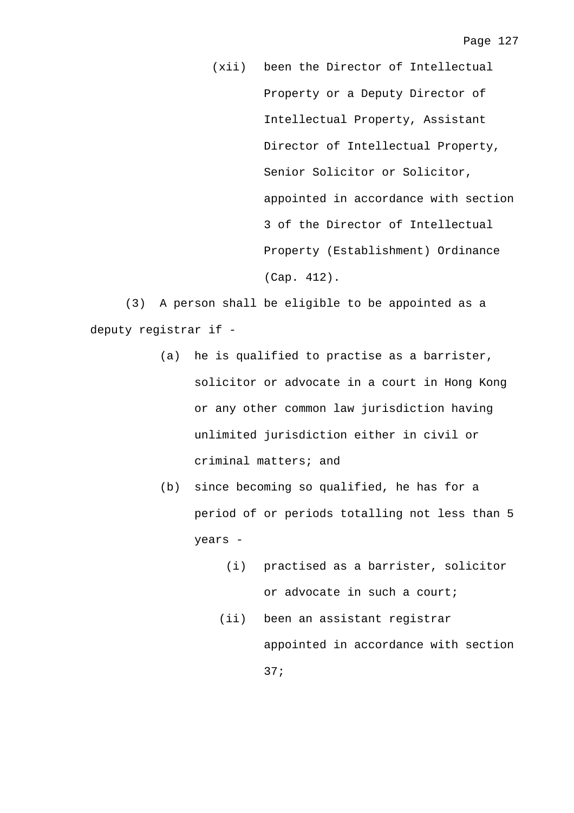(xii) been the Director of Intellectual Property or a Deputy Director of Intellectual Property, Assistant Director of Intellectual Property, Senior Solicitor or Solicitor, appointed in accordance with section 3 of the Director of Intellectual Property (Establishment) Ordinance (Cap. 412).

 (3) A person shall be eligible to be appointed as a deputy registrar if -

- (a) he is qualified to practise as a barrister, solicitor or advocate in a court in Hong Kong or any other common law jurisdiction having unlimited jurisdiction either in civil or criminal matters; and
- (b) since becoming so qualified, he has for a period of or periods totalling not less than 5 years -
	- (i) practised as a barrister, solicitor or advocate in such a court;
	- (ii) been an assistant registrar appointed in accordance with section 37;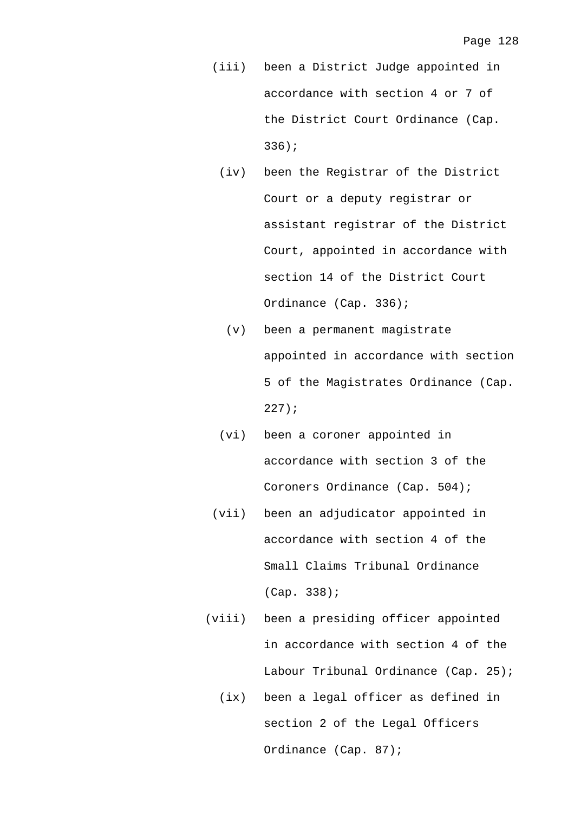- (iii) been a District Judge appointed in accordance with section 4 or 7 of the District Court Ordinance (Cap. 336);
	- (iv) been the Registrar of the District Court or a deputy registrar or assistant registrar of the District Court, appointed in accordance with section 14 of the District Court Ordinance (Cap. 336);
		- (v) been a permanent magistrate appointed in accordance with section 5 of the Magistrates Ordinance (Cap. 227);
	- (vi) been a coroner appointed in accordance with section 3 of the Coroners Ordinance (Cap. 504);
- (vii) been an adjudicator appointed in accordance with section 4 of the Small Claims Tribunal Ordinance (Cap. 338);
- (viii) been a presiding officer appointed in accordance with section 4 of the Labour Tribunal Ordinance (Cap. 25);
	- (ix) been a legal officer as defined in section 2 of the Legal Officers Ordinance (Cap. 87);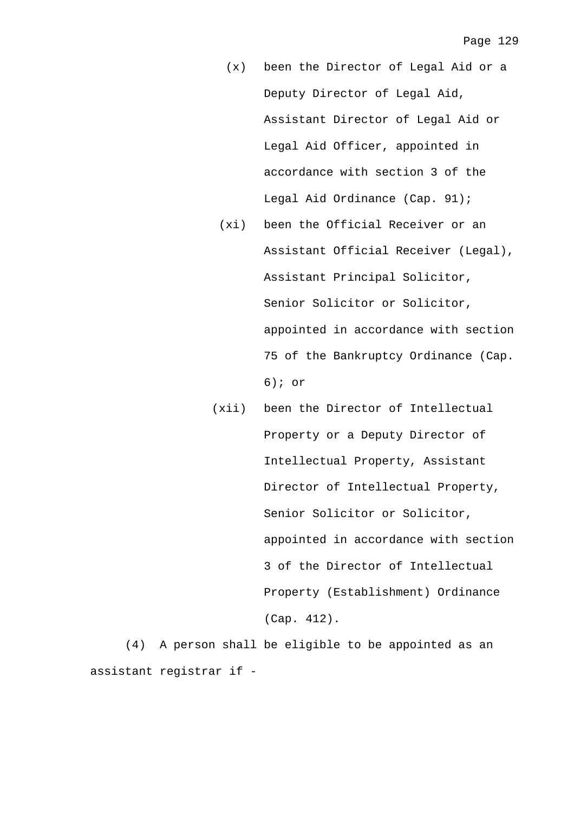- (x) been the Director of Legal Aid or a Deputy Director of Legal Aid, Assistant Director of Legal Aid or Legal Aid Officer, appointed in accordance with section 3 of the Legal Aid Ordinance (Cap. 91);
- (xi) been the Official Receiver or an Assistant Official Receiver (Legal), Assistant Principal Solicitor, Senior Solicitor or Solicitor, appointed in accordance with section 75 of the Bankruptcy Ordinance (Cap. 6); or
- (xii) been the Director of Intellectual Property or a Deputy Director of Intellectual Property, Assistant Director of Intellectual Property, Senior Solicitor or Solicitor, appointed in accordance with section 3 of the Director of Intellectual Property (Establishment) Ordinance (Cap. 412).

 (4) A person shall be eligible to be appointed as an assistant registrar if -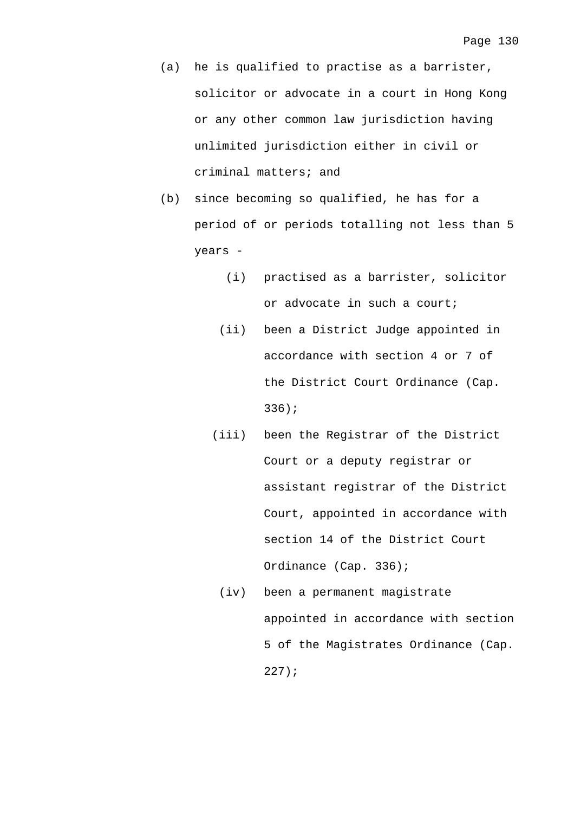- (a) he is qualified to practise as a barrister, solicitor or advocate in a court in Hong Kong or any other common law jurisdiction having unlimited jurisdiction either in civil or criminal matters; and
- (b) since becoming so qualified, he has for a period of or periods totalling not less than 5 years -
	- (i) practised as a barrister, solicitor or advocate in such a court;
	- (ii) been a District Judge appointed in accordance with section 4 or 7 of the District Court Ordinance (Cap. 336);
	- (iii) been the Registrar of the District Court or a deputy registrar or assistant registrar of the District Court, appointed in accordance with section 14 of the District Court Ordinance (Cap. 336);
		- (iv) been a permanent magistrate appointed in accordance with section 5 of the Magistrates Ordinance (Cap. 227);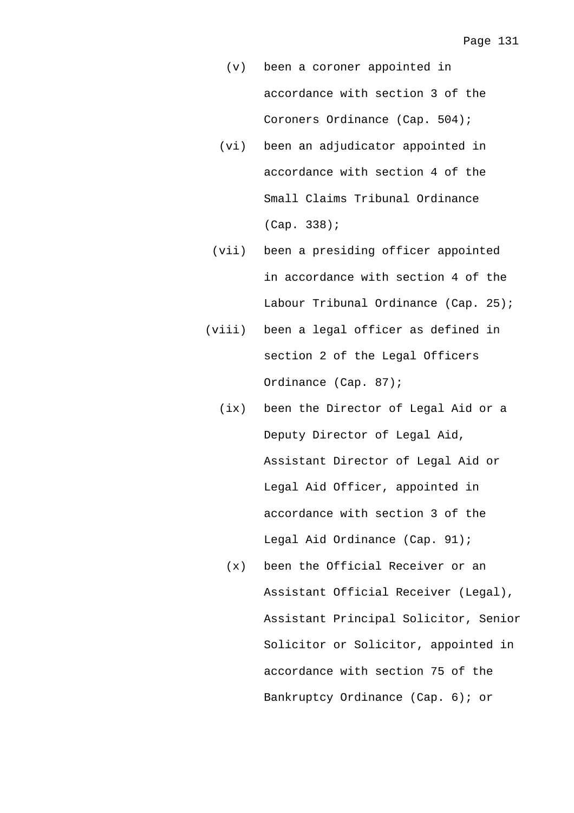- (v) been a coroner appointed in accordance with section 3 of the Coroners Ordinance (Cap. 504);
- (vi) been an adjudicator appointed in accordance with section 4 of the Small Claims Tribunal Ordinance (Cap. 338);
- (vii) been a presiding officer appointed in accordance with section 4 of the Labour Tribunal Ordinance (Cap. 25);
- (viii) been a legal officer as defined in section 2 of the Legal Officers Ordinance (Cap. 87);
	- (ix) been the Director of Legal Aid or a Deputy Director of Legal Aid, Assistant Director of Legal Aid or Legal Aid Officer, appointed in accordance with section 3 of the Legal Aid Ordinance (Cap. 91);
		- (x) been the Official Receiver or an Assistant Official Receiver (Legal), Assistant Principal Solicitor, Senior Solicitor or Solicitor, appointed in accordance with section 75 of the Bankruptcy Ordinance (Cap. 6); or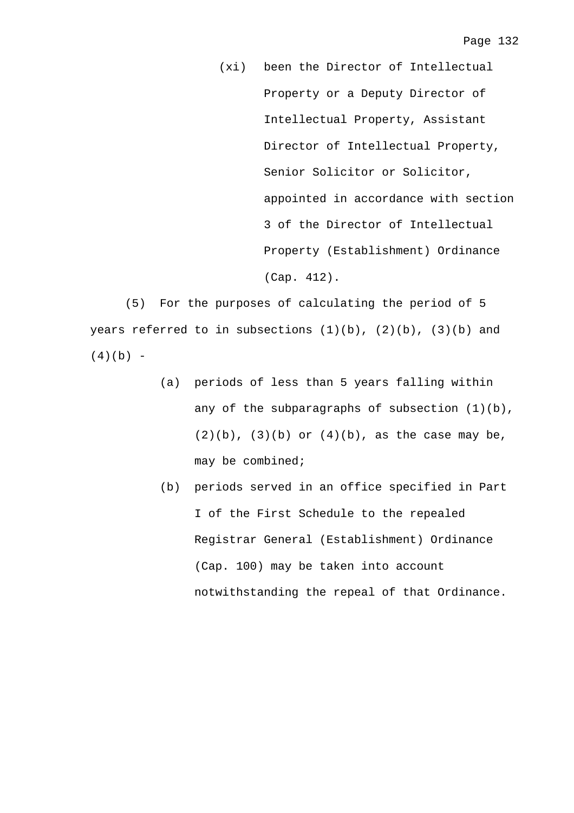(xi) been the Director of Intellectual Property or a Deputy Director of Intellectual Property, Assistant Director of Intellectual Property, Senior Solicitor or Solicitor, appointed in accordance with section 3 of the Director of Intellectual Property (Establishment) Ordinance (Cap. 412).

 (5) For the purposes of calculating the period of 5 years referred to in subsections  $(1)(b)$ ,  $(2)(b)$ ,  $(3)(b)$  and  $(4)(b) -$ 

- (a) periods of less than 5 years falling within any of the subparagraphs of subsection  $(1)(b)$ ,  $(2)(b)$ ,  $(3)(b)$  or  $(4)(b)$ , as the case may be, may be combined;
- (b) periods served in an office specified in Part I of the First Schedule to the repealed Registrar General (Establishment) Ordinance (Cap. 100) may be taken into account notwithstanding the repeal of that Ordinance.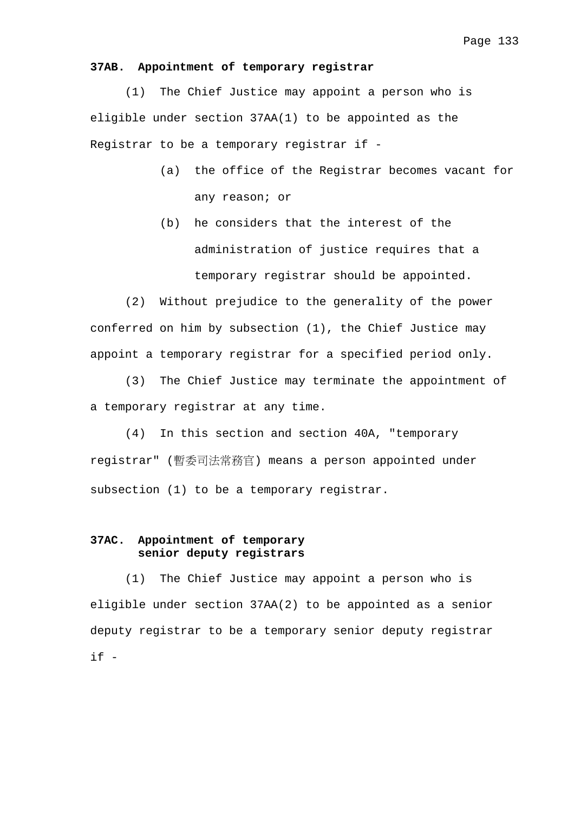### **37AB. Appointment of temporary registrar**

 (1) The Chief Justice may appoint a person who is eligible under section 37AA(1) to be appointed as the Registrar to be a temporary registrar if -

- (a) the office of the Registrar becomes vacant for any reason; or
- (b) he considers that the interest of the administration of justice requires that a temporary registrar should be appointed.

 (2) Without prejudice to the generality of the power conferred on him by subsection (1), the Chief Justice may appoint a temporary registrar for a specified period only.

 (3) The Chief Justice may terminate the appointment of a temporary registrar at any time.

 (4) In this section and section 40A, "temporary registrar" (暫委司法常務官) means a person appointed under subsection (1) to be a temporary registrar.

## **37AC. Appointment of temporary senior deputy registrars**

 (1) The Chief Justice may appoint a person who is eligible under section 37AA(2) to be appointed as a senior deputy registrar to be a temporary senior deputy registrar  $if -$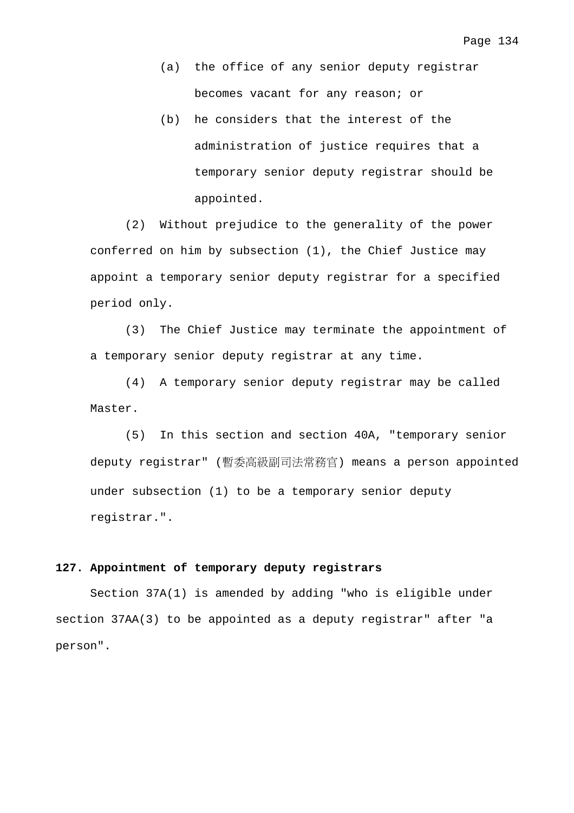- (a) the office of any senior deputy registrar becomes vacant for any reason; or
- (b) he considers that the interest of the administration of justice requires that a temporary senior deputy registrar should be appointed.

 (2) Without prejudice to the generality of the power conferred on him by subsection (1), the Chief Justice may appoint a temporary senior deputy registrar for a specified period only.

 (3) The Chief Justice may terminate the appointment of a temporary senior deputy registrar at any time.

 (4) A temporary senior deputy registrar may be called Master.

 (5) In this section and section 40A, "temporary senior deputy registrar" (暫委高級副司法常務官) means a person appointed under subsection (1) to be a temporary senior deputy registrar.".

## **127. Appointment of temporary deputy registrars**

 Section 37A(1) is amended by adding "who is eligible under section 37AA(3) to be appointed as a deputy registrar" after "a person".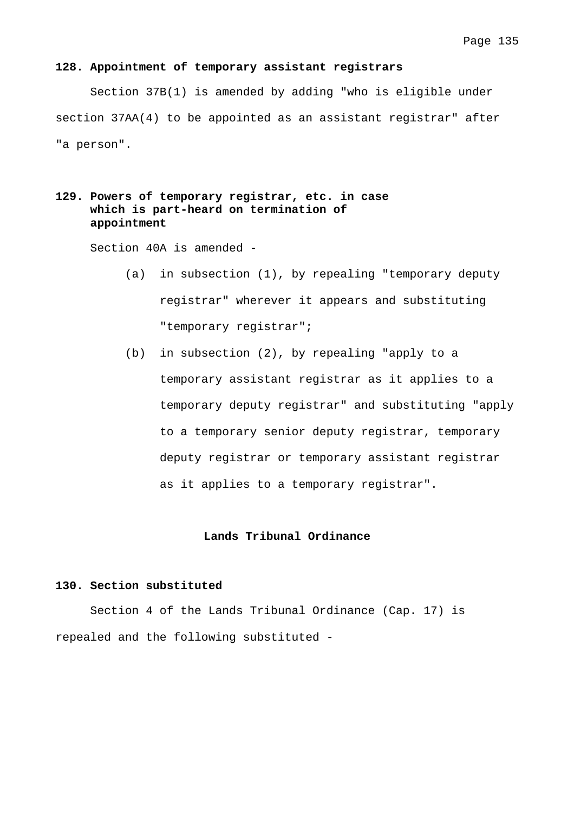### **128. Appointment of temporary assistant registrars**

 Section 37B(1) is amended by adding "who is eligible under section 37AA(4) to be appointed as an assistant registrar" after "a person".

# **129. Powers of temporary registrar, etc. in case which is part-heard on termination of appointment**

Section 40A is amended -

- (a) in subsection (1), by repealing "temporary deputy registrar" wherever it appears and substituting "temporary registrar";
- (b) in subsection (2), by repealing "apply to a temporary assistant registrar as it applies to a temporary deputy registrar" and substituting "apply to a temporary senior deputy registrar, temporary deputy registrar or temporary assistant registrar as it applies to a temporary registrar".

### **Lands Tribunal Ordinance**

## **130. Section substituted**

 Section 4 of the Lands Tribunal Ordinance (Cap. 17) is repealed and the following substituted -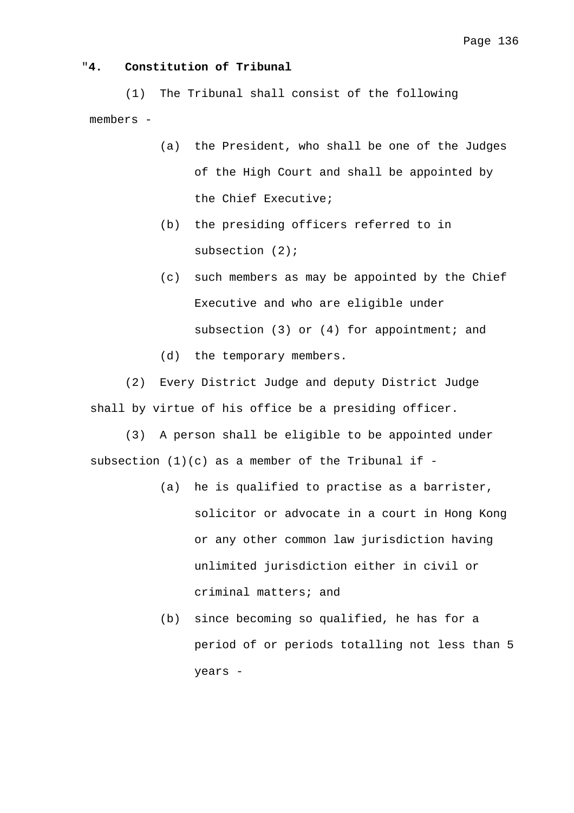# "**4. Constitution of Tribunal**

 (1) The Tribunal shall consist of the following members -

- (a) the President, who shall be one of the Judges of the High Court and shall be appointed by the Chief Executive;
- (b) the presiding officers referred to in subsection (2);
- (c) such members as may be appointed by the Chief Executive and who are eligible under subsection (3) or (4) for appointment; and
- (d) the temporary members.

 (2) Every District Judge and deputy District Judge shall by virtue of his office be a presiding officer.

 (3) A person shall be eligible to be appointed under subsection  $(1)(c)$  as a member of the Tribunal if -

- (a) he is qualified to practise as a barrister, solicitor or advocate in a court in Hong Kong or any other common law jurisdiction having unlimited jurisdiction either in civil or criminal matters; and
- (b) since becoming so qualified, he has for a period of or periods totalling not less than 5 years -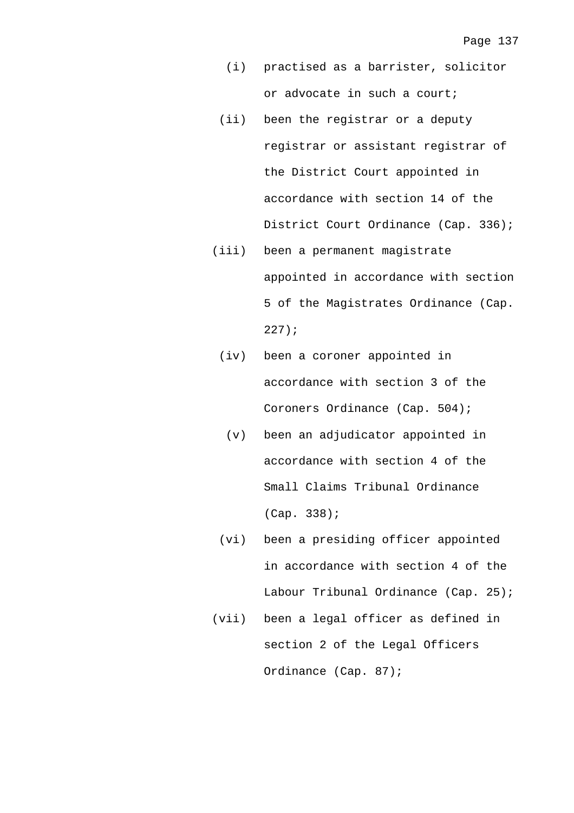- (i) practised as a barrister, solicitor or advocate in such a court;
- (ii) been the registrar or a deputy registrar or assistant registrar of the District Court appointed in accordance with section 14 of the District Court Ordinance (Cap. 336);
- (iii) been a permanent magistrate appointed in accordance with section 5 of the Magistrates Ordinance (Cap. 227);
	- (iv) been a coroner appointed in accordance with section 3 of the Coroners Ordinance (Cap. 504);
		- (v) been an adjudicator appointed in accordance with section 4 of the Small Claims Tribunal Ordinance (Cap. 338);
- (vi) been a presiding officer appointed in accordance with section 4 of the Labour Tribunal Ordinance (Cap. 25);
- (vii) been a legal officer as defined in section 2 of the Legal Officers Ordinance (Cap. 87);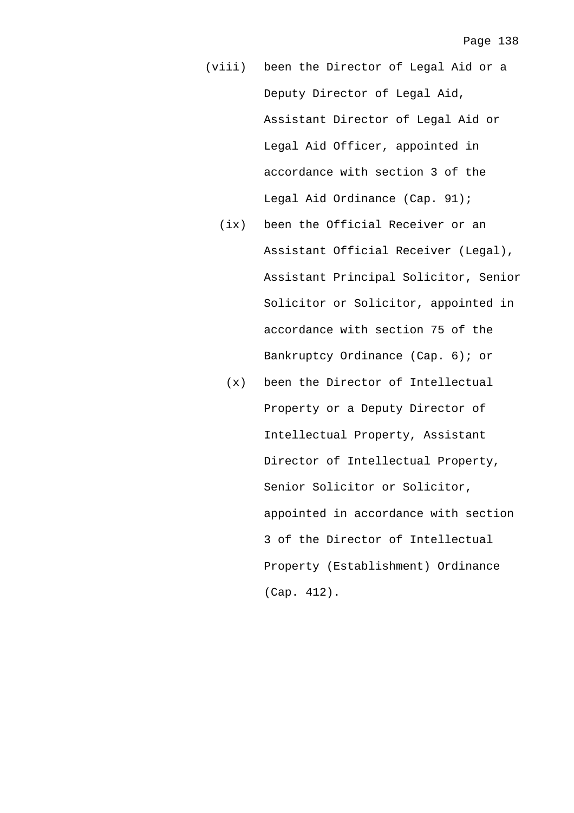- (viii) been the Director of Legal Aid or a Deputy Director of Legal Aid, Assistant Director of Legal Aid or Legal Aid Officer, appointed in accordance with section 3 of the Legal Aid Ordinance (Cap. 91);
	- (ix) been the Official Receiver or an Assistant Official Receiver (Legal), Assistant Principal Solicitor, Senior Solicitor or Solicitor, appointed in accordance with section 75 of the Bankruptcy Ordinance (Cap. 6); or
		- (x) been the Director of Intellectual Property or a Deputy Director of Intellectual Property, Assistant Director of Intellectual Property, Senior Solicitor or Solicitor, appointed in accordance with section 3 of the Director of Intellectual Property (Establishment) Ordinance (Cap. 412).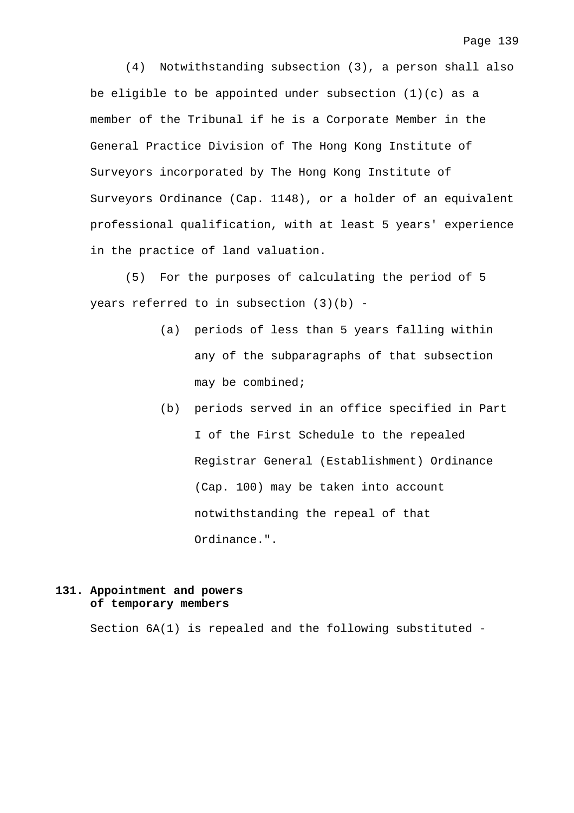(4) Notwithstanding subsection (3), a person shall also be eligible to be appointed under subsection (1)(c) as a member of the Tribunal if he is a Corporate Member in the General Practice Division of The Hong Kong Institute of Surveyors incorporated by The Hong Kong Institute of Surveyors Ordinance (Cap. 1148), or a holder of an equivalent professional qualification, with at least 5 years' experience in the practice of land valuation.

 (5) For the purposes of calculating the period of 5 years referred to in subsection (3)(b) -

- (a) periods of less than 5 years falling within any of the subparagraphs of that subsection may be combined;
- (b) periods served in an office specified in Part I of the First Schedule to the repealed Registrar General (Establishment) Ordinance (Cap. 100) may be taken into account notwithstanding the repeal of that Ordinance.".

# **131. Appointment and powers of temporary members**

Section 6A(1) is repealed and the following substituted -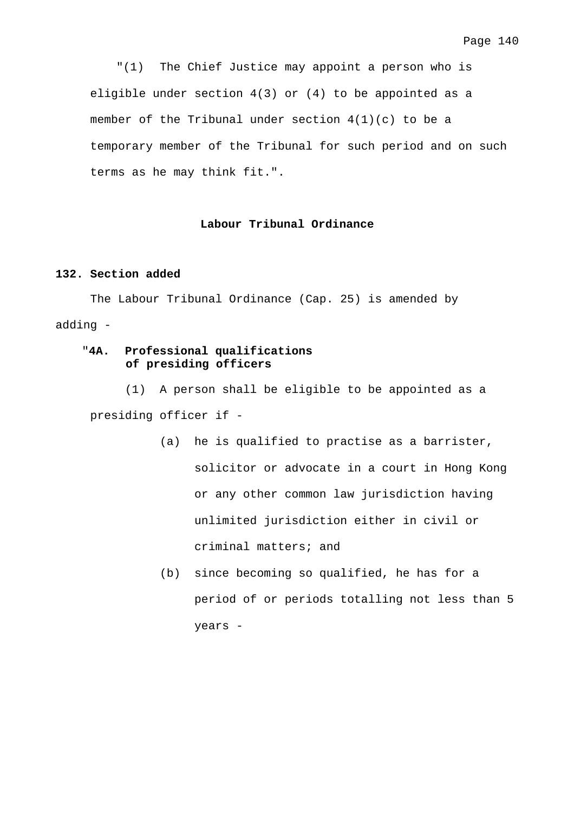"(1) The Chief Justice may appoint a person who is eligible under section 4(3) or (4) to be appointed as a member of the Tribunal under section 4(1)(c) to be a temporary member of the Tribunal for such period and on such terms as he may think fit.".

# **Labour Tribunal Ordinance**

## **132. Section added**

 The Labour Tribunal Ordinance (Cap. 25) is amended by adding -

# "**4A. Professional qualifications of presiding officers**

 (1) A person shall be eligible to be appointed as a presiding officer if -

- (a) he is qualified to practise as a barrister, solicitor or advocate in a court in Hong Kong or any other common law jurisdiction having unlimited jurisdiction either in civil or criminal matters; and
- (b) since becoming so qualified, he has for a period of or periods totalling not less than 5 years -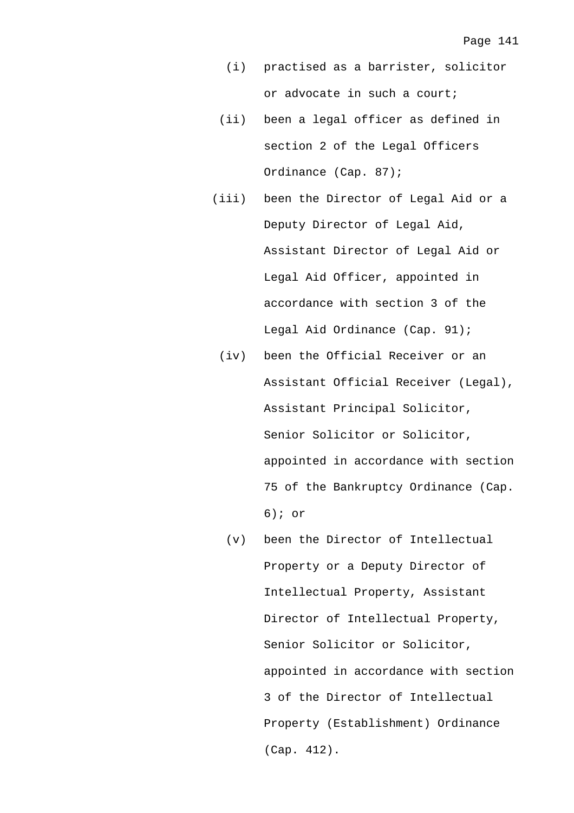- (i) practised as a barrister, solicitor or advocate in such a court;
- (ii) been a legal officer as defined in section 2 of the Legal Officers Ordinance (Cap. 87);
- (iii) been the Director of Legal Aid or a Deputy Director of Legal Aid, Assistant Director of Legal Aid or Legal Aid Officer, appointed in accordance with section 3 of the Legal Aid Ordinance (Cap. 91);
	- (iv) been the Official Receiver or an Assistant Official Receiver (Legal), Assistant Principal Solicitor, Senior Solicitor or Solicitor, appointed in accordance with section 75 of the Bankruptcy Ordinance (Cap. 6); or
		- (v) been the Director of Intellectual Property or a Deputy Director of Intellectual Property, Assistant Director of Intellectual Property, Senior Solicitor or Solicitor, appointed in accordance with section 3 of the Director of Intellectual Property (Establishment) Ordinance (Cap. 412).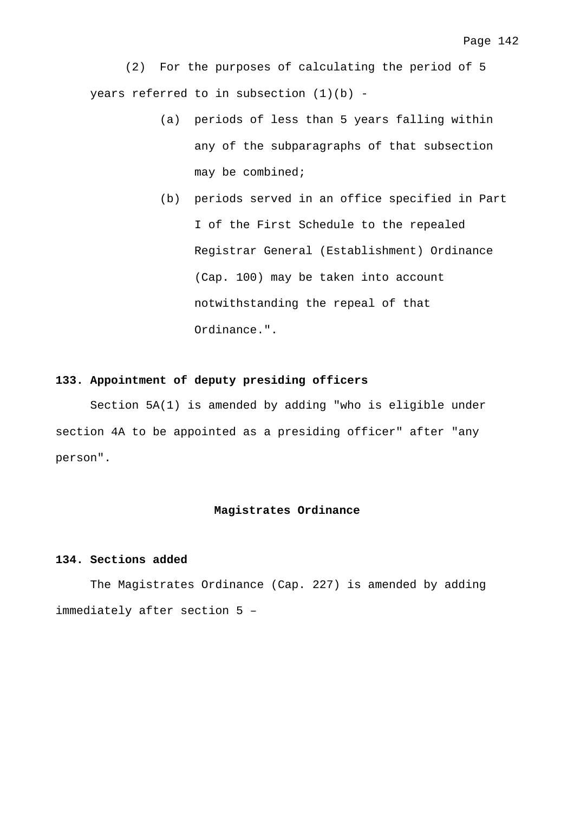(2) For the purposes of calculating the period of 5 years referred to in subsection  $(1)(b)$  -

- (a) periods of less than 5 years falling within any of the subparagraphs of that subsection may be combined;
- (b) periods served in an office specified in Part I of the First Schedule to the repealed Registrar General (Establishment) Ordinance (Cap. 100) may be taken into account notwithstanding the repeal of that Ordinance.".

## **133. Appointment of deputy presiding officers**

 Section 5A(1) is amended by adding "who is eligible under section 4A to be appointed as a presiding officer" after "any person".

#### **Magistrates Ordinance**

#### **134. Sections added**

 The Magistrates Ordinance (Cap. 227) is amended by adding immediately after section 5 –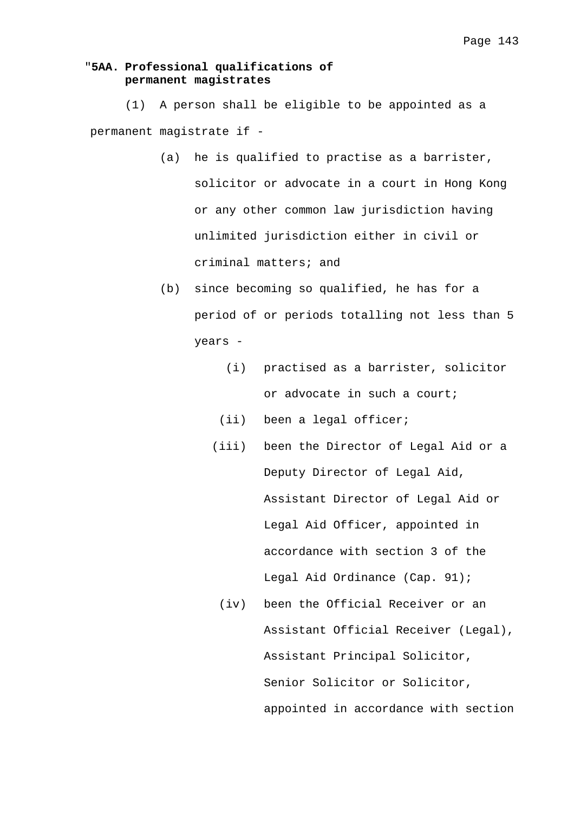# "**5AA. Professional qualifications of permanent magistrates**

 (1) A person shall be eligible to be appointed as a permanent magistrate if -

- (a) he is qualified to practise as a barrister, solicitor or advocate in a court in Hong Kong or any other common law jurisdiction having unlimited jurisdiction either in civil or criminal matters; and
- (b) since becoming so qualified, he has for a period of or periods totalling not less than 5 years -
	- (i) practised as a barrister, solicitor or advocate in such a court;
	- (ii) been a legal officer;
	- (iii) been the Director of Legal Aid or a Deputy Director of Legal Aid, Assistant Director of Legal Aid or Legal Aid Officer, appointed in accordance with section 3 of the Legal Aid Ordinance (Cap. 91);
		- (iv) been the Official Receiver or an Assistant Official Receiver (Legal), Assistant Principal Solicitor, Senior Solicitor or Solicitor, appointed in accordance with section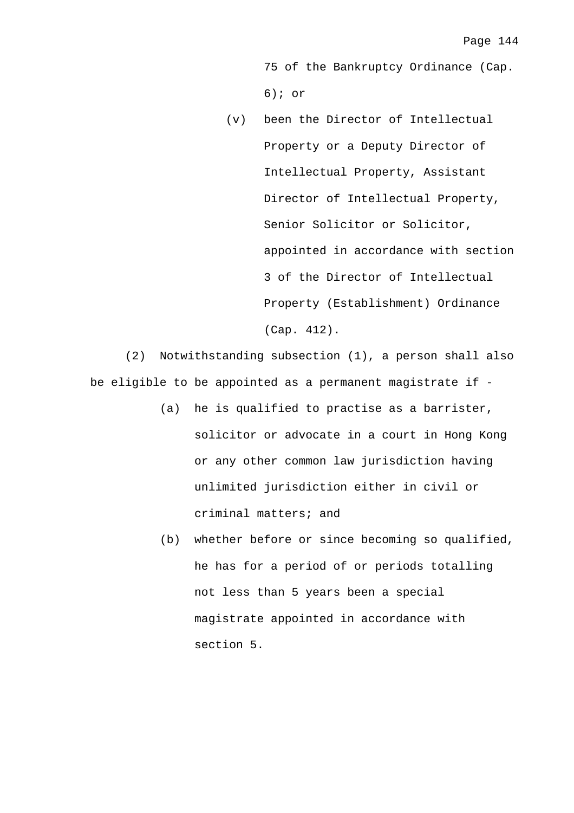75 of the Bankruptcy Ordinance (Cap. 6); or

 (v) been the Director of Intellectual Property or a Deputy Director of Intellectual Property, Assistant Director of Intellectual Property, Senior Solicitor or Solicitor, appointed in accordance with section 3 of the Director of Intellectual Property (Establishment) Ordinance (Cap. 412).

 (2) Notwithstanding subsection (1), a person shall also be eligible to be appointed as a permanent magistrate if -

- (a) he is qualified to practise as a barrister, solicitor or advocate in a court in Hong Kong or any other common law jurisdiction having unlimited jurisdiction either in civil or criminal matters; and
- (b) whether before or since becoming so qualified, he has for a period of or periods totalling not less than 5 years been a special magistrate appointed in accordance with section 5.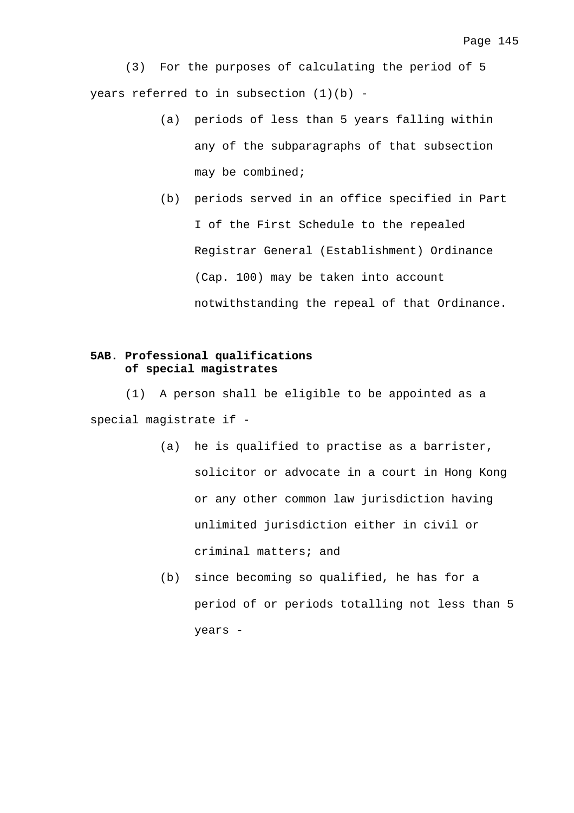(3) For the purposes of calculating the period of 5 years referred to in subsection  $(1)(b)$  -

- (a) periods of less than 5 years falling within any of the subparagraphs of that subsection may be combined;
- (b) periods served in an office specified in Part I of the First Schedule to the repealed Registrar General (Establishment) Ordinance (Cap. 100) may be taken into account notwithstanding the repeal of that Ordinance.

# **5AB. Professional qualifications of special magistrates**

 (1) A person shall be eligible to be appointed as a special magistrate if -

- (a) he is qualified to practise as a barrister, solicitor or advocate in a court in Hong Kong or any other common law jurisdiction having unlimited jurisdiction either in civil or criminal matters; and
- (b) since becoming so qualified, he has for a period of or periods totalling not less than 5 years -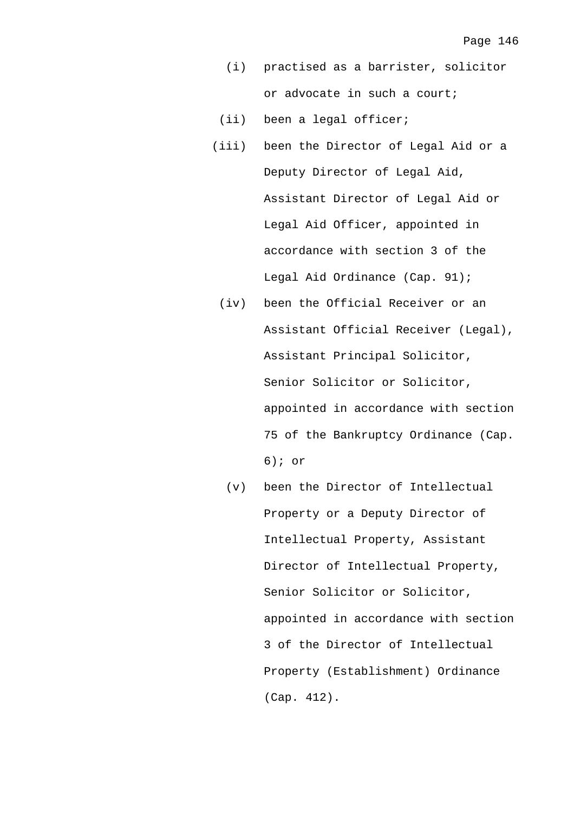- (i) practised as a barrister, solicitor or advocate in such a court;
- (ii) been a legal officer;
- (iii) been the Director of Legal Aid or a Deputy Director of Legal Aid, Assistant Director of Legal Aid or Legal Aid Officer, appointed in accordance with section 3 of the Legal Aid Ordinance (Cap. 91);
	- (iv) been the Official Receiver or an Assistant Official Receiver (Legal), Assistant Principal Solicitor, Senior Solicitor or Solicitor, appointed in accordance with section 75 of the Bankruptcy Ordinance (Cap. 6); or
		- (v) been the Director of Intellectual Property or a Deputy Director of Intellectual Property, Assistant Director of Intellectual Property, Senior Solicitor or Solicitor, appointed in accordance with section 3 of the Director of Intellectual Property (Establishment) Ordinance (Cap. 412).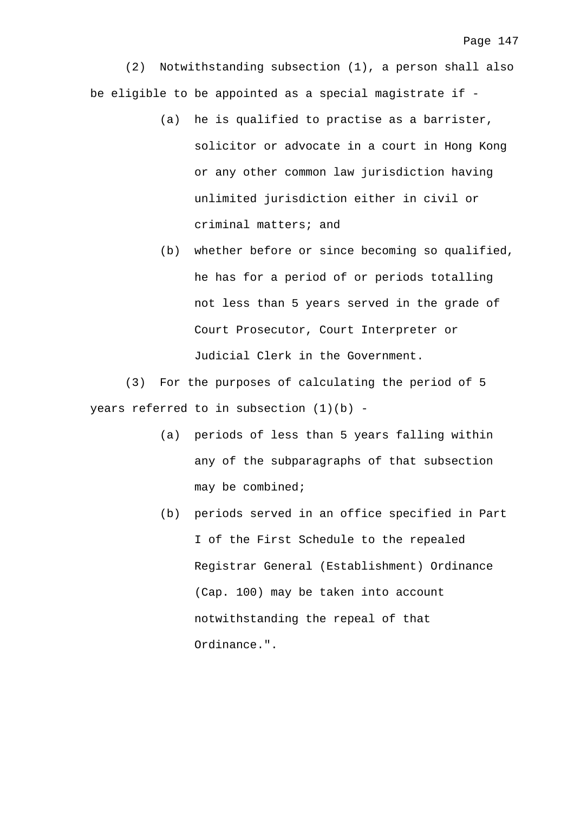(2) Notwithstanding subsection (1), a person shall also be eligible to be appointed as a special magistrate if -

- (a) he is qualified to practise as a barrister, solicitor or advocate in a court in Hong Kong or any other common law jurisdiction having unlimited jurisdiction either in civil or criminal matters; and
- (b) whether before or since becoming so qualified, he has for a period of or periods totalling not less than 5 years served in the grade of Court Prosecutor, Court Interpreter or Judicial Clerk in the Government.

 (3) For the purposes of calculating the period of 5 years referred to in subsection (1)(b) -

- (a) periods of less than 5 years falling within any of the subparagraphs of that subsection may be combined;
- (b) periods served in an office specified in Part I of the First Schedule to the repealed Registrar General (Establishment) Ordinance (Cap. 100) may be taken into account notwithstanding the repeal of that Ordinance.".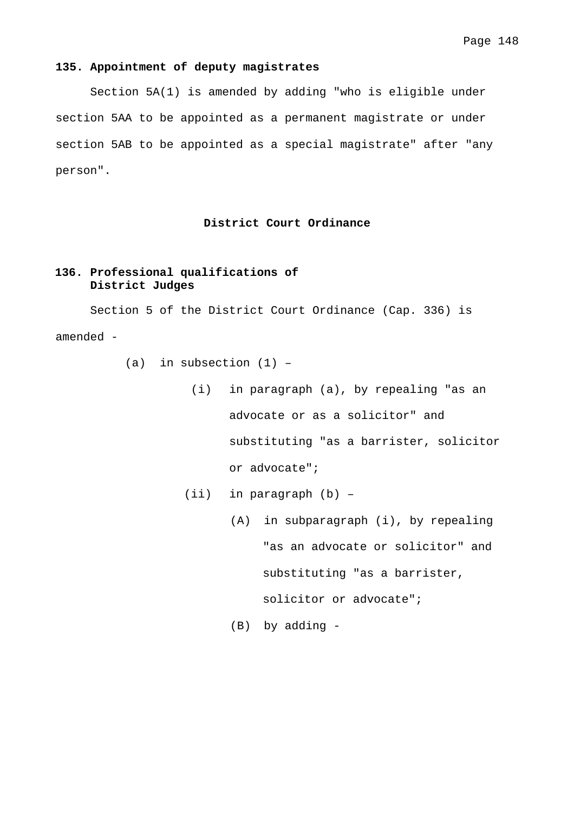## **135. Appointment of deputy magistrates**

 Section 5A(1) is amended by adding "who is eligible under section 5AA to be appointed as a permanent magistrate or under section 5AB to be appointed as a special magistrate" after "any person".

## **District Court Ordinance**

# **136. Professional qualifications of District Judges**

 Section 5 of the District Court Ordinance (Cap. 336) is amended -

- (a) in subsection  $(1)$  -
	- (i) in paragraph (a), by repealing "as an advocate or as a solicitor" and substituting "as a barrister, solicitor or advocate";
	- (ii) in paragraph (b)
		- (A) in subparagraph (i), by repealing "as an advocate or solicitor" and substituting "as a barrister, solicitor or advocate";

(B) by adding -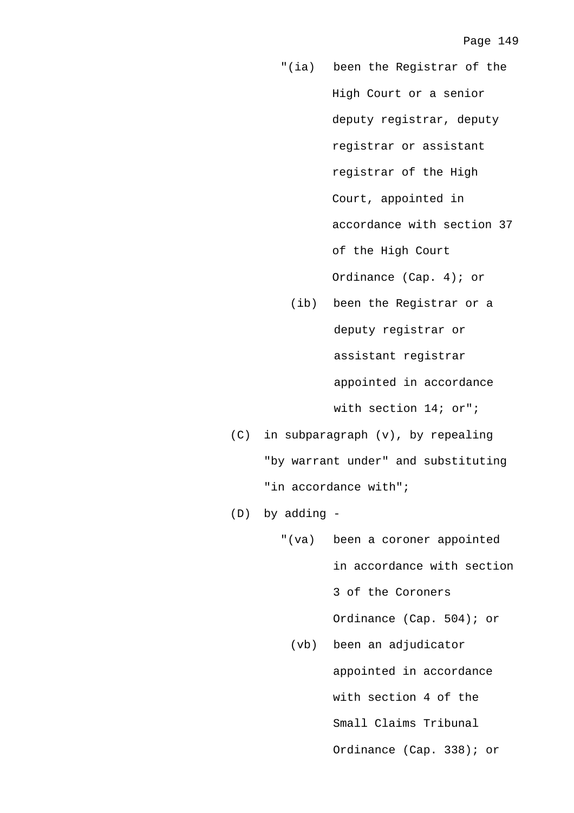- "(ia) been the Registrar of the High Court or a senior deputy registrar, deputy registrar or assistant registrar of the High Court, appointed in accordance with section 37 of the High Court Ordinance (Cap. 4); or
- (ib) been the Registrar or a deputy registrar or assistant registrar appointed in accordance with section 14; or";
- (C) in subparagraph (v), by repealing "by warrant under" and substituting "in accordance with";
- (D) by adding
	- "(va) been a coroner appointed in accordance with section 3 of the Coroners Ordinance (Cap. 504); or
		- (vb) been an adjudicator appointed in accordance with section 4 of the Small Claims Tribunal Ordinance (Cap. 338); or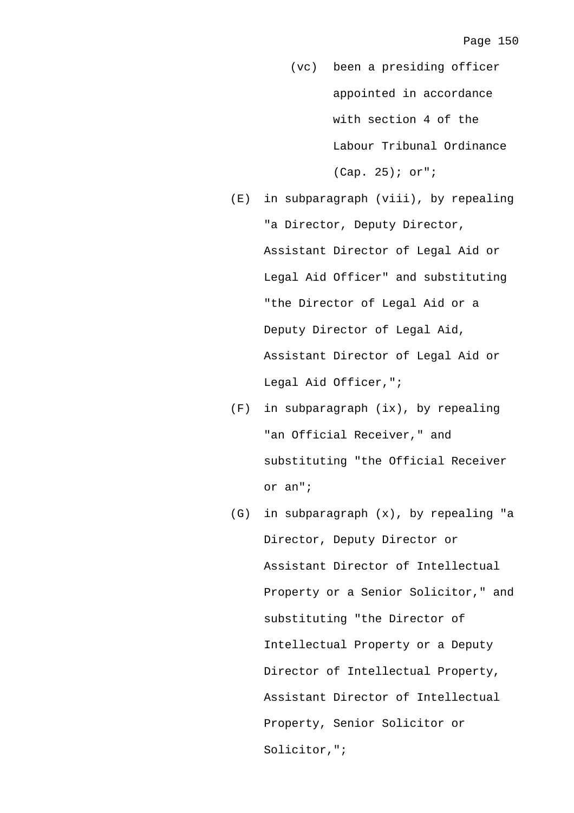- (vc) been a presiding officer appointed in accordance with section 4 of the Labour Tribunal Ordinance (Cap. 25); or";
- (E) in subparagraph (viii), by repealing "a Director, Deputy Director, Assistant Director of Legal Aid or Legal Aid Officer" and substituting "the Director of Legal Aid or a Deputy Director of Legal Aid, Assistant Director of Legal Aid or Legal Aid Officer,";
- (F) in subparagraph (ix), by repealing "an Official Receiver," and substituting "the Official Receiver or an";
- (G) in subparagraph (x), by repealing "a Director, Deputy Director or Assistant Director of Intellectual Property or a Senior Solicitor," and substituting "the Director of Intellectual Property or a Deputy Director of Intellectual Property, Assistant Director of Intellectual Property, Senior Solicitor or Solicitor,";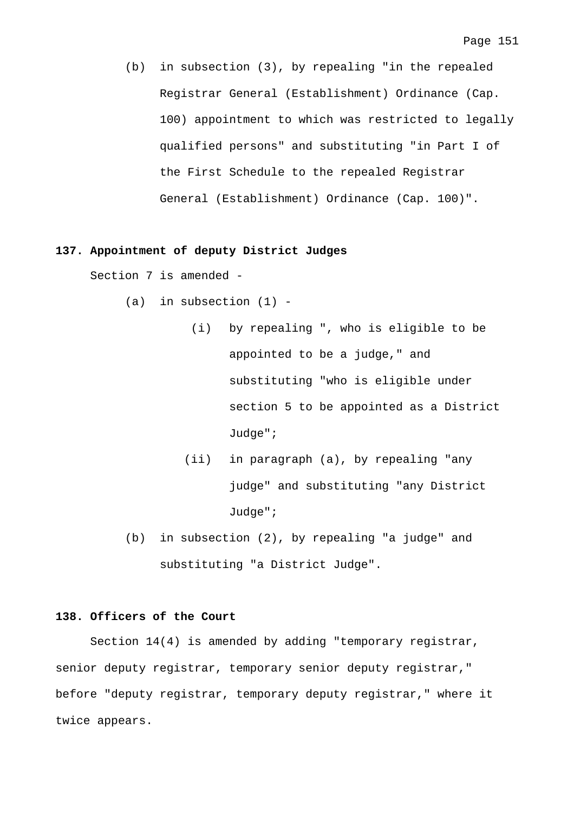(b) in subsection (3), by repealing "in the repealed Registrar General (Establishment) Ordinance (Cap. 100) appointment to which was restricted to legally qualified persons" and substituting "in Part I of the First Schedule to the repealed Registrar General (Establishment) Ordinance (Cap. 100)".

### **137. Appointment of deputy District Judges**

Section 7 is amended -

- $(a)$  in subsection  $(1)$  -
	- (i) by repealing ", who is eligible to be appointed to be a judge," and substituting "who is eligible under section 5 to be appointed as a District Judge";
	- (ii) in paragraph (a), by repealing "any judge" and substituting "any District Judge";
- (b) in subsection (2), by repealing "a judge" and substituting "a District Judge".

#### **138. Officers of the Court**

 Section 14(4) is amended by adding "temporary registrar, senior deputy registrar, temporary senior deputy registrar," before "deputy registrar, temporary deputy registrar," where it twice appears.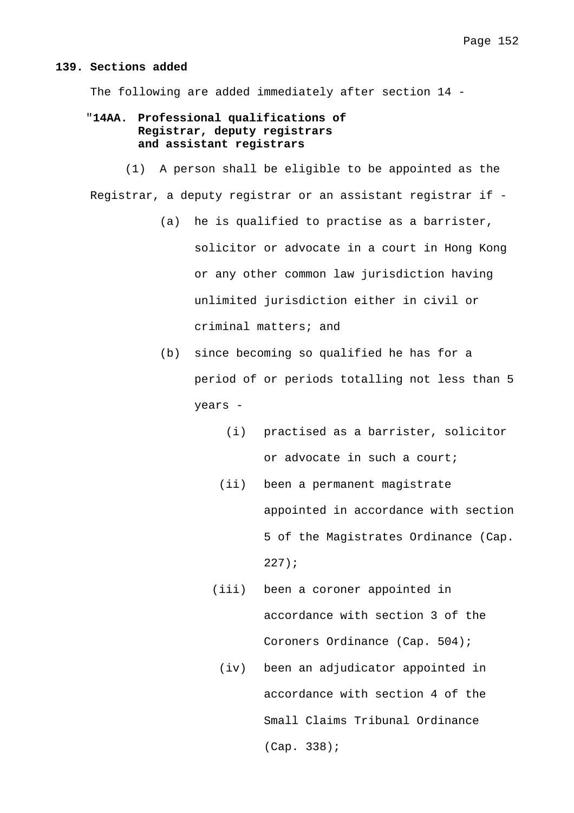#### **139. Sections added**

The following are added immediately after section 14 -

# "**14AA. Professional qualifications of Registrar, deputy registrars and assistant registrars**

 (1) A person shall be eligible to be appointed as the Registrar, a deputy registrar or an assistant registrar if -

- (a) he is qualified to practise as a barrister, solicitor or advocate in a court in Hong Kong or any other common law jurisdiction having unlimited jurisdiction either in civil or criminal matters; and
- (b) since becoming so qualified he has for a period of or periods totalling not less than 5 years -
	- (i) practised as a barrister, solicitor or advocate in such a court;
	- (ii) been a permanent magistrate appointed in accordance with section 5 of the Magistrates Ordinance (Cap. 227);
	- (iii) been a coroner appointed in accordance with section 3 of the Coroners Ordinance (Cap. 504);
		- (iv) been an adjudicator appointed in accordance with section 4 of the Small Claims Tribunal Ordinance (Cap. 338);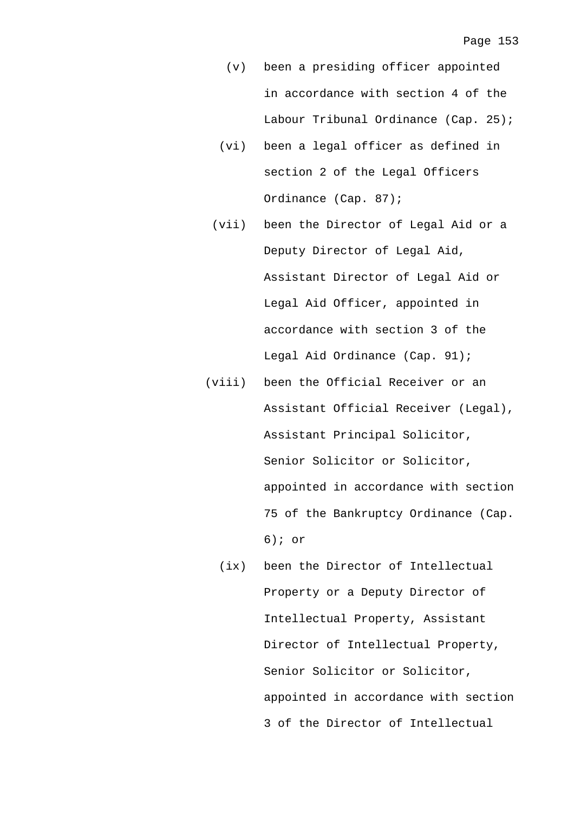- (v) been a presiding officer appointed in accordance with section 4 of the Labour Tribunal Ordinance (Cap. 25);
- (vi) been a legal officer as defined in section 2 of the Legal Officers Ordinance (Cap. 87);
- (vii) been the Director of Legal Aid or a Deputy Director of Legal Aid, Assistant Director of Legal Aid or Legal Aid Officer, appointed in accordance with section 3 of the Legal Aid Ordinance (Cap. 91);
- (viii) been the Official Receiver or an Assistant Official Receiver (Legal), Assistant Principal Solicitor, Senior Solicitor or Solicitor, appointed in accordance with section 75 of the Bankruptcy Ordinance (Cap. 6); or
	- (ix) been the Director of Intellectual Property or a Deputy Director of Intellectual Property, Assistant Director of Intellectual Property, Senior Solicitor or Solicitor, appointed in accordance with section 3 of the Director of Intellectual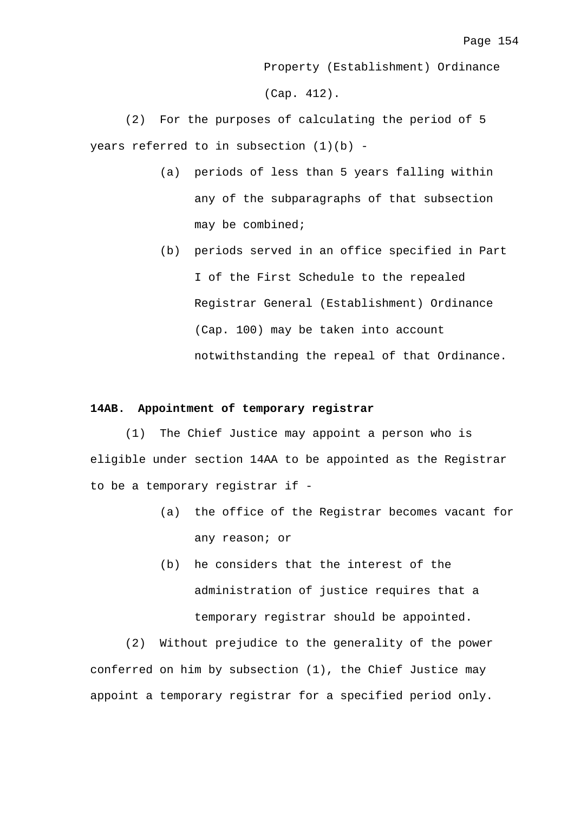Property (Establishment) Ordinance (Cap. 412).

 (2) For the purposes of calculating the period of 5 years referred to in subsection (1)(b) -

- (a) periods of less than 5 years falling within any of the subparagraphs of that subsection may be combined;
- (b) periods served in an office specified in Part I of the First Schedule to the repealed Registrar General (Establishment) Ordinance (Cap. 100) may be taken into account notwithstanding the repeal of that Ordinance.

## **14AB. Appointment of temporary registrar**

 (1) The Chief Justice may appoint a person who is eligible under section 14AA to be appointed as the Registrar to be a temporary registrar if -

- (a) the office of the Registrar becomes vacant for any reason; or
- (b) he considers that the interest of the administration of justice requires that a temporary registrar should be appointed.

 (2) Without prejudice to the generality of the power conferred on him by subsection (1), the Chief Justice may appoint a temporary registrar for a specified period only.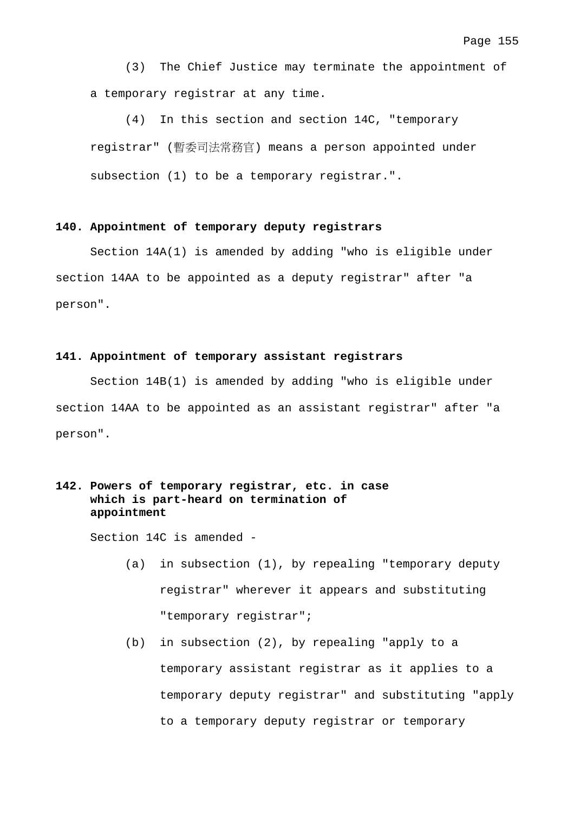(3) The Chief Justice may terminate the appointment of a temporary registrar at any time.

 (4) In this section and section 14C, "temporary registrar" (暫委司法常務官) means a person appointed under subsection (1) to be a temporary registrar.".

## **140. Appointment of temporary deputy registrars**

 Section 14A(1) is amended by adding "who is eligible under section 14AA to be appointed as a deputy registrar" after "a person".

## **141. Appointment of temporary assistant registrars**

 Section 14B(1) is amended by adding "who is eligible under section 14AA to be appointed as an assistant registrar" after "a person".

# **142. Powers of temporary registrar, etc. in case which is part-heard on termination of appointment**

Section 14C is amended -

- (a) in subsection (1), by repealing "temporary deputy registrar" wherever it appears and substituting "temporary registrar";
- (b) in subsection (2), by repealing "apply to a temporary assistant registrar as it applies to a temporary deputy registrar" and substituting "apply to a temporary deputy registrar or temporary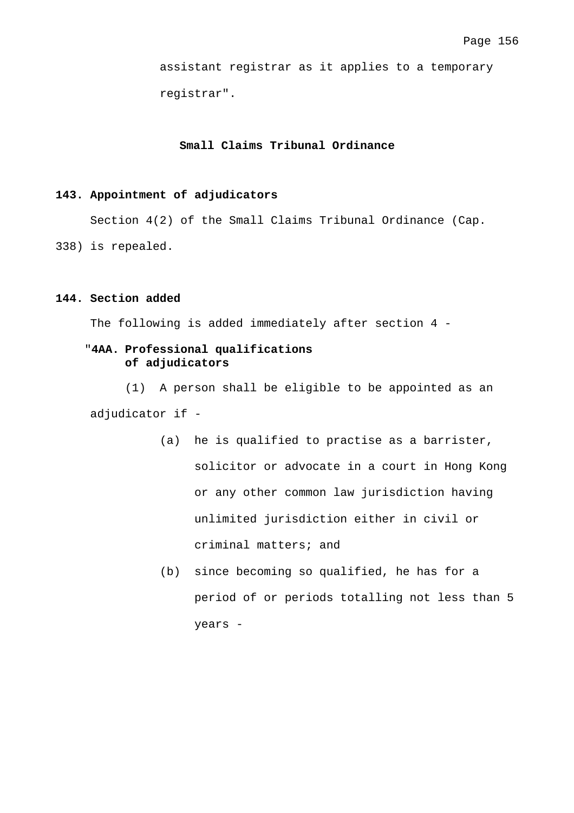assistant registrar as it applies to a temporary registrar".

# **Small Claims Tribunal Ordinance**

## **143. Appointment of adjudicators**

Section 4(2) of the Small Claims Tribunal Ordinance (Cap.

338) is repealed.

## **144. Section added**

The following is added immediately after section 4 -

# "**4AA. Professional qualifications of adjudicators**

 (1) A person shall be eligible to be appointed as an adjudicator if -

- (a) he is qualified to practise as a barrister, solicitor or advocate in a court in Hong Kong or any other common law jurisdiction having unlimited jurisdiction either in civil or criminal matters; and
- (b) since becoming so qualified, he has for a period of or periods totalling not less than 5 years -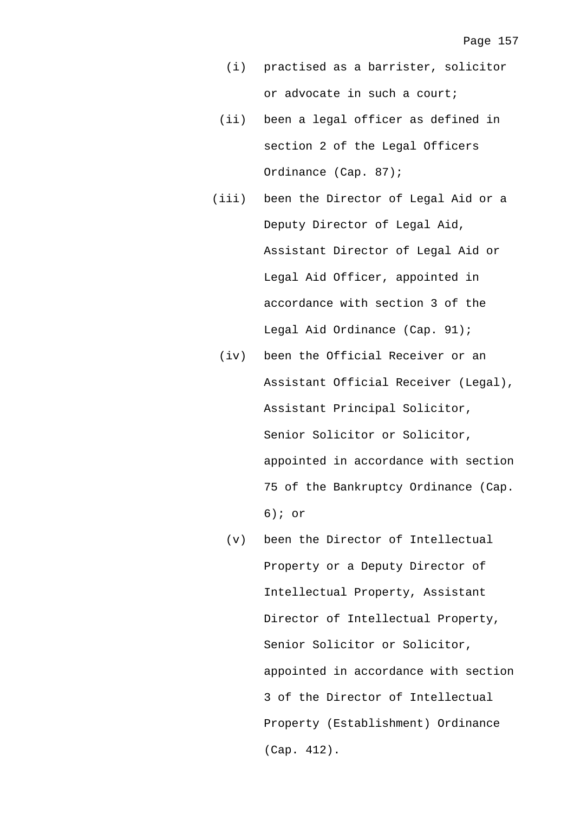- (i) practised as a barrister, solicitor or advocate in such a court;
- (ii) been a legal officer as defined in section 2 of the Legal Officers Ordinance (Cap. 87);
- (iii) been the Director of Legal Aid or a Deputy Director of Legal Aid, Assistant Director of Legal Aid or Legal Aid Officer, appointed in accordance with section 3 of the Legal Aid Ordinance (Cap. 91);
	- (iv) been the Official Receiver or an Assistant Official Receiver (Legal), Assistant Principal Solicitor, Senior Solicitor or Solicitor, appointed in accordance with section 75 of the Bankruptcy Ordinance (Cap. 6); or
		- (v) been the Director of Intellectual Property or a Deputy Director of Intellectual Property, Assistant Director of Intellectual Property, Senior Solicitor or Solicitor, appointed in accordance with section 3 of the Director of Intellectual Property (Establishment) Ordinance (Cap. 412).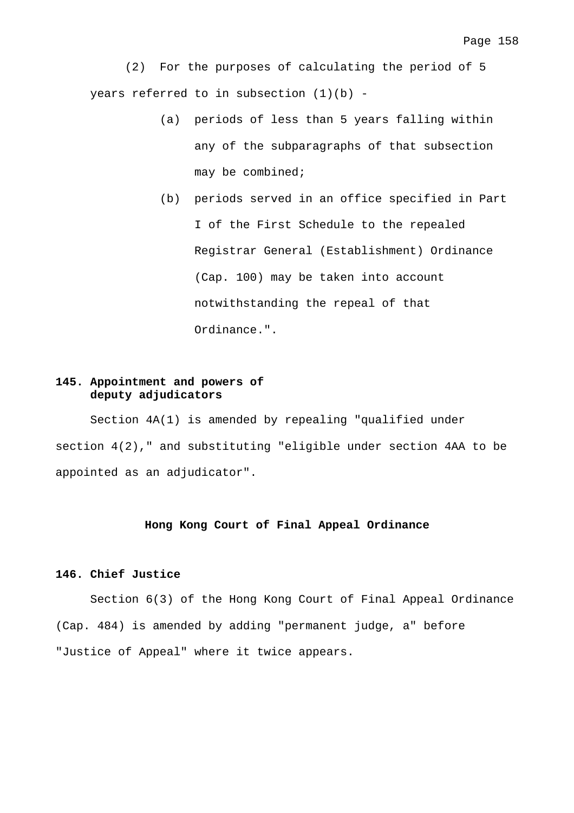(2) For the purposes of calculating the period of 5 years referred to in subsection  $(1)(b)$  -

- (a) periods of less than 5 years falling within any of the subparagraphs of that subsection may be combined;
- (b) periods served in an office specified in Part I of the First Schedule to the repealed Registrar General (Establishment) Ordinance (Cap. 100) may be taken into account notwithstanding the repeal of that Ordinance.".

# **145. Appointment and powers of deputy adjudicators**

 Section 4A(1) is amended by repealing "qualified under section 4(2)," and substituting "eligible under section 4AA to be appointed as an adjudicator".

# **Hong Kong Court of Final Appeal Ordinance**

# **146. Chief Justice**

 Section 6(3) of the Hong Kong Court of Final Appeal Ordinance (Cap. 484) is amended by adding "permanent judge, a" before "Justice of Appeal" where it twice appears.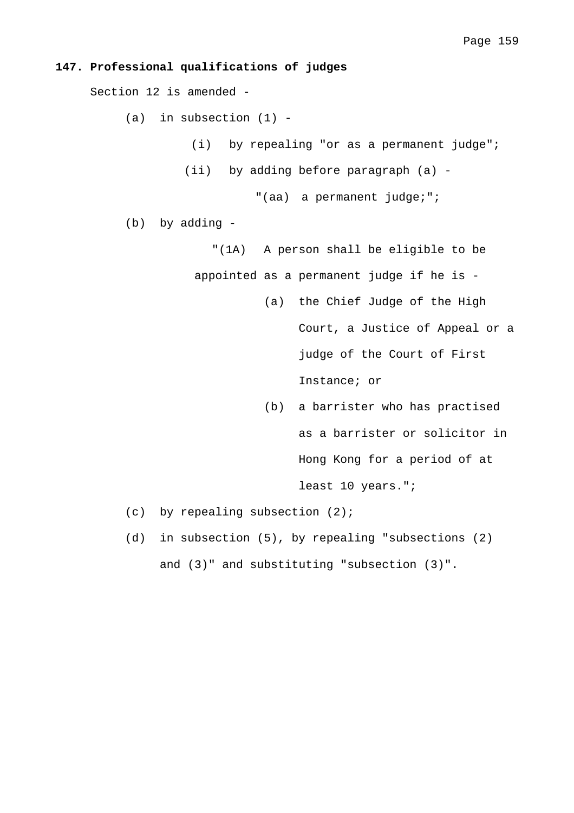## **147. Professional qualifications of judges**

Section 12 is amended -

 $(a)$  in subsection  $(1)$  -

- (i) by repealing "or as a permanent judge";
- (ii) by adding before paragraph (a) -

"(aa) a permanent judge;";

- (b) by adding
	- "(1A) A person shall be eligible to be
	- appointed as a permanent judge if he is
		- (a) the Chief Judge of the High Court, a Justice of Appeal or a judge of the Court of First Instance; or
		- (b) a barrister who has practised as a barrister or solicitor in Hong Kong for a period of at least 10 years.";
- $(c)$  by repealing subsection  $(2)$ ;
- (d) in subsection (5), by repealing "subsections (2) and (3)" and substituting "subsection (3)".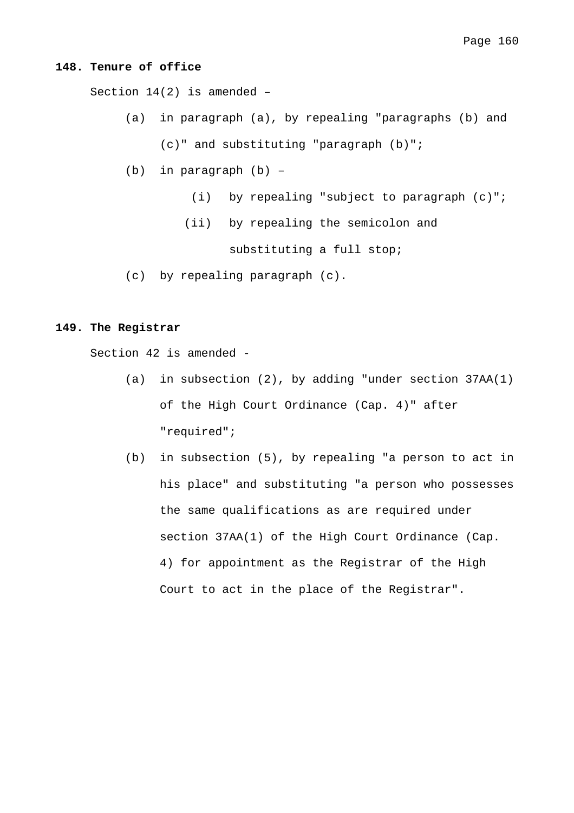### **148. Tenure of office**

Section 14(2) is amended –

(a) in paragraph (a), by repealing "paragraphs (b) and

(c)" and substituting "paragraph (b)";

- (b) in paragraph (b)
	- (i) by repealing "subject to paragraph (c)";
	- (ii) by repealing the semicolon and

substituting a full stop;

(c) by repealing paragraph (c).

#### **149. The Registrar**

Section 42 is amended -

- (a) in subsection (2), by adding "under section 37AA(1) of the High Court Ordinance (Cap. 4)" after "required";
- (b) in subsection (5), by repealing "a person to act in his place" and substituting "a person who possesses the same qualifications as are required under section 37AA(1) of the High Court Ordinance (Cap. 4) for appointment as the Registrar of the High Court to act in the place of the Registrar".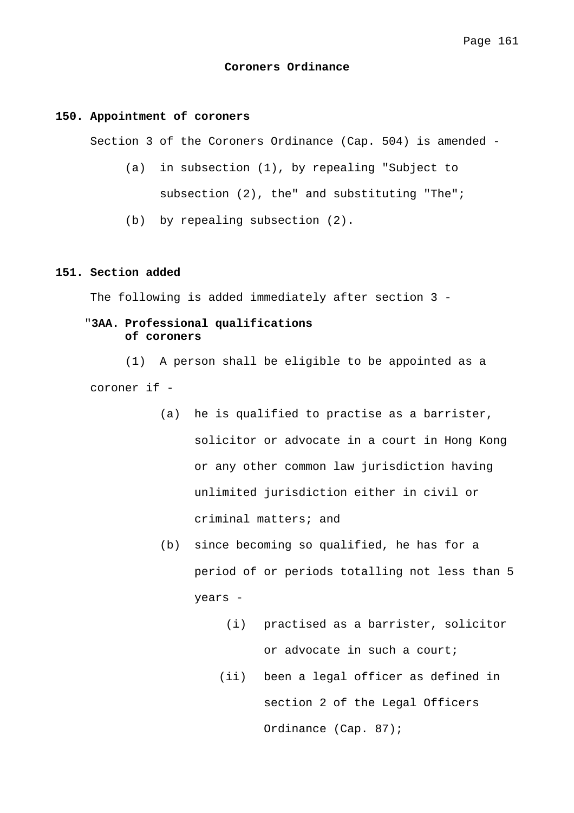#### **Coroners Ordinance**

#### **150. Appointment of coroners**

Section 3 of the Coroners Ordinance (Cap. 504) is amended -

- (a) in subsection (1), by repealing "Subject to subsection (2), the" and substituting "The";
- (b) by repealing subsection (2).

# **151. Section added**

The following is added immediately after section 3 -

# "**3AA. Professional qualifications of coroners**

 (1) A person shall be eligible to be appointed as a coroner if -

- (a) he is qualified to practise as a barrister, solicitor or advocate in a court in Hong Kong or any other common law jurisdiction having unlimited jurisdiction either in civil or criminal matters; and
- (b) since becoming so qualified, he has for a period of or periods totalling not less than 5 years -
	- (i) practised as a barrister, solicitor or advocate in such a court;
	- (ii) been a legal officer as defined in section 2 of the Legal Officers Ordinance (Cap. 87);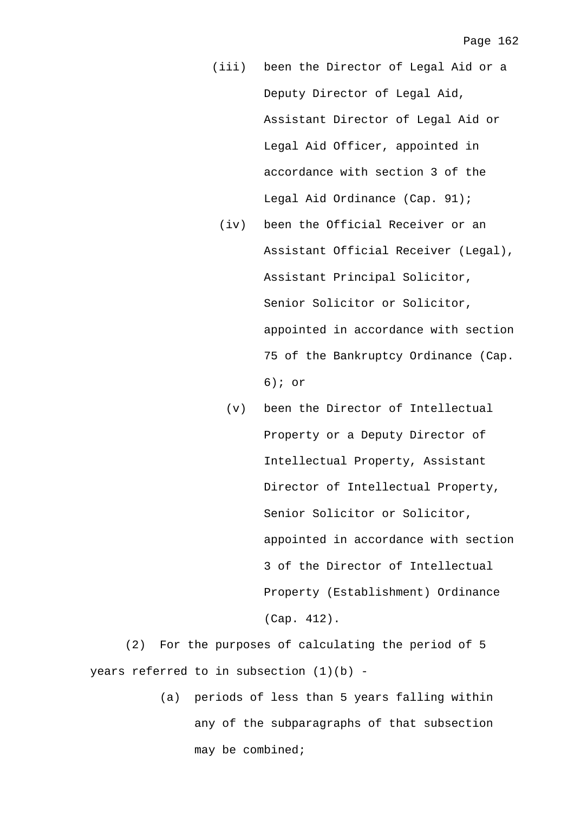- (iii) been the Director of Legal Aid or a Deputy Director of Legal Aid, Assistant Director of Legal Aid or Legal Aid Officer, appointed in accordance with section 3 of the Legal Aid Ordinance (Cap. 91);
	- (iv) been the Official Receiver or an Assistant Official Receiver (Legal), Assistant Principal Solicitor, Senior Solicitor or Solicitor, appointed in accordance with section 75 of the Bankruptcy Ordinance (Cap. 6); or
		- (v) been the Director of Intellectual Property or a Deputy Director of Intellectual Property, Assistant Director of Intellectual Property, Senior Solicitor or Solicitor, appointed in accordance with section 3 of the Director of Intellectual Property (Establishment) Ordinance (Cap. 412).

 (2) For the purposes of calculating the period of 5 years referred to in subsection (1)(b) -

> (a) periods of less than 5 years falling within any of the subparagraphs of that subsection may be combined;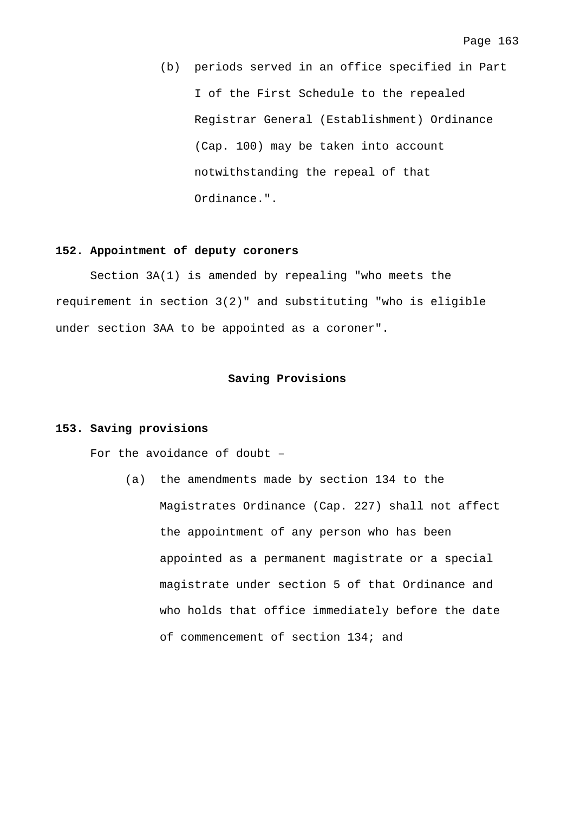(b) periods served in an office specified in Part I of the First Schedule to the repealed Registrar General (Establishment) Ordinance (Cap. 100) may be taken into account notwithstanding the repeal of that Ordinance.".

#### **152. Appointment of deputy coroners**

 Section 3A(1) is amended by repealing "who meets the requirement in section 3(2)" and substituting "who is eligible under section 3AA to be appointed as a coroner".

#### **Saving Provisions**

#### **153. Saving provisions**

For the avoidance of doubt –

(a) the amendments made by section 134 to the Magistrates Ordinance (Cap. 227) shall not affect the appointment of any person who has been appointed as a permanent magistrate or a special magistrate under section 5 of that Ordinance and who holds that office immediately before the date of commencement of section 134; and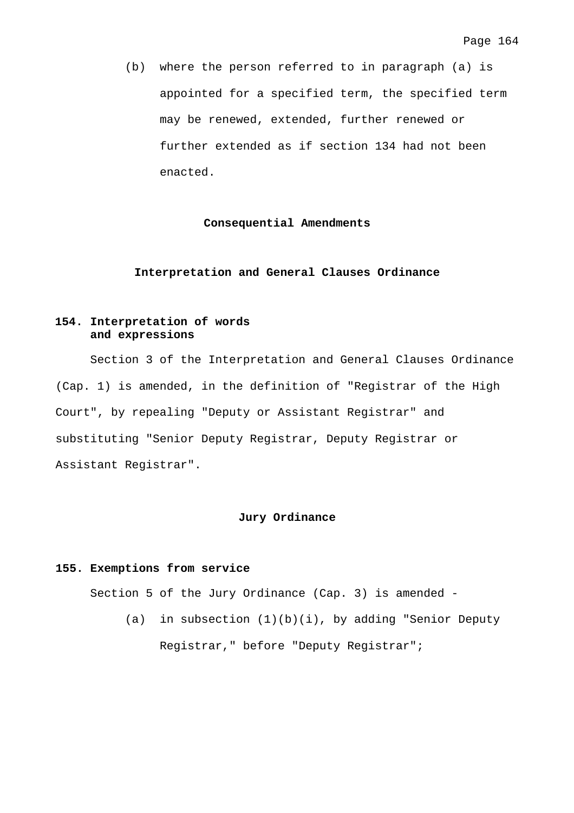(b) where the person referred to in paragraph (a) is appointed for a specified term, the specified term may be renewed, extended, further renewed or further extended as if section 134 had not been enacted.

## **Consequential Amendments**

## **Interpretation and General Clauses Ordinance**

# **154. Interpretation of words and expressions**

 Section 3 of the Interpretation and General Clauses Ordinance (Cap. 1) is amended, in the definition of "Registrar of the High Court", by repealing "Deputy or Assistant Registrar" and substituting "Senior Deputy Registrar, Deputy Registrar or Assistant Registrar".

#### **Jury Ordinance**

## **155. Exemptions from service**

Section 5 of the Jury Ordinance (Cap. 3) is amended -

(a) in subsection (1)(b)(i), by adding "Senior Deputy Registrar," before "Deputy Registrar";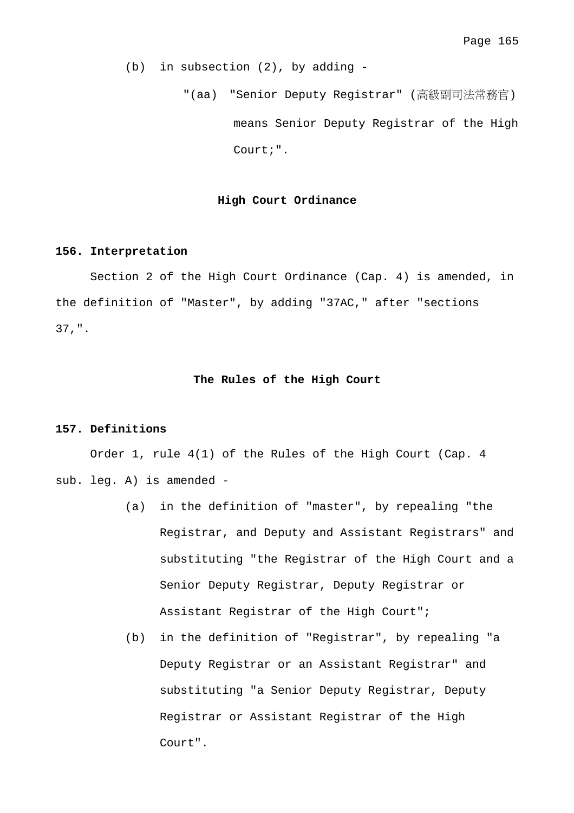(b) in subsection (2), by adding -

 "(aa) "Senior Deputy Registrar" (高級副司法常務官) means Senior Deputy Registrar of the High Court;".

#### **High Court Ordinance**

### **156. Interpretation**

 Section 2 of the High Court Ordinance (Cap. 4) is amended, in the definition of "Master", by adding "37AC," after "sections 37,".

# **The Rules of the High Court**

# **157. Definitions**

 Order 1, rule 4(1) of the Rules of the High Court (Cap. 4 sub. leg. A) is amended -

- (a) in the definition of "master", by repealing "the Registrar, and Deputy and Assistant Registrars" and substituting "the Registrar of the High Court and a Senior Deputy Registrar, Deputy Registrar or Assistant Registrar of the High Court";
- (b) in the definition of "Registrar", by repealing "a Deputy Registrar or an Assistant Registrar" and substituting "a Senior Deputy Registrar, Deputy Registrar or Assistant Registrar of the High Court".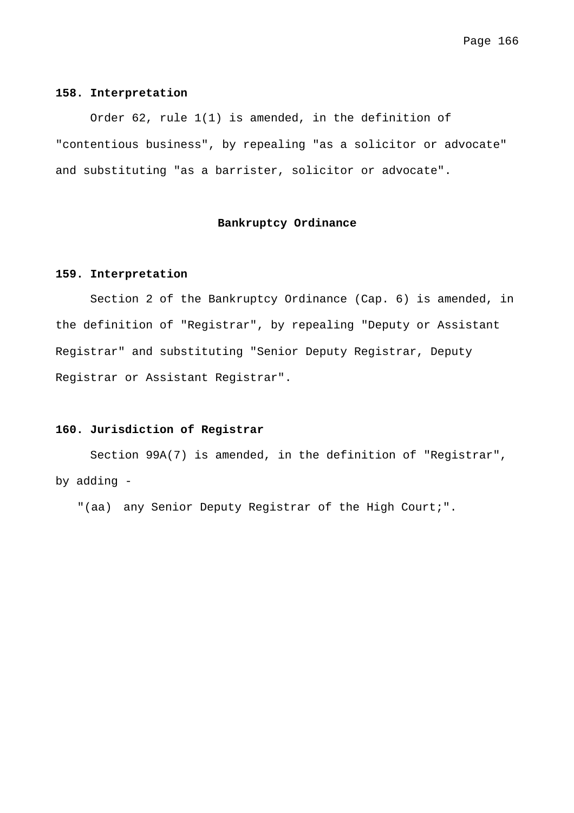#### **158. Interpretation**

 Order 62, rule 1(1) is amended, in the definition of "contentious business", by repealing "as a solicitor or advocate" and substituting "as a barrister, solicitor or advocate".

## **Bankruptcy Ordinance**

#### **159. Interpretation**

 Section 2 of the Bankruptcy Ordinance (Cap. 6) is amended, in the definition of "Registrar", by repealing "Deputy or Assistant Registrar" and substituting "Senior Deputy Registrar, Deputy Registrar or Assistant Registrar".

# **160. Jurisdiction of Registrar**

 Section 99A(7) is amended, in the definition of "Registrar", by adding -

"(aa) any Senior Deputy Registrar of the High Court;".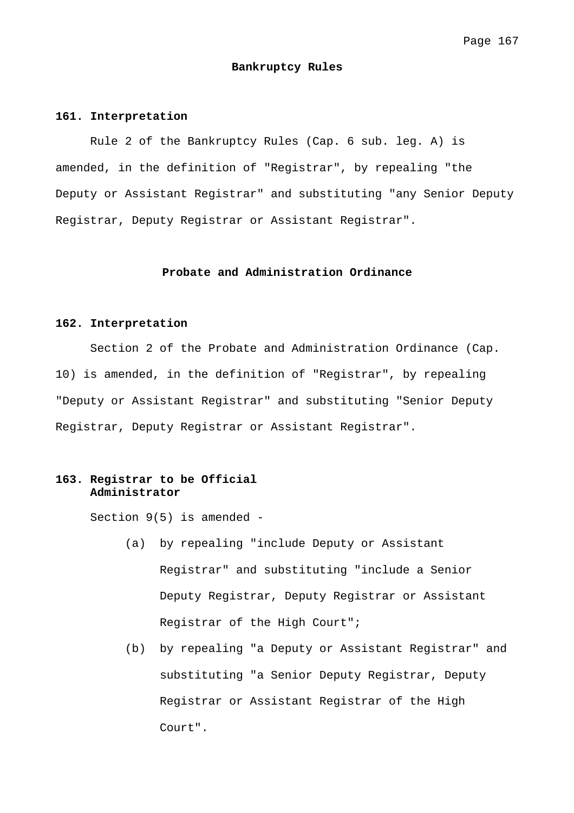#### **Bankruptcy Rules**

#### **161. Interpretation**

 Rule 2 of the Bankruptcy Rules (Cap. 6 sub. leg. A) is amended, in the definition of "Registrar", by repealing "the Deputy or Assistant Registrar" and substituting "any Senior Deputy Registrar, Deputy Registrar or Assistant Registrar".

# **Probate and Administration Ordinance**

## **162. Interpretation**

 Section 2 of the Probate and Administration Ordinance (Cap. 10) is amended, in the definition of "Registrar", by repealing "Deputy or Assistant Registrar" and substituting "Senior Deputy Registrar, Deputy Registrar or Assistant Registrar".

## **163. Registrar to be Official Administrator**

Section 9(5) is amended -

- (a) by repealing "include Deputy or Assistant Registrar" and substituting "include a Senior Deputy Registrar, Deputy Registrar or Assistant Registrar of the High Court";
- (b) by repealing "a Deputy or Assistant Registrar" and substituting "a Senior Deputy Registrar, Deputy Registrar or Assistant Registrar of the High Court".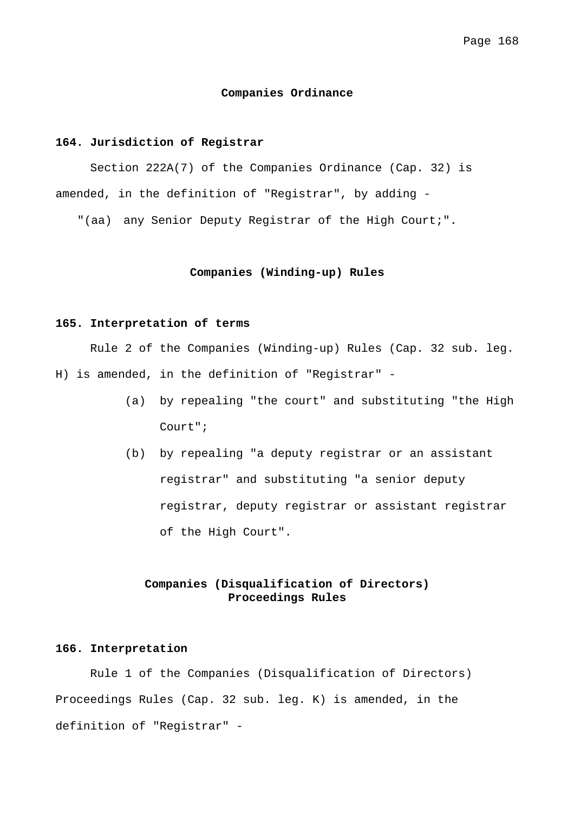## **Companies Ordinance**

# **164. Jurisdiction of Registrar**

 Section 222A(7) of the Companies Ordinance (Cap. 32) is amended, in the definition of "Registrar", by adding -

"(aa) any Senior Deputy Registrar of the High Court;".

## **Companies (Winding-up) Rules**

### **165. Interpretation of terms**

 Rule 2 of the Companies (Winding-up) Rules (Cap. 32 sub. leg. H) is amended, in the definition of "Registrar" -

- (a) by repealing "the court" and substituting "the High Court";
- (b) by repealing "a deputy registrar or an assistant registrar" and substituting "a senior deputy registrar, deputy registrar or assistant registrar of the High Court".

# **Companies (Disqualification of Directors) Proceedings Rules**

## **166. Interpretation**

 Rule 1 of the Companies (Disqualification of Directors) Proceedings Rules (Cap. 32 sub. leg. K) is amended, in the definition of "Registrar" -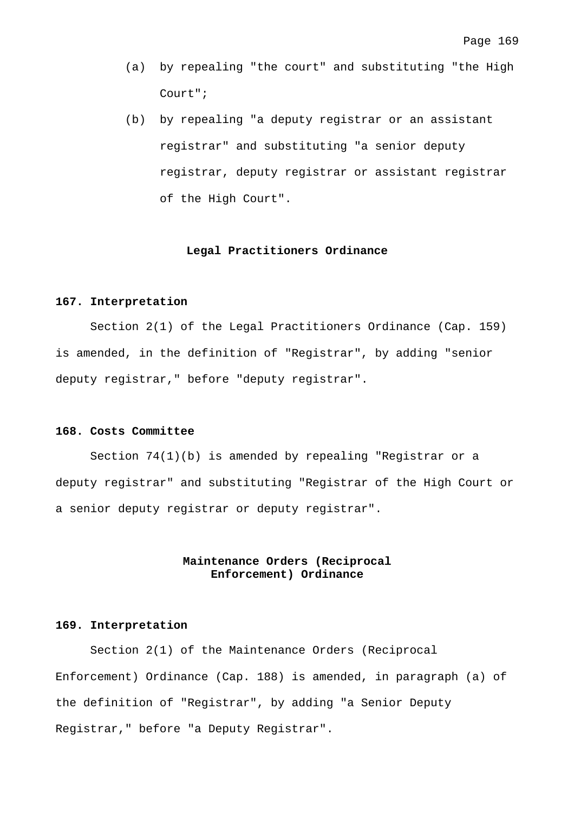- (a) by repealing "the court" and substituting "the High Court";
- (b) by repealing "a deputy registrar or an assistant registrar" and substituting "a senior deputy registrar, deputy registrar or assistant registrar of the High Court".

#### **Legal Practitioners Ordinance**

# **167. Interpretation**

 Section 2(1) of the Legal Practitioners Ordinance (Cap. 159) is amended, in the definition of "Registrar", by adding "senior deputy registrar," before "deputy registrar".

## **168. Costs Committee**

 Section 74(1)(b) is amended by repealing "Registrar or a deputy registrar" and substituting "Registrar of the High Court or a senior deputy registrar or deputy registrar".

# **Maintenance Orders (Reciprocal Enforcement) Ordinance**

#### **169. Interpretation**

 Section 2(1) of the Maintenance Orders (Reciprocal Enforcement) Ordinance (Cap. 188) is amended, in paragraph (a) of the definition of "Registrar", by adding "a Senior Deputy Registrar," before "a Deputy Registrar".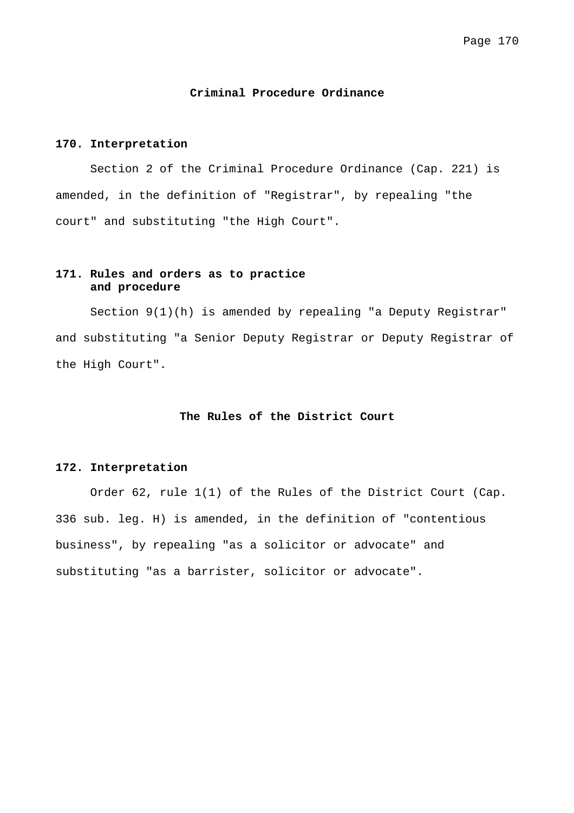#### **Criminal Procedure Ordinance**

## **170. Interpretation**

 Section 2 of the Criminal Procedure Ordinance (Cap. 221) is amended, in the definition of "Registrar", by repealing "the court" and substituting "the High Court".

# **171. Rules and orders as to practice and procedure**

 Section 9(1)(h) is amended by repealing "a Deputy Registrar" and substituting "a Senior Deputy Registrar or Deputy Registrar of the High Court".

# **The Rules of the District Court**

### **172. Interpretation**

 Order 62, rule 1(1) of the Rules of the District Court (Cap. 336 sub. leg. H) is amended, in the definition of "contentious business", by repealing "as a solicitor or advocate" and substituting "as a barrister, solicitor or advocate".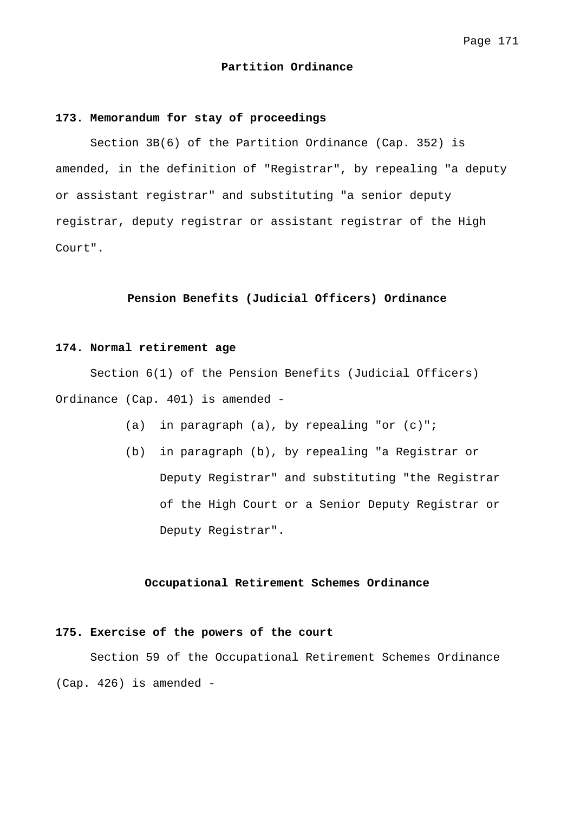#### **Partition Ordinance**

#### **173. Memorandum for stay of proceedings**

 Section 3B(6) of the Partition Ordinance (Cap. 352) is amended, in the definition of "Registrar", by repealing "a deputy or assistant registrar" and substituting "a senior deputy registrar, deputy registrar or assistant registrar of the High Court".

## **Pension Benefits (Judicial Officers) Ordinance**

### **174. Normal retirement age**

 Section 6(1) of the Pension Benefits (Judicial Officers) Ordinance (Cap. 401) is amended -

- (a) in paragraph (a), by repealing "or (c)";
- (b) in paragraph (b), by repealing "a Registrar or Deputy Registrar" and substituting "the Registrar of the High Court or a Senior Deputy Registrar or Deputy Registrar".

#### **Occupational Retirement Schemes Ordinance**

# **175. Exercise of the powers of the court**

 Section 59 of the Occupational Retirement Schemes Ordinance (Cap. 426) is amended -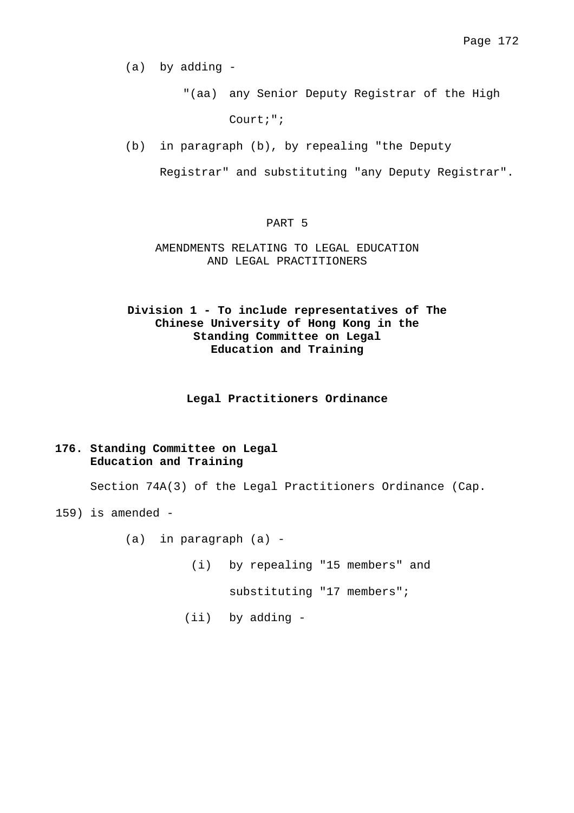(a) by adding -

"(aa) any Senior Deputy Registrar of the High

Court;";

(b) in paragraph (b), by repealing "the Deputy

Registrar" and substituting "any Deputy Registrar".

## PART 5

# AMENDMENTS RELATING TO LEGAL EDUCATION AND LEGAL PRACTITIONERS

# **Division 1 - To include representatives of The Chinese University of Hong Kong in the Standing Committee on Legal Education and Training**

### **Legal Practitioners Ordinance**

# **176. Standing Committee on Legal Education and Training**

Section 74A(3) of the Legal Practitioners Ordinance (Cap.

159) is amended -

(a) in paragraph (a) -

(i) by repealing "15 members" and

substituting "17 members";

(ii) by adding -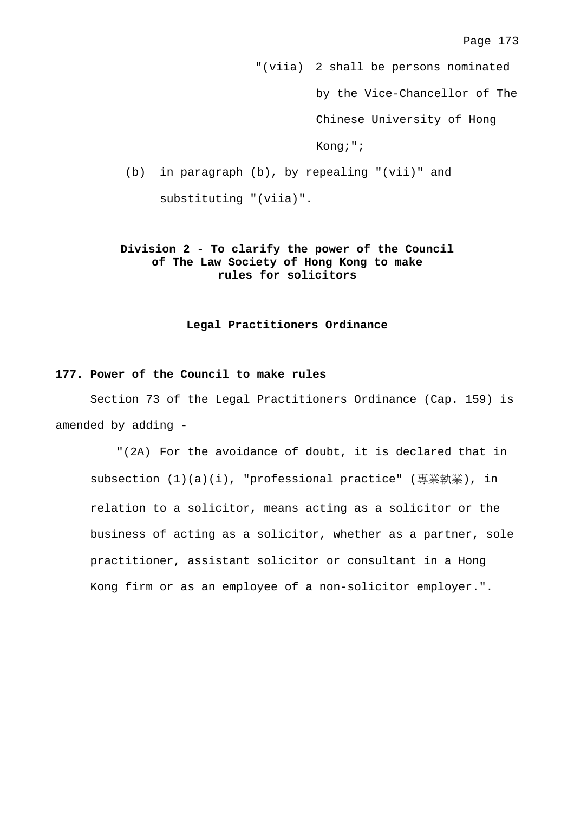"(viia) 2 shall be persons nominated by the Vice-Chancellor of The Chinese University of Hong Kong;"; (b) in paragraph (b), by repealing "(vii)" and substituting "(viia)".

# **Division 2 - To clarify the power of the Council of The Law Society of Hong Kong to make rules for solicitors**

## **Legal Practitioners Ordinance**

# **177. Power of the Council to make rules**

 Section 73 of the Legal Practitioners Ordinance (Cap. 159) is amended by adding -

"(2A) For the avoidance of doubt, it is declared that in subsection (1)(a)(i), "professional practice" (專業執業), in relation to a solicitor, means acting as a solicitor or the business of acting as a solicitor, whether as a partner, sole practitioner, assistant solicitor or consultant in a Hong Kong firm or as an employee of a non-solicitor employer.".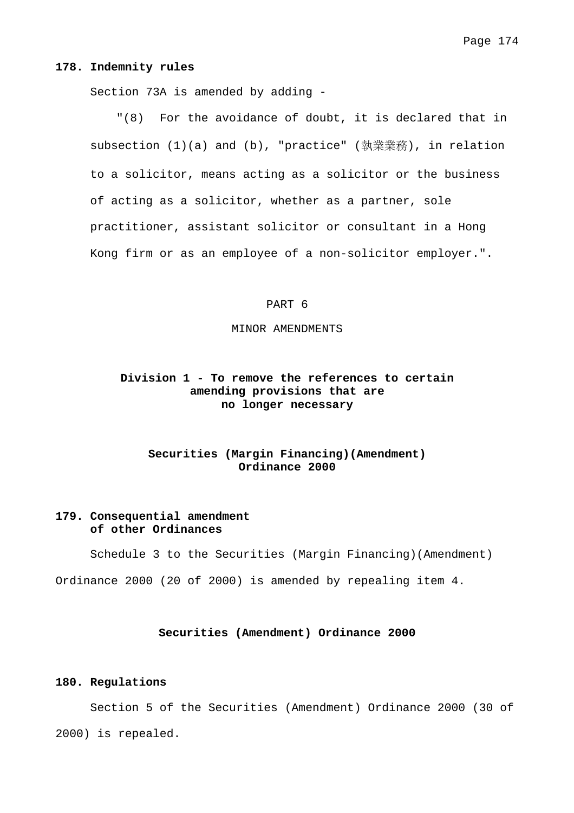#### **178. Indemnity rules**

Section 73A is amended by adding -

"(8) For the avoidance of doubt, it is declared that in subsection (1)(a) and (b), "practice" (執業業務), in relation to a solicitor, means acting as a solicitor or the business of acting as a solicitor, whether as a partner, sole practitioner, assistant solicitor or consultant in a Hong Kong firm or as an employee of a non-solicitor employer.".

#### PART 6

#### MINOR AMENDMENTS

# **Division 1 - To remove the references to certain amending provisions that are no longer necessary**

# **Securities (Margin Financing)(Amendment) Ordinance 2000**

# **179. Consequential amendment of other Ordinances**

Schedule 3 to the Securities (Margin Financing)(Amendment)

Ordinance 2000 (20 of 2000) is amended by repealing item 4.

#### **Securities (Amendment) Ordinance 2000**

#### **180. Regulations**

 Section 5 of the Securities (Amendment) Ordinance 2000 (30 of 2000) is repealed.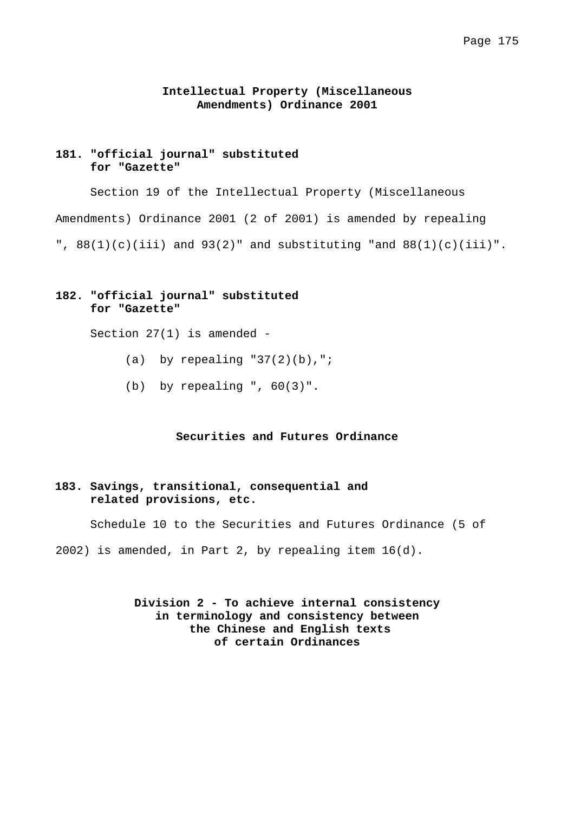## **Intellectual Property (Miscellaneous Amendments) Ordinance 2001**

# **181. "official journal" substituted for "Gazette"**

 Section 19 of the Intellectual Property (Miscellaneous Amendments) Ordinance 2001 (2 of 2001) is amended by repealing ",  $88(1)(c)(iii)$  and  $93(2)$ " and substituting "and  $88(1)(c)(iii)$ ".

# **182. "official journal" substituted for "Gazette"**

Section 27(1) is amended -

- (a) by repealing  $"37(2)(b)$ , ";
- (b) by repealing ", 60(3)".

## **Securities and Futures Ordinance**

## **183. Savings, transitional, consequential and related provisions, etc.**

Schedule 10 to the Securities and Futures Ordinance (5 of

2002) is amended, in Part 2, by repealing item 16(d).

**Division 2 - To achieve internal consistency in terminology and consistency between the Chinese and English texts of certain Ordinances**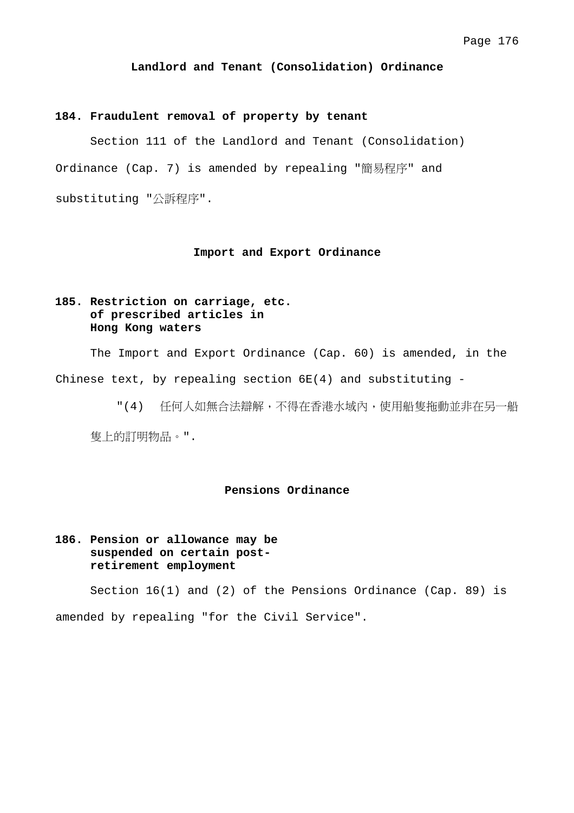#### **Landlord and Tenant (Consolidation) Ordinance**

#### **184. Fraudulent removal of property by tenant**

 Section 111 of the Landlord and Tenant (Consolidation) Ordinance (Cap. 7) is amended by repealing "簡易程序" and substituting "公訴程序".

## **Import and Export Ordinance**

# **185. Restriction on carriage, etc. of prescribed articles in Hong Kong waters**

 The Import and Export Ordinance (Cap. 60) is amended, in the Chinese text, by repealing section  $6E(4)$  and substituting -

"(4) 任何人如無合法辯解,不得在香港水域內,使用船隻拖動並非在另一船 隻上的訂明物品。".

## **Pensions Ordinance**

# **186. Pension or allowance may be suspended on certain postretirement employment**

Section 16(1) and (2) of the Pensions Ordinance (Cap. 89) is amended by repealing "for the Civil Service".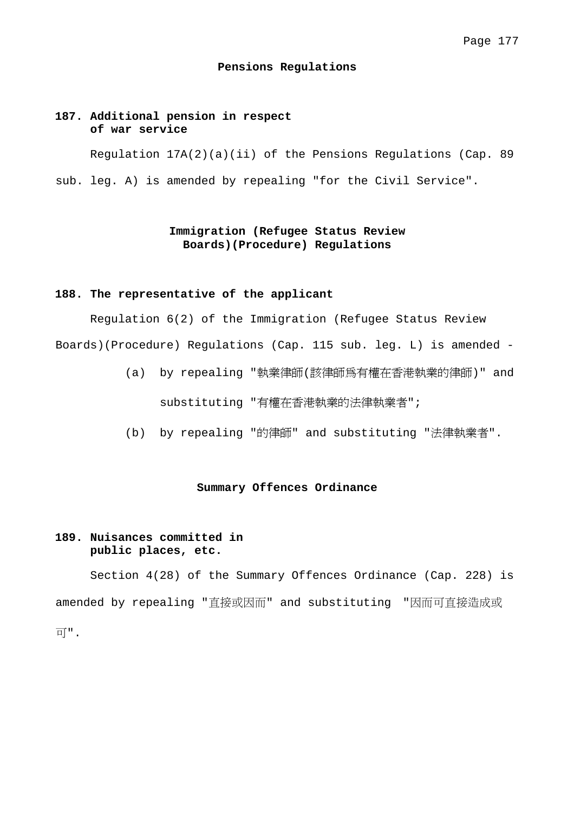#### **Pensions Regulations**

## **187. Additional pension in respect of war service**

 Regulation 17A(2)(a)(ii) of the Pensions Regulations (Cap. 89 sub. leg. A) is amended by repealing "for the Civil Service".

# **Immigration (Refugee Status Review Boards)(Procedure) Regulations**

## **188. The representative of the applicant**

 Regulation 6(2) of the Immigration (Refugee Status Review Boards)(Procedure) Regulations (Cap. 115 sub. leg. L) is amended -

- (a) by repealing "執業律師(該律師為有權在香港執業的律師)" and substituting "有權在香港執業的法律執業者";
- (b) by repealing "的律師" and substituting "法律執業者".

### **Summary Offences Ordinance**

# **189. Nuisances committed in public places, etc.**

 Section 4(28) of the Summary Offences Ordinance (Cap. 228) is amended by repealing "直接或因而" and substituting "因而可直接造成或 可".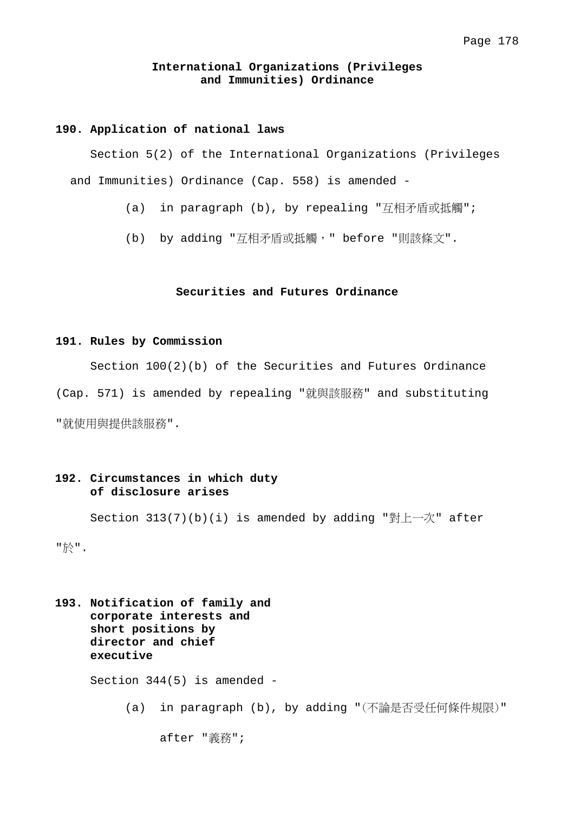## **International Organizations (Privileges and Immunities) Ordinance**

#### **190. Application of national laws**

 Section 5(2) of the International Organizations (Privileges and Immunities) Ordinance (Cap. 558) is amended -

- (a) in paragraph (b), by repealing "互相矛盾或抵觸";
- (b) by adding "互相矛盾或抵觸, " before "則該條文".

## **Securities and Futures Ordinance**

#### **191. Rules by Commission**

 Section 100(2)(b) of the Securities and Futures Ordinance (Cap. 571) is amended by repealing "就與該服務" and substituting "就使用與提供該服務".

# **192. Circumstances in which duty of disclosure arises**

 Section 313(7)(b)(i) is amended by adding "對上一次" after "於".

**193. Notification of family and corporate interests and short positions by director and chief executive**  Section 344(5) is amended - (a) in paragraph (b), by adding "(不論是否受任何條件規限)" after "義務";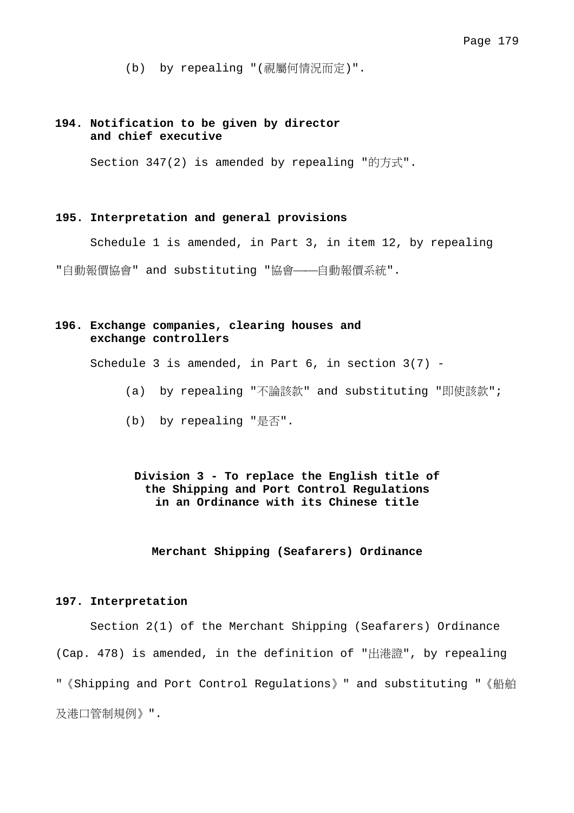(b) by repealing "(視屬何情況而定)".

# **194. Notification to be given by director and chief executive**

Section 347(2) is amended by repealing "的方式".

## **195. Interpretation and general provisions**

Schedule 1 is amended, in Part 3, in item 12, by repealing

"自動報價協會" and substituting "協會——自動報價系統".

# **196. Exchange companies, clearing houses and exchange controllers**

Schedule 3 is amended, in Part 6, in section 3(7) -

- (a) by repealing "不論該款" and substituting "即使該款";
- (b) by repealing "是否".

# **Division 3 - To replace the English title of the Shipping and Port Control Regulations in an Ordinance with its Chinese title**

**Merchant Shipping (Seafarers) Ordinance** 

#### **197. Interpretation**

 Section 2(1) of the Merchant Shipping (Seafarers) Ordinance (Cap. 478) is amended, in the definition of "出港證", by repealing "《Shipping and Port Control Regulations》" and substituting "《船舶 及港口管制規例》".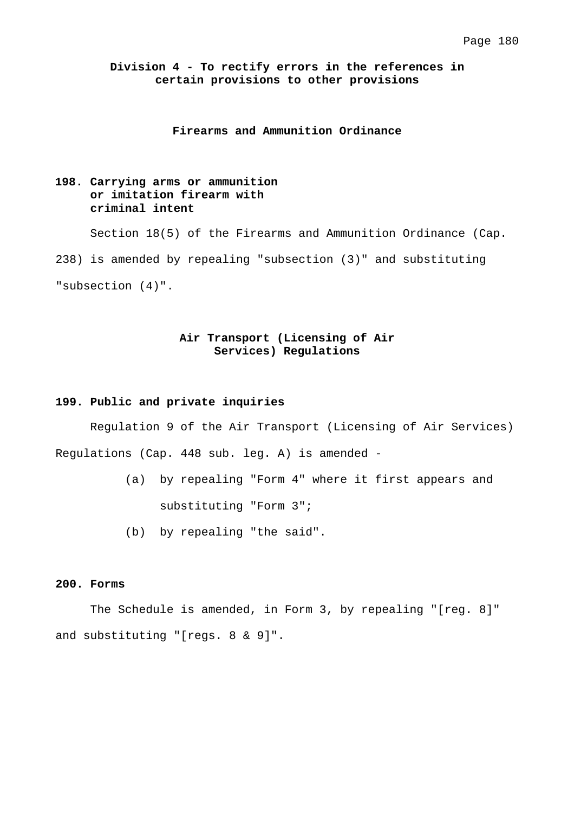# **Division 4 - To rectify errors in the references in certain provisions to other provisions**

## **Firearms and Ammunition Ordinance**

# **198. Carrying arms or ammunition or imitation firearm with criminal intent**

 Section 18(5) of the Firearms and Ammunition Ordinance (Cap. 238) is amended by repealing "subsection (3)" and substituting "subsection (4)".

# **Air Transport (Licensing of Air Services) Regulations**

### **199. Public and private inquiries**

 Regulation 9 of the Air Transport (Licensing of Air Services) Regulations (Cap. 448 sub. leg. A) is amended -

- (a) by repealing "Form 4" where it first appears and substituting "Form 3";
- (b) by repealing "the said".

## **200. Forms**

 The Schedule is amended, in Form 3, by repealing "[reg. 8]" and substituting "[regs. 8 & 9]".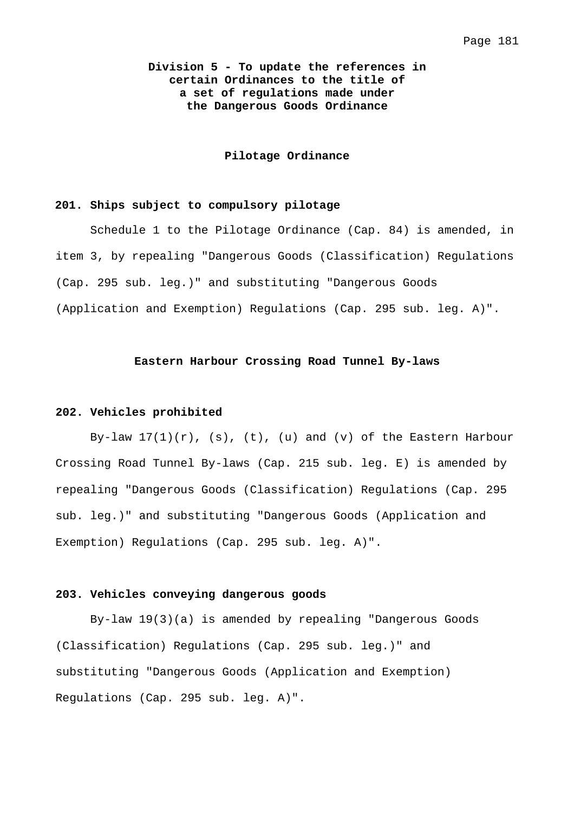# **Division 5 - To update the references in certain Ordinances to the title of a set of regulations made under the Dangerous Goods Ordinance**

### **Pilotage Ordinance**

#### **201. Ships subject to compulsory pilotage**

 Schedule 1 to the Pilotage Ordinance (Cap. 84) is amended, in item 3, by repealing "Dangerous Goods (Classification) Regulations (Cap. 295 sub. leg.)" and substituting "Dangerous Goods (Application and Exemption) Regulations (Cap. 295 sub. leg. A)".

## **Eastern Harbour Crossing Road Tunnel By-laws**

#### **202. Vehicles prohibited**

By-law  $17(1)(r)$ , (s), (t), (u) and (v) of the Eastern Harbour Crossing Road Tunnel By-laws (Cap. 215 sub. leg. E) is amended by repealing "Dangerous Goods (Classification) Regulations (Cap. 295 sub. leg.)" and substituting "Dangerous Goods (Application and Exemption) Regulations (Cap. 295 sub. leg. A)".

### **203. Vehicles conveying dangerous goods**

 By-law 19(3)(a) is amended by repealing "Dangerous Goods (Classification) Regulations (Cap. 295 sub. leg.)" and substituting "Dangerous Goods (Application and Exemption) Regulations (Cap. 295 sub. leg. A)".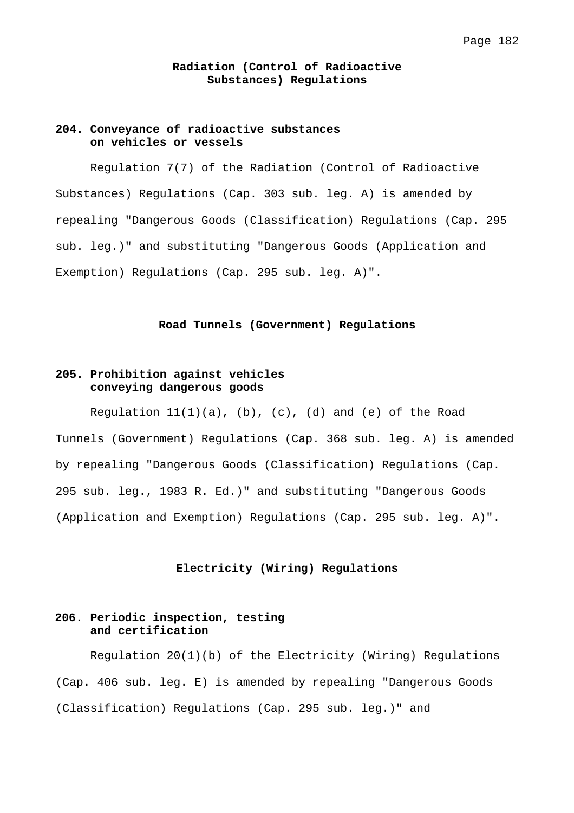## **Radiation (Control of Radioactive Substances) Regulations**

## **204. Conveyance of radioactive substances on vehicles or vessels**

 Regulation 7(7) of the Radiation (Control of Radioactive Substances) Regulations (Cap. 303 sub. leg. A) is amended by repealing "Dangerous Goods (Classification) Regulations (Cap. 295 sub. leg.)" and substituting "Dangerous Goods (Application and Exemption) Regulations (Cap. 295 sub. leg. A)".

### **Road Tunnels (Government) Regulations**

# **205. Prohibition against vehicles conveying dangerous goods**

Regulation  $11(1)(a)$ , (b), (c), (d) and (e) of the Road Tunnels (Government) Regulations (Cap. 368 sub. leg. A) is amended by repealing "Dangerous Goods (Classification) Regulations (Cap. 295 sub. leg., 1983 R. Ed.)" and substituting "Dangerous Goods (Application and Exemption) Regulations (Cap. 295 sub. leg. A)".

### **Electricity (Wiring) Regulations**

## **206. Periodic inspection, testing and certification**

 Regulation 20(1)(b) of the Electricity (Wiring) Regulations (Cap. 406 sub. leg. E) is amended by repealing "Dangerous Goods (Classification) Regulations (Cap. 295 sub. leg.)" and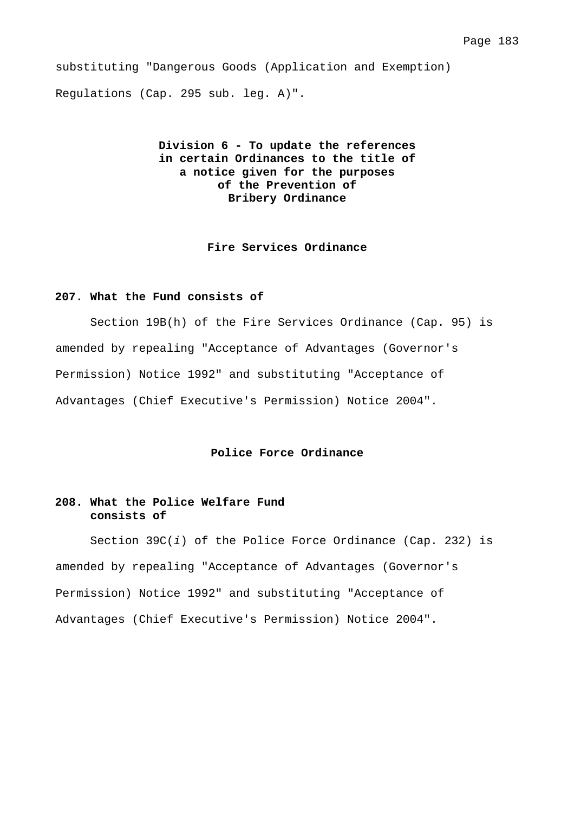substituting "Dangerous Goods (Application and Exemption) Regulations (Cap. 295 sub. leg. A)".

# **Division 6 - To update the references in certain Ordinances to the title of a notice given for the purposes of the Prevention of Bribery Ordinance**

## **Fire Services Ordinance**

## **207. What the Fund consists of**

 Section 19B(h) of the Fire Services Ordinance (Cap. 95) is amended by repealing "Acceptance of Advantages (Governor's Permission) Notice 1992" and substituting "Acceptance of Advantages (Chief Executive's Permission) Notice 2004".

## **Police Force Ordinance**

## **208. What the Police Welfare Fund consists of**

 Section 39C(*i*) of the Police Force Ordinance (Cap. 232) is amended by repealing "Acceptance of Advantages (Governor's Permission) Notice 1992" and substituting "Acceptance of Advantages (Chief Executive's Permission) Notice 2004".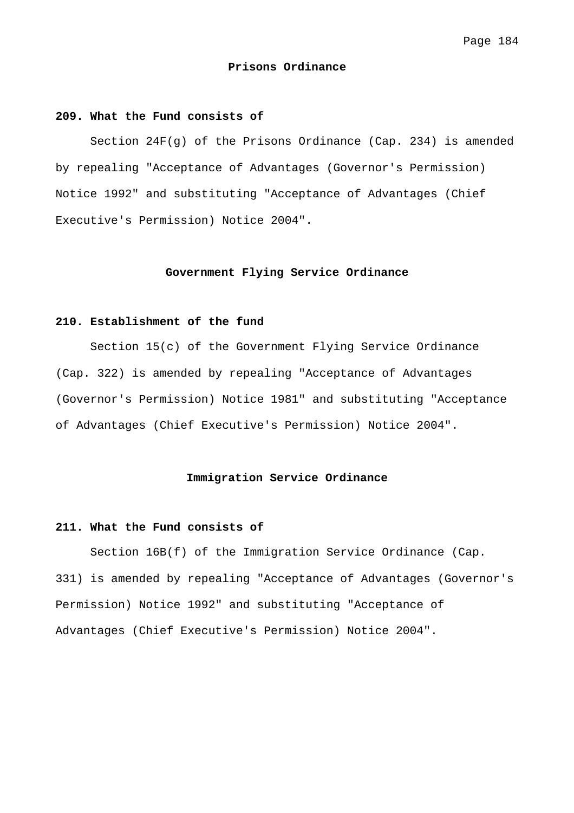#### **Prisons Ordinance**

### **209. What the Fund consists of**

 Section 24F(g) of the Prisons Ordinance (Cap. 234) is amended by repealing "Acceptance of Advantages (Governor's Permission) Notice 1992" and substituting "Acceptance of Advantages (Chief Executive's Permission) Notice 2004".

### **Government Flying Service Ordinance**

## **210. Establishment of the fund**

 Section 15(c) of the Government Flying Service Ordinance (Cap. 322) is amended by repealing "Acceptance of Advantages (Governor's Permission) Notice 1981" and substituting "Acceptance of Advantages (Chief Executive's Permission) Notice 2004".

#### **Immigration Service Ordinance**

## **211. What the Fund consists of**

 Section 16B(f) of the Immigration Service Ordinance (Cap. 331) is amended by repealing "Acceptance of Advantages (Governor's Permission) Notice 1992" and substituting "Acceptance of Advantages (Chief Executive's Permission) Notice 2004".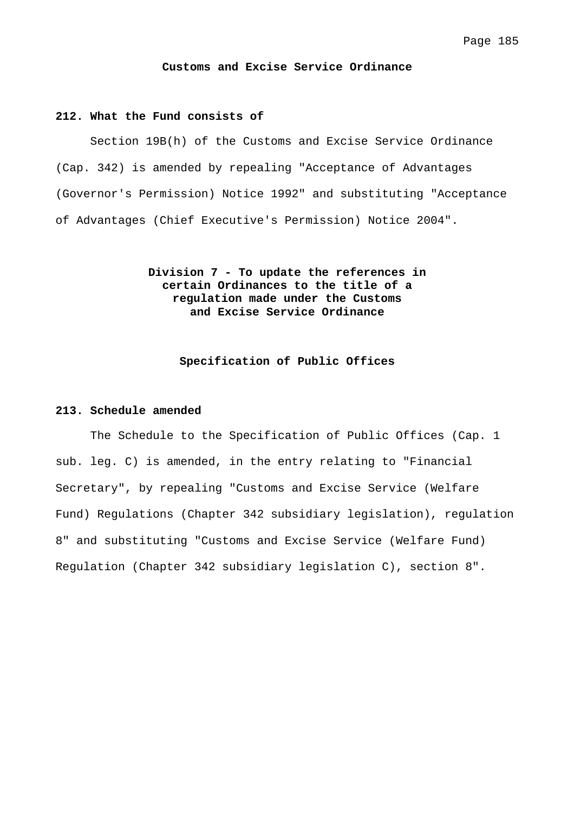**Customs and Excise Service Ordinance** 

#### **212. What the Fund consists of**

 Section 19B(h) of the Customs and Excise Service Ordinance (Cap. 342) is amended by repealing "Acceptance of Advantages (Governor's Permission) Notice 1992" and substituting "Acceptance of Advantages (Chief Executive's Permission) Notice 2004".

> **Division 7 - To update the references in certain Ordinances to the title of a regulation made under the Customs and Excise Service Ordinance**

> > **Specification of Public Offices**

#### **213. Schedule amended**

 The Schedule to the Specification of Public Offices (Cap. 1 sub. leg. C) is amended, in the entry relating to "Financial Secretary", by repealing "Customs and Excise Service (Welfare Fund) Regulations (Chapter 342 subsidiary legislation), regulation 8" and substituting "Customs and Excise Service (Welfare Fund) Regulation (Chapter 342 subsidiary legislation C), section 8".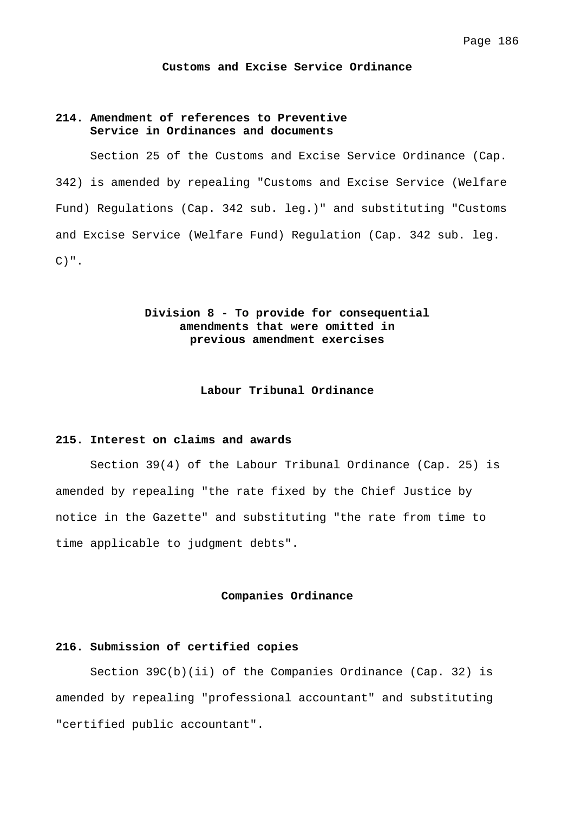#### **Customs and Excise Service Ordinance**

# **214. Amendment of references to Preventive Service in Ordinances and documents**

 Section 25 of the Customs and Excise Service Ordinance (Cap. 342) is amended by repealing "Customs and Excise Service (Welfare Fund) Regulations (Cap. 342 sub. leg.)" and substituting "Customs and Excise Service (Welfare Fund) Regulation (Cap. 342 sub. leg.  $C)$ ".

# **Division 8 - To provide for consequential amendments that were omitted in previous amendment exercises**

#### **Labour Tribunal Ordinance**

### **215. Interest on claims and awards**

 Section 39(4) of the Labour Tribunal Ordinance (Cap. 25) is amended by repealing "the rate fixed by the Chief Justice by notice in the Gazette" and substituting "the rate from time to time applicable to judgment debts".

#### **Companies Ordinance**

#### **216. Submission of certified copies**

Section  $39C(b)(ii)$  of the Companies Ordinance (Cap. 32) is amended by repealing "professional accountant" and substituting "certified public accountant".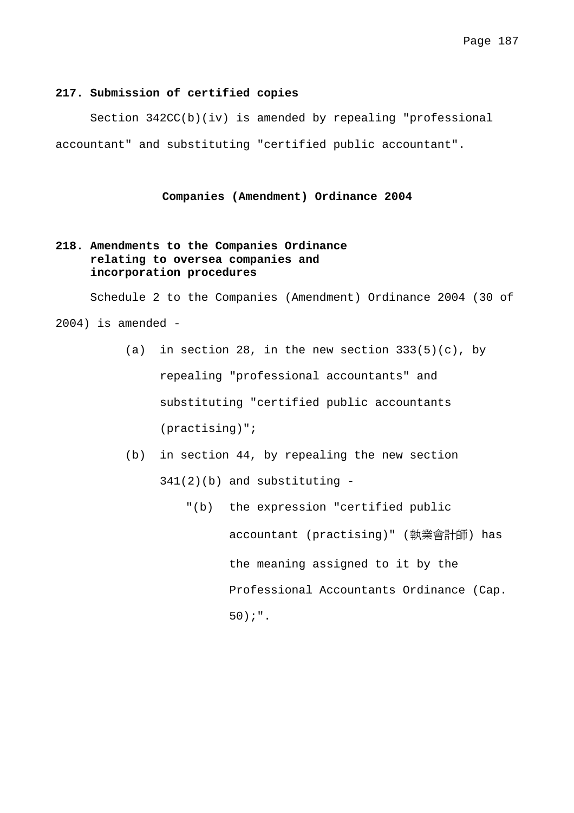## **217. Submission of certified copies**

 Section 342CC(b)(iv) is amended by repealing "professional accountant" and substituting "certified public accountant".

## **Companies (Amendment) Ordinance 2004**

# **218. Amendments to the Companies Ordinance relating to oversea companies and incorporation procedures**

 Schedule 2 to the Companies (Amendment) Ordinance 2004 (30 of  $2004$ ) is amended -

- (a) in section 28, in the new section  $333(5)(c)$ , by repealing "professional accountants" and substituting "certified public accountants (practising)";
- (b) in section 44, by repealing the new section 341(2)(b) and substituting -
	- "(b) the expression "certified public accountant (practising)" (執業會計師) has the meaning assigned to it by the Professional Accountants Ordinance (Cap. 50);".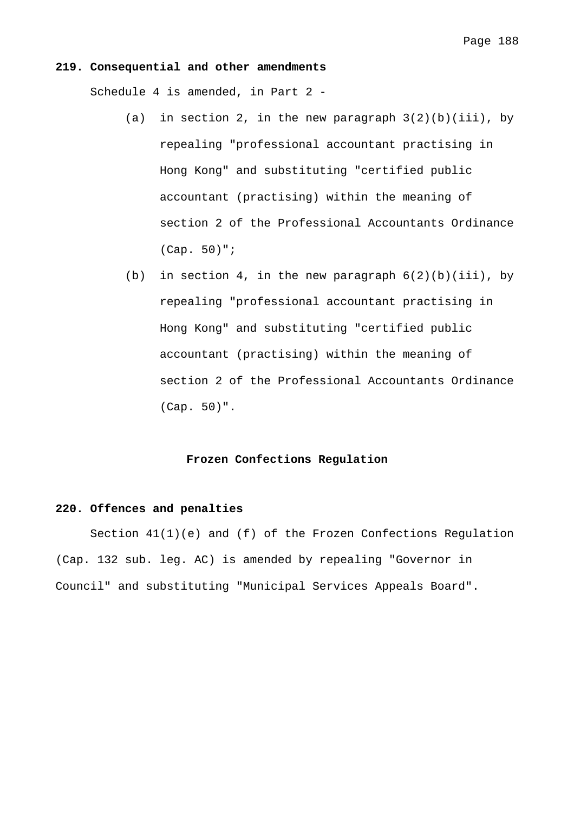#### **219. Consequential and other amendments**

Schedule 4 is amended, in Part 2 -

- (a) in section 2, in the new paragraph  $3(2)(b)(iii)$ , by repealing "professional accountant practising in Hong Kong" and substituting "certified public accountant (practising) within the meaning of section 2 of the Professional Accountants Ordinance (Cap. 50)";
- (b) in section 4, in the new paragraph  $6(2)(b)(iii)$ , by repealing "professional accountant practising in Hong Kong" and substituting "certified public accountant (practising) within the meaning of section 2 of the Professional Accountants Ordinance (Cap. 50)".

## **Frozen Confections Regulation**

#### **220. Offences and penalties**

 Section 41(1)(e) and (f) of the Frozen Confections Regulation (Cap. 132 sub. leg. AC) is amended by repealing "Governor in Council" and substituting "Municipal Services Appeals Board".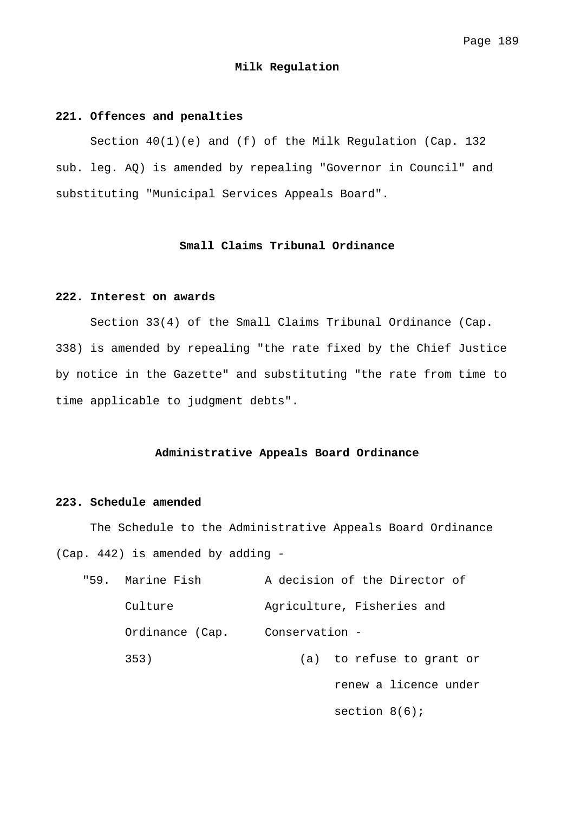#### **Milk Regulation**

# **221. Offences and penalties**

 Section 40(1)(e) and (f) of the Milk Regulation (Cap. 132 sub. leg. AQ) is amended by repealing "Governor in Council" and substituting "Municipal Services Appeals Board".

## **Small Claims Tribunal Ordinance**

## **222. Interest on awards**

 Section 33(4) of the Small Claims Tribunal Ordinance (Cap. 338) is amended by repealing "the rate fixed by the Chief Justice by notice in the Gazette" and substituting "the rate from time to time applicable to judgment debts".

## **Administrative Appeals Board Ordinance**

## **223. Schedule amended**

 The Schedule to the Administrative Appeals Board Ordinance (Cap. 442) is amended by adding -

| "59. Marine Fish | A decision of the Director of |
|------------------|-------------------------------|
| Culture          | Agriculture, Fisheries and    |
| Ordinance (Cap.  | Conservation -                |
| 353)             | (a) to refuse to grant or     |
|                  | renew a licence under         |
|                  |                               |

section 8(6);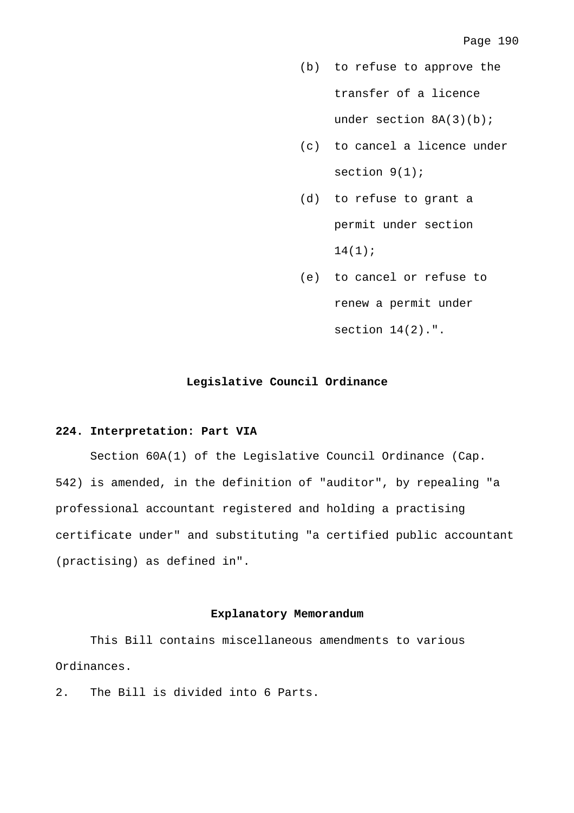- (b) to refuse to approve the transfer of a licence under section  $8A(3)(b)$ ;
- (c) to cancel a licence under section  $9(1)$ ;
- (d) to refuse to grant a permit under section  $14(1);$
- (e) to cancel or refuse to renew a permit under section  $14(2)$ .".

#### **Legislative Council Ordinance**

## **224. Interpretation: Part VIA**

 Section 60A(1) of the Legislative Council Ordinance (Cap. 542) is amended, in the definition of "auditor", by repealing "a professional accountant registered and holding a practising certificate under" and substituting "a certified public accountant (practising) as defined in".

## **Explanatory Memorandum**

 This Bill contains miscellaneous amendments to various Ordinances.

2. The Bill is divided into 6 Parts.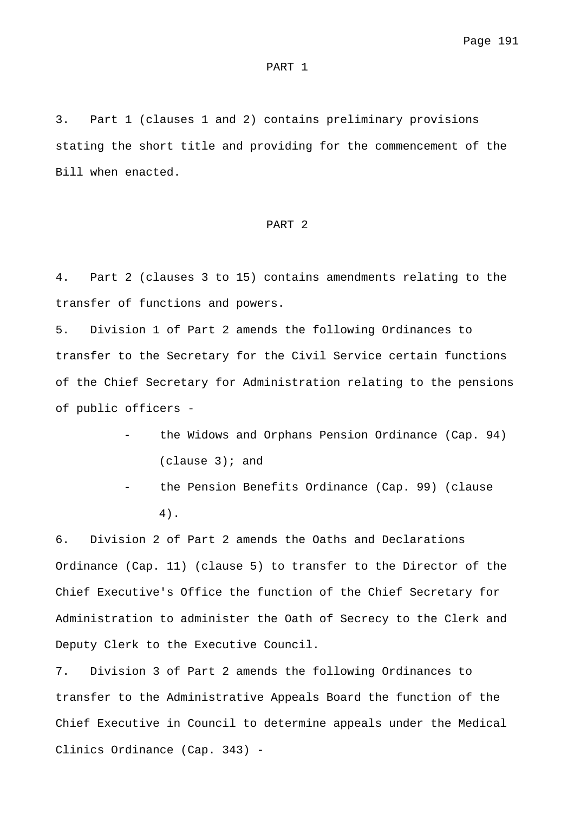#### PART 1

3. Part 1 (clauses 1 and 2) contains preliminary provisions stating the short title and providing for the commencement of the Bill when enacted.

#### PART 2

4. Part 2 (clauses 3 to 15) contains amendments relating to the transfer of functions and powers.

5. Division 1 of Part 2 amends the following Ordinances to transfer to the Secretary for the Civil Service certain functions of the Chief Secretary for Administration relating to the pensions of public officers -

- the Widows and Orphans Pension Ordinance (Cap. 94) (clause 3); and
- the Pension Benefits Ordinance (Cap. 99) (clause 4).

6. Division 2 of Part 2 amends the Oaths and Declarations Ordinance (Cap. 11) (clause 5) to transfer to the Director of the Chief Executive's Office the function of the Chief Secretary for Administration to administer the Oath of Secrecy to the Clerk and Deputy Clerk to the Executive Council.

7. Division 3 of Part 2 amends the following Ordinances to transfer to the Administrative Appeals Board the function of the Chief Executive in Council to determine appeals under the Medical Clinics Ordinance (Cap. 343) -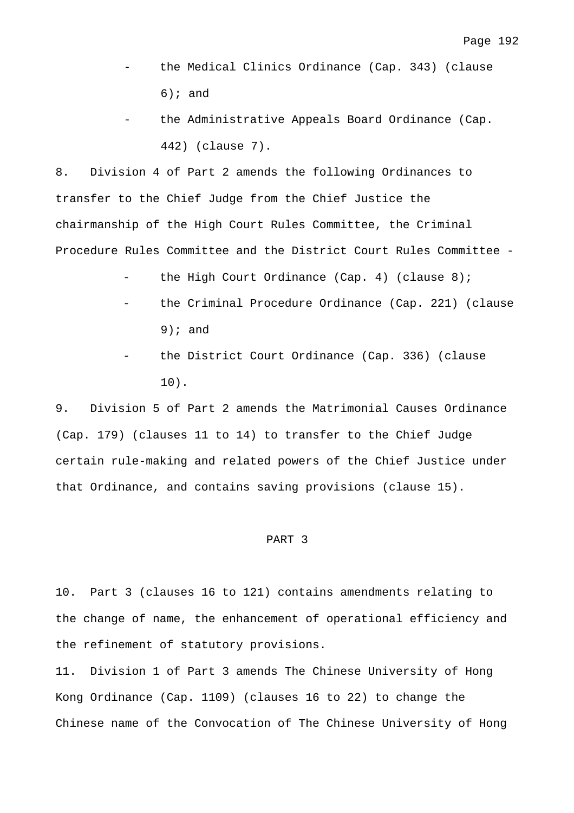- the Medical Clinics Ordinance (Cap. 343) (clause  $6)$ ; and
- the Administrative Appeals Board Ordinance (Cap. 442) (clause 7).

8. Division 4 of Part 2 amends the following Ordinances to transfer to the Chief Judge from the Chief Justice the chairmanship of the High Court Rules Committee, the Criminal Procedure Rules Committee and the District Court Rules Committee -

- the High Court Ordinance (Cap. 4) (clause  $8$ );
- the Criminal Procedure Ordinance (Cap. 221) (clause 9); and
- the District Court Ordinance (Cap. 336) (clause 10).

9. Division 5 of Part 2 amends the Matrimonial Causes Ordinance (Cap. 179) (clauses 11 to 14) to transfer to the Chief Judge certain rule-making and related powers of the Chief Justice under that Ordinance, and contains saving provisions (clause 15).

#### PART 3

10. Part 3 (clauses 16 to 121) contains amendments relating to the change of name, the enhancement of operational efficiency and the refinement of statutory provisions.

11. Division 1 of Part 3 amends The Chinese University of Hong Kong Ordinance (Cap. 1109) (clauses 16 to 22) to change the Chinese name of the Convocation of The Chinese University of Hong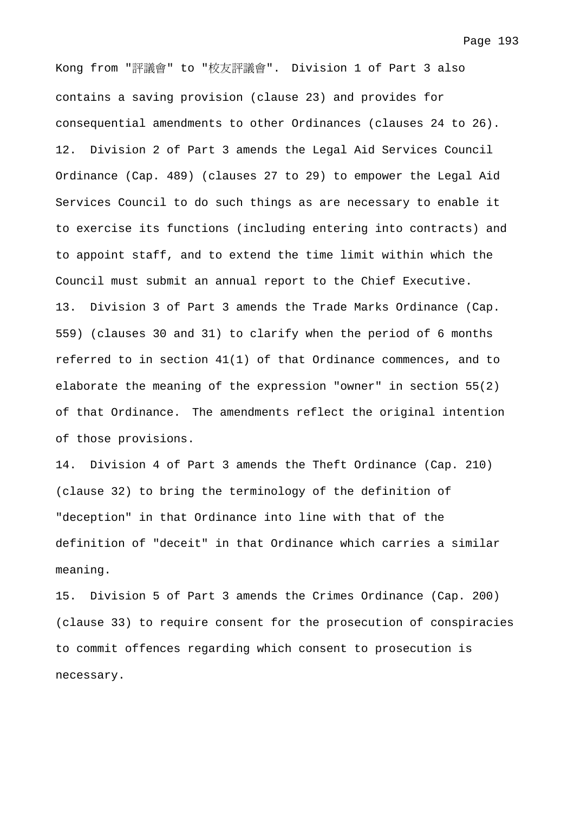Page 193

Kong from "評議會" to "校友評議會". Division 1 of Part 3 also contains a saving provision (clause 23) and provides for consequential amendments to other Ordinances (clauses 24 to 26). 12. Division 2 of Part 3 amends the Legal Aid Services Council Ordinance (Cap. 489) (clauses 27 to 29) to empower the Legal Aid Services Council to do such things as are necessary to enable it to exercise its functions (including entering into contracts) and to appoint staff, and to extend the time limit within which the Council must submit an annual report to the Chief Executive. 13. Division 3 of Part 3 amends the Trade Marks Ordinance (Cap. 559) (clauses 30 and 31) to clarify when the period of 6 months referred to in section 41(1) of that Ordinance commences, and to elaborate the meaning of the expression "owner" in section 55(2) of that Ordinance. The amendments reflect the original intention of those provisions.

14. Division 4 of Part 3 amends the Theft Ordinance (Cap. 210) (clause 32) to bring the terminology of the definition of "deception" in that Ordinance into line with that of the definition of "deceit" in that Ordinance which carries a similar meaning.

15. Division 5 of Part 3 amends the Crimes Ordinance (Cap. 200) (clause 33) to require consent for the prosecution of conspiracies to commit offences regarding which consent to prosecution is necessary.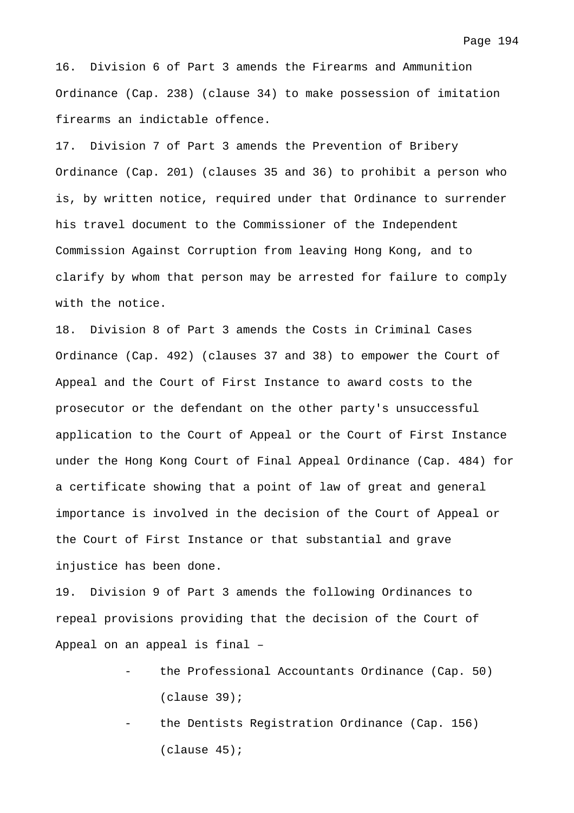Page 194

16. Division 6 of Part 3 amends the Firearms and Ammunition Ordinance (Cap. 238) (clause 34) to make possession of imitation firearms an indictable offence.

17. Division 7 of Part 3 amends the Prevention of Bribery Ordinance (Cap. 201) (clauses 35 and 36) to prohibit a person who is, by written notice, required under that Ordinance to surrender his travel document to the Commissioner of the Independent Commission Against Corruption from leaving Hong Kong, and to clarify by whom that person may be arrested for failure to comply with the notice.

18. Division 8 of Part 3 amends the Costs in Criminal Cases Ordinance (Cap. 492) (clauses 37 and 38) to empower the Court of Appeal and the Court of First Instance to award costs to the prosecutor or the defendant on the other party's unsuccessful application to the Court of Appeal or the Court of First Instance under the Hong Kong Court of Final Appeal Ordinance (Cap. 484) for a certificate showing that a point of law of great and general importance is involved in the decision of the Court of Appeal or the Court of First Instance or that substantial and grave injustice has been done.

19. Division 9 of Part 3 amends the following Ordinances to repeal provisions providing that the decision of the Court of Appeal on an appeal is final –

- the Professional Accountants Ordinance (Cap. 50) (clause 39);
- the Dentists Registration Ordinance (Cap. 156) (clause 45);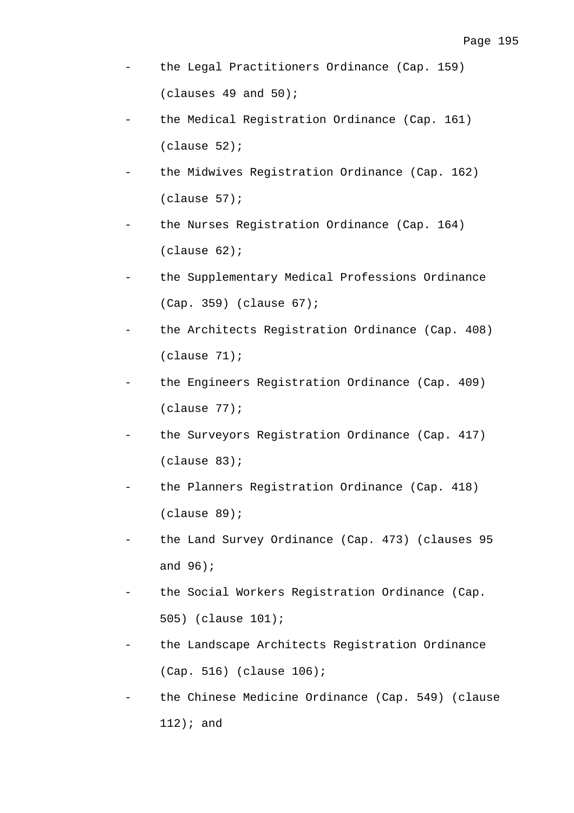- the Legal Practitioners Ordinance (Cap. 159) (clauses 49 and 50);
- the Medical Registration Ordinance (Cap. 161) (clause 52);
- the Midwives Registration Ordinance (Cap. 162) (clause 57);
- the Nurses Registration Ordinance (Cap. 164) (clause 62);
- the Supplementary Medical Professions Ordinance (Cap. 359) (clause 67);
- the Architects Registration Ordinance (Cap. 408) (clause 71);
- the Engineers Registration Ordinance (Cap. 409) (clause 77);
- the Surveyors Registration Ordinance (Cap. 417) (clause 83);
- the Planners Registration Ordinance (Cap. 418) (clause 89);
- the Land Survey Ordinance (Cap. 473) (clauses 95 and 96);
- the Social Workers Registration Ordinance (Cap. 505) (clause 101);
- the Landscape Architects Registration Ordinance (Cap. 516) (clause 106);
- the Chinese Medicine Ordinance (Cap. 549) (clause 112); and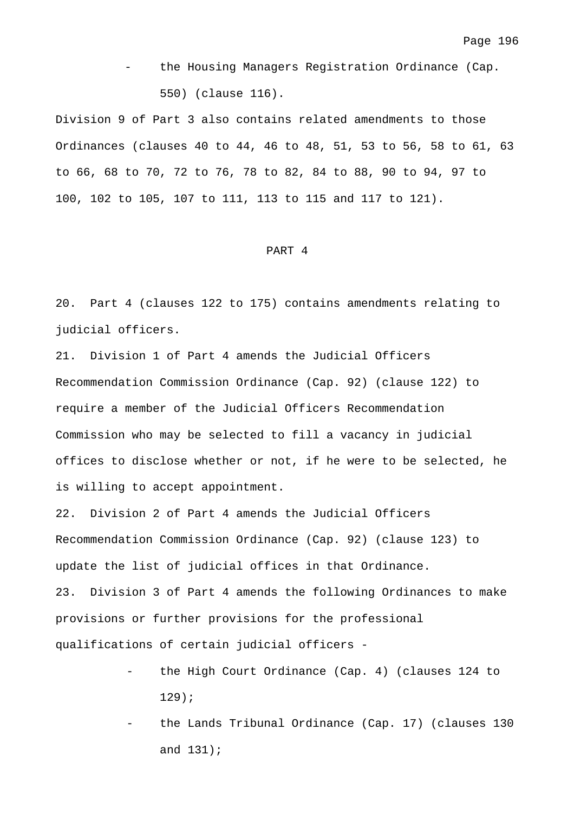the Housing Managers Registration Ordinance (Cap. 550) (clause 116).

Division 9 of Part 3 also contains related amendments to those Ordinances (clauses 40 to 44, 46 to 48, 51, 53 to 56, 58 to 61, 63 to 66, 68 to 70, 72 to 76, 78 to 82, 84 to 88, 90 to 94, 97 to 100, 102 to 105, 107 to 111, 113 to 115 and 117 to 121).

#### PART 4

20. Part 4 (clauses 122 to 175) contains amendments relating to judicial officers.

21. Division 1 of Part 4 amends the Judicial Officers Recommendation Commission Ordinance (Cap. 92) (clause 122) to require a member of the Judicial Officers Recommendation Commission who may be selected to fill a vacancy in judicial offices to disclose whether or not, if he were to be selected, he is willing to accept appointment.

22. Division 2 of Part 4 amends the Judicial Officers Recommendation Commission Ordinance (Cap. 92) (clause 123) to update the list of judicial offices in that Ordinance. 23. Division 3 of Part 4 amends the following Ordinances to make provisions or further provisions for the professional qualifications of certain judicial officers -

- the High Court Ordinance (Cap. 4) (clauses 124 to 129);
- the Lands Tribunal Ordinance (Cap. 17) (clauses 130 and 131);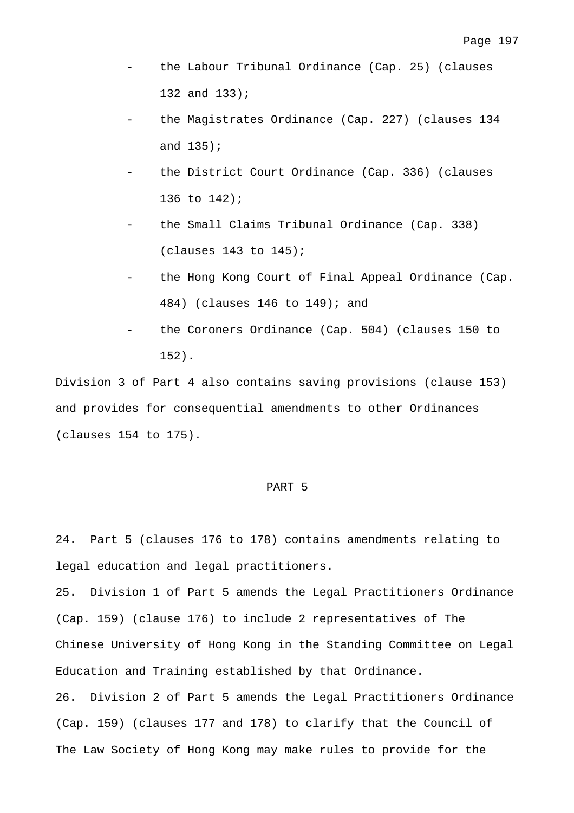- the Labour Tribunal Ordinance (Cap. 25) (clauses 132 and 133);
- the Magistrates Ordinance (Cap. 227) (clauses 134 and 135);
- the District Court Ordinance (Cap. 336) (clauses 136 to 142);
- the Small Claims Tribunal Ordinance (Cap. 338)  $(clauses 143 to 145)$ ;
- the Hong Kong Court of Final Appeal Ordinance (Cap. 484) (clauses 146 to 149); and
- the Coroners Ordinance (Cap. 504) (clauses 150 to 152).

Division 3 of Part 4 also contains saving provisions (clause 153) and provides for consequential amendments to other Ordinances (clauses 154 to 175).

#### PART 5

24. Part 5 (clauses 176 to 178) contains amendments relating to legal education and legal practitioners.

25. Division 1 of Part 5 amends the Legal Practitioners Ordinance (Cap. 159) (clause 176) to include 2 representatives of The Chinese University of Hong Kong in the Standing Committee on Legal Education and Training established by that Ordinance. 26. Division 2 of Part 5 amends the Legal Practitioners Ordinance (Cap. 159) (clauses 177 and 178) to clarify that the Council of The Law Society of Hong Kong may make rules to provide for the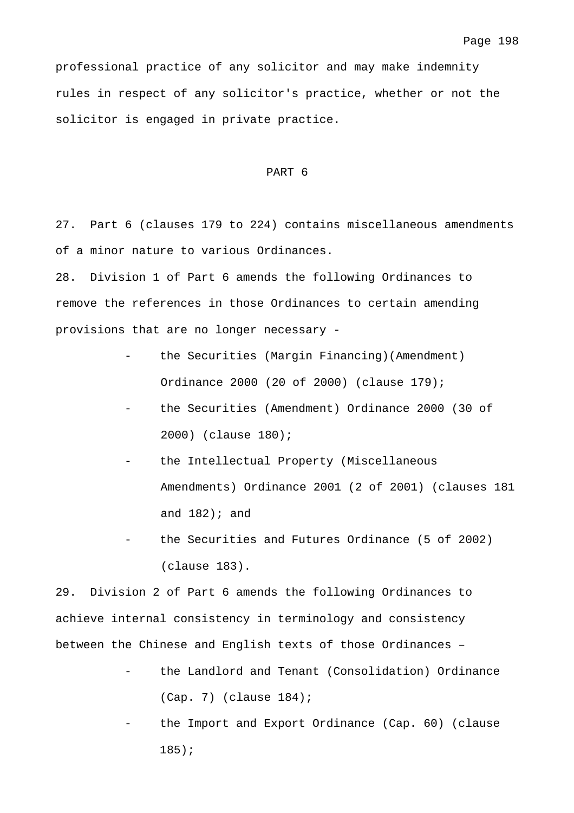professional practice of any solicitor and may make indemnity rules in respect of any solicitor's practice, whether or not the solicitor is engaged in private practice.

#### PART 6

27. Part 6 (clauses 179 to 224) contains miscellaneous amendments of a minor nature to various Ordinances.

28. Division 1 of Part 6 amends the following Ordinances to remove the references in those Ordinances to certain amending provisions that are no longer necessary -

- the Securities (Margin Financing)(Amendment) Ordinance 2000 (20 of 2000) (clause 179);
- the Securities (Amendment) Ordinance 2000 (30 of 2000) (clause 180);
- the Intellectual Property (Miscellaneous Amendments) Ordinance 2001 (2 of 2001) (clauses 181 and  $182$ ); and
- the Securities and Futures Ordinance (5 of 2002) (clause 183).

29. Division 2 of Part 6 amends the following Ordinances to achieve internal consistency in terminology and consistency between the Chinese and English texts of those Ordinances –

- the Landlord and Tenant (Consolidation) Ordinance (Cap. 7) (clause 184);
- the Import and Export Ordinance (Cap. 60) (clause 185);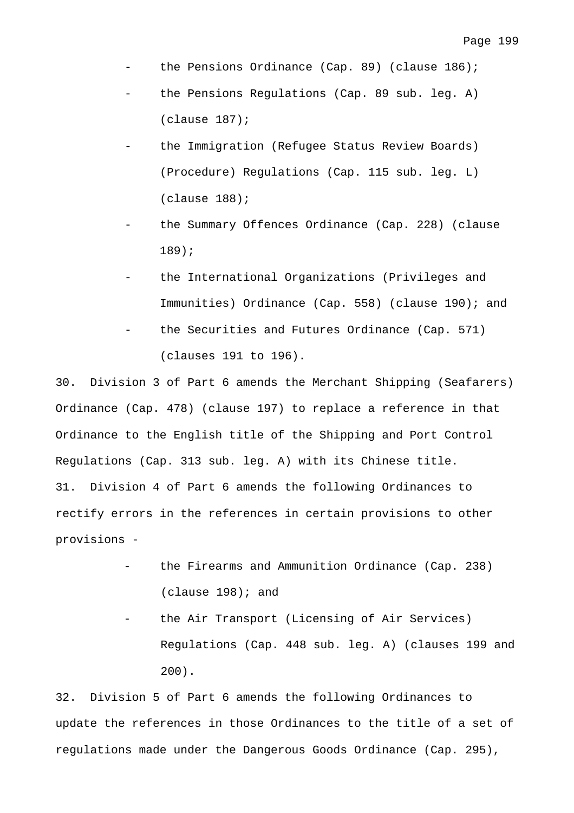- the Pensions Ordinance (Cap. 89) (clause  $186$ );
- the Pensions Regulations (Cap. 89 sub. leg. A) (clause 187);
- the Immigration (Refugee Status Review Boards) (Procedure) Regulations (Cap. 115 sub. leg. L) (clause 188);
- the Summary Offences Ordinance (Cap. 228) (clause 189);
- the International Organizations (Privileges and Immunities) Ordinance (Cap. 558) (clause 190); and
- the Securities and Futures Ordinance (Cap. 571) (clauses 191 to 196).

30. Division 3 of Part 6 amends the Merchant Shipping (Seafarers) Ordinance (Cap. 478) (clause 197) to replace a reference in that Ordinance to the English title of the Shipping and Port Control Regulations (Cap. 313 sub. leg. A) with its Chinese title. 31. Division 4 of Part 6 amends the following Ordinances to rectify errors in the references in certain provisions to other provisions -

- the Firearms and Ammunition Ordinance (Cap. 238) (clause 198); and
- the Air Transport (Licensing of Air Services) Regulations (Cap. 448 sub. leg. A) (clauses 199 and 200).

32. Division 5 of Part 6 amends the following Ordinances to update the references in those Ordinances to the title of a set of regulations made under the Dangerous Goods Ordinance (Cap. 295),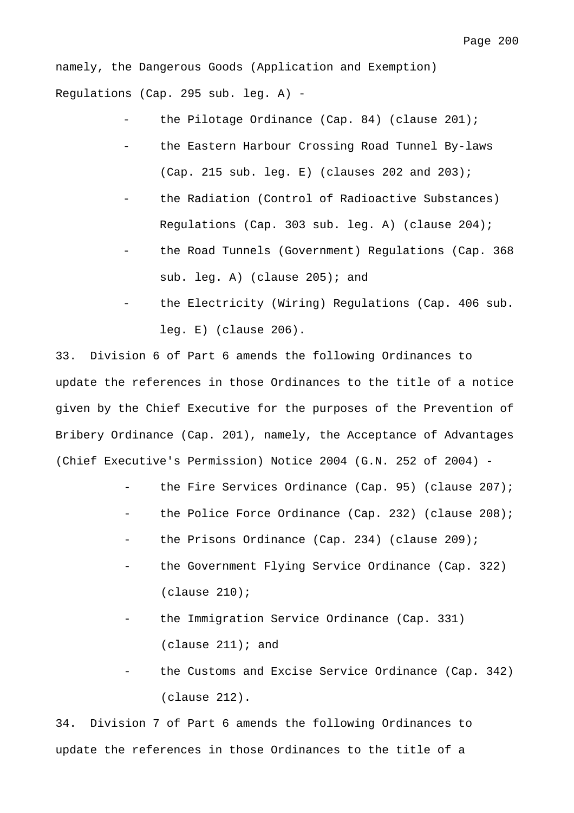namely, the Dangerous Goods (Application and Exemption) Regulations (Cap. 295 sub. leg. A) -

- the Pilotage Ordinance (Cap. 84) (clause  $201$ );
- the Eastern Harbour Crossing Road Tunnel By-laws (Cap. 215 sub. leg. E) (clauses 202 and 203);
- the Radiation (Control of Radioactive Substances) Regulations (Cap. 303 sub. leg. A) (clause 204);
- the Road Tunnels (Government) Regulations (Cap. 368 sub. leg. A) (clause 205); and
- the Electricity (Wiring) Regulations (Cap. 406 sub. leg. E) (clause 206).

33. Division 6 of Part 6 amends the following Ordinances to update the references in those Ordinances to the title of a notice given by the Chief Executive for the purposes of the Prevention of Bribery Ordinance (Cap. 201), namely, the Acceptance of Advantages (Chief Executive's Permission) Notice 2004 (G.N. 252 of 2004) -

- the Fire Services Ordinance (Cap. 95) (clause  $207$ );
- the Police Force Ordinance (Cap. 232) (clause 208);
- the Prisons Ordinance (Cap. 234) (clause 209);
- the Government Flying Service Ordinance (Cap. 322) (clause 210);
- the Immigration Service Ordinance (Cap. 331) (clause  $211$ ); and
- the Customs and Excise Service Ordinance (Cap. 342) (clause 212).

34. Division 7 of Part 6 amends the following Ordinances to update the references in those Ordinances to the title of a